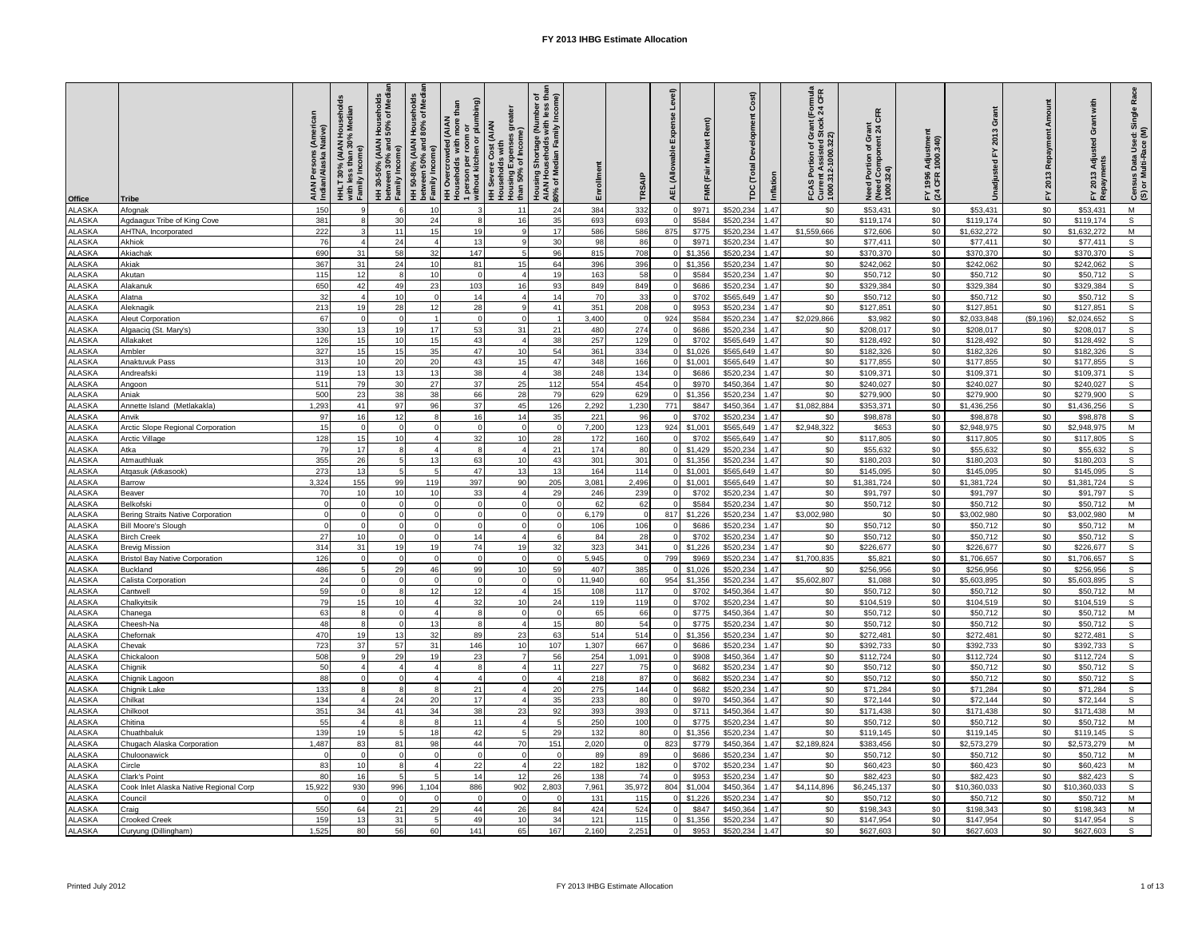| Office                         | Tribe                                                   | AIAN Persons (American<br>Indian/Alaska Native) | Median<br>30%<br>HHLT 30% (AIAN H<br>with less than 30%<br>with less than<br>Family Income<br>less | HH 30-50% (AIAN Households<br>between 30% and 50% of Med<br>Family Income) | HH 50-80% (AIAN Households<br>between 50% and 80% of Med<br>Family Income) | 1 person per room or<br>without kitchen or plumbing)<br>than<br>es greater<br>rcrowded (AIAN<br>olds with more t<br>(AIAN<br>Housing Expenses g<br>than 50% of Income)<br>HH Severe Cost (A<br>Households with<br><b>HH Overcrow</b><br>Households | Housing Shortage (Number of<br>AIAN Households with less than<br>80% of Median Family Income) | Enrollment             | TRSAIP       | Level<br>ise<br>Expe<br>vable<br>AEL (Allor | Rent)<br>Market<br>FMR (Fair | Cost)<br>ment<br>Develop<br>TDC (Total | Inflation    | rant (Formula<br>Stock 24 CFR<br>FCAS Portion of Gran<br>Current Assisted Sto<br>1000.312-1000.322) | CFR<br>Need Portion of Grant<br>(Need Component 24 C<br>1000.324) | Adjustmer<br>1000.340)<br>1996<br>CFR<br>≿ ձ |                          | Amount<br>Repayment<br>FY 2013 | Grant with<br>Adjusted<br>2013<br>공 것 | Race<br>Census Data Used: Single<br>(S) or Multi-Race (M) |
|--------------------------------|---------------------------------------------------------|-------------------------------------------------|----------------------------------------------------------------------------------------------------|----------------------------------------------------------------------------|----------------------------------------------------------------------------|----------------------------------------------------------------------------------------------------------------------------------------------------------------------------------------------------------------------------------------------------|-----------------------------------------------------------------------------------------------|------------------------|--------------|---------------------------------------------|------------------------------|----------------------------------------|--------------|-----------------------------------------------------------------------------------------------------|-------------------------------------------------------------------|----------------------------------------------|--------------------------|--------------------------------|---------------------------------------|-----------------------------------------------------------|
| <b>ALASKA</b>                  | Afognak                                                 | 150                                             |                                                                                                    | $\epsilon$                                                                 | 10                                                                         |                                                                                                                                                                                                                                                    | 11<br>24                                                                                      | 384                    | 332          |                                             | \$971                        | \$520,234                              | 1.47         | \$0                                                                                                 | \$53,431                                                          | \$0                                          | \$53,431                 | \$0                            | \$53,431                              | M                                                         |
| <b>ALASKA</b>                  | Agdaagux Tribe of King Cove                             | 381                                             |                                                                                                    | 30                                                                         | 24                                                                         |                                                                                                                                                                                                                                                    | 16                                                                                            | 35<br>693              | 693          |                                             | \$584                        | \$520,234                              | 1.47         | \$0                                                                                                 | \$119,174                                                         | \$0                                          | \$119,174                | \$0                            | \$119,174                             | s                                                         |
| <b>ALASKA</b>                  | AHTNA, Incorporated                                     | 222                                             |                                                                                                    | 11                                                                         | 15                                                                         | 19                                                                                                                                                                                                                                                 | $\alpha$                                                                                      | 17<br>586              | 586          | 875                                         | \$775                        | \$520,234                              | 1.47         | \$1,559,666                                                                                         | \$72,606                                                          | \$0                                          | \$1,632,272              | \$0                            | \$1,632,272                           | M                                                         |
| ALASKA                         | Akhiok                                                  | 76                                              |                                                                                                    | 24                                                                         |                                                                            | 13                                                                                                                                                                                                                                                 | $\mathbf{q}$<br>30                                                                            | 98                     | 86           |                                             | \$971                        | \$520,234                              | 1.47         | \$0                                                                                                 | \$77,411                                                          | \$0                                          | \$77,411                 | \$0                            | \$77,411                              | s                                                         |
| ALASKA                         | Akiachak                                                | 690                                             | 31                                                                                                 | 58                                                                         | 32                                                                         | 147                                                                                                                                                                                                                                                | $\overline{a}$<br>96                                                                          | 815                    | 708          |                                             | \$1,356                      | \$520,234                              | 1.47         | \$0                                                                                                 | \$370,370                                                         | \$0                                          | \$370,370                | \$0                            | \$370,370                             | s                                                         |
| <b>ALASKA</b>                  | Akiak                                                   | 367                                             | 31                                                                                                 | 24<br>8                                                                    | 10                                                                         | 81<br>$\Omega$                                                                                                                                                                                                                                     | 15<br>64<br>$\overline{4}$                                                                    | 396                    | 396          |                                             | \$1,356                      | \$520,234                              | 1.47         | \$0                                                                                                 | \$242,062                                                         | \$0                                          | \$242,062                | \$0                            | \$242,062                             | s<br>$\mathsf{s}$                                         |
| <b>ALASKA</b><br><b>ALASKA</b> | Akutan<br>Alakanuk                                      | 115<br>650                                      | 12<br>42                                                                                           | 49                                                                         | 10<br>23                                                                   | 103                                                                                                                                                                                                                                                | 16                                                                                            | 19<br>163<br>93<br>849 | 58<br>849    |                                             | \$584<br>\$686               | \$520,234<br>\$520,234                 | 1.47<br>1.47 | \$0<br>\$0                                                                                          | \$50,712<br>\$329,384                                             | \$0<br>\$0                                   | \$50,712<br>\$329,384    | \$0<br>\$0                     | \$50,712<br>\$329,384                 | s                                                         |
| <b>ALASKA</b>                  | Alatna                                                  | 32                                              | $\overline{4}$                                                                                     | 10                                                                         | $\Omega$                                                                   | 14                                                                                                                                                                                                                                                 | $\overline{4}$                                                                                | 14<br>70               | 33           |                                             | \$702                        | \$565,649                              | 1.47         | \$0                                                                                                 | \$50,712                                                          | \$0                                          | \$50,712                 | \$0                            | \$50,712                              | ${\tt S}$                                                 |
| <b>ALASKA</b>                  | Aleknagil                                               | 213                                             | 19                                                                                                 | 28                                                                         | 12                                                                         | 28                                                                                                                                                                                                                                                 | 9                                                                                             | 351<br>41              | 208          |                                             | \$953                        | \$520,234                              | 1.47         | \$0                                                                                                 | \$127,851                                                         | \$0                                          | \$127,851                | \$0                            | \$127,851                             | $\overline{s}$                                            |
| <b>ALASKA</b>                  | Aleut Corporation                                       | 67                                              | $\Omega$                                                                                           | $\mathbf 0$                                                                |                                                                            |                                                                                                                                                                                                                                                    | $\Omega$                                                                                      | 3,400                  |              | 924                                         | \$584                        | \$520,234                              | 1.47         | \$2,029,866                                                                                         | \$3,982                                                           | \$0                                          | \$2,033,848              | (\$9,196)                      | \$2,024,652                           | $\overline{s}$                                            |
| <b>ALASKA</b>                  | Algaaciq (St. Mary's)                                   | 330                                             | 13                                                                                                 | 19                                                                         | 17                                                                         | 53                                                                                                                                                                                                                                                 | 31<br>21                                                                                      | 480                    | 274          |                                             | \$686                        | \$520,234                              | 1.47         | \$0                                                                                                 | \$208,017                                                         | \$0                                          | \$208,017                | \$0                            | \$208,017                             | $\mathbb S$                                               |
| <b>ALASKA</b>                  | Allakaket                                               | 126                                             | 15                                                                                                 | 10                                                                         | 15                                                                         | 43                                                                                                                                                                                                                                                 | 38<br>$\mathbf{A}$                                                                            | 257                    | 129          |                                             | \$702                        | \$565,649                              | 1.47         | \$0                                                                                                 | \$128,492                                                         | \$0                                          | \$128,492                | \$0                            | \$128,492                             | s                                                         |
| <b>ALASKA</b>                  | Ambler                                                  | 327                                             | 15                                                                                                 | 15                                                                         | 35                                                                         | 47                                                                                                                                                                                                                                                 | 10                                                                                            | 54<br>361              | 334          |                                             | \$1,026                      | \$565,649                              | 1.47         | \$0                                                                                                 | \$182,326                                                         | \$0                                          | \$182,326                | \$0                            | \$182,326                             | s                                                         |
| <b>ALASKA</b>                  | Anaktuvuk Pass                                          | 313                                             | 10                                                                                                 | 20                                                                         | 20                                                                         | 43                                                                                                                                                                                                                                                 | 15                                                                                            | 47<br>348              | 166          |                                             | \$1,001                      | \$565,649                              | 1.47         | \$0                                                                                                 | \$177,855                                                         | \$0                                          | \$177,855                | \$0                            | \$177,855                             | s                                                         |
| LASKA<br><b>ALASKA</b>         | Andreafsl                                               | 119<br>511                                      | 13<br>79                                                                                           | 13<br>30                                                                   | 13<br>27                                                                   | 38<br>37                                                                                                                                                                                                                                           | 38<br>$\boldsymbol{\Lambda}$<br>25<br>112                                                     | 248<br>554             | 134<br>454   |                                             | \$686<br>\$970               | \$520,234<br>\$450,364                 | 1.47<br>1.47 | \$0<br>\$0                                                                                          | \$109,371<br>\$240,027                                            | \$0<br>\$0                                   | \$109,37<br>\$240,027    | \$0<br>\$0                     | \$109,371<br>\$240,027                | s<br>$\mathsf{s}$                                         |
| <b>ALASKA</b>                  | Angoon<br>Aniak                                         | 500                                             | 23                                                                                                 | 38                                                                         | 38                                                                         | 66                                                                                                                                                                                                                                                 | 28<br>79                                                                                      | 629                    | 629          |                                             | \$1,356                      | \$520,234                              | 1.47         | \$0                                                                                                 | \$279,900                                                         | \$0                                          | \$279,900                | \$0                            | \$279,900                             | $\mathsf{s}$                                              |
| ALASKA                         | Annette Island (Metlakakla)                             | 1,293                                           | 41                                                                                                 | 97                                                                         | 96                                                                         | 37                                                                                                                                                                                                                                                 | 126<br>45                                                                                     | 2,292                  | 1,230        | 771                                         | \$847                        | \$450,364                              | 1.47         | \$1,082,884                                                                                         | \$353,371                                                         | \$0                                          | \$1,436,256              | \$0                            | \$1,436,256                           | s                                                         |
| ALASKA                         | Anvik                                                   | 97                                              | 16                                                                                                 | 12                                                                         | 8                                                                          | 16                                                                                                                                                                                                                                                 | 14<br>35                                                                                      | 221                    | 96           |                                             | \$702                        | \$520,234                              | 1.47         | \$0                                                                                                 | \$98,878                                                          | \$0                                          | \$98,878                 | \$0                            | \$98,878                              | s                                                         |
| <b>ALASKA</b>                  | <b>Arctic Slope Regional Corporation</b>                | 15                                              | $\Omega$                                                                                           | $\Omega$                                                                   |                                                                            | $\Omega$                                                                                                                                                                                                                                           | $\Omega$                                                                                      | 7,200                  | 123          | 924                                         | \$1,001                      | \$565,649                              | 1.47         | \$2,948,322                                                                                         | \$653                                                             | \$0                                          | \$2,948,975              | \$0                            | \$2,948,975                           | M                                                         |
| ALASKA                         | Arctic Village                                          | 128                                             | 15                                                                                                 | 10                                                                         |                                                                            | 32                                                                                                                                                                                                                                                 | 10<br>28                                                                                      | 172                    | 160          |                                             | \$702                        | \$565,649                              | 1.47         | \$0                                                                                                 | \$117,805                                                         | \$0                                          | \$117,805                | \$0                            | \$117,805                             | $\mathbb S$                                               |
| <b>ALASKA</b>                  | Atka                                                    | 79                                              | 17                                                                                                 | 8                                                                          |                                                                            |                                                                                                                                                                                                                                                    | $\overline{4}$<br>21                                                                          | 174                    | 80           |                                             | \$1,429                      | \$520,234                              | 1.47         | \$0                                                                                                 | \$55,632                                                          | \$0                                          | \$55,632                 | \$0                            | \$55,632                              | $\mathbb S$                                               |
| <b>ALASKA</b>                  | Atmauthluak                                             | 355                                             | 26                                                                                                 | $\overline{5}$                                                             | 13                                                                         | 63                                                                                                                                                                                                                                                 | 10                                                                                            | 301<br>43              | 301          |                                             | \$1,356                      | \$520,234                              | 1.47         | \$0                                                                                                 | \$180,203                                                         | \$0                                          | \$180,203                | \$0                            | \$180,203                             | s                                                         |
| <b>ALASKA</b>                  | Atqasuk (Atkasook)                                      | 273                                             | 13                                                                                                 | 5                                                                          |                                                                            | 47                                                                                                                                                                                                                                                 | 13<br>13                                                                                      | 164                    | 114          |                                             | \$1,001                      | \$565,649                              | 1.47         | \$0                                                                                                 | \$145,095                                                         | \$0                                          | \$145,095                | \$0                            | \$145,095                             | s                                                         |
| <b>ALASKA</b><br><b>ALASKA</b> | Barrow<br>Beaver                                        | 3,324<br>70                                     | 155<br>10 <sup>1</sup>                                                                             | 99<br>10                                                                   | 119<br>10                                                                  | 397<br>33                                                                                                                                                                                                                                          | 90<br>205<br>$\mathbf{A}$                                                                     | 3,081<br>29<br>246     | 2,496<br>239 |                                             | \$1,001<br>\$702             | \$565,649<br>\$520.234                 | 1.47<br>1.47 | \$0<br>\$0                                                                                          | \$1,381,724<br>\$91.797                                           | \$0<br>\$0                                   | \$1,381,724<br>\$91.797  | \$0<br>\$0                     | \$1,381,724<br>\$91.797               | s<br>s                                                    |
| <b>ALASKA</b>                  | Belkofski                                               |                                                 | $\Omega$                                                                                           | $\Omega$                                                                   |                                                                            | $\Omega$                                                                                                                                                                                                                                           | $\Omega$                                                                                      | 62                     | 62           |                                             | \$584                        | \$520,234                              | 1.47         | \$0                                                                                                 | \$50,712                                                          | \$0                                          | \$50,712                 | \$0                            | \$50,712                              | M                                                         |
| <b>ALASKA</b>                  | Bering Straits Native Corporation                       |                                                 | $\Omega$                                                                                           | $\Omega$                                                                   |                                                                            | $\Omega$                                                                                                                                                                                                                                           | $\Omega$                                                                                      | 6,179                  |              | 817                                         | \$1,226                      | \$520,234                              | 1.47         | \$3,002,980                                                                                         | \$0                                                               | \$0                                          | \$3,002,980              | \$0                            | \$3,002,980                           | M                                                         |
| <b>ALASKA</b>                  | <b>Bill Moore's Slough</b>                              |                                                 |                                                                                                    | $\Omega$                                                                   |                                                                            |                                                                                                                                                                                                                                                    | $\Omega$                                                                                      | 106                    | 106          |                                             | \$686                        | \$520,234                              | 1.47         | \$0                                                                                                 | \$50,712                                                          | \$0                                          | \$50,712                 | \$0                            | \$50,712                              | M                                                         |
| <b>ALASKA</b>                  | Birch Creek                                             | 27                                              | 10                                                                                                 | $\Omega$                                                                   |                                                                            | 14                                                                                                                                                                                                                                                 | $\Delta$                                                                                      | 84                     | 28           |                                             | \$702                        | \$520,234                              | 1.47         | \$0                                                                                                 | \$50,712                                                          | \$0                                          | \$50,712                 | \$0                            | \$50,712                              | s                                                         |
| <b>ALASKA</b>                  | <b>Brevig Mission</b>                                   | 314                                             | 31                                                                                                 | 19                                                                         | 19                                                                         | 74                                                                                                                                                                                                                                                 | 19<br>32                                                                                      | 323                    | 341          |                                             | \$1,226                      | \$520,234                              | 1.47         | \$0                                                                                                 | \$226,677                                                         | \$0                                          | \$226,677                | \$0                            | \$226,677                             | s                                                         |
| <b>ALASKA</b>                  | <b>Bristol Bay Native Corporation</b>                   | 126                                             | $\Omega$                                                                                           | $\mathbf 0$                                                                | $\Omega$                                                                   | $\Omega$                                                                                                                                                                                                                                           | $\Omega$                                                                                      | 5,945<br>$\Omega$      |              | 799                                         | \$969                        | \$520,234                              | 1.47         | \$1,700,835                                                                                         | \$5,821                                                           | \$0                                          | \$1,706,657              | \$0                            | \$1,706,657                           | s                                                         |
| <b>ALASKA</b>                  | 3uckland                                                | 486                                             | 5                                                                                                  | 29                                                                         | 46                                                                         | 99                                                                                                                                                                                                                                                 | 10<br>59                                                                                      | 407                    | 385          |                                             | \$1,026                      | \$520,234                              | 1.47         | \$0                                                                                                 | \$256,956                                                         | \$0                                          | \$256,956                | \$0                            | \$256,956                             | s                                                         |
| <b>ALASKA</b><br><b>ALASKA</b> | Calista Corporation<br>Cantwell                         | 24<br>59                                        | $\Omega$                                                                                           | $\mathbf 0$<br>8                                                           | 12                                                                         | $\Omega$<br>12                                                                                                                                                                                                                                     | $\Omega$<br>$\overline{a}$                                                                    | 11,940<br>15<br>108    | 60<br>117    | 954                                         | \$1,356<br>\$702             | \$520,234<br>\$450,364                 | 1.47<br>1.47 | \$5,602,807<br>\$0                                                                                  | \$1,088<br>\$50,712                                               | \$0<br>\$0                                   | \$5,603,895<br>\$50,712  | \$0<br>\$0                     | \$5,603,895<br>\$50,712               | $\overline{s}$<br>M                                       |
| <b>ALASKA</b>                  | Chalkyitsik                                             | 79                                              | 15                                                                                                 | 10                                                                         |                                                                            | 32                                                                                                                                                                                                                                                 | 10                                                                                            | 24<br>119              | 119          |                                             | \$702                        | \$520,234                              | 1.47         | \$0                                                                                                 | \$104,519                                                         | \$0                                          | \$104,519                | \$0                            | \$104,519                             | S                                                         |
| ALASKA                         | Chanega                                                 | 63                                              | 8                                                                                                  | $\mathbf 0$                                                                |                                                                            | 8                                                                                                                                                                                                                                                  | $\Omega$                                                                                      | 65<br>$\Omega$         | 66           |                                             | \$775                        | \$450,364                              | 1.47         | \$0                                                                                                 | \$50,712                                                          | \$0                                          | \$50,712                 | \$0                            | \$50,712                              | M                                                         |
| <b>ALASKA</b>                  | Cheesh-Na                                               | 48                                              | 8                                                                                                  | $\Omega$                                                                   | 13                                                                         | 8                                                                                                                                                                                                                                                  | 4                                                                                             | 15<br>80               | 54           |                                             | \$775                        | \$520,234                              | 1.47         | \$0                                                                                                 | \$50,712                                                          | \$0                                          | \$50,712                 | \$0                            | \$50,712                              | s                                                         |
| <b>ALASKA</b>                  | <b>Chefornak</b>                                        | 470                                             | 19                                                                                                 | 13                                                                         | 32                                                                         | 89                                                                                                                                                                                                                                                 | 23<br>63                                                                                      | 514                    | 514          |                                             | \$1,356                      | \$520,234                              | 1.47         | \$0                                                                                                 | \$272,481                                                         | \$0                                          | \$272,48                 | \$0                            | \$272,481                             | s                                                         |
| <b>ALASKA</b>                  | Cheval                                                  | 723                                             | 37                                                                                                 | 57                                                                         | 31                                                                         | 146                                                                                                                                                                                                                                                | 10<br>107                                                                                     | 1,307                  | 667          |                                             | \$686                        | \$520,234                              | 1.47         | \$0                                                                                                 | \$392,733                                                         | \$0                                          | \$392,733                | \$0                            | \$392,733                             | s                                                         |
| <b>ALASKA</b>                  | Chickaloon                                              | 508                                             |                                                                                                    | 29                                                                         | 19                                                                         | 23                                                                                                                                                                                                                                                 | 56                                                                                            | 254                    | 1,091        |                                             | \$908                        | \$450,364                              | 1.47         | \$0                                                                                                 | \$112,724                                                         | \$0                                          | \$112,724                | \$0                            | \$112,724                             | $\overline{s}$                                            |
| <b>ALASKA</b>                  | Chignik                                                 | 50                                              |                                                                                                    | $\overline{4}$                                                             |                                                                            | 8                                                                                                                                                                                                                                                  | $\overline{4}$<br>11<br>$\Omega$                                                              | 227                    | 75           |                                             | \$682                        | \$520,234                              | 1.47         | \$0                                                                                                 | \$50,712                                                          | \$0                                          | \$50,712                 | \$0                            | \$50,712                              | s                                                         |
| <b>ALASKA</b><br><b>ALASKA</b> | Chignik Lagoon<br>Chignik Lake                          | 88<br>133                                       | $\Omega$<br>8                                                                                      | $\mathbf 0$<br>8                                                           |                                                                            | $\overline{4}$<br>21                                                                                                                                                                                                                               | $\overline{4}$<br>20                                                                          | 218<br>275             | 87<br>144    |                                             | \$682<br>\$682               | \$520,234<br>\$520,234                 | 1.47<br>1.47 | \$0<br>\$0                                                                                          | \$50,712<br>\$71,284                                              | \$0<br>\$0                                   | \$50,712<br>\$71,284     | \$0<br>\$0                     | \$50,712<br>\$71,284                  | s<br>$\overline{s}$                                       |
| <b>ALASKA</b>                  | Chilkat                                                 | 134                                             | $\Delta$                                                                                           | 24                                                                         | 20                                                                         | 17                                                                                                                                                                                                                                                 | $\mathbf{A}$                                                                                  | 35<br>233              | 80           |                                             | \$970                        | \$450,364                              | 1.47         | \$0                                                                                                 | \$72,144                                                          | \$0                                          | \$72,144                 | \$0                            | \$72,144                              | s                                                         |
| <b>ALASKA</b>                  | hilkoot:                                                | 351                                             | 34                                                                                                 | 41                                                                         | 34                                                                         | 38                                                                                                                                                                                                                                                 | 23<br>92                                                                                      | 393                    | 393          |                                             | \$711                        | \$450,364                              | 1.47         | \$0                                                                                                 | \$171,438                                                         | \$0                                          | \$171,438                | \$0                            | \$171,438                             | M                                                         |
| <b>ALASKA</b>                  | Chitina                                                 | 55                                              |                                                                                                    | 8                                                                          |                                                                            | 11                                                                                                                                                                                                                                                 | $\overline{4}$                                                                                | 250                    | 100          |                                             | \$775                        | \$520,234                              | 1.47         | \$0                                                                                                 | \$50,712                                                          | \$0                                          | \$50,712                 | \$0                            | \$50,712                              | M                                                         |
| <b>ALASKA</b>                  | Chuathbaluk                                             | 139                                             | 19                                                                                                 | $\overline{5}$                                                             | 18                                                                         | 42                                                                                                                                                                                                                                                 | 29                                                                                            | 132                    | 80           |                                             | \$1,356                      | \$520,234                              | 1.47         | \$0                                                                                                 | \$119,145                                                         | \$0                                          | \$119,145                | \$0                            | \$119,145                             | s                                                         |
| <b>ALASKA</b>                  | Chugach Alaska Corporation                              | 1,487                                           | 83                                                                                                 | 81                                                                         | 98                                                                         | 44                                                                                                                                                                                                                                                 | 70<br>151                                                                                     | 2,020                  |              | 823                                         | \$779                        | \$450,364                              | 1.47         | \$2,189,824                                                                                         | \$383,456                                                         | \$0                                          | \$2,573,279              | \$0                            | \$2,573,279                           | M                                                         |
| <b>ALASKA</b>                  | Chuloonawick                                            |                                                 | $\Omega$                                                                                           | $\Omega$                                                                   |                                                                            | $\Omega$                                                                                                                                                                                                                                           | $\Omega$                                                                                      | 89                     | 89           |                                             | \$686                        | \$520,234                              | 1.47         | \$0                                                                                                 | \$50,712                                                          | \$0                                          | \$50,712                 | \$0                            | \$50,712                              | M                                                         |
| <b>ALASKA</b><br><b>ALASKA</b> | Circle                                                  | 83<br>80                                        | 10<br>16                                                                                           | $\mathbf{R}$                                                               |                                                                            | 22<br>14                                                                                                                                                                                                                                           | $\mathbf{A}$<br>22<br>12                                                                      | 182                    | 182          |                                             | \$702                        | \$520,234                              | 1.47         | \$0                                                                                                 | \$60,423                                                          | \$0                                          | \$60,423                 | \$0                            | \$60,423                              | M<br>s                                                    |
| <b>ALASKA</b>                  | Clark's Point<br>Cook Inlet Alaska Native Regional Corp | 15,922                                          | 930                                                                                                | 996                                                                        | 1,104                                                                      | 886                                                                                                                                                                                                                                                | 26<br>902<br>2,803                                                                            | 138<br>7,961           | 74<br>35,972 | 804                                         | \$953<br>\$1,004             | \$520,234<br>\$450,364                 | 1.47<br>1.47 | \$0<br>\$4,114,896                                                                                  | \$82,423<br>\$6,245,137                                           | \$0<br>\$0                                   | \$82,423<br>\$10,360,033 | \$0<br>\$0                     | \$82,423<br>\$10,360,033              | s                                                         |
| <b>ALASKA</b>                  | Council                                                 |                                                 |                                                                                                    |                                                                            |                                                                            |                                                                                                                                                                                                                                                    |                                                                                               | 131                    | 115          |                                             | \$1,226                      | \$520,234                              | 1.47         | \$0                                                                                                 | \$50,712                                                          | \$0                                          | \$50,712                 | \$0                            | \$50,712                              | M                                                         |
| <b>ALASKA</b>                  | Craig                                                   | 550                                             | 64                                                                                                 | 21                                                                         | 29                                                                         | 44                                                                                                                                                                                                                                                 | 26<br>84                                                                                      | 424                    | 524          |                                             | \$847                        | \$450,364                              | 1.47         | \$0                                                                                                 | \$198,343                                                         | \$0                                          | \$198,343                | \$0                            | \$198,343                             | M                                                         |
| <b>ALASKA</b>                  | Crooked Creek                                           | 159                                             | 13                                                                                                 | 31                                                                         | 5                                                                          | 49                                                                                                                                                                                                                                                 | 10<br>34                                                                                      | 121                    | 115          |                                             | \$1,356                      | \$520,234                              | 1.47         | \$0                                                                                                 | \$147,954                                                         | \$0                                          | \$147,954                | \$0                            | \$147,954                             | s                                                         |
| <b>ALASKA</b>                  | Curyung (Dillingham)                                    | 1,525                                           | 80                                                                                                 | 56                                                                         | 60                                                                         | 141                                                                                                                                                                                                                                                | 65<br>167                                                                                     | 2,160                  | 2,251        |                                             | \$953                        | \$520,234                              | 1.47         | \$0                                                                                                 | \$627,603                                                         | \$0                                          | \$627,603                | \$0                            | \$627,603                             | s                                                         |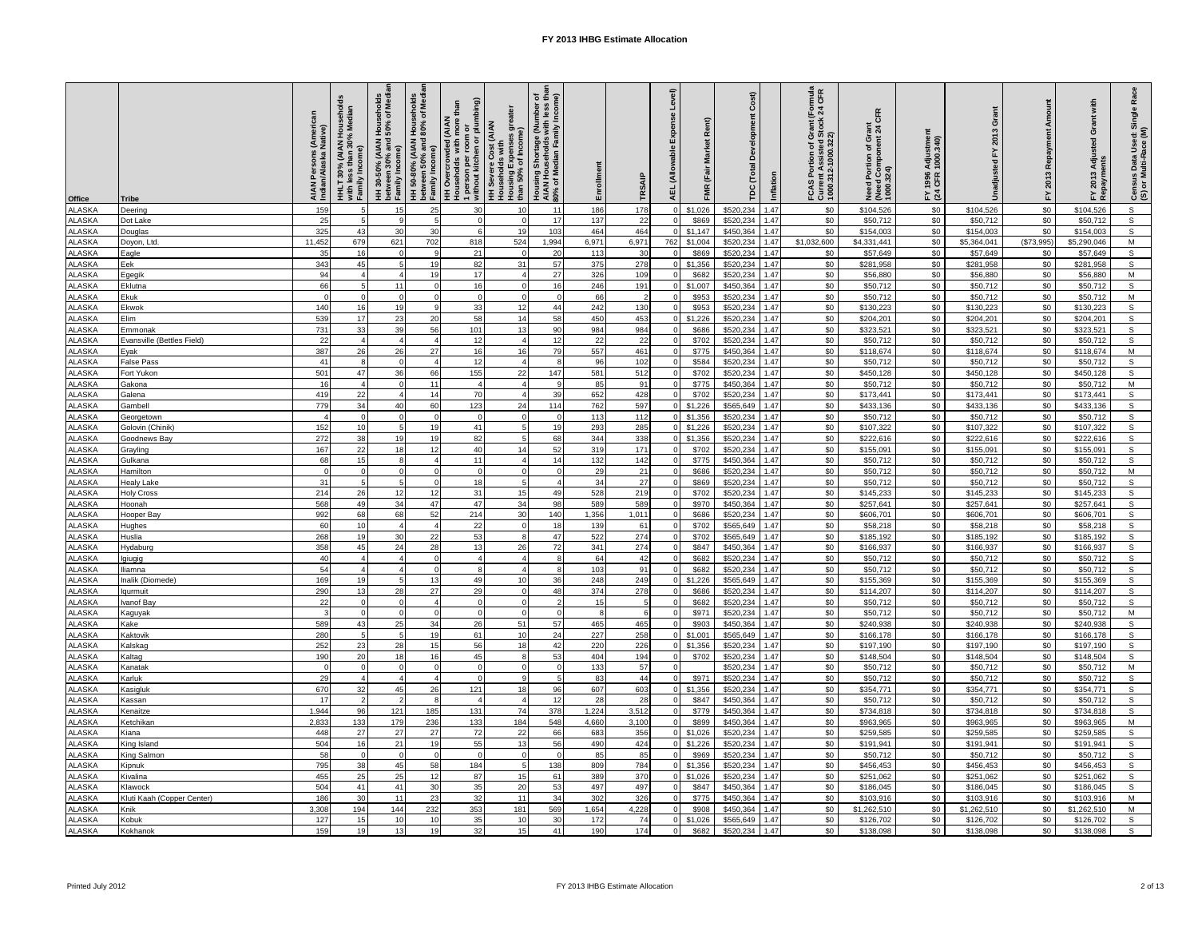| Office                         | Tribe                                 | AIAN Persons (American<br>Indian/Alaska Native) | HHLT 30% (AIAN Households<br>with less than 30% Median<br>Family Income) | HH 30-50% (AIAN Households<br>between 30% and 50% of Medi<br>Family Income) | HH 50-80% (AIAN Households<br>between 50% and 80% of Medi<br>Family Income) | 1 person per room or<br>without kitchen or plumbing)<br>than<br><b>HH Overcrowded (AIAN</b><br>Households with more <b>1</b> | es greater<br><b>HH Severe Cost (AIAN</b><br>Households with<br>Housing Expenses g<br>than 50% of Income) | Housing Shortage (Number of<br>AIAN Households with less than<br>80% of Median Family Income) | Enrollment | TRSAIP     | Level)<br>nse<br>Expe<br><b>AEL (Allowable</b> | Rent)<br>FMR (Fair Market |                        | Development Cost)<br><b>TDC</b> (Total<br>Inflation | FCAS Portion of Grant (Formula<br>Current Assisted Stock 24 CFR<br>1000.312-1000.322) | Need Portion of Grant<br>(Need Component 24 CFR<br>1000.324) | Adjustmen<br>1000.340)<br>FY 1996<br>(24 CFR 1 | ō                      | Amount<br>Repayment<br>FY 2013 | FY 2013 Adjusted Grant with<br>Repayments | Census Data Used: Single Race<br>(S) or Multi-Race (M) |
|--------------------------------|---------------------------------------|-------------------------------------------------|--------------------------------------------------------------------------|-----------------------------------------------------------------------------|-----------------------------------------------------------------------------|------------------------------------------------------------------------------------------------------------------------------|-----------------------------------------------------------------------------------------------------------|-----------------------------------------------------------------------------------------------|------------|------------|------------------------------------------------|---------------------------|------------------------|-----------------------------------------------------|---------------------------------------------------------------------------------------|--------------------------------------------------------------|------------------------------------------------|------------------------|--------------------------------|-------------------------------------------|--------------------------------------------------------|
| <b>ALASKA</b>                  | Deering                               | 159                                             |                                                                          | 15                                                                          | 25                                                                          | 30                                                                                                                           | 10                                                                                                        | 11                                                                                            | 186        | 178        |                                                | \$1,026                   | \$520,234              | 1.47                                                | \$0                                                                                   | \$104,526                                                    | \$0                                            | \$104,526              | \$0                            | \$104,526                                 | $\mathbf{s}$                                           |
| <b>ALASKA</b>                  | Dot Lake                              | 25                                              |                                                                          | $\mathbf{9}$                                                                |                                                                             | $\Omega$                                                                                                                     | $\Omega$                                                                                                  | 17                                                                                            | 137        | 22         |                                                | \$869                     | \$520,234              | 1.47                                                | \$0                                                                                   | \$50,712                                                     | \$0                                            | \$50,712               | \$0                            | \$50,712                                  | $\mathsf{s}$                                           |
| <b>ALASKA</b>                  | Douglas                               | 325                                             | 43                                                                       | 30                                                                          | 30                                                                          | $\mathbf{r}$                                                                                                                 | 19                                                                                                        | 103                                                                                           | 464        | 464        |                                                | \$1,147                   | \$450,364              | 1.47                                                | \$0                                                                                   | \$154,003                                                    | \$0                                            | \$154,003              | \$0                            | \$154,003                                 | s                                                      |
| ALASKA                         | Doyon, Ltd.                           | 11,452                                          | 679                                                                      | 621<br>$\circ$                                                              | 702                                                                         | 818                                                                                                                          | 524<br>$\overline{0}$                                                                                     | 1,994                                                                                         | 6,971      | 6,971      | 762                                            | \$1,004                   | \$520,234              | 1.47                                                | \$1,032,600<br>\$0                                                                    | \$4,331,441                                                  | \$0                                            | \$5,364,041            | (\$73,995)                     | \$5,290,046                               | ${\sf M}$<br>$\overline{s}$                            |
| ALASKA<br><b>ALASKA</b>        | Eagle<br>Eek                          | 35<br>343                                       | 16<br>45                                                                 | $\overline{5}$                                                              | 19                                                                          | 21<br>82                                                                                                                     | 31                                                                                                        | 20<br>57                                                                                      | 113<br>375 | 30<br>278  |                                                | \$869<br>\$1,356          | \$520,234<br>\$520,234 | 1.47<br>1.47                                        | \$0                                                                                   | \$57,649<br>\$281,958                                        | \$0<br>\$0                                     | \$57,649<br>\$281,958  | \$0<br>\$0                     | \$57,649<br>\$281,958                     | $\mathsf{s}$                                           |
| <b>ALASKA</b>                  | Egegik                                | 94                                              |                                                                          | $\overline{4}$                                                              | 19                                                                          | 17                                                                                                                           | $\overline{4}$                                                                                            | 27                                                                                            | 326        | 109        |                                                | \$682                     | \$520,234              | 1.47                                                | \$0                                                                                   | \$56,880                                                     | \$0                                            | \$56,880               | \$0                            | \$56,880                                  | M                                                      |
| <b>ALASKA</b>                  | Eklutna                               | 66                                              | 5                                                                        | 11                                                                          | $\Omega$                                                                    | 16                                                                                                                           | $\Omega$                                                                                                  | 16                                                                                            | 246        | 191        |                                                | \$1,007                   | \$450,364              | 1.47                                                | \$0                                                                                   | \$50,712                                                     | \$0                                            | \$50,712               | \$0                            | \$50,712                                  | $\overline{s}$                                         |
| <b>ALASKA</b>                  | Ekuk                                  |                                                 | $\Omega$                                                                 | $\Omega$                                                                    | $\Omega$                                                                    | $\Omega$                                                                                                                     | $\Omega$                                                                                                  | $\Omega$                                                                                      | 66         |            |                                                | \$953                     | \$520,234              | 1.47                                                | \$0                                                                                   | \$50,712                                                     | \$0                                            | \$50,712               | \$0                            | \$50,712                                  | ${\sf M}$                                              |
| <b>ALASKA</b>                  | Ekwok                                 | 140                                             | 16                                                                       | 19                                                                          | q                                                                           | 33                                                                                                                           | 12                                                                                                        | 44                                                                                            | 242        | 130        |                                                | \$953                     | \$520,234              | 1.47                                                | \$0                                                                                   | \$130,223                                                    | \$0                                            | \$130,223              | \$0                            | \$130,223                                 | $\mathsf{s}$                                           |
| <b>ALASKA</b><br><b>ALASKA</b> | Elim                                  | 539<br>731                                      | 17<br>33                                                                 | 23<br>39                                                                    | 20<br>56                                                                    | 58<br>101                                                                                                                    | 14<br>13                                                                                                  | 58<br>90                                                                                      | 450<br>984 | 453<br>984 |                                                | \$1,226<br>\$686          | \$520,234<br>\$520,234 | 1.47<br>1.47                                        | \$0<br>\$0                                                                            | \$204,201<br>\$323,521                                       | \$0<br>\$0                                     | \$204,201<br>\$323,521 | \$0<br>\$0                     | \$204,201<br>\$323,521                    | $\overline{\mathbf{s}}$<br>$\mathbf{s}$                |
|                                | Emmonak<br>Evansville (Bettles Field) | 22                                              | $\overline{4}$                                                           | $\overline{4}$                                                              | $\overline{4}$                                                              | 12                                                                                                                           | $\overline{4}$                                                                                            | 12                                                                                            | 22         | 22         |                                                | \$702                     | \$520,234              | 1.47                                                | \$0                                                                                   | \$50,712                                                     | \$0                                            | \$50,712               | \$0                            | \$50,712                                  | $\mathsf{s}$                                           |
| ALASKA<br>ALASKA               | Eyak                                  | 387                                             | 26                                                                       | 26                                                                          | 27                                                                          | 16                                                                                                                           | 16                                                                                                        | 79                                                                                            | 557        | 461        |                                                | \$775                     | \$450,364              | 1.47                                                | \$0                                                                                   | \$118,674                                                    | \$0                                            | \$118,674              | \$0                            | \$118,674                                 | $\overline{M}$                                         |
| <b>ALASKA</b>                  | False Pass                            | 41                                              | 8                                                                        | $\mathbf 0$                                                                 | $\overline{4}$                                                              | 12                                                                                                                           | $\overline{4}$                                                                                            | 8                                                                                             | 96         | 102        |                                                | \$584                     | \$520,234              | 1.47                                                | \$0                                                                                   | \$50,712                                                     | \$0                                            | \$50,712               | \$0                            | \$50,712                                  | $\overline{s}$                                         |
| LASKA                          | Fort Yukon                            | 501                                             | 47                                                                       | 36                                                                          | 66                                                                          | 155                                                                                                                          | 22                                                                                                        | 147                                                                                           | 581        | 512        |                                                | \$702                     | \$520,234              | 1.47                                                | \$0                                                                                   | \$450,128                                                    | \$0                                            | \$450,128              | \$0                            | \$450,128                                 | $\mathsf{s}$                                           |
| <b>ALASKA</b>                  | Gakona                                | 16<br>419                                       | 22                                                                       | $\Omega$<br>$\overline{4}$                                                  | 11<br>14                                                                    | 70                                                                                                                           | $\overline{a}$<br>$\overline{4}$                                                                          | 39                                                                                            | 85         | 91         |                                                | \$775                     | \$450,36               | 1.47<br>1.47                                        | \$0<br>\$0                                                                            | \$50,712                                                     | \$0                                            | \$50,712               | \$0                            | \$50,712                                  | $\overline{\mathsf{M}}$<br>$\mathsf{s}$                |
| <b>ALASKA</b><br><b>ALASKA</b> | Galena<br>Gambell                     | 779                                             | 34                                                                       | 40                                                                          | 60                                                                          | 123                                                                                                                          | 24                                                                                                        | 114                                                                                           | 652<br>762 | 428<br>597 |                                                | \$702<br>\$1,226          | \$520,234<br>\$565,649 | 1.47                                                | \$0                                                                                   | \$173,441<br>\$433,136                                       | \$0<br>$\$0$                                   | \$173,441<br>\$433,136 | \$0<br>\$0                     | \$173,441<br>\$433,136                    | $\mathsf{s}$                                           |
| <b>ALASKA</b>                  | Georgetown                            |                                                 | $\Omega$                                                                 | $\mathbf 0$                                                                 | $\Omega$                                                                    | $\Omega$                                                                                                                     | $\Omega$                                                                                                  | $\Omega$                                                                                      | 113        | 112        |                                                | \$1,356                   | \$520,234              | 1.47                                                | \$0                                                                                   | \$50,712                                                     | \$0                                            | \$50,712               | \$0                            | \$50,712                                  | $\sf S$                                                |
| <b>ALASKA</b>                  | Golovin (Chinik                       | 152                                             | 10                                                                       | $\overline{5}$                                                              | 19                                                                          | 41                                                                                                                           | 5                                                                                                         | 19                                                                                            | 293        | 285        |                                                | \$1,226                   | \$520,234              | 1.47                                                | \$0                                                                                   | \$107,322                                                    | \$0                                            | \$107,322              | \$0                            | \$107,322                                 | $\mathsf S$                                            |
| <b>ALASKA</b>                  | Boodnews Bay                          | 272                                             | 38                                                                       | 19                                                                          | 19                                                                          | 82                                                                                                                           | $\overline{a}$                                                                                            | 68                                                                                            | 344        | 338        |                                                | \$1,356                   | \$520,234              | 1.47                                                | \$0                                                                                   | \$222,616                                                    | \$0                                            | \$222,616              | \$0                            | \$222,616                                 | $\mathbb S$                                            |
| <b>ALASKA</b>                  | <b>Grayling</b>                       | 167                                             | 22                                                                       | 18                                                                          | 12                                                                          | 40                                                                                                                           | 14                                                                                                        | 52                                                                                            | 319        | 171        |                                                | \$702                     | \$520,234              | 1.47                                                | \$0                                                                                   | \$155,091                                                    | \$0                                            | \$155,091              | \$0                            | \$155,091                                 | $\overline{s}$                                         |
| <b>ALASKA</b><br><b>ALASKA</b> | Gulkana<br>Hamilton                   | 68                                              | 15<br>$\mathbf 0$                                                        | 8<br>$\pmb{0}$                                                              | $\Omega$                                                                    | 11<br>$\Omega$                                                                                                               | $\overline{4}$<br>$\Omega$                                                                                | 14<br>$\Omega$                                                                                | 132<br>29  | 142<br>21  |                                                | \$775<br>\$686            | \$450,364<br>\$520,234 | 1.47<br>1.47                                        | \$0<br>\$0                                                                            | \$50,712<br>\$50,712                                         | \$0<br>\$0                                     | \$50,712<br>\$50,712   | \$0<br>\$0                     | \$50,712<br>\$50,712                      | $\overline{s}$<br>M                                    |
| <b>ALASKA</b>                  | Healy Lake                            | 31                                              | 5                                                                        | 5                                                                           | $\Omega$                                                                    | 18                                                                                                                           | 5                                                                                                         |                                                                                               | 34         | 27         |                                                | \$869                     | \$520,234              | 1.47                                                | \$0                                                                                   | \$50,712                                                     | \$0                                            | \$50,712               | \$0                            | \$50,712                                  | $\mathbb S$                                            |
| <b>ALASKA</b>                  | <b>Holy Cross</b>                     | 214                                             | 26                                                                       | 12                                                                          | 12                                                                          | 31                                                                                                                           | 15                                                                                                        | 49                                                                                            | 528        | 219        |                                                | \$702                     | \$520,234              | 1.47                                                | \$0                                                                                   | \$145,233                                                    | \$0                                            | \$145,233              | \$0                            | \$145,233                                 | $\mathsf{s}$                                           |
| <b>ALASKA</b>                  | Hoonah                                | 568                                             | 49                                                                       | 34                                                                          | 47                                                                          | 47                                                                                                                           | 34                                                                                                        | 98                                                                                            | 589        | 589        |                                                | \$970                     | \$450,364              | 1.47                                                | \$0                                                                                   | \$257,641                                                    | \$0                                            | \$257,641              | \$0                            | \$257,641                                 | $\mathbb S$                                            |
| <b>ALASKA</b>                  | Hooper Bay                            | 992                                             | 68                                                                       | 68                                                                          | 52                                                                          | 214                                                                                                                          | 30                                                                                                        | 140                                                                                           | 1,356      | 1,011      |                                                | \$686                     | \$520,234              | 1.47                                                | \$0                                                                                   | \$606,701                                                    | \$0                                            | \$606,701              | \$0                            | \$606,701                                 | $\overline{s}$                                         |
| <b>ALASKA</b>                  | <b>Hughes</b>                         | 60                                              | 10                                                                       | $\overline{4}$                                                              |                                                                             | 22                                                                                                                           | $\Omega$<br>$\mathbf{a}$                                                                                  | 18                                                                                            | 139        | 61         |                                                | \$702                     | \$565,649              | 1.47                                                | \$0                                                                                   | \$58,218                                                     | \$0                                            | \$58,218               | \$0                            | \$58,218                                  | $\mathsf{s}$                                           |
| <b>ALASKA</b><br><b>ALASKA</b> | Huslia<br><b>Hydaburg</b>             | 268<br>358                                      | 19<br>45                                                                 | 30<br>24                                                                    | 22<br>28                                                                    | 53<br>13                                                                                                                     | 26                                                                                                        | 47<br>72                                                                                      | 522<br>341 | 274<br>274 |                                                | \$702<br>\$847            | \$565,649<br>\$450,364 | 1.47<br>1.47                                        | \$0<br>\$0                                                                            | \$185,192<br>\$166,937                                       | \$0<br>\$0                                     | \$185,192<br>\$166,937 | \$0<br>\$0                     | \$185,192<br>\$166,937                    | $\mathsf{s}$<br>$\mathsf{s}$                           |
| <b>ALASKA</b>                  | lgiugig                               | 40                                              |                                                                          | $\overline{4}$                                                              | $\Omega$                                                                    | $\overline{4}$                                                                                                               | $\overline{4}$                                                                                            | 8                                                                                             | 64         | 42         |                                                | \$682                     | \$520,234              | 1.47                                                | \$0                                                                                   | \$50,712                                                     | \$0                                            | \$50,712               | \$0                            | \$50,712                                  | $\mathsf{s}$                                           |
| <b>ALASKA</b>                  | liamna                                | 54                                              |                                                                          |                                                                             | $\Omega$                                                                    | $\mathbf{R}$                                                                                                                 | $\overline{4}$                                                                                            | R                                                                                             | 103        | 91         |                                                | \$682                     | \$520,234              | 1.47                                                | \$0                                                                                   | \$50,712                                                     | \$0                                            | \$50,712               | $\$0$                          | \$50,712                                  | $\mathsf{s}$                                           |
| LASKA                          | alik (Diomede)                        | 169                                             | 19                                                                       | $\bar{R}$                                                                   | 13                                                                          | 49                                                                                                                           | 10                                                                                                        | 36                                                                                            | 248        | 249        |                                                | \$1,226                   | \$565,649              | 1.47                                                | \$0                                                                                   | \$155,369                                                    | \$0                                            | \$155,369              | \$0                            | \$155,369                                 | $\mathsf{s}$                                           |
| <b>ALASKA</b>                  | qurmuit                               | 290                                             | 13                                                                       | 28                                                                          | 27                                                                          | 29                                                                                                                           | $\Omega$                                                                                                  | 48                                                                                            | 374        | 278        |                                                | \$686                     | \$520,234              | 1.47                                                | \$0                                                                                   | \$114,207                                                    | \$0                                            | \$114,207              | \$0                            | \$114,207                                 | $\mathsf{s}$                                           |
| <b>ALASKA</b><br><b>ALASKA</b> | vanof Bay                             | 22                                              | $\Omega$<br>$\mathbf 0$                                                  | $\Omega$<br>$\mathsf 0$                                                     | $\Omega$                                                                    | $\Omega$<br>$\mathbf 0$                                                                                                      | $\Omega$<br>$\Omega$                                                                                      | $\Omega$                                                                                      | 15<br>8    |            |                                                | \$682<br>\$971            | \$520,234<br>\$520,234 | 1.47<br>1.47                                        | \$0<br>\$0                                                                            | \$50,712<br>\$50,712                                         | \$0<br>\$0                                     | \$50,712<br>\$50,712   | \$0<br>\$0                     | \$50,712<br>\$50,712                      | $\overline{s}$<br>M                                    |
| <b>ALASKA</b>                  | Kaguyak<br>Kake                       | 589                                             | 43                                                                       | 25                                                                          | 34                                                                          | 26                                                                                                                           | 51                                                                                                        | 57                                                                                            | 465        | 465        |                                                | \$903                     | \$450,364              | 1.47                                                | \$0                                                                                   | \$240,938                                                    | \$0                                            | \$240,938              | \$0                            | \$240,938                                 | $\mathsf{s}$                                           |
| <b>ALASKA</b>                  | <b>Kaktovik</b>                       | 280                                             | 5                                                                        | $5\overline{2}$                                                             | 19                                                                          | 61                                                                                                                           | 10                                                                                                        | 24                                                                                            | 227        | 258        |                                                | \$1,001                   | \$565,649              | 1.47                                                | \$0                                                                                   | \$166,178                                                    | \$0                                            | \$166,178              | \$0                            | \$166,178                                 | ${\tt S}$                                              |
| <b>ALASKA</b>                  | (alskag                               | 252                                             | 23                                                                       | 28                                                                          | 15                                                                          | 56                                                                                                                           | 18                                                                                                        | 42                                                                                            | 220        | 226        |                                                | \$1,356                   | \$520,234              | 1.47                                                | \$0                                                                                   | \$197,190                                                    | \$0                                            | \$197,190              | \$0                            | \$197,190                                 | $\mathsf{s}$                                           |
| <b>ALASKA</b>                  | <b>Caltag</b>                         | 190                                             | 20                                                                       | 18                                                                          | 16                                                                          | 45                                                                                                                           | 8                                                                                                         | 53                                                                                            | 404        | 194        |                                                | \$702                     | \$520,234              | 1.47                                                | \$0                                                                                   | \$148,504                                                    | \$0                                            | \$148,504              | \$0                            | \$148,504                                 | $\overline{s}$                                         |
| <b>ALASKA</b>                  | <b>Kanatak</b>                        |                                                 | $\overline{0}$                                                           | $\mathbf 0$<br>$\overline{\mathbf{4}}$                                      |                                                                             | $\Omega$<br>$\mathbf 0$                                                                                                      | $\mathbf 0$<br>$\mathbf{q}$                                                                               | $\Omega$                                                                                      | 133        | 57         |                                                |                           | \$520,23               | 1.47                                                | \$0                                                                                   | \$50,712                                                     | \$0                                            | \$50,712               | \$0                            | \$50,712                                  | M                                                      |
| <b>ALASKA</b><br><b>ALASKA</b> | <b>Carluk</b><br>Kasigluk             | 29<br>670                                       | $\overline{4}$<br>32                                                     | 45                                                                          | 26                                                                          | 121                                                                                                                          | 18                                                                                                        | 96                                                                                            | 83<br>607  | 44<br>603  |                                                | \$971<br>\$1,356          | \$520,23<br>\$520,234  | 1.47<br>1.47                                        | \$0<br>\$0                                                                            | \$50,712<br>\$354,771                                        | \$0<br>$\$0$                                   | \$50,712<br>\$354,771  | \$0<br>\$0                     | \$50,712<br>\$354,771                     | $\mathsf{s}$<br>$\overline{s}$                         |
| <b>ALASKA</b>                  | <b>Cassan</b>                         | 17                                              | $\mathcal{P}$                                                            | $\mathcal{L}$                                                               | $\mathbf{R}$                                                                | $\overline{a}$                                                                                                               | $\overline{4}$                                                                                            | 12                                                                                            | 28         | 28         |                                                | \$847                     | \$450,364              | 1.47                                                | \$0                                                                                   | \$50,712                                                     | \$0                                            | \$50,712               | \$0                            | \$50,712                                  | $\overline{s}$                                         |
| <b>ALASKA</b>                  | <b>Cenaitze</b>                       | 1,944                                           | 96                                                                       | 121                                                                         | 185                                                                         | 131                                                                                                                          | 74                                                                                                        | 378                                                                                           | 1,224      | 3,512      |                                                | \$779                     | \$450,364              | 1.47                                                | \$0                                                                                   | \$734,818                                                    | \$0                                            | \$734,81               | \$0                            | \$734,818                                 | $\mathsf{s}$                                           |
| ALASKA                         | <b>Ketchikan</b>                      | 2,833                                           | 133                                                                      | 179                                                                         | 236                                                                         | 133                                                                                                                          | 184                                                                                                       | 548                                                                                           | 4,660      | 3,100      |                                                | \$899                     | \$450,364              | 1.47                                                | $\$0$                                                                                 | \$963,965                                                    | $\$0$                                          | \$963,965              | \$0                            | \$963,965                                 | ${\sf M}$                                              |
| <b>ALASKA</b>                  | <b>Kiana</b>                          | 448                                             | 27                                                                       | 27                                                                          | 27                                                                          | 72                                                                                                                           | 22                                                                                                        | 66                                                                                            | 683        | 356        |                                                | \$1,026                   | \$520,234              | 1.47                                                | \$0                                                                                   | \$259,585                                                    | \$0                                            | \$259,585              | \$0                            | \$259,585                                 | $\sf S$                                                |
| <b>ALASKA</b><br><b>ALASKA</b> | <b>King Island</b>                    | 504<br>58                                       | 16<br>$\overline{\mathbf{0}}$                                            | 21<br>$\mathbf 0$                                                           | 19<br>$\Omega$                                                              | 55<br>$\Omega$                                                                                                               | 13<br>$\Omega$                                                                                            | 56<br>$\Omega$                                                                                | 490<br>85  | 424<br>85  |                                                | \$1,226<br>\$969          | \$520,234<br>\$520,234 | 1.47<br>1.47                                        | \$0<br>\$0                                                                            | \$191,941<br>\$50,712                                        | \$0<br>\$0                                     | \$191,941<br>\$50,712  | \$0<br>\$0                     | \$191,941<br>\$50,712                     | $\mathsf{s}$<br>$\mathsf{s}$                           |
| <b>ALASKA</b>                  | King Salmon<br>Kipnuk                 | 795                                             | 38                                                                       | 45                                                                          | 58                                                                          | 184                                                                                                                          | 5                                                                                                         | 138                                                                                           | 809        | 784        |                                                | \$1,356                   | \$520,234              | 1.47                                                | \$0                                                                                   | \$456,453                                                    | \$0                                            | \$456,453              | \$0                            | \$456,453                                 | $\mathbf{s}$                                           |
| <b>ALASKA</b>                  | <b>Kivalina</b>                       | 455                                             | 25                                                                       | 25                                                                          | 12                                                                          | 87                                                                                                                           | 15                                                                                                        | 61                                                                                            | 389        | 370        |                                                | \$1,026                   | \$520,234              | 1.47                                                | \$0                                                                                   | \$251,062                                                    | \$0                                            | \$251,062              | \$0                            | \$251,062                                 | $\mathbb S$                                            |
| <b>ALASKA</b>                  | Klawock                               | 504                                             | 41                                                                       | 41                                                                          | 30                                                                          | 35                                                                                                                           | 20                                                                                                        | 53                                                                                            | 497        | 497        |                                                | \$847                     | \$450,364              | 1.47                                                | \$0                                                                                   | \$186,045                                                    | \$0                                            | \$186,045              | \$0                            | \$186,045                                 | s                                                      |
| <b>ALASKA</b>                  | Kluti Kaah (Copper Center)            | 186                                             | 30                                                                       | 11                                                                          | 23                                                                          | 32                                                                                                                           | 11                                                                                                        | 34                                                                                            | 302        | 326        |                                                | \$775                     | \$450,36               | 1.47                                                | \$0                                                                                   | \$103,916                                                    | \$0                                            | \$103,916              | \$0                            | \$103,916                                 | $\overline{M}$                                         |
| <b>ALASKA</b>                  | Knik                                  | 3,308                                           | 194                                                                      | 144                                                                         | 232                                                                         | 353                                                                                                                          | 181                                                                                                       | 569                                                                                           | 1,654      | 4,228      |                                                | \$908                     | \$450,364              | 1.47                                                | \$0                                                                                   | \$1,262,510                                                  | \$0                                            | \$1,262,510            | \$0                            | \$1,262,510                               | M                                                      |
| <b>ALASKA</b><br><b>ALASKA</b> | Kobuk<br>Kokhanok                     | 127<br>159                                      | 15<br>19                                                                 | 10<br>13                                                                    | 10<br>19                                                                    | 35<br>32                                                                                                                     | 10<br>15                                                                                                  | 30<br>41                                                                                      | 172<br>190 | 74<br>174  |                                                | \$1,026<br>\$682          | \$565,649<br>\$520,234 | 1.47<br>1.47                                        | \$0<br>\$0                                                                            | \$126,702<br>\$138,098                                       | \$0<br>\$0                                     | \$126,702<br>\$138,098 | \$0<br>\$0                     | \$126,702<br>\$138,098                    | $\mathbb S$<br>$\overline{s}$                          |
|                                |                                       |                                                 |                                                                          |                                                                             |                                                                             |                                                                                                                              |                                                                                                           |                                                                                               |            |            |                                                |                           |                        |                                                     |                                                                                       |                                                              |                                                |                        |                                |                                           |                                                        |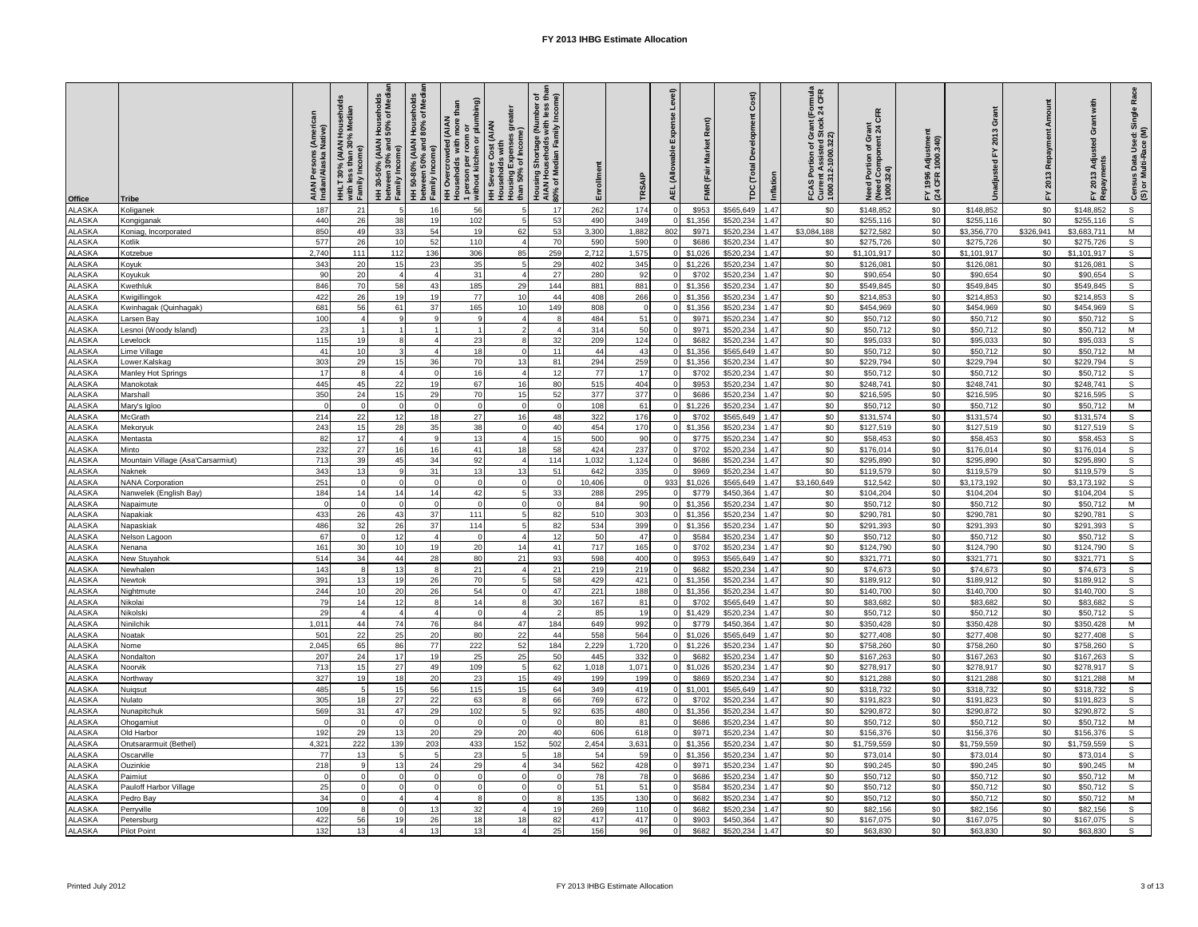| 262<br>\$0<br>\$0<br>$\mathsf{s}$<br><b>ALASKA</b><br>187<br>21<br>56<br>\$0<br>\$148,852<br>\$148,852<br>\$148,852<br>Koliganek<br>$\overline{5}$<br>16<br>17<br>174<br>\$953<br>\$565,649<br>1.47<br>440<br>26<br>38<br>102<br>53<br>490<br>\$1,356<br>1.47<br>\$0<br>\$255,116<br>\$0<br>\$255,116<br>\$0<br>\$255,116<br>s<br><b>ALASKA</b><br>19<br>$\overline{5}$<br>349<br>\$520,234<br>Kongiganak<br>ALASKA<br>850<br>49<br>33<br>54<br>19<br>62<br>53<br>3.300<br>1,882<br>\$971<br>\$520,234<br>1.47<br>\$3,084,188<br>\$272,582<br>\$0<br>\$3,356,770<br>\$326.941<br>\$3.683.711<br>M<br>802<br>Coniag, Incorporated<br>$\mathsf{s}$<br>577<br>26<br>10<br>52<br>110<br>\$520,234<br>1.47<br>\$0<br>\$275,726<br>\$0<br>\$0<br>\$275,726<br><b>ALASKA</b><br>$\overline{a}$<br>70<br>590<br>590<br>\$686<br>\$275,726<br><b>Kotlik</b><br>$\overline{s}$<br>136<br>306<br>\$0<br>\$0<br><b>ALASKA</b><br>2,740<br>111<br>112<br>85<br>259<br>2,712<br>1,575<br>\$1,026<br>\$520,234<br>1.47<br>\$1,101,917<br>\$0<br>\$1,101,917<br>\$1,101,917<br><b>Kotzebue</b><br><b>ALASKA</b><br>35<br>\$1,226<br>\$520,234<br>1.47<br>\$0<br>\$126,081<br>\$0<br>\$0<br>\$126,081<br>s<br>343<br>20<br>15<br>23<br>29<br>402<br>345<br>\$126,081<br><b>Koyuk</b><br>$\mathbb S$<br><b>ALASKA</b><br>31<br>\$702<br>1.47<br>\$0<br>\$0<br>\$0<br>20<br>$\overline{4}$<br>280<br>92<br>\$520,234<br>\$90,654<br>\$90,654<br>\$90,654<br>Koyukuk<br>90<br>$\overline{4}$<br>27<br>$\overline{4}$<br>$\overline{s}$<br>58<br>185<br>\$0<br>\$0<br><b>ALASKA</b><br><b>Kwethluk</b><br>846<br>70<br>43<br>29<br>144<br>881<br>881<br>\$1,356<br>\$520,234<br>1.47<br>\$549,845<br>\$0<br>\$549,845<br>\$549,845<br>26<br>19<br>77<br>\$520,234<br>\$0<br>\$0<br>${\tt S}$<br><b>ALASKA</b><br>422<br>19<br>10<br>44<br>408<br>266<br>\$1,356<br>1.47<br>\$214,853<br>\$0<br>\$214,853<br>\$214,853<br>wigillingok<br>681<br>56<br>61<br>37<br>165<br>10<br>149<br>808<br>\$520,234<br>1.47<br>\$0<br>\$0<br>\$454,969<br>\$0<br>$\mathsf{s}$<br><b>ALASKA</b><br>(winhagak (Quinhagak)<br>\$1,356<br>\$454,969<br>\$454,969<br>$\overline{\mathbf{s}}$<br>\$0<br>\$0<br><b>ALASKA</b><br>100<br>9<br>$\overline{4}$<br>484<br>51<br>\$971<br>\$520,234<br>1.47<br>\$50,712<br>\$0<br>\$50,712<br>\$50,712<br>arsen Bay<br>M<br><b>ALASKA</b><br>esnoi (Woody Island)<br>23<br>314<br>50<br>\$971<br>\$520,234<br>1.47<br>\$0<br>\$50,712<br>\$0<br>\$50,712<br>\$0<br>\$50,712<br>$\mathbb S$<br><b>ALASKA</b><br>23<br>\$682<br>\$520,234<br>\$0<br>\$95,033<br>\$0<br>\$95,033<br>\$0<br>115<br>19<br>8<br>32<br>209<br>124<br>1.47<br>\$95,033<br>evelock<br>R<br>M<br>\$0<br><b>ALASKA</b><br>Lime Village<br>41<br>10<br>3<br>18<br>$\Omega$<br>11<br>44<br>43<br>\$1,356<br>\$565,649<br>1.47<br>\$0<br>\$50,712<br>\$50,712<br>\$0<br>\$50,712<br><b>ALASKA</b><br>303<br>29<br>15<br>70<br>294<br>259<br>\$1.356<br>\$520,234<br>\$0<br>\$229.794<br>\$229.794<br>s<br>ower.Kalskac<br>36<br>13<br>81<br>1.47<br>\$0<br>\$229,794<br>\$0<br>77<br>\$0<br>s<br>LASKA<br>17<br>$\overline{a}$<br>16<br>$\boldsymbol{\Lambda}$<br>12<br>17<br>\$702<br>\$520,234<br>1.47<br>\$50,712<br>\$0<br>\$50,712<br>\$0<br>\$50,712<br>Manlev Hot Springs<br>$\overline{s}$<br>45<br>22<br>19<br>67<br>16<br>515<br>\$953<br>\$0<br>\$248,741<br>\$0<br><b>ALASKA</b><br>445<br>80<br>404<br>\$520,234<br>1.47<br>\$0<br>\$248,741<br>\$248,741<br>Manokotak<br>$\mathsf{s}$<br><b>ALASKA</b><br>350<br>24<br>15<br>29<br>70<br>15<br>52<br>377<br>377<br>\$686<br>\$0<br>\$216,595<br>\$0<br>\$0<br>\$520,234<br>1.47<br>\$216,595<br>\$216,595<br>Marshall<br><b>ALASKA</b><br>\$520,234<br>\$0<br>\$50,712<br>\$0<br>\$50,712<br>M<br>108<br>61<br>\$1,226<br>1.47<br>\$50,712<br>\$0<br>Mary's Igloo<br>$\mathbf 0$<br>$\mathbf 0$<br>$\Omega$<br>$\Omega$<br>$\Omega$<br>$\Omega$<br>$\overline{s}$<br>22<br>27<br>\$702<br>\$0<br>\$0<br>\$0<br><b>ALASKA</b><br>214<br>12<br>18<br>16<br>48<br>322<br>176<br>\$565,649<br>1.47<br>\$131,574<br>\$131,574<br>\$131,574<br>McGrath<br><b>ALASKA</b><br>243<br>15<br>28<br>35<br>38<br>454<br>170<br>\$1,356<br>\$520,234<br>1.47<br>\$0<br>\$127,519<br>\$0<br>\$127,519<br>\$0<br>\$127,519<br>$\mathbb S$<br>$\Omega$<br>40<br>Mekoryuk<br><b>ALASKA</b><br>17<br>$\overline{4}$<br>13<br>500<br>\$775<br>\$520,234<br>1.47<br>\$0<br>\$58,453<br>\$0<br>\$58,453<br>\$0<br>\$58,453<br>$\mathbb S$<br>82<br>$\mathbf{A}$<br>15<br>90<br>Mentasta<br>16<br>$\overline{s}$<br>27<br>18<br>237<br>\$702<br>\$0<br>\$0<br><b>ALASKA</b><br>232<br>16<br>41<br>58<br>424<br>\$520,234<br>1.47<br>\$176,014<br>\$0<br>\$176,014<br>\$176,014<br>Minto<br>45<br>$\mathsf{s}$<br><b>ALASKA</b><br>Mountain Village (Asa'Carsarmiut)<br>713<br>39<br>34<br>92<br>1,032<br>1,124<br>\$686<br>\$520,234<br>\$0<br>\$295,890<br>\$0<br>\$295,890<br>\$0<br>\$295,890<br>$\overline{4}$<br>114<br>1.47<br><b>ALASKA</b><br>343<br>13<br>31<br>13<br>642<br>335<br>\$969<br>\$520,234<br>1.47<br>\$0<br>\$119,579<br>\$0<br>\$119,579<br>\$0<br>\$119,579<br>$\mathbb S$<br>$\boldsymbol{9}$<br>13<br>51<br>Naknek<br>$\mathbb S$<br><b>ALASKA</b><br>251<br>\$3,160,649<br>\$12,542<br>\$0<br>\$3,173,192<br>\$0<br>\$3,173,192<br><b>NANA Corporation</b><br>$\overline{\mathbf{0}}$<br>$\Omega$<br>$\Omega$<br>$\mathbf 0$<br>$\Omega$<br>10,406<br>933<br>\$1,026<br>\$565,649<br>1.47<br>$\Omega$<br><b>ALASKA</b><br>184<br>14<br>14<br>42<br>295<br>\$450.364<br>1.47<br>\$0<br>\$104.204<br>\$0<br>\$0<br>\$104.204<br>s<br>Nanwelek (English Bay)<br>14<br>$\overline{5}$<br>33<br>288<br>\$779<br>\$104.204<br><b>ALASKA</b><br>\$1,356<br>\$520,234<br>1.47<br>\$0<br>\$50,712<br>\$0<br>\$50,712<br>М<br>$\Omega$<br>$\Omega$<br>$\Omega$<br>$\Omega$<br>84<br>90<br>\$50,712<br>\$0<br>$\Omega$<br>Napaimute<br>$\overline{s}$<br>43<br>111<br>\$0<br>\$0<br><b>ALASKA</b><br>433<br>26<br>37<br>5<br>510<br>303<br>\$1,356<br>\$520,234<br>1.47<br>\$290,781<br>\$0<br>\$290,781<br>\$290,781<br>Napakiak<br>82<br>$\mathsf{s}$<br><b>ALASKA</b><br>486<br>32<br>26<br>37<br>114<br>534<br>399<br>\$0<br>\$291,393<br>\$0<br>\$0<br>82<br>\$1,356<br>\$520,234<br>1.47<br>\$291,393<br>\$291,393<br>Vapaskiak<br><b>ALASKA</b><br>12<br>\$520,234<br>\$0<br>\$50,712<br>\$0<br>\$50,712<br>\$50,712<br>s<br>67<br>50<br>47<br>\$584<br>1.47<br>\$0<br>$\mathbf{A}$<br>12<br>Nelson Lagoon<br>$\Omega$<br>$\Delta$<br>$\Omega$<br>$\mathbb S$<br>20<br>\$0<br>\$0<br><b>ALASKA</b><br>161<br>30<br>10<br>19<br>14<br>41<br>717<br>165<br>\$702<br>\$520,234<br>1.47<br>\$124,790<br>\$124,790<br>\$0<br>\$124,790<br>Nenana<br>$\overline{s}$<br>\$0<br>ALASKA<br>514<br>34<br>44<br>28<br>80<br>21<br>93<br>598<br>400<br>\$953<br>\$565,649<br>1.47<br>\$321,771<br>\$0<br>\$321,77<br>\$0<br>\$321,771<br>New Stuyahok<br>\$0<br>$\mathsf{s}$<br><b>ALASKA</b><br>143<br>13<br>21<br>21<br>219<br>219<br>\$682<br>\$520,234<br>1.47<br>\$74,673<br>\$0<br>\$74,673<br>\$0<br>\$74,673<br>$\overline{4}$<br>Newhalen<br>19<br>\$0<br>$\overline{s}$<br>391<br>13<br>26<br>70<br>429<br>\$520,234<br>1.47<br>\$0<br>\$0<br>\$189,912<br><b>ALASKA</b><br>$\mathbf{r}$<br>58<br>421<br>\$1,356<br>\$189,912<br>\$189,912<br>Newtok<br>$\overline{s}$<br>20<br><b>ALASKA</b><br>244<br>10<br>26<br>54<br>$\Omega$<br>47<br>221<br>188<br>\$1,356<br>\$520,234<br>1.47<br>\$0<br>\$140,700<br>\$0<br>\$140,700<br>\$0<br>\$140,700<br>Nightmute<br>12<br>$\mathbb S$<br><b>ALASKA</b><br>14<br>14<br>167<br>81<br>\$702<br>\$565,649<br>1.47<br>\$0<br>\$83,682<br>\$0<br>\$83,682<br>\$0<br>\$83,682<br>Nikolai<br>79<br>$\mathbf{R}$<br>30<br>$\mathbf{R}$<br><b>ALASKA</b><br>\$0<br>$\mathbb S$<br>$\overline{4}$<br>19<br>\$1,429<br>\$520,234<br>\$0<br>\$50,712<br>\$50,712<br>\$0<br>\$50,712<br>Nikolski<br>29<br>$\overline{4}$<br>$\Delta$<br>$\Omega$<br>$\overline{4}$<br>85<br>1.47<br>$\overline{\phantom{a}}$<br>M<br><b>ALASKA</b><br>\$0<br>\$0<br>1,011<br>44<br>74<br>76<br>84<br>47<br>184<br>649<br>992<br>\$779<br>\$450,364<br>1.47<br>\$350,428<br>\$0<br>\$350,428<br>\$350,428<br>Ninilchik<br>s<br><b>ALASKA</b><br>501<br>22<br>25<br>20<br>80<br>22<br>44<br>558<br>564<br>\$1,026<br>\$565,649<br>1.47<br>\$0<br>\$277,408<br>\$0<br>\$277,408<br>\$0<br>\$277,408<br>Noatak<br>222<br>$\mathbb S$<br><b>ALASKA</b><br>2,045<br>65<br>86<br>77<br>52<br>2,229<br>1,720<br>\$520,234<br>\$0<br>\$758,260<br>\$0<br>\$758,260<br>\$0<br>\$758,260<br>184<br>\$1,226<br>1.47<br>Nome<br>$\overline{s}$<br>24<br>17<br>25<br>25<br>\$0<br>\$0<br><b>ALASKA</b><br>207<br>19<br>50<br>445<br>332<br>\$682<br>\$520,23<br>1.47<br>\$167,263<br>\$0<br>\$167,263<br>\$167,263<br>Nondalton<br>15<br>27<br>49<br>109<br>\$0<br>\$0<br>s<br><b>ALASKA</b><br>713<br>5<br>62<br>1,018<br>1,071<br>\$1,026<br>\$520,234<br>1.47<br>\$278,917<br>\$0<br>\$278,917<br>\$278,917<br>Noorvik<br><b>ALASKA</b><br>327<br>18<br>20<br>23<br>\$869<br>\$520,234<br>\$0<br>\$0<br>M<br>19<br>15<br>49<br>199<br>199<br>1.47<br>\$121,288<br>\$121,288<br>\$0<br>\$121,288<br>Northway<br>$\overline{s}$<br>56<br>115<br>\$0<br>\$0<br><b>ALASKA</b><br>485<br>5<br>15<br>15<br>64<br>349<br>419<br>\$1,001<br>\$565,649<br>1.47<br>\$318,732<br>\$0<br>\$318,732<br>\$318,732<br>Nuigsut<br>27<br>\$520,234<br>\$0<br>\$0<br>$\mathbb S$<br><b>ALASKA</b><br>305<br>18<br>22<br>63<br>$\mathbf{g}$<br>66<br>769<br>672<br>\$702<br>1.47<br>\$191,823<br>\$0<br>\$191,823<br>\$191,823<br>Vulato<br>569<br>31<br>47<br>29<br>102<br>$\overline{a}$<br>\$520,234<br>1.47<br>\$0<br>\$0<br>\$290,872<br>$\mathsf{s}$<br><b>ALASKA</b><br>92<br>635<br>480<br>\$1,356<br>\$290,872<br>\$0<br>\$290,872<br>lunapitchu<br>$\overline{\mathsf{M}}$<br>$\mathbf 0$<br>\$686<br>\$0<br>\$0<br><b>ALASKA</b><br>$\Omega$<br>80<br>\$520,234<br>1.47<br>\$50,712<br>\$0<br>\$50,712<br>\$50,712<br>$\overline{0}$<br>$\Omega$<br>81<br><b>Dhogamiut</b><br>13<br><b>ALASKA</b><br>192<br>29<br>29<br>20<br>606<br>618<br>\$971<br>\$520,234<br>\$0<br>\$156,376<br>\$0<br>\$0<br>\$156,376<br>s<br>Old Harbor<br>20<br>40<br>1.47<br>\$156,376<br><b>ALASKA</b><br>$\mathbb S$<br>4,321<br>222<br>203<br>433<br>2,454<br>3,631<br>\$1,356<br>\$520,234<br>\$0<br>\$1,759,559<br>\$0<br>\$1,759,559<br>\$0<br>\$1,759,559<br>139<br>152<br>502<br>1.47<br>Orutsararmuit (Bethel)<br>$\mathbb S$<br><b>ALASKA</b><br>77<br>13<br>23<br>18<br>54<br>59<br>\$1,356<br>\$520,234<br>1.47<br>\$0<br>\$73,014<br>\$0<br>\$73,014<br>\$0<br>\$73,014<br>Oscarville<br>5<br>5<br>5<br><b>ALASKA</b><br>218<br>13<br>24<br>29<br>562<br>428<br>\$0<br>\$90.245<br>\$0<br>\$0<br>\$90,245<br>M<br>$\mathbf{Q}$<br>$\mathbf{A}$<br>34<br>\$971<br>\$520,234<br>1.47<br>\$90.245<br>Ouzinkie<br>M<br><b>ALASKA</b><br>\$0<br>\$0<br>$\Omega$<br>$\Omega$<br>78<br>78<br>\$686<br>\$520,234<br>1.47<br>\$50,712<br>\$50,712<br>\$0<br>\$50,712<br>$\Omega$<br>Paimiut<br>$\overline{s}$<br>$\Omega$<br>\$0<br>\$0<br>\$0<br><b>ALASKA</b><br>25<br>51<br>\$584<br>\$520,234<br>1.47<br>\$50,712<br>\$50,712<br>\$50,712<br>Pauloff Harbor Village<br>$\Omega$<br>51<br>M<br>135<br>130<br>\$0<br>\$0<br>\$0<br>\$50,712<br><b>ALASKA</b><br>34<br>$\Omega$<br>\$682<br>\$520,234<br>1.47<br>\$50,712<br>\$50,712<br>Pedro Bay<br><b>ALASKA</b><br>\$520,234<br>\$0<br>\$0<br>\$82,156<br>s<br>109<br>32<br>269<br>110<br>\$682<br>1.47<br>\$82,156<br>\$82,156<br>\$0<br>Perryville<br>$\Omega$<br>$\Delta$<br>19<br>$\mathbf{s}$<br><b>ALASKA</b><br>56<br>26<br>417<br>\$903<br>\$0<br>\$0<br>\$0<br>422<br>19<br>18<br>18<br>82<br>417<br>\$450,364<br>1.47<br>\$167,075<br>\$167,075<br>\$167,075<br>Petersburg<br><b>ALASKA</b><br><b>Pilot Point</b><br>132<br>13<br>13<br>13<br>25<br>156<br>96<br>\$682<br>\$520,234<br>1.47<br>\$0<br>\$63,830<br>\$0<br>\$63,830<br>\$0<br>\$63,830<br>s<br>$\overline{4}$<br>$\overline{4}$ | Office | <b>Tribe</b> | AIAN Persons (American<br>Indian/Alaska Native) | 30% Median<br>HHLT 30% (AIAN H<br>with less than 30%<br>with less than 3<br>Family Income)<br>less | HH 30-50% (AIAN Households<br>between 30% and 50% of Med<br>Family Income) | HH 50-80% (AIAN Households<br>between 50% and 80% of Medi<br>Family Income) | 1 person per room or<br>without kitchen or plumbing)<br>than<br>es greater<br><b>HH Overcrowded (AIAN</b><br>Households with more<br>HH Severe Cost (AIAN<br>Households with<br>Housing Expenses g<br>than 50% of Income) | Housing Shortage (Number of<br>AIAN Households with less than<br>80% of Median Family Income) | Enrollment | TRSAIP | Level<br>nse<br>Expe<br>wable<br>AEL (Alloy | Rent)<br>Market<br>FMR (Fair | Cost)<br><b>Development</b><br>TDC (Total | Inflation | FCAS Portion of Grant (Formula<br>Current Assisted Stock 24 CFR<br>1000.312-1000.322) | Need Portion of Grant<br>(Need Component 24 CFR<br>1000.324) | Adjustmer<br>1000.340)<br>1996<br>CFR<br>눈호 | Amount<br>Repayment<br>FY 2013 | Grant with<br>Adjusted<br>2013<br>로 동 | Race<br>Census Data Used: Single<br>(S) or Multi-Race (M) |
|--------------------------------------------------------------------------------------------------------------------------------------------------------------------------------------------------------------------------------------------------------------------------------------------------------------------------------------------------------------------------------------------------------------------------------------------------------------------------------------------------------------------------------------------------------------------------------------------------------------------------------------------------------------------------------------------------------------------------------------------------------------------------------------------------------------------------------------------------------------------------------------------------------------------------------------------------------------------------------------------------------------------------------------------------------------------------------------------------------------------------------------------------------------------------------------------------------------------------------------------------------------------------------------------------------------------------------------------------------------------------------------------------------------------------------------------------------------------------------------------------------------------------------------------------------------------------------------------------------------------------------------------------------------------------------------------------------------------------------------------------------------------------------------------------------------------------------------------------------------------------------------------------------------------------------------------------------------------------------------------------------------------------------------------------------------------------------------------------------------------------------------------------------------------------------------------------------------------------------------------------------------------------------------------------------------------------------------------------------------------------------------------------------------------------------------------------------------------------------------------------------------------------------------------------------------------------------------------------------------------------------------------------------------------------------------------------------------------------------------------------------------------------------------------------------------------------------------------------------------------------------------------------------------------------------------------------------------------------------------------------------------------------------------------------------------------------------------------------------------------------------------------------------------------------------------------------------------------------------------------------------------------------------------------------------------------------------------------------------------------------------------------------------------------------------------------------------------------------------------------------------------------------------------------------------------------------------------------------------------------------------------------------------------------------------------------------------------------------------------------------------------------------------------------------------------------------------------------------------------------------------------------------------------------------------------------------------------------------------------------------------------------------------------------------------------------------------------------------------------------------------------------------------------------------------------------------------------------------------------------------------------------------------------------------------------------------------------------------------------------------------------------------------------------------------------------------------------------------------------------------------------------------------------------------------------------------------------------------------------------------------------------------------------------------------------------------------------------------------------------------------------------------------------------------------------------------------------------------------------------------------------------------------------------------------------------------------------------------------------------------------------------------------------------------------------------------------------------------------------------------------------------------------------------------------------------------------------------------------------------------------------------------------------------------------------------------------------------------------------------------------------------------------------------------------------------------------------------------------------------------------------------------------------------------------------------------------------------------------------------------------------------------------------------------------------------------------------------------------------------------------------------------------------------------------------------------------------------------------------------------------------------------------------------------------------------------------------------------------------------------------------------------------------------------------------------------------------------------------------------------------------------------------------------------------------------------------------------------------------------------------------------------------------------------------------------------------------------------------------------------------------------------------------------------------------------------------------------------------------------------------------------------------------------------------------------------------------------------------------------------------------------------------------------------------------------------------------------------------------------------------------------------------------------------------------------------------------------------------------------------------------------------------------------------------------------------------------------------------------------------------------------------------------------------------------------------------------------------------------------------------------------------------------------------------------------------------------------------------------------------------------------------------------------------------------------------------------------------------------------------------------------------------------------------------------------------------------------------------------------------------------------------------------------------------------------------------------------------------------------------------------------------------------------------------------------------------------------------------------------------------------------------------------------------------------------------------------------------------------------------------------------------------------------------------------------------------------------------------------------------------------------------------------------------------------------------------------------------------------------------------------------------------------------------------------------------------------------------------------------------------------------------------------------------------------------------------------------------------------------------------------------------------------------------------------------------------------------------------------------------------------------------------------------------------------------------------------------------------------------------------------------------------------------------------------------------------------------------------------------------------------------------------------------------------------------------------------------------------------------------------------------------------------------------------------------------------------------------------------------------------------------------------------------------------------------------------------------------------------------------------------------------------------------------------------------------------------------------------------------------------------------------------------------------------------------------------------------------------------------------------------------------------------------------------------------------------------------------------------------------------------------------------------------------------------------------------------------------------------------------------------------------------------------------------------------------------------------------------------------------------------------------------------------------------------------------------------------------------------------------------------------------------------------------------------------------------------------------------------------------------------------------------------------------------------------------------------------------------------------------------------------------------------------------------------------------------------------------------------------------------------------------------------------------------------------------------------------------------------------------------------------------------------------------------------------------------------------------------------------------------------------------------------------------------------------------------------------------------------------------------------------------------------------------------------------------------------------------------------------------------------------------------------------------------------------------------------------------------------------------------------------------------------------------------------------------------------------------------------------------------------------------------------------------------------------------------------------------------------------------------------------------------------------------------------------------------------------------------------------------------------------------------------------------------------------------------------------------------------------------------------------------------------------------------------------------------------------------------------------------------------------------------------------------------------------------------------------------------------------------------------------------------------------------------------------------------------------------------------------------------------------------------------------------------------------------------------------------------------------------------------------------------------------------------------------------------------------------|--------|--------------|-------------------------------------------------|----------------------------------------------------------------------------------------------------|----------------------------------------------------------------------------|-----------------------------------------------------------------------------|---------------------------------------------------------------------------------------------------------------------------------------------------------------------------------------------------------------------------|-----------------------------------------------------------------------------------------------|------------|--------|---------------------------------------------|------------------------------|-------------------------------------------|-----------|---------------------------------------------------------------------------------------|--------------------------------------------------------------|---------------------------------------------|--------------------------------|---------------------------------------|-----------------------------------------------------------|
|                                                                                                                                                                                                                                                                                                                                                                                                                                                                                                                                                                                                                                                                                                                                                                                                                                                                                                                                                                                                                                                                                                                                                                                                                                                                                                                                                                                                                                                                                                                                                                                                                                                                                                                                                                                                                                                                                                                                                                                                                                                                                                                                                                                                                                                                                                                                                                                                                                                                                                                                                                                                                                                                                                                                                                                                                                                                                                                                                                                                                                                                                                                                                                                                                                                                                                                                                                                                                                                                                                                                                                                                                                                                                                                                                                                                                                                                                                                                                                                                                                                                                                                                                                                                                                                                                                                                                                                                                                                                                                                                                                                                                                                                                                                                                                                                                                                                                                                                                                                                                                                                                                                                                                                                                                                                                                                                                                                                                                                                                                                                                                                                                                                                                                                                                                                                                                                                                                                                                                                                                                                                                                                                                                                                                                                                                                                                                                                                                                                                                                                                                                                                                                                                                                                                                                                                                                                                                                                                                                                                                                                                                                                                                                                                                                                                                                                                                                                                                                                                                                                                                                                                                                                                                                                                                                                                                                                                                                                                                                                                                                                                                                                                                                                                                                                                                                                                                                                                                                                                                                                                                                                                                                                                                                                                                                                                                                                                                                                                                                                                                                                                                                                                                                                                                                                                                                                                                                                                                                                                                                                                                                                                                                                                                                                                                                                                                                                                                                                                                                                                                                                                                                                                                                                                                                                                                                                                                                                                                                                                                                                                                                                                                                                                                                                                                                                                                                                                                                                                                                                                                                                                                                                                                                                                                                                                                                                                                                                                                                                                                                                                                                                                                                                                                                                                                                                                                                                                                                                                                                          |        |              |                                                 |                                                                                                    |                                                                            |                                                                             |                                                                                                                                                                                                                           |                                                                                               |            |        |                                             |                              |                                           |           |                                                                                       |                                                              |                                             |                                |                                       |                                                           |
|                                                                                                                                                                                                                                                                                                                                                                                                                                                                                                                                                                                                                                                                                                                                                                                                                                                                                                                                                                                                                                                                                                                                                                                                                                                                                                                                                                                                                                                                                                                                                                                                                                                                                                                                                                                                                                                                                                                                                                                                                                                                                                                                                                                                                                                                                                                                                                                                                                                                                                                                                                                                                                                                                                                                                                                                                                                                                                                                                                                                                                                                                                                                                                                                                                                                                                                                                                                                                                                                                                                                                                                                                                                                                                                                                                                                                                                                                                                                                                                                                                                                                                                                                                                                                                                                                                                                                                                                                                                                                                                                                                                                                                                                                                                                                                                                                                                                                                                                                                                                                                                                                                                                                                                                                                                                                                                                                                                                                                                                                                                                                                                                                                                                                                                                                                                                                                                                                                                                                                                                                                                                                                                                                                                                                                                                                                                                                                                                                                                                                                                                                                                                                                                                                                                                                                                                                                                                                                                                                                                                                                                                                                                                                                                                                                                                                                                                                                                                                                                                                                                                                                                                                                                                                                                                                                                                                                                                                                                                                                                                                                                                                                                                                                                                                                                                                                                                                                                                                                                                                                                                                                                                                                                                                                                                                                                                                                                                                                                                                                                                                                                                                                                                                                                                                                                                                                                                                                                                                                                                                                                                                                                                                                                                                                                                                                                                                                                                                                                                                                                                                                                                                                                                                                                                                                                                                                                                                                                                                                                                                                                                                                                                                                                                                                                                                                                                                                                                                                                                                                                                                                                                                                                                                                                                                                                                                                                                                                                                                                                                                                                                                                                                                                                                                                                                                                                                                                                                                                                                                                          |        |              |                                                 |                                                                                                    |                                                                            |                                                                             |                                                                                                                                                                                                                           |                                                                                               |            |        |                                             |                              |                                           |           |                                                                                       |                                                              |                                             |                                |                                       |                                                           |
|                                                                                                                                                                                                                                                                                                                                                                                                                                                                                                                                                                                                                                                                                                                                                                                                                                                                                                                                                                                                                                                                                                                                                                                                                                                                                                                                                                                                                                                                                                                                                                                                                                                                                                                                                                                                                                                                                                                                                                                                                                                                                                                                                                                                                                                                                                                                                                                                                                                                                                                                                                                                                                                                                                                                                                                                                                                                                                                                                                                                                                                                                                                                                                                                                                                                                                                                                                                                                                                                                                                                                                                                                                                                                                                                                                                                                                                                                                                                                                                                                                                                                                                                                                                                                                                                                                                                                                                                                                                                                                                                                                                                                                                                                                                                                                                                                                                                                                                                                                                                                                                                                                                                                                                                                                                                                                                                                                                                                                                                                                                                                                                                                                                                                                                                                                                                                                                                                                                                                                                                                                                                                                                                                                                                                                                                                                                                                                                                                                                                                                                                                                                                                                                                                                                                                                                                                                                                                                                                                                                                                                                                                                                                                                                                                                                                                                                                                                                                                                                                                                                                                                                                                                                                                                                                                                                                                                                                                                                                                                                                                                                                                                                                                                                                                                                                                                                                                                                                                                                                                                                                                                                                                                                                                                                                                                                                                                                                                                                                                                                                                                                                                                                                                                                                                                                                                                                                                                                                                                                                                                                                                                                                                                                                                                                                                                                                                                                                                                                                                                                                                                                                                                                                                                                                                                                                                                                                                                                                                                                                                                                                                                                                                                                                                                                                                                                                                                                                                                                                                                                                                                                                                                                                                                                                                                                                                                                                                                                                                                                                                                                                                                                                                                                                                                                                                                                                                                                                                                                                                                          |        |              |                                                 |                                                                                                    |                                                                            |                                                                             |                                                                                                                                                                                                                           |                                                                                               |            |        |                                             |                              |                                           |           |                                                                                       |                                                              |                                             |                                |                                       |                                                           |
|                                                                                                                                                                                                                                                                                                                                                                                                                                                                                                                                                                                                                                                                                                                                                                                                                                                                                                                                                                                                                                                                                                                                                                                                                                                                                                                                                                                                                                                                                                                                                                                                                                                                                                                                                                                                                                                                                                                                                                                                                                                                                                                                                                                                                                                                                                                                                                                                                                                                                                                                                                                                                                                                                                                                                                                                                                                                                                                                                                                                                                                                                                                                                                                                                                                                                                                                                                                                                                                                                                                                                                                                                                                                                                                                                                                                                                                                                                                                                                                                                                                                                                                                                                                                                                                                                                                                                                                                                                                                                                                                                                                                                                                                                                                                                                                                                                                                                                                                                                                                                                                                                                                                                                                                                                                                                                                                                                                                                                                                                                                                                                                                                                                                                                                                                                                                                                                                                                                                                                                                                                                                                                                                                                                                                                                                                                                                                                                                                                                                                                                                                                                                                                                                                                                                                                                                                                                                                                                                                                                                                                                                                                                                                                                                                                                                                                                                                                                                                                                                                                                                                                                                                                                                                                                                                                                                                                                                                                                                                                                                                                                                                                                                                                                                                                                                                                                                                                                                                                                                                                                                                                                                                                                                                                                                                                                                                                                                                                                                                                                                                                                                                                                                                                                                                                                                                                                                                                                                                                                                                                                                                                                                                                                                                                                                                                                                                                                                                                                                                                                                                                                                                                                                                                                                                                                                                                                                                                                                                                                                                                                                                                                                                                                                                                                                                                                                                                                                                                                                                                                                                                                                                                                                                                                                                                                                                                                                                                                                                                                                                                                                                                                                                                                                                                                                                                                                                                                                                                                                                                          |        |              |                                                 |                                                                                                    |                                                                            |                                                                             |                                                                                                                                                                                                                           |                                                                                               |            |        |                                             |                              |                                           |           |                                                                                       |                                                              |                                             |                                |                                       |                                                           |
|                                                                                                                                                                                                                                                                                                                                                                                                                                                                                                                                                                                                                                                                                                                                                                                                                                                                                                                                                                                                                                                                                                                                                                                                                                                                                                                                                                                                                                                                                                                                                                                                                                                                                                                                                                                                                                                                                                                                                                                                                                                                                                                                                                                                                                                                                                                                                                                                                                                                                                                                                                                                                                                                                                                                                                                                                                                                                                                                                                                                                                                                                                                                                                                                                                                                                                                                                                                                                                                                                                                                                                                                                                                                                                                                                                                                                                                                                                                                                                                                                                                                                                                                                                                                                                                                                                                                                                                                                                                                                                                                                                                                                                                                                                                                                                                                                                                                                                                                                                                                                                                                                                                                                                                                                                                                                                                                                                                                                                                                                                                                                                                                                                                                                                                                                                                                                                                                                                                                                                                                                                                                                                                                                                                                                                                                                                                                                                                                                                                                                                                                                                                                                                                                                                                                                                                                                                                                                                                                                                                                                                                                                                                                                                                                                                                                                                                                                                                                                                                                                                                                                                                                                                                                                                                                                                                                                                                                                                                                                                                                                                                                                                                                                                                                                                                                                                                                                                                                                                                                                                                                                                                                                                                                                                                                                                                                                                                                                                                                                                                                                                                                                                                                                                                                                                                                                                                                                                                                                                                                                                                                                                                                                                                                                                                                                                                                                                                                                                                                                                                                                                                                                                                                                                                                                                                                                                                                                                                                                                                                                                                                                                                                                                                                                                                                                                                                                                                                                                                                                                                                                                                                                                                                                                                                                                                                                                                                                                                                                                                                                                                                                                                                                                                                                                                                                                                                                                                                                                                                                                          |        |              |                                                 |                                                                                                    |                                                                            |                                                                             |                                                                                                                                                                                                                           |                                                                                               |            |        |                                             |                              |                                           |           |                                                                                       |                                                              |                                             |                                |                                       |                                                           |
|                                                                                                                                                                                                                                                                                                                                                                                                                                                                                                                                                                                                                                                                                                                                                                                                                                                                                                                                                                                                                                                                                                                                                                                                                                                                                                                                                                                                                                                                                                                                                                                                                                                                                                                                                                                                                                                                                                                                                                                                                                                                                                                                                                                                                                                                                                                                                                                                                                                                                                                                                                                                                                                                                                                                                                                                                                                                                                                                                                                                                                                                                                                                                                                                                                                                                                                                                                                                                                                                                                                                                                                                                                                                                                                                                                                                                                                                                                                                                                                                                                                                                                                                                                                                                                                                                                                                                                                                                                                                                                                                                                                                                                                                                                                                                                                                                                                                                                                                                                                                                                                                                                                                                                                                                                                                                                                                                                                                                                                                                                                                                                                                                                                                                                                                                                                                                                                                                                                                                                                                                                                                                                                                                                                                                                                                                                                                                                                                                                                                                                                                                                                                                                                                                                                                                                                                                                                                                                                                                                                                                                                                                                                                                                                                                                                                                                                                                                                                                                                                                                                                                                                                                                                                                                                                                                                                                                                                                                                                                                                                                                                                                                                                                                                                                                                                                                                                                                                                                                                                                                                                                                                                                                                                                                                                                                                                                                                                                                                                                                                                                                                                                                                                                                                                                                                                                                                                                                                                                                                                                                                                                                                                                                                                                                                                                                                                                                                                                                                                                                                                                                                                                                                                                                                                                                                                                                                                                                                                                                                                                                                                                                                                                                                                                                                                                                                                                                                                                                                                                                                                                                                                                                                                                                                                                                                                                                                                                                                                                                                                                                                                                                                                                                                                                                                                                                                                                                                                                                                                                                          |        |              |                                                 |                                                                                                    |                                                                            |                                                                             |                                                                                                                                                                                                                           |                                                                                               |            |        |                                             |                              |                                           |           |                                                                                       |                                                              |                                             |                                |                                       |                                                           |
|                                                                                                                                                                                                                                                                                                                                                                                                                                                                                                                                                                                                                                                                                                                                                                                                                                                                                                                                                                                                                                                                                                                                                                                                                                                                                                                                                                                                                                                                                                                                                                                                                                                                                                                                                                                                                                                                                                                                                                                                                                                                                                                                                                                                                                                                                                                                                                                                                                                                                                                                                                                                                                                                                                                                                                                                                                                                                                                                                                                                                                                                                                                                                                                                                                                                                                                                                                                                                                                                                                                                                                                                                                                                                                                                                                                                                                                                                                                                                                                                                                                                                                                                                                                                                                                                                                                                                                                                                                                                                                                                                                                                                                                                                                                                                                                                                                                                                                                                                                                                                                                                                                                                                                                                                                                                                                                                                                                                                                                                                                                                                                                                                                                                                                                                                                                                                                                                                                                                                                                                                                                                                                                                                                                                                                                                                                                                                                                                                                                                                                                                                                                                                                                                                                                                                                                                                                                                                                                                                                                                                                                                                                                                                                                                                                                                                                                                                                                                                                                                                                                                                                                                                                                                                                                                                                                                                                                                                                                                                                                                                                                                                                                                                                                                                                                                                                                                                                                                                                                                                                                                                                                                                                                                                                                                                                                                                                                                                                                                                                                                                                                                                                                                                                                                                                                                                                                                                                                                                                                                                                                                                                                                                                                                                                                                                                                                                                                                                                                                                                                                                                                                                                                                                                                                                                                                                                                                                                                                                                                                                                                                                                                                                                                                                                                                                                                                                                                                                                                                                                                                                                                                                                                                                                                                                                                                                                                                                                                                                                                                                                                                                                                                                                                                                                                                                                                                                                                                                                                                                                          |        |              |                                                 |                                                                                                    |                                                                            |                                                                             |                                                                                                                                                                                                                           |                                                                                               |            |        |                                             |                              |                                           |           |                                                                                       |                                                              |                                             |                                |                                       |                                                           |
|                                                                                                                                                                                                                                                                                                                                                                                                                                                                                                                                                                                                                                                                                                                                                                                                                                                                                                                                                                                                                                                                                                                                                                                                                                                                                                                                                                                                                                                                                                                                                                                                                                                                                                                                                                                                                                                                                                                                                                                                                                                                                                                                                                                                                                                                                                                                                                                                                                                                                                                                                                                                                                                                                                                                                                                                                                                                                                                                                                                                                                                                                                                                                                                                                                                                                                                                                                                                                                                                                                                                                                                                                                                                                                                                                                                                                                                                                                                                                                                                                                                                                                                                                                                                                                                                                                                                                                                                                                                                                                                                                                                                                                                                                                                                                                                                                                                                                                                                                                                                                                                                                                                                                                                                                                                                                                                                                                                                                                                                                                                                                                                                                                                                                                                                                                                                                                                                                                                                                                                                                                                                                                                                                                                                                                                                                                                                                                                                                                                                                                                                                                                                                                                                                                                                                                                                                                                                                                                                                                                                                                                                                                                                                                                                                                                                                                                                                                                                                                                                                                                                                                                                                                                                                                                                                                                                                                                                                                                                                                                                                                                                                                                                                                                                                                                                                                                                                                                                                                                                                                                                                                                                                                                                                                                                                                                                                                                                                                                                                                                                                                                                                                                                                                                                                                                                                                                                                                                                                                                                                                                                                                                                                                                                                                                                                                                                                                                                                                                                                                                                                                                                                                                                                                                                                                                                                                                                                                                                                                                                                                                                                                                                                                                                                                                                                                                                                                                                                                                                                                                                                                                                                                                                                                                                                                                                                                                                                                                                                                                                                                                                                                                                                                                                                                                                                                                                                                                                                                                                                                          |        |              |                                                 |                                                                                                    |                                                                            |                                                                             |                                                                                                                                                                                                                           |                                                                                               |            |        |                                             |                              |                                           |           |                                                                                       |                                                              |                                             |                                |                                       |                                                           |
|                                                                                                                                                                                                                                                                                                                                                                                                                                                                                                                                                                                                                                                                                                                                                                                                                                                                                                                                                                                                                                                                                                                                                                                                                                                                                                                                                                                                                                                                                                                                                                                                                                                                                                                                                                                                                                                                                                                                                                                                                                                                                                                                                                                                                                                                                                                                                                                                                                                                                                                                                                                                                                                                                                                                                                                                                                                                                                                                                                                                                                                                                                                                                                                                                                                                                                                                                                                                                                                                                                                                                                                                                                                                                                                                                                                                                                                                                                                                                                                                                                                                                                                                                                                                                                                                                                                                                                                                                                                                                                                                                                                                                                                                                                                                                                                                                                                                                                                                                                                                                                                                                                                                                                                                                                                                                                                                                                                                                                                                                                                                                                                                                                                                                                                                                                                                                                                                                                                                                                                                                                                                                                                                                                                                                                                                                                                                                                                                                                                                                                                                                                                                                                                                                                                                                                                                                                                                                                                                                                                                                                                                                                                                                                                                                                                                                                                                                                                                                                                                                                                                                                                                                                                                                                                                                                                                                                                                                                                                                                                                                                                                                                                                                                                                                                                                                                                                                                                                                                                                                                                                                                                                                                                                                                                                                                                                                                                                                                                                                                                                                                                                                                                                                                                                                                                                                                                                                                                                                                                                                                                                                                                                                                                                                                                                                                                                                                                                                                                                                                                                                                                                                                                                                                                                                                                                                                                                                                                                                                                                                                                                                                                                                                                                                                                                                                                                                                                                                                                                                                                                                                                                                                                                                                                                                                                                                                                                                                                                                                                                                                                                                                                                                                                                                                                                                                                                                                                                                                                                                                          |        |              |                                                 |                                                                                                    |                                                                            |                                                                             |                                                                                                                                                                                                                           |                                                                                               |            |        |                                             |                              |                                           |           |                                                                                       |                                                              |                                             |                                |                                       |                                                           |
|                                                                                                                                                                                                                                                                                                                                                                                                                                                                                                                                                                                                                                                                                                                                                                                                                                                                                                                                                                                                                                                                                                                                                                                                                                                                                                                                                                                                                                                                                                                                                                                                                                                                                                                                                                                                                                                                                                                                                                                                                                                                                                                                                                                                                                                                                                                                                                                                                                                                                                                                                                                                                                                                                                                                                                                                                                                                                                                                                                                                                                                                                                                                                                                                                                                                                                                                                                                                                                                                                                                                                                                                                                                                                                                                                                                                                                                                                                                                                                                                                                                                                                                                                                                                                                                                                                                                                                                                                                                                                                                                                                                                                                                                                                                                                                                                                                                                                                                                                                                                                                                                                                                                                                                                                                                                                                                                                                                                                                                                                                                                                                                                                                                                                                                                                                                                                                                                                                                                                                                                                                                                                                                                                                                                                                                                                                                                                                                                                                                                                                                                                                                                                                                                                                                                                                                                                                                                                                                                                                                                                                                                                                                                                                                                                                                                                                                                                                                                                                                                                                                                                                                                                                                                                                                                                                                                                                                                                                                                                                                                                                                                                                                                                                                                                                                                                                                                                                                                                                                                                                                                                                                                                                                                                                                                                                                                                                                                                                                                                                                                                                                                                                                                                                                                                                                                                                                                                                                                                                                                                                                                                                                                                                                                                                                                                                                                                                                                                                                                                                                                                                                                                                                                                                                                                                                                                                                                                                                                                                                                                                                                                                                                                                                                                                                                                                                                                                                                                                                                                                                                                                                                                                                                                                                                                                                                                                                                                                                                                                                                                                                                                                                                                                                                                                                                                                                                                                                                                                                                                                          |        |              |                                                 |                                                                                                    |                                                                            |                                                                             |                                                                                                                                                                                                                           |                                                                                               |            |        |                                             |                              |                                           |           |                                                                                       |                                                              |                                             |                                |                                       |                                                           |
|                                                                                                                                                                                                                                                                                                                                                                                                                                                                                                                                                                                                                                                                                                                                                                                                                                                                                                                                                                                                                                                                                                                                                                                                                                                                                                                                                                                                                                                                                                                                                                                                                                                                                                                                                                                                                                                                                                                                                                                                                                                                                                                                                                                                                                                                                                                                                                                                                                                                                                                                                                                                                                                                                                                                                                                                                                                                                                                                                                                                                                                                                                                                                                                                                                                                                                                                                                                                                                                                                                                                                                                                                                                                                                                                                                                                                                                                                                                                                                                                                                                                                                                                                                                                                                                                                                                                                                                                                                                                                                                                                                                                                                                                                                                                                                                                                                                                                                                                                                                                                                                                                                                                                                                                                                                                                                                                                                                                                                                                                                                                                                                                                                                                                                                                                                                                                                                                                                                                                                                                                                                                                                                                                                                                                                                                                                                                                                                                                                                                                                                                                                                                                                                                                                                                                                                                                                                                                                                                                                                                                                                                                                                                                                                                                                                                                                                                                                                                                                                                                                                                                                                                                                                                                                                                                                                                                                                                                                                                                                                                                                                                                                                                                                                                                                                                                                                                                                                                                                                                                                                                                                                                                                                                                                                                                                                                                                                                                                                                                                                                                                                                                                                                                                                                                                                                                                                                                                                                                                                                                                                                                                                                                                                                                                                                                                                                                                                                                                                                                                                                                                                                                                                                                                                                                                                                                                                                                                                                                                                                                                                                                                                                                                                                                                                                                                                                                                                                                                                                                                                                                                                                                                                                                                                                                                                                                                                                                                                                                                                                                                                                                                                                                                                                                                                                                                                                                                                                                                                                                                          |        |              |                                                 |                                                                                                    |                                                                            |                                                                             |                                                                                                                                                                                                                           |                                                                                               |            |        |                                             |                              |                                           |           |                                                                                       |                                                              |                                             |                                |                                       |                                                           |
|                                                                                                                                                                                                                                                                                                                                                                                                                                                                                                                                                                                                                                                                                                                                                                                                                                                                                                                                                                                                                                                                                                                                                                                                                                                                                                                                                                                                                                                                                                                                                                                                                                                                                                                                                                                                                                                                                                                                                                                                                                                                                                                                                                                                                                                                                                                                                                                                                                                                                                                                                                                                                                                                                                                                                                                                                                                                                                                                                                                                                                                                                                                                                                                                                                                                                                                                                                                                                                                                                                                                                                                                                                                                                                                                                                                                                                                                                                                                                                                                                                                                                                                                                                                                                                                                                                                                                                                                                                                                                                                                                                                                                                                                                                                                                                                                                                                                                                                                                                                                                                                                                                                                                                                                                                                                                                                                                                                                                                                                                                                                                                                                                                                                                                                                                                                                                                                                                                                                                                                                                                                                                                                                                                                                                                                                                                                                                                                                                                                                                                                                                                                                                                                                                                                                                                                                                                                                                                                                                                                                                                                                                                                                                                                                                                                                                                                                                                                                                                                                                                                                                                                                                                                                                                                                                                                                                                                                                                                                                                                                                                                                                                                                                                                                                                                                                                                                                                                                                                                                                                                                                                                                                                                                                                                                                                                                                                                                                                                                                                                                                                                                                                                                                                                                                                                                                                                                                                                                                                                                                                                                                                                                                                                                                                                                                                                                                                                                                                                                                                                                                                                                                                                                                                                                                                                                                                                                                                                                                                                                                                                                                                                                                                                                                                                                                                                                                                                                                                                                                                                                                                                                                                                                                                                                                                                                                                                                                                                                                                                                                                                                                                                                                                                                                                                                                                                                                                                                                                                                                                          |        |              |                                                 |                                                                                                    |                                                                            |                                                                             |                                                                                                                                                                                                                           |                                                                                               |            |        |                                             |                              |                                           |           |                                                                                       |                                                              |                                             |                                |                                       |                                                           |
|                                                                                                                                                                                                                                                                                                                                                                                                                                                                                                                                                                                                                                                                                                                                                                                                                                                                                                                                                                                                                                                                                                                                                                                                                                                                                                                                                                                                                                                                                                                                                                                                                                                                                                                                                                                                                                                                                                                                                                                                                                                                                                                                                                                                                                                                                                                                                                                                                                                                                                                                                                                                                                                                                                                                                                                                                                                                                                                                                                                                                                                                                                                                                                                                                                                                                                                                                                                                                                                                                                                                                                                                                                                                                                                                                                                                                                                                                                                                                                                                                                                                                                                                                                                                                                                                                                                                                                                                                                                                                                                                                                                                                                                                                                                                                                                                                                                                                                                                                                                                                                                                                                                                                                                                                                                                                                                                                                                                                                                                                                                                                                                                                                                                                                                                                                                                                                                                                                                                                                                                                                                                                                                                                                                                                                                                                                                                                                                                                                                                                                                                                                                                                                                                                                                                                                                                                                                                                                                                                                                                                                                                                                                                                                                                                                                                                                                                                                                                                                                                                                                                                                                                                                                                                                                                                                                                                                                                                                                                                                                                                                                                                                                                                                                                                                                                                                                                                                                                                                                                                                                                                                                                                                                                                                                                                                                                                                                                                                                                                                                                                                                                                                                                                                                                                                                                                                                                                                                                                                                                                                                                                                                                                                                                                                                                                                                                                                                                                                                                                                                                                                                                                                                                                                                                                                                                                                                                                                                                                                                                                                                                                                                                                                                                                                                                                                                                                                                                                                                                                                                                                                                                                                                                                                                                                                                                                                                                                                                                                                                                                                                                                                                                                                                                                                                                                                                                                                                                                                                                                                          |        |              |                                                 |                                                                                                    |                                                                            |                                                                             |                                                                                                                                                                                                                           |                                                                                               |            |        |                                             |                              |                                           |           |                                                                                       |                                                              |                                             |                                |                                       |                                                           |
|                                                                                                                                                                                                                                                                                                                                                                                                                                                                                                                                                                                                                                                                                                                                                                                                                                                                                                                                                                                                                                                                                                                                                                                                                                                                                                                                                                                                                                                                                                                                                                                                                                                                                                                                                                                                                                                                                                                                                                                                                                                                                                                                                                                                                                                                                                                                                                                                                                                                                                                                                                                                                                                                                                                                                                                                                                                                                                                                                                                                                                                                                                                                                                                                                                                                                                                                                                                                                                                                                                                                                                                                                                                                                                                                                                                                                                                                                                                                                                                                                                                                                                                                                                                                                                                                                                                                                                                                                                                                                                                                                                                                                                                                                                                                                                                                                                                                                                                                                                                                                                                                                                                                                                                                                                                                                                                                                                                                                                                                                                                                                                                                                                                                                                                                                                                                                                                                                                                                                                                                                                                                                                                                                                                                                                                                                                                                                                                                                                                                                                                                                                                                                                                                                                                                                                                                                                                                                                                                                                                                                                                                                                                                                                                                                                                                                                                                                                                                                                                                                                                                                                                                                                                                                                                                                                                                                                                                                                                                                                                                                                                                                                                                                                                                                                                                                                                                                                                                                                                                                                                                                                                                                                                                                                                                                                                                                                                                                                                                                                                                                                                                                                                                                                                                                                                                                                                                                                                                                                                                                                                                                                                                                                                                                                                                                                                                                                                                                                                                                                                                                                                                                                                                                                                                                                                                                                                                                                                                                                                                                                                                                                                                                                                                                                                                                                                                                                                                                                                                                                                                                                                                                                                                                                                                                                                                                                                                                                                                                                                                                                                                                                                                                                                                                                                                                                                                                                                                                                                                                                          |        |              |                                                 |                                                                                                    |                                                                            |                                                                             |                                                                                                                                                                                                                           |                                                                                               |            |        |                                             |                              |                                           |           |                                                                                       |                                                              |                                             |                                |                                       |                                                           |
|                                                                                                                                                                                                                                                                                                                                                                                                                                                                                                                                                                                                                                                                                                                                                                                                                                                                                                                                                                                                                                                                                                                                                                                                                                                                                                                                                                                                                                                                                                                                                                                                                                                                                                                                                                                                                                                                                                                                                                                                                                                                                                                                                                                                                                                                                                                                                                                                                                                                                                                                                                                                                                                                                                                                                                                                                                                                                                                                                                                                                                                                                                                                                                                                                                                                                                                                                                                                                                                                                                                                                                                                                                                                                                                                                                                                                                                                                                                                                                                                                                                                                                                                                                                                                                                                                                                                                                                                                                                                                                                                                                                                                                                                                                                                                                                                                                                                                                                                                                                                                                                                                                                                                                                                                                                                                                                                                                                                                                                                                                                                                                                                                                                                                                                                                                                                                                                                                                                                                                                                                                                                                                                                                                                                                                                                                                                                                                                                                                                                                                                                                                                                                                                                                                                                                                                                                                                                                                                                                                                                                                                                                                                                                                                                                                                                                                                                                                                                                                                                                                                                                                                                                                                                                                                                                                                                                                                                                                                                                                                                                                                                                                                                                                                                                                                                                                                                                                                                                                                                                                                                                                                                                                                                                                                                                                                                                                                                                                                                                                                                                                                                                                                                                                                                                                                                                                                                                                                                                                                                                                                                                                                                                                                                                                                                                                                                                                                                                                                                                                                                                                                                                                                                                                                                                                                                                                                                                                                                                                                                                                                                                                                                                                                                                                                                                                                                                                                                                                                                                                                                                                                                                                                                                                                                                                                                                                                                                                                                                                                                                                                                                                                                                                                                                                                                                                                                                                                                                                                                                                          |        |              |                                                 |                                                                                                    |                                                                            |                                                                             |                                                                                                                                                                                                                           |                                                                                               |            |        |                                             |                              |                                           |           |                                                                                       |                                                              |                                             |                                |                                       |                                                           |
|                                                                                                                                                                                                                                                                                                                                                                                                                                                                                                                                                                                                                                                                                                                                                                                                                                                                                                                                                                                                                                                                                                                                                                                                                                                                                                                                                                                                                                                                                                                                                                                                                                                                                                                                                                                                                                                                                                                                                                                                                                                                                                                                                                                                                                                                                                                                                                                                                                                                                                                                                                                                                                                                                                                                                                                                                                                                                                                                                                                                                                                                                                                                                                                                                                                                                                                                                                                                                                                                                                                                                                                                                                                                                                                                                                                                                                                                                                                                                                                                                                                                                                                                                                                                                                                                                                                                                                                                                                                                                                                                                                                                                                                                                                                                                                                                                                                                                                                                                                                                                                                                                                                                                                                                                                                                                                                                                                                                                                                                                                                                                                                                                                                                                                                                                                                                                                                                                                                                                                                                                                                                                                                                                                                                                                                                                                                                                                                                                                                                                                                                                                                                                                                                                                                                                                                                                                                                                                                                                                                                                                                                                                                                                                                                                                                                                                                                                                                                                                                                                                                                                                                                                                                                                                                                                                                                                                                                                                                                                                                                                                                                                                                                                                                                                                                                                                                                                                                                                                                                                                                                                                                                                                                                                                                                                                                                                                                                                                                                                                                                                                                                                                                                                                                                                                                                                                                                                                                                                                                                                                                                                                                                                                                                                                                                                                                                                                                                                                                                                                                                                                                                                                                                                                                                                                                                                                                                                                                                                                                                                                                                                                                                                                                                                                                                                                                                                                                                                                                                                                                                                                                                                                                                                                                                                                                                                                                                                                                                                                                                                                                                                                                                                                                                                                                                                                                                                                                                                                                                                                          |        |              |                                                 |                                                                                                    |                                                                            |                                                                             |                                                                                                                                                                                                                           |                                                                                               |            |        |                                             |                              |                                           |           |                                                                                       |                                                              |                                             |                                |                                       |                                                           |
|                                                                                                                                                                                                                                                                                                                                                                                                                                                                                                                                                                                                                                                                                                                                                                                                                                                                                                                                                                                                                                                                                                                                                                                                                                                                                                                                                                                                                                                                                                                                                                                                                                                                                                                                                                                                                                                                                                                                                                                                                                                                                                                                                                                                                                                                                                                                                                                                                                                                                                                                                                                                                                                                                                                                                                                                                                                                                                                                                                                                                                                                                                                                                                                                                                                                                                                                                                                                                                                                                                                                                                                                                                                                                                                                                                                                                                                                                                                                                                                                                                                                                                                                                                                                                                                                                                                                                                                                                                                                                                                                                                                                                                                                                                                                                                                                                                                                                                                                                                                                                                                                                                                                                                                                                                                                                                                                                                                                                                                                                                                                                                                                                                                                                                                                                                                                                                                                                                                                                                                                                                                                                                                                                                                                                                                                                                                                                                                                                                                                                                                                                                                                                                                                                                                                                                                                                                                                                                                                                                                                                                                                                                                                                                                                                                                                                                                                                                                                                                                                                                                                                                                                                                                                                                                                                                                                                                                                                                                                                                                                                                                                                                                                                                                                                                                                                                                                                                                                                                                                                                                                                                                                                                                                                                                                                                                                                                                                                                                                                                                                                                                                                                                                                                                                                                                                                                                                                                                                                                                                                                                                                                                                                                                                                                                                                                                                                                                                                                                                                                                                                                                                                                                                                                                                                                                                                                                                                                                                                                                                                                                                                                                                                                                                                                                                                                                                                                                                                                                                                                                                                                                                                                                                                                                                                                                                                                                                                                                                                                                                                                                                                                                                                                                                                                                                                                                                                                                                                                                                                                          |        |              |                                                 |                                                                                                    |                                                                            |                                                                             |                                                                                                                                                                                                                           |                                                                                               |            |        |                                             |                              |                                           |           |                                                                                       |                                                              |                                             |                                |                                       |                                                           |
|                                                                                                                                                                                                                                                                                                                                                                                                                                                                                                                                                                                                                                                                                                                                                                                                                                                                                                                                                                                                                                                                                                                                                                                                                                                                                                                                                                                                                                                                                                                                                                                                                                                                                                                                                                                                                                                                                                                                                                                                                                                                                                                                                                                                                                                                                                                                                                                                                                                                                                                                                                                                                                                                                                                                                                                                                                                                                                                                                                                                                                                                                                                                                                                                                                                                                                                                                                                                                                                                                                                                                                                                                                                                                                                                                                                                                                                                                                                                                                                                                                                                                                                                                                                                                                                                                                                                                                                                                                                                                                                                                                                                                                                                                                                                                                                                                                                                                                                                                                                                                                                                                                                                                                                                                                                                                                                                                                                                                                                                                                                                                                                                                                                                                                                                                                                                                                                                                                                                                                                                                                                                                                                                                                                                                                                                                                                                                                                                                                                                                                                                                                                                                                                                                                                                                                                                                                                                                                                                                                                                                                                                                                                                                                                                                                                                                                                                                                                                                                                                                                                                                                                                                                                                                                                                                                                                                                                                                                                                                                                                                                                                                                                                                                                                                                                                                                                                                                                                                                                                                                                                                                                                                                                                                                                                                                                                                                                                                                                                                                                                                                                                                                                                                                                                                                                                                                                                                                                                                                                                                                                                                                                                                                                                                                                                                                                                                                                                                                                                                                                                                                                                                                                                                                                                                                                                                                                                                                                                                                                                                                                                                                                                                                                                                                                                                                                                                                                                                                                                                                                                                                                                                                                                                                                                                                                                                                                                                                                                                                                                                                                                                                                                                                                                                                                                                                                                                                                                                                                                                                          |        |              |                                                 |                                                                                                    |                                                                            |                                                                             |                                                                                                                                                                                                                           |                                                                                               |            |        |                                             |                              |                                           |           |                                                                                       |                                                              |                                             |                                |                                       |                                                           |
|                                                                                                                                                                                                                                                                                                                                                                                                                                                                                                                                                                                                                                                                                                                                                                                                                                                                                                                                                                                                                                                                                                                                                                                                                                                                                                                                                                                                                                                                                                                                                                                                                                                                                                                                                                                                                                                                                                                                                                                                                                                                                                                                                                                                                                                                                                                                                                                                                                                                                                                                                                                                                                                                                                                                                                                                                                                                                                                                                                                                                                                                                                                                                                                                                                                                                                                                                                                                                                                                                                                                                                                                                                                                                                                                                                                                                                                                                                                                                                                                                                                                                                                                                                                                                                                                                                                                                                                                                                                                                                                                                                                                                                                                                                                                                                                                                                                                                                                                                                                                                                                                                                                                                                                                                                                                                                                                                                                                                                                                                                                                                                                                                                                                                                                                                                                                                                                                                                                                                                                                                                                                                                                                                                                                                                                                                                                                                                                                                                                                                                                                                                                                                                                                                                                                                                                                                                                                                                                                                                                                                                                                                                                                                                                                                                                                                                                                                                                                                                                                                                                                                                                                                                                                                                                                                                                                                                                                                                                                                                                                                                                                                                                                                                                                                                                                                                                                                                                                                                                                                                                                                                                                                                                                                                                                                                                                                                                                                                                                                                                                                                                                                                                                                                                                                                                                                                                                                                                                                                                                                                                                                                                                                                                                                                                                                                                                                                                                                                                                                                                                                                                                                                                                                                                                                                                                                                                                                                                                                                                                                                                                                                                                                                                                                                                                                                                                                                                                                                                                                                                                                                                                                                                                                                                                                                                                                                                                                                                                                                                                                                                                                                                                                                                                                                                                                                                                                                                                                                                                                                          |        |              |                                                 |                                                                                                    |                                                                            |                                                                             |                                                                                                                                                                                                                           |                                                                                               |            |        |                                             |                              |                                           |           |                                                                                       |                                                              |                                             |                                |                                       |                                                           |
|                                                                                                                                                                                                                                                                                                                                                                                                                                                                                                                                                                                                                                                                                                                                                                                                                                                                                                                                                                                                                                                                                                                                                                                                                                                                                                                                                                                                                                                                                                                                                                                                                                                                                                                                                                                                                                                                                                                                                                                                                                                                                                                                                                                                                                                                                                                                                                                                                                                                                                                                                                                                                                                                                                                                                                                                                                                                                                                                                                                                                                                                                                                                                                                                                                                                                                                                                                                                                                                                                                                                                                                                                                                                                                                                                                                                                                                                                                                                                                                                                                                                                                                                                                                                                                                                                                                                                                                                                                                                                                                                                                                                                                                                                                                                                                                                                                                                                                                                                                                                                                                                                                                                                                                                                                                                                                                                                                                                                                                                                                                                                                                                                                                                                                                                                                                                                                                                                                                                                                                                                                                                                                                                                                                                                                                                                                                                                                                                                                                                                                                                                                                                                                                                                                                                                                                                                                                                                                                                                                                                                                                                                                                                                                                                                                                                                                                                                                                                                                                                                                                                                                                                                                                                                                                                                                                                                                                                                                                                                                                                                                                                                                                                                                                                                                                                                                                                                                                                                                                                                                                                                                                                                                                                                                                                                                                                                                                                                                                                                                                                                                                                                                                                                                                                                                                                                                                                                                                                                                                                                                                                                                                                                                                                                                                                                                                                                                                                                                                                                                                                                                                                                                                                                                                                                                                                                                                                                                                                                                                                                                                                                                                                                                                                                                                                                                                                                                                                                                                                                                                                                                                                                                                                                                                                                                                                                                                                                                                                                                                                                                                                                                                                                                                                                                                                                                                                                                                                                                                                                                          |        |              |                                                 |                                                                                                    |                                                                            |                                                                             |                                                                                                                                                                                                                           |                                                                                               |            |        |                                             |                              |                                           |           |                                                                                       |                                                              |                                             |                                |                                       |                                                           |
|                                                                                                                                                                                                                                                                                                                                                                                                                                                                                                                                                                                                                                                                                                                                                                                                                                                                                                                                                                                                                                                                                                                                                                                                                                                                                                                                                                                                                                                                                                                                                                                                                                                                                                                                                                                                                                                                                                                                                                                                                                                                                                                                                                                                                                                                                                                                                                                                                                                                                                                                                                                                                                                                                                                                                                                                                                                                                                                                                                                                                                                                                                                                                                                                                                                                                                                                                                                                                                                                                                                                                                                                                                                                                                                                                                                                                                                                                                                                                                                                                                                                                                                                                                                                                                                                                                                                                                                                                                                                                                                                                                                                                                                                                                                                                                                                                                                                                                                                                                                                                                                                                                                                                                                                                                                                                                                                                                                                                                                                                                                                                                                                                                                                                                                                                                                                                                                                                                                                                                                                                                                                                                                                                                                                                                                                                                                                                                                                                                                                                                                                                                                                                                                                                                                                                                                                                                                                                                                                                                                                                                                                                                                                                                                                                                                                                                                                                                                                                                                                                                                                                                                                                                                                                                                                                                                                                                                                                                                                                                                                                                                                                                                                                                                                                                                                                                                                                                                                                                                                                                                                                                                                                                                                                                                                                                                                                                                                                                                                                                                                                                                                                                                                                                                                                                                                                                                                                                                                                                                                                                                                                                                                                                                                                                                                                                                                                                                                                                                                                                                                                                                                                                                                                                                                                                                                                                                                                                                                                                                                                                                                                                                                                                                                                                                                                                                                                                                                                                                                                                                                                                                                                                                                                                                                                                                                                                                                                                                                                                                                                                                                                                                                                                                                                                                                                                                                                                                                                                                                                                          |        |              |                                                 |                                                                                                    |                                                                            |                                                                             |                                                                                                                                                                                                                           |                                                                                               |            |        |                                             |                              |                                           |           |                                                                                       |                                                              |                                             |                                |                                       |                                                           |
|                                                                                                                                                                                                                                                                                                                                                                                                                                                                                                                                                                                                                                                                                                                                                                                                                                                                                                                                                                                                                                                                                                                                                                                                                                                                                                                                                                                                                                                                                                                                                                                                                                                                                                                                                                                                                                                                                                                                                                                                                                                                                                                                                                                                                                                                                                                                                                                                                                                                                                                                                                                                                                                                                                                                                                                                                                                                                                                                                                                                                                                                                                                                                                                                                                                                                                                                                                                                                                                                                                                                                                                                                                                                                                                                                                                                                                                                                                                                                                                                                                                                                                                                                                                                                                                                                                                                                                                                                                                                                                                                                                                                                                                                                                                                                                                                                                                                                                                                                                                                                                                                                                                                                                                                                                                                                                                                                                                                                                                                                                                                                                                                                                                                                                                                                                                                                                                                                                                                                                                                                                                                                                                                                                                                                                                                                                                                                                                                                                                                                                                                                                                                                                                                                                                                                                                                                                                                                                                                                                                                                                                                                                                                                                                                                                                                                                                                                                                                                                                                                                                                                                                                                                                                                                                                                                                                                                                                                                                                                                                                                                                                                                                                                                                                                                                                                                                                                                                                                                                                                                                                                                                                                                                                                                                                                                                                                                                                                                                                                                                                                                                                                                                                                                                                                                                                                                                                                                                                                                                                                                                                                                                                                                                                                                                                                                                                                                                                                                                                                                                                                                                                                                                                                                                                                                                                                                                                                                                                                                                                                                                                                                                                                                                                                                                                                                                                                                                                                                                                                                                                                                                                                                                                                                                                                                                                                                                                                                                                                                                                                                                                                                                                                                                                                                                                                                                                                                                                                                                                                                          |        |              |                                                 |                                                                                                    |                                                                            |                                                                             |                                                                                                                                                                                                                           |                                                                                               |            |        |                                             |                              |                                           |           |                                                                                       |                                                              |                                             |                                |                                       |                                                           |
|                                                                                                                                                                                                                                                                                                                                                                                                                                                                                                                                                                                                                                                                                                                                                                                                                                                                                                                                                                                                                                                                                                                                                                                                                                                                                                                                                                                                                                                                                                                                                                                                                                                                                                                                                                                                                                                                                                                                                                                                                                                                                                                                                                                                                                                                                                                                                                                                                                                                                                                                                                                                                                                                                                                                                                                                                                                                                                                                                                                                                                                                                                                                                                                                                                                                                                                                                                                                                                                                                                                                                                                                                                                                                                                                                                                                                                                                                                                                                                                                                                                                                                                                                                                                                                                                                                                                                                                                                                                                                                                                                                                                                                                                                                                                                                                                                                                                                                                                                                                                                                                                                                                                                                                                                                                                                                                                                                                                                                                                                                                                                                                                                                                                                                                                                                                                                                                                                                                                                                                                                                                                                                                                                                                                                                                                                                                                                                                                                                                                                                                                                                                                                                                                                                                                                                                                                                                                                                                                                                                                                                                                                                                                                                                                                                                                                                                                                                                                                                                                                                                                                                                                                                                                                                                                                                                                                                                                                                                                                                                                                                                                                                                                                                                                                                                                                                                                                                                                                                                                                                                                                                                                                                                                                                                                                                                                                                                                                                                                                                                                                                                                                                                                                                                                                                                                                                                                                                                                                                                                                                                                                                                                                                                                                                                                                                                                                                                                                                                                                                                                                                                                                                                                                                                                                                                                                                                                                                                                                                                                                                                                                                                                                                                                                                                                                                                                                                                                                                                                                                                                                                                                                                                                                                                                                                                                                                                                                                                                                                                                                                                                                                                                                                                                                                                                                                                                                                                                                                                                                                          |        |              |                                                 |                                                                                                    |                                                                            |                                                                             |                                                                                                                                                                                                                           |                                                                                               |            |        |                                             |                              |                                           |           |                                                                                       |                                                              |                                             |                                |                                       |                                                           |
|                                                                                                                                                                                                                                                                                                                                                                                                                                                                                                                                                                                                                                                                                                                                                                                                                                                                                                                                                                                                                                                                                                                                                                                                                                                                                                                                                                                                                                                                                                                                                                                                                                                                                                                                                                                                                                                                                                                                                                                                                                                                                                                                                                                                                                                                                                                                                                                                                                                                                                                                                                                                                                                                                                                                                                                                                                                                                                                                                                                                                                                                                                                                                                                                                                                                                                                                                                                                                                                                                                                                                                                                                                                                                                                                                                                                                                                                                                                                                                                                                                                                                                                                                                                                                                                                                                                                                                                                                                                                                                                                                                                                                                                                                                                                                                                                                                                                                                                                                                                                                                                                                                                                                                                                                                                                                                                                                                                                                                                                                                                                                                                                                                                                                                                                                                                                                                                                                                                                                                                                                                                                                                                                                                                                                                                                                                                                                                                                                                                                                                                                                                                                                                                                                                                                                                                                                                                                                                                                                                                                                                                                                                                                                                                                                                                                                                                                                                                                                                                                                                                                                                                                                                                                                                                                                                                                                                                                                                                                                                                                                                                                                                                                                                                                                                                                                                                                                                                                                                                                                                                                                                                                                                                                                                                                                                                                                                                                                                                                                                                                                                                                                                                                                                                                                                                                                                                                                                                                                                                                                                                                                                                                                                                                                                                                                                                                                                                                                                                                                                                                                                                                                                                                                                                                                                                                                                                                                                                                                                                                                                                                                                                                                                                                                                                                                                                                                                                                                                                                                                                                                                                                                                                                                                                                                                                                                                                                                                                                                                                                                                                                                                                                                                                                                                                                                                                                                                                                                                                                                                          |        |              |                                                 |                                                                                                    |                                                                            |                                                                             |                                                                                                                                                                                                                           |                                                                                               |            |        |                                             |                              |                                           |           |                                                                                       |                                                              |                                             |                                |                                       |                                                           |
|                                                                                                                                                                                                                                                                                                                                                                                                                                                                                                                                                                                                                                                                                                                                                                                                                                                                                                                                                                                                                                                                                                                                                                                                                                                                                                                                                                                                                                                                                                                                                                                                                                                                                                                                                                                                                                                                                                                                                                                                                                                                                                                                                                                                                                                                                                                                                                                                                                                                                                                                                                                                                                                                                                                                                                                                                                                                                                                                                                                                                                                                                                                                                                                                                                                                                                                                                                                                                                                                                                                                                                                                                                                                                                                                                                                                                                                                                                                                                                                                                                                                                                                                                                                                                                                                                                                                                                                                                                                                                                                                                                                                                                                                                                                                                                                                                                                                                                                                                                                                                                                                                                                                                                                                                                                                                                                                                                                                                                                                                                                                                                                                                                                                                                                                                                                                                                                                                                                                                                                                                                                                                                                                                                                                                                                                                                                                                                                                                                                                                                                                                                                                                                                                                                                                                                                                                                                                                                                                                                                                                                                                                                                                                                                                                                                                                                                                                                                                                                                                                                                                                                                                                                                                                                                                                                                                                                                                                                                                                                                                                                                                                                                                                                                                                                                                                                                                                                                                                                                                                                                                                                                                                                                                                                                                                                                                                                                                                                                                                                                                                                                                                                                                                                                                                                                                                                                                                                                                                                                                                                                                                                                                                                                                                                                                                                                                                                                                                                                                                                                                                                                                                                                                                                                                                                                                                                                                                                                                                                                                                                                                                                                                                                                                                                                                                                                                                                                                                                                                                                                                                                                                                                                                                                                                                                                                                                                                                                                                                                                                                                                                                                                                                                                                                                                                                                                                                                                                                                                                                                          |        |              |                                                 |                                                                                                    |                                                                            |                                                                             |                                                                                                                                                                                                                           |                                                                                               |            |        |                                             |                              |                                           |           |                                                                                       |                                                              |                                             |                                |                                       |                                                           |
|                                                                                                                                                                                                                                                                                                                                                                                                                                                                                                                                                                                                                                                                                                                                                                                                                                                                                                                                                                                                                                                                                                                                                                                                                                                                                                                                                                                                                                                                                                                                                                                                                                                                                                                                                                                                                                                                                                                                                                                                                                                                                                                                                                                                                                                                                                                                                                                                                                                                                                                                                                                                                                                                                                                                                                                                                                                                                                                                                                                                                                                                                                                                                                                                                                                                                                                                                                                                                                                                                                                                                                                                                                                                                                                                                                                                                                                                                                                                                                                                                                                                                                                                                                                                                                                                                                                                                                                                                                                                                                                                                                                                                                                                                                                                                                                                                                                                                                                                                                                                                                                                                                                                                                                                                                                                                                                                                                                                                                                                                                                                                                                                                                                                                                                                                                                                                                                                                                                                                                                                                                                                                                                                                                                                                                                                                                                                                                                                                                                                                                                                                                                                                                                                                                                                                                                                                                                                                                                                                                                                                                                                                                                                                                                                                                                                                                                                                                                                                                                                                                                                                                                                                                                                                                                                                                                                                                                                                                                                                                                                                                                                                                                                                                                                                                                                                                                                                                                                                                                                                                                                                                                                                                                                                                                                                                                                                                                                                                                                                                                                                                                                                                                                                                                                                                                                                                                                                                                                                                                                                                                                                                                                                                                                                                                                                                                                                                                                                                                                                                                                                                                                                                                                                                                                                                                                                                                                                                                                                                                                                                                                                                                                                                                                                                                                                                                                                                                                                                                                                                                                                                                                                                                                                                                                                                                                                                                                                                                                                                                                                                                                                                                                                                                                                                                                                                                                                                                                                                                                                                          |        |              |                                                 |                                                                                                    |                                                                            |                                                                             |                                                                                                                                                                                                                           |                                                                                               |            |        |                                             |                              |                                           |           |                                                                                       |                                                              |                                             |                                |                                       |                                                           |
|                                                                                                                                                                                                                                                                                                                                                                                                                                                                                                                                                                                                                                                                                                                                                                                                                                                                                                                                                                                                                                                                                                                                                                                                                                                                                                                                                                                                                                                                                                                                                                                                                                                                                                                                                                                                                                                                                                                                                                                                                                                                                                                                                                                                                                                                                                                                                                                                                                                                                                                                                                                                                                                                                                                                                                                                                                                                                                                                                                                                                                                                                                                                                                                                                                                                                                                                                                                                                                                                                                                                                                                                                                                                                                                                                                                                                                                                                                                                                                                                                                                                                                                                                                                                                                                                                                                                                                                                                                                                                                                                                                                                                                                                                                                                                                                                                                                                                                                                                                                                                                                                                                                                                                                                                                                                                                                                                                                                                                                                                                                                                                                                                                                                                                                                                                                                                                                                                                                                                                                                                                                                                                                                                                                                                                                                                                                                                                                                                                                                                                                                                                                                                                                                                                                                                                                                                                                                                                                                                                                                                                                                                                                                                                                                                                                                                                                                                                                                                                                                                                                                                                                                                                                                                                                                                                                                                                                                                                                                                                                                                                                                                                                                                                                                                                                                                                                                                                                                                                                                                                                                                                                                                                                                                                                                                                                                                                                                                                                                                                                                                                                                                                                                                                                                                                                                                                                                                                                                                                                                                                                                                                                                                                                                                                                                                                                                                                                                                                                                                                                                                                                                                                                                                                                                                                                                                                                                                                                                                                                                                                                                                                                                                                                                                                                                                                                                                                                                                                                                                                                                                                                                                                                                                                                                                                                                                                                                                                                                                                                                                                                                                                                                                                                                                                                                                                                                                                                                                                                                                                          |        |              |                                                 |                                                                                                    |                                                                            |                                                                             |                                                                                                                                                                                                                           |                                                                                               |            |        |                                             |                              |                                           |           |                                                                                       |                                                              |                                             |                                |                                       |                                                           |
|                                                                                                                                                                                                                                                                                                                                                                                                                                                                                                                                                                                                                                                                                                                                                                                                                                                                                                                                                                                                                                                                                                                                                                                                                                                                                                                                                                                                                                                                                                                                                                                                                                                                                                                                                                                                                                                                                                                                                                                                                                                                                                                                                                                                                                                                                                                                                                                                                                                                                                                                                                                                                                                                                                                                                                                                                                                                                                                                                                                                                                                                                                                                                                                                                                                                                                                                                                                                                                                                                                                                                                                                                                                                                                                                                                                                                                                                                                                                                                                                                                                                                                                                                                                                                                                                                                                                                                                                                                                                                                                                                                                                                                                                                                                                                                                                                                                                                                                                                                                                                                                                                                                                                                                                                                                                                                                                                                                                                                                                                                                                                                                                                                                                                                                                                                                                                                                                                                                                                                                                                                                                                                                                                                                                                                                                                                                                                                                                                                                                                                                                                                                                                                                                                                                                                                                                                                                                                                                                                                                                                                                                                                                                                                                                                                                                                                                                                                                                                                                                                                                                                                                                                                                                                                                                                                                                                                                                                                                                                                                                                                                                                                                                                                                                                                                                                                                                                                                                                                                                                                                                                                                                                                                                                                                                                                                                                                                                                                                                                                                                                                                                                                                                                                                                                                                                                                                                                                                                                                                                                                                                                                                                                                                                                                                                                                                                                                                                                                                                                                                                                                                                                                                                                                                                                                                                                                                                                                                                                                                                                                                                                                                                                                                                                                                                                                                                                                                                                                                                                                                                                                                                                                                                                                                                                                                                                                                                                                                                                                                                                                                                                                                                                                                                                                                                                                                                                                                                                                                                                                          |        |              |                                                 |                                                                                                    |                                                                            |                                                                             |                                                                                                                                                                                                                           |                                                                                               |            |        |                                             |                              |                                           |           |                                                                                       |                                                              |                                             |                                |                                       |                                                           |
|                                                                                                                                                                                                                                                                                                                                                                                                                                                                                                                                                                                                                                                                                                                                                                                                                                                                                                                                                                                                                                                                                                                                                                                                                                                                                                                                                                                                                                                                                                                                                                                                                                                                                                                                                                                                                                                                                                                                                                                                                                                                                                                                                                                                                                                                                                                                                                                                                                                                                                                                                                                                                                                                                                                                                                                                                                                                                                                                                                                                                                                                                                                                                                                                                                                                                                                                                                                                                                                                                                                                                                                                                                                                                                                                                                                                                                                                                                                                                                                                                                                                                                                                                                                                                                                                                                                                                                                                                                                                                                                                                                                                                                                                                                                                                                                                                                                                                                                                                                                                                                                                                                                                                                                                                                                                                                                                                                                                                                                                                                                                                                                                                                                                                                                                                                                                                                                                                                                                                                                                                                                                                                                                                                                                                                                                                                                                                                                                                                                                                                                                                                                                                                                                                                                                                                                                                                                                                                                                                                                                                                                                                                                                                                                                                                                                                                                                                                                                                                                                                                                                                                                                                                                                                                                                                                                                                                                                                                                                                                                                                                                                                                                                                                                                                                                                                                                                                                                                                                                                                                                                                                                                                                                                                                                                                                                                                                                                                                                                                                                                                                                                                                                                                                                                                                                                                                                                                                                                                                                                                                                                                                                                                                                                                                                                                                                                                                                                                                                                                                                                                                                                                                                                                                                                                                                                                                                                                                                                                                                                                                                                                                                                                                                                                                                                                                                                                                                                                                                                                                                                                                                                                                                                                                                                                                                                                                                                                                                                                                                                                                                                                                                                                                                                                                                                                                                                                                                                                                                                                                          |        |              |                                                 |                                                                                                    |                                                                            |                                                                             |                                                                                                                                                                                                                           |                                                                                               |            |        |                                             |                              |                                           |           |                                                                                       |                                                              |                                             |                                |                                       |                                                           |
|                                                                                                                                                                                                                                                                                                                                                                                                                                                                                                                                                                                                                                                                                                                                                                                                                                                                                                                                                                                                                                                                                                                                                                                                                                                                                                                                                                                                                                                                                                                                                                                                                                                                                                                                                                                                                                                                                                                                                                                                                                                                                                                                                                                                                                                                                                                                                                                                                                                                                                                                                                                                                                                                                                                                                                                                                                                                                                                                                                                                                                                                                                                                                                                                                                                                                                                                                                                                                                                                                                                                                                                                                                                                                                                                                                                                                                                                                                                                                                                                                                                                                                                                                                                                                                                                                                                                                                                                                                                                                                                                                                                                                                                                                                                                                                                                                                                                                                                                                                                                                                                                                                                                                                                                                                                                                                                                                                                                                                                                                                                                                                                                                                                                                                                                                                                                                                                                                                                                                                                                                                                                                                                                                                                                                                                                                                                                                                                                                                                                                                                                                                                                                                                                                                                                                                                                                                                                                                                                                                                                                                                                                                                                                                                                                                                                                                                                                                                                                                                                                                                                                                                                                                                                                                                                                                                                                                                                                                                                                                                                                                                                                                                                                                                                                                                                                                                                                                                                                                                                                                                                                                                                                                                                                                                                                                                                                                                                                                                                                                                                                                                                                                                                                                                                                                                                                                                                                                                                                                                                                                                                                                                                                                                                                                                                                                                                                                                                                                                                                                                                                                                                                                                                                                                                                                                                                                                                                                                                                                                                                                                                                                                                                                                                                                                                                                                                                                                                                                                                                                                                                                                                                                                                                                                                                                                                                                                                                                                                                                                                                                                                                                                                                                                                                                                                                                                                                                                                                                                                                                          |        |              |                                                 |                                                                                                    |                                                                            |                                                                             |                                                                                                                                                                                                                           |                                                                                               |            |        |                                             |                              |                                           |           |                                                                                       |                                                              |                                             |                                |                                       |                                                           |
|                                                                                                                                                                                                                                                                                                                                                                                                                                                                                                                                                                                                                                                                                                                                                                                                                                                                                                                                                                                                                                                                                                                                                                                                                                                                                                                                                                                                                                                                                                                                                                                                                                                                                                                                                                                                                                                                                                                                                                                                                                                                                                                                                                                                                                                                                                                                                                                                                                                                                                                                                                                                                                                                                                                                                                                                                                                                                                                                                                                                                                                                                                                                                                                                                                                                                                                                                                                                                                                                                                                                                                                                                                                                                                                                                                                                                                                                                                                                                                                                                                                                                                                                                                                                                                                                                                                                                                                                                                                                                                                                                                                                                                                                                                                                                                                                                                                                                                                                                                                                                                                                                                                                                                                                                                                                                                                                                                                                                                                                                                                                                                                                                                                                                                                                                                                                                                                                                                                                                                                                                                                                                                                                                                                                                                                                                                                                                                                                                                                                                                                                                                                                                                                                                                                                                                                                                                                                                                                                                                                                                                                                                                                                                                                                                                                                                                                                                                                                                                                                                                                                                                                                                                                                                                                                                                                                                                                                                                                                                                                                                                                                                                                                                                                                                                                                                                                                                                                                                                                                                                                                                                                                                                                                                                                                                                                                                                                                                                                                                                                                                                                                                                                                                                                                                                                                                                                                                                                                                                                                                                                                                                                                                                                                                                                                                                                                                                                                                                                                                                                                                                                                                                                                                                                                                                                                                                                                                                                                                                                                                                                                                                                                                                                                                                                                                                                                                                                                                                                                                                                                                                                                                                                                                                                                                                                                                                                                                                                                                                                                                                                                                                                                                                                                                                                                                                                                                                                                                                                                                                          |        |              |                                                 |                                                                                                    |                                                                            |                                                                             |                                                                                                                                                                                                                           |                                                                                               |            |        |                                             |                              |                                           |           |                                                                                       |                                                              |                                             |                                |                                       |                                                           |
|                                                                                                                                                                                                                                                                                                                                                                                                                                                                                                                                                                                                                                                                                                                                                                                                                                                                                                                                                                                                                                                                                                                                                                                                                                                                                                                                                                                                                                                                                                                                                                                                                                                                                                                                                                                                                                                                                                                                                                                                                                                                                                                                                                                                                                                                                                                                                                                                                                                                                                                                                                                                                                                                                                                                                                                                                                                                                                                                                                                                                                                                                                                                                                                                                                                                                                                                                                                                                                                                                                                                                                                                                                                                                                                                                                                                                                                                                                                                                                                                                                                                                                                                                                                                                                                                                                                                                                                                                                                                                                                                                                                                                                                                                                                                                                                                                                                                                                                                                                                                                                                                                                                                                                                                                                                                                                                                                                                                                                                                                                                                                                                                                                                                                                                                                                                                                                                                                                                                                                                                                                                                                                                                                                                                                                                                                                                                                                                                                                                                                                                                                                                                                                                                                                                                                                                                                                                                                                                                                                                                                                                                                                                                                                                                                                                                                                                                                                                                                                                                                                                                                                                                                                                                                                                                                                                                                                                                                                                                                                                                                                                                                                                                                                                                                                                                                                                                                                                                                                                                                                                                                                                                                                                                                                                                                                                                                                                                                                                                                                                                                                                                                                                                                                                                                                                                                                                                                                                                                                                                                                                                                                                                                                                                                                                                                                                                                                                                                                                                                                                                                                                                                                                                                                                                                                                                                                                                                                                                                                                                                                                                                                                                                                                                                                                                                                                                                                                                                                                                                                                                                                                                                                                                                                                                                                                                                                                                                                                                                                                                                                                                                                                                                                                                                                                                                                                                                                                                                                                                                                          |        |              |                                                 |                                                                                                    |                                                                            |                                                                             |                                                                                                                                                                                                                           |                                                                                               |            |        |                                             |                              |                                           |           |                                                                                       |                                                              |                                             |                                |                                       |                                                           |
|                                                                                                                                                                                                                                                                                                                                                                                                                                                                                                                                                                                                                                                                                                                                                                                                                                                                                                                                                                                                                                                                                                                                                                                                                                                                                                                                                                                                                                                                                                                                                                                                                                                                                                                                                                                                                                                                                                                                                                                                                                                                                                                                                                                                                                                                                                                                                                                                                                                                                                                                                                                                                                                                                                                                                                                                                                                                                                                                                                                                                                                                                                                                                                                                                                                                                                                                                                                                                                                                                                                                                                                                                                                                                                                                                                                                                                                                                                                                                                                                                                                                                                                                                                                                                                                                                                                                                                                                                                                                                                                                                                                                                                                                                                                                                                                                                                                                                                                                                                                                                                                                                                                                                                                                                                                                                                                                                                                                                                                                                                                                                                                                                                                                                                                                                                                                                                                                                                                                                                                                                                                                                                                                                                                                                                                                                                                                                                                                                                                                                                                                                                                                                                                                                                                                                                                                                                                                                                                                                                                                                                                                                                                                                                                                                                                                                                                                                                                                                                                                                                                                                                                                                                                                                                                                                                                                                                                                                                                                                                                                                                                                                                                                                                                                                                                                                                                                                                                                                                                                                                                                                                                                                                                                                                                                                                                                                                                                                                                                                                                                                                                                                                                                                                                                                                                                                                                                                                                                                                                                                                                                                                                                                                                                                                                                                                                                                                                                                                                                                                                                                                                                                                                                                                                                                                                                                                                                                                                                                                                                                                                                                                                                                                                                                                                                                                                                                                                                                                                                                                                                                                                                                                                                                                                                                                                                                                                                                                                                                                                                                                                                                                                                                                                                                                                                                                                                                                                                                                                                                                          |        |              |                                                 |                                                                                                    |                                                                            |                                                                             |                                                                                                                                                                                                                           |                                                                                               |            |        |                                             |                              |                                           |           |                                                                                       |                                                              |                                             |                                |                                       |                                                           |
|                                                                                                                                                                                                                                                                                                                                                                                                                                                                                                                                                                                                                                                                                                                                                                                                                                                                                                                                                                                                                                                                                                                                                                                                                                                                                                                                                                                                                                                                                                                                                                                                                                                                                                                                                                                                                                                                                                                                                                                                                                                                                                                                                                                                                                                                                                                                                                                                                                                                                                                                                                                                                                                                                                                                                                                                                                                                                                                                                                                                                                                                                                                                                                                                                                                                                                                                                                                                                                                                                                                                                                                                                                                                                                                                                                                                                                                                                                                                                                                                                                                                                                                                                                                                                                                                                                                                                                                                                                                                                                                                                                                                                                                                                                                                                                                                                                                                                                                                                                                                                                                                                                                                                                                                                                                                                                                                                                                                                                                                                                                                                                                                                                                                                                                                                                                                                                                                                                                                                                                                                                                                                                                                                                                                                                                                                                                                                                                                                                                                                                                                                                                                                                                                                                                                                                                                                                                                                                                                                                                                                                                                                                                                                                                                                                                                                                                                                                                                                                                                                                                                                                                                                                                                                                                                                                                                                                                                                                                                                                                                                                                                                                                                                                                                                                                                                                                                                                                                                                                                                                                                                                                                                                                                                                                                                                                                                                                                                                                                                                                                                                                                                                                                                                                                                                                                                                                                                                                                                                                                                                                                                                                                                                                                                                                                                                                                                                                                                                                                                                                                                                                                                                                                                                                                                                                                                                                                                                                                                                                                                                                                                                                                                                                                                                                                                                                                                                                                                                                                                                                                                                                                                                                                                                                                                                                                                                                                                                                                                                                                                                                                                                                                                                                                                                                                                                                                                                                                                                                                                                          |        |              |                                                 |                                                                                                    |                                                                            |                                                                             |                                                                                                                                                                                                                           |                                                                                               |            |        |                                             |                              |                                           |           |                                                                                       |                                                              |                                             |                                |                                       |                                                           |
|                                                                                                                                                                                                                                                                                                                                                                                                                                                                                                                                                                                                                                                                                                                                                                                                                                                                                                                                                                                                                                                                                                                                                                                                                                                                                                                                                                                                                                                                                                                                                                                                                                                                                                                                                                                                                                                                                                                                                                                                                                                                                                                                                                                                                                                                                                                                                                                                                                                                                                                                                                                                                                                                                                                                                                                                                                                                                                                                                                                                                                                                                                                                                                                                                                                                                                                                                                                                                                                                                                                                                                                                                                                                                                                                                                                                                                                                                                                                                                                                                                                                                                                                                                                                                                                                                                                                                                                                                                                                                                                                                                                                                                                                                                                                                                                                                                                                                                                                                                                                                                                                                                                                                                                                                                                                                                                                                                                                                                                                                                                                                                                                                                                                                                                                                                                                                                                                                                                                                                                                                                                                                                                                                                                                                                                                                                                                                                                                                                                                                                                                                                                                                                                                                                                                                                                                                                                                                                                                                                                                                                                                                                                                                                                                                                                                                                                                                                                                                                                                                                                                                                                                                                                                                                                                                                                                                                                                                                                                                                                                                                                                                                                                                                                                                                                                                                                                                                                                                                                                                                                                                                                                                                                                                                                                                                                                                                                                                                                                                                                                                                                                                                                                                                                                                                                                                                                                                                                                                                                                                                                                                                                                                                                                                                                                                                                                                                                                                                                                                                                                                                                                                                                                                                                                                                                                                                                                                                                                                                                                                                                                                                                                                                                                                                                                                                                                                                                                                                                                                                                                                                                                                                                                                                                                                                                                                                                                                                                                                                                                                                                                                                                                                                                                                                                                                                                                                                                                                                                                                                          |        |              |                                                 |                                                                                                    |                                                                            |                                                                             |                                                                                                                                                                                                                           |                                                                                               |            |        |                                             |                              |                                           |           |                                                                                       |                                                              |                                             |                                |                                       |                                                           |
|                                                                                                                                                                                                                                                                                                                                                                                                                                                                                                                                                                                                                                                                                                                                                                                                                                                                                                                                                                                                                                                                                                                                                                                                                                                                                                                                                                                                                                                                                                                                                                                                                                                                                                                                                                                                                                                                                                                                                                                                                                                                                                                                                                                                                                                                                                                                                                                                                                                                                                                                                                                                                                                                                                                                                                                                                                                                                                                                                                                                                                                                                                                                                                                                                                                                                                                                                                                                                                                                                                                                                                                                                                                                                                                                                                                                                                                                                                                                                                                                                                                                                                                                                                                                                                                                                                                                                                                                                                                                                                                                                                                                                                                                                                                                                                                                                                                                                                                                                                                                                                                                                                                                                                                                                                                                                                                                                                                                                                                                                                                                                                                                                                                                                                                                                                                                                                                                                                                                                                                                                                                                                                                                                                                                                                                                                                                                                                                                                                                                                                                                                                                                                                                                                                                                                                                                                                                                                                                                                                                                                                                                                                                                                                                                                                                                                                                                                                                                                                                                                                                                                                                                                                                                                                                                                                                                                                                                                                                                                                                                                                                                                                                                                                                                                                                                                                                                                                                                                                                                                                                                                                                                                                                                                                                                                                                                                                                                                                                                                                                                                                                                                                                                                                                                                                                                                                                                                                                                                                                                                                                                                                                                                                                                                                                                                                                                                                                                                                                                                                                                                                                                                                                                                                                                                                                                                                                                                                                                                                                                                                                                                                                                                                                                                                                                                                                                                                                                                                                                                                                                                                                                                                                                                                                                                                                                                                                                                                                                                                                                                                                                                                                                                                                                                                                                                                                                                                                                                                                                                                          |        |              |                                                 |                                                                                                    |                                                                            |                                                                             |                                                                                                                                                                                                                           |                                                                                               |            |        |                                             |                              |                                           |           |                                                                                       |                                                              |                                             |                                |                                       |                                                           |
|                                                                                                                                                                                                                                                                                                                                                                                                                                                                                                                                                                                                                                                                                                                                                                                                                                                                                                                                                                                                                                                                                                                                                                                                                                                                                                                                                                                                                                                                                                                                                                                                                                                                                                                                                                                                                                                                                                                                                                                                                                                                                                                                                                                                                                                                                                                                                                                                                                                                                                                                                                                                                                                                                                                                                                                                                                                                                                                                                                                                                                                                                                                                                                                                                                                                                                                                                                                                                                                                                                                                                                                                                                                                                                                                                                                                                                                                                                                                                                                                                                                                                                                                                                                                                                                                                                                                                                                                                                                                                                                                                                                                                                                                                                                                                                                                                                                                                                                                                                                                                                                                                                                                                                                                                                                                                                                                                                                                                                                                                                                                                                                                                                                                                                                                                                                                                                                                                                                                                                                                                                                                                                                                                                                                                                                                                                                                                                                                                                                                                                                                                                                                                                                                                                                                                                                                                                                                                                                                                                                                                                                                                                                                                                                                                                                                                                                                                                                                                                                                                                                                                                                                                                                                                                                                                                                                                                                                                                                                                                                                                                                                                                                                                                                                                                                                                                                                                                                                                                                                                                                                                                                                                                                                                                                                                                                                                                                                                                                                                                                                                                                                                                                                                                                                                                                                                                                                                                                                                                                                                                                                                                                                                                                                                                                                                                                                                                                                                                                                                                                                                                                                                                                                                                                                                                                                                                                                                                                                                                                                                                                                                                                                                                                                                                                                                                                                                                                                                                                                                                                                                                                                                                                                                                                                                                                                                                                                                                                                                                                                                                                                                                                                                                                                                                                                                                                                                                                                                                                                                                          |        |              |                                                 |                                                                                                    |                                                                            |                                                                             |                                                                                                                                                                                                                           |                                                                                               |            |        |                                             |                              |                                           |           |                                                                                       |                                                              |                                             |                                |                                       |                                                           |
|                                                                                                                                                                                                                                                                                                                                                                                                                                                                                                                                                                                                                                                                                                                                                                                                                                                                                                                                                                                                                                                                                                                                                                                                                                                                                                                                                                                                                                                                                                                                                                                                                                                                                                                                                                                                                                                                                                                                                                                                                                                                                                                                                                                                                                                                                                                                                                                                                                                                                                                                                                                                                                                                                                                                                                                                                                                                                                                                                                                                                                                                                                                                                                                                                                                                                                                                                                                                                                                                                                                                                                                                                                                                                                                                                                                                                                                                                                                                                                                                                                                                                                                                                                                                                                                                                                                                                                                                                                                                                                                                                                                                                                                                                                                                                                                                                                                                                                                                                                                                                                                                                                                                                                                                                                                                                                                                                                                                                                                                                                                                                                                                                                                                                                                                                                                                                                                                                                                                                                                                                                                                                                                                                                                                                                                                                                                                                                                                                                                                                                                                                                                                                                                                                                                                                                                                                                                                                                                                                                                                                                                                                                                                                                                                                                                                                                                                                                                                                                                                                                                                                                                                                                                                                                                                                                                                                                                                                                                                                                                                                                                                                                                                                                                                                                                                                                                                                                                                                                                                                                                                                                                                                                                                                                                                                                                                                                                                                                                                                                                                                                                                                                                                                                                                                                                                                                                                                                                                                                                                                                                                                                                                                                                                                                                                                                                                                                                                                                                                                                                                                                                                                                                                                                                                                                                                                                                                                                                                                                                                                                                                                                                                                                                                                                                                                                                                                                                                                                                                                                                                                                                                                                                                                                                                                                                                                                                                                                                                                                                                                                                                                                                                                                                                                                                                                                                                                                                                                                                                                                          |        |              |                                                 |                                                                                                    |                                                                            |                                                                             |                                                                                                                                                                                                                           |                                                                                               |            |        |                                             |                              |                                           |           |                                                                                       |                                                              |                                             |                                |                                       |                                                           |
|                                                                                                                                                                                                                                                                                                                                                                                                                                                                                                                                                                                                                                                                                                                                                                                                                                                                                                                                                                                                                                                                                                                                                                                                                                                                                                                                                                                                                                                                                                                                                                                                                                                                                                                                                                                                                                                                                                                                                                                                                                                                                                                                                                                                                                                                                                                                                                                                                                                                                                                                                                                                                                                                                                                                                                                                                                                                                                                                                                                                                                                                                                                                                                                                                                                                                                                                                                                                                                                                                                                                                                                                                                                                                                                                                                                                                                                                                                                                                                                                                                                                                                                                                                                                                                                                                                                                                                                                                                                                                                                                                                                                                                                                                                                                                                                                                                                                                                                                                                                                                                                                                                                                                                                                                                                                                                                                                                                                                                                                                                                                                                                                                                                                                                                                                                                                                                                                                                                                                                                                                                                                                                                                                                                                                                                                                                                                                                                                                                                                                                                                                                                                                                                                                                                                                                                                                                                                                                                                                                                                                                                                                                                                                                                                                                                                                                                                                                                                                                                                                                                                                                                                                                                                                                                                                                                                                                                                                                                                                                                                                                                                                                                                                                                                                                                                                                                                                                                                                                                                                                                                                                                                                                                                                                                                                                                                                                                                                                                                                                                                                                                                                                                                                                                                                                                                                                                                                                                                                                                                                                                                                                                                                                                                                                                                                                                                                                                                                                                                                                                                                                                                                                                                                                                                                                                                                                                                                                                                                                                                                                                                                                                                                                                                                                                                                                                                                                                                                                                                                                                                                                                                                                                                                                                                                                                                                                                                                                                                                                                                                                                                                                                                                                                                                                                                                                                                                                                                                                                                                                          |        |              |                                                 |                                                                                                    |                                                                            |                                                                             |                                                                                                                                                                                                                           |                                                                                               |            |        |                                             |                              |                                           |           |                                                                                       |                                                              |                                             |                                |                                       |                                                           |
|                                                                                                                                                                                                                                                                                                                                                                                                                                                                                                                                                                                                                                                                                                                                                                                                                                                                                                                                                                                                                                                                                                                                                                                                                                                                                                                                                                                                                                                                                                                                                                                                                                                                                                                                                                                                                                                                                                                                                                                                                                                                                                                                                                                                                                                                                                                                                                                                                                                                                                                                                                                                                                                                                                                                                                                                                                                                                                                                                                                                                                                                                                                                                                                                                                                                                                                                                                                                                                                                                                                                                                                                                                                                                                                                                                                                                                                                                                                                                                                                                                                                                                                                                                                                                                                                                                                                                                                                                                                                                                                                                                                                                                                                                                                                                                                                                                                                                                                                                                                                                                                                                                                                                                                                                                                                                                                                                                                                                                                                                                                                                                                                                                                                                                                                                                                                                                                                                                                                                                                                                                                                                                                                                                                                                                                                                                                                                                                                                                                                                                                                                                                                                                                                                                                                                                                                                                                                                                                                                                                                                                                                                                                                                                                                                                                                                                                                                                                                                                                                                                                                                                                                                                                                                                                                                                                                                                                                                                                                                                                                                                                                                                                                                                                                                                                                                                                                                                                                                                                                                                                                                                                                                                                                                                                                                                                                                                                                                                                                                                                                                                                                                                                                                                                                                                                                                                                                                                                                                                                                                                                                                                                                                                                                                                                                                                                                                                                                                                                                                                                                                                                                                                                                                                                                                                                                                                                                                                                                                                                                                                                                                                                                                                                                                                                                                                                                                                                                                                                                                                                                                                                                                                                                                                                                                                                                                                                                                                                                                                                                                                                                                                                                                                                                                                                                                                                                                                                                                                                                                                          |        |              |                                                 |                                                                                                    |                                                                            |                                                                             |                                                                                                                                                                                                                           |                                                                                               |            |        |                                             |                              |                                           |           |                                                                                       |                                                              |                                             |                                |                                       |                                                           |
|                                                                                                                                                                                                                                                                                                                                                                                                                                                                                                                                                                                                                                                                                                                                                                                                                                                                                                                                                                                                                                                                                                                                                                                                                                                                                                                                                                                                                                                                                                                                                                                                                                                                                                                                                                                                                                                                                                                                                                                                                                                                                                                                                                                                                                                                                                                                                                                                                                                                                                                                                                                                                                                                                                                                                                                                                                                                                                                                                                                                                                                                                                                                                                                                                                                                                                                                                                                                                                                                                                                                                                                                                                                                                                                                                                                                                                                                                                                                                                                                                                                                                                                                                                                                                                                                                                                                                                                                                                                                                                                                                                                                                                                                                                                                                                                                                                                                                                                                                                                                                                                                                                                                                                                                                                                                                                                                                                                                                                                                                                                                                                                                                                                                                                                                                                                                                                                                                                                                                                                                                                                                                                                                                                                                                                                                                                                                                                                                                                                                                                                                                                                                                                                                                                                                                                                                                                                                                                                                                                                                                                                                                                                                                                                                                                                                                                                                                                                                                                                                                                                                                                                                                                                                                                                                                                                                                                                                                                                                                                                                                                                                                                                                                                                                                                                                                                                                                                                                                                                                                                                                                                                                                                                                                                                                                                                                                                                                                                                                                                                                                                                                                                                                                                                                                                                                                                                                                                                                                                                                                                                                                                                                                                                                                                                                                                                                                                                                                                                                                                                                                                                                                                                                                                                                                                                                                                                                                                                                                                                                                                                                                                                                                                                                                                                                                                                                                                                                                                                                                                                                                                                                                                                                                                                                                                                                                                                                                                                                                                                                                                                                                                                                                                                                                                                                                                                                                                                                                                                                                                          |        |              |                                                 |                                                                                                    |                                                                            |                                                                             |                                                                                                                                                                                                                           |                                                                                               |            |        |                                             |                              |                                           |           |                                                                                       |                                                              |                                             |                                |                                       |                                                           |
|                                                                                                                                                                                                                                                                                                                                                                                                                                                                                                                                                                                                                                                                                                                                                                                                                                                                                                                                                                                                                                                                                                                                                                                                                                                                                                                                                                                                                                                                                                                                                                                                                                                                                                                                                                                                                                                                                                                                                                                                                                                                                                                                                                                                                                                                                                                                                                                                                                                                                                                                                                                                                                                                                                                                                                                                                                                                                                                                                                                                                                                                                                                                                                                                                                                                                                                                                                                                                                                                                                                                                                                                                                                                                                                                                                                                                                                                                                                                                                                                                                                                                                                                                                                                                                                                                                                                                                                                                                                                                                                                                                                                                                                                                                                                                                                                                                                                                                                                                                                                                                                                                                                                                                                                                                                                                                                                                                                                                                                                                                                                                                                                                                                                                                                                                                                                                                                                                                                                                                                                                                                                                                                                                                                                                                                                                                                                                                                                                                                                                                                                                                                                                                                                                                                                                                                                                                                                                                                                                                                                                                                                                                                                                                                                                                                                                                                                                                                                                                                                                                                                                                                                                                                                                                                                                                                                                                                                                                                                                                                                                                                                                                                                                                                                                                                                                                                                                                                                                                                                                                                                                                                                                                                                                                                                                                                                                                                                                                                                                                                                                                                                                                                                                                                                                                                                                                                                                                                                                                                                                                                                                                                                                                                                                                                                                                                                                                                                                                                                                                                                                                                                                                                                                                                                                                                                                                                                                                                                                                                                                                                                                                                                                                                                                                                                                                                                                                                                                                                                                                                                                                                                                                                                                                                                                                                                                                                                                                                                                                                                                                                                                                                                                                                                                                                                                                                                                                                                                                                                                                          |        |              |                                                 |                                                                                                    |                                                                            |                                                                             |                                                                                                                                                                                                                           |                                                                                               |            |        |                                             |                              |                                           |           |                                                                                       |                                                              |                                             |                                |                                       |                                                           |
|                                                                                                                                                                                                                                                                                                                                                                                                                                                                                                                                                                                                                                                                                                                                                                                                                                                                                                                                                                                                                                                                                                                                                                                                                                                                                                                                                                                                                                                                                                                                                                                                                                                                                                                                                                                                                                                                                                                                                                                                                                                                                                                                                                                                                                                                                                                                                                                                                                                                                                                                                                                                                                                                                                                                                                                                                                                                                                                                                                                                                                                                                                                                                                                                                                                                                                                                                                                                                                                                                                                                                                                                                                                                                                                                                                                                                                                                                                                                                                                                                                                                                                                                                                                                                                                                                                                                                                                                                                                                                                                                                                                                                                                                                                                                                                                                                                                                                                                                                                                                                                                                                                                                                                                                                                                                                                                                                                                                                                                                                                                                                                                                                                                                                                                                                                                                                                                                                                                                                                                                                                                                                                                                                                                                                                                                                                                                                                                                                                                                                                                                                                                                                                                                                                                                                                                                                                                                                                                                                                                                                                                                                                                                                                                                                                                                                                                                                                                                                                                                                                                                                                                                                                                                                                                                                                                                                                                                                                                                                                                                                                                                                                                                                                                                                                                                                                                                                                                                                                                                                                                                                                                                                                                                                                                                                                                                                                                                                                                                                                                                                                                                                                                                                                                                                                                                                                                                                                                                                                                                                                                                                                                                                                                                                                                                                                                                                                                                                                                                                                                                                                                                                                                                                                                                                                                                                                                                                                                                                                                                                                                                                                                                                                                                                                                                                                                                                                                                                                                                                                                                                                                                                                                                                                                                                                                                                                                                                                                                                                                                                                                                                                                                                                                                                                                                                                                                                                                                                                                                                                          |        |              |                                                 |                                                                                                    |                                                                            |                                                                             |                                                                                                                                                                                                                           |                                                                                               |            |        |                                             |                              |                                           |           |                                                                                       |                                                              |                                             |                                |                                       |                                                           |
|                                                                                                                                                                                                                                                                                                                                                                                                                                                                                                                                                                                                                                                                                                                                                                                                                                                                                                                                                                                                                                                                                                                                                                                                                                                                                                                                                                                                                                                                                                                                                                                                                                                                                                                                                                                                                                                                                                                                                                                                                                                                                                                                                                                                                                                                                                                                                                                                                                                                                                                                                                                                                                                                                                                                                                                                                                                                                                                                                                                                                                                                                                                                                                                                                                                                                                                                                                                                                                                                                                                                                                                                                                                                                                                                                                                                                                                                                                                                                                                                                                                                                                                                                                                                                                                                                                                                                                                                                                                                                                                                                                                                                                                                                                                                                                                                                                                                                                                                                                                                                                                                                                                                                                                                                                                                                                                                                                                                                                                                                                                                                                                                                                                                                                                                                                                                                                                                                                                                                                                                                                                                                                                                                                                                                                                                                                                                                                                                                                                                                                                                                                                                                                                                                                                                                                                                                                                                                                                                                                                                                                                                                                                                                                                                                                                                                                                                                                                                                                                                                                                                                                                                                                                                                                                                                                                                                                                                                                                                                                                                                                                                                                                                                                                                                                                                                                                                                                                                                                                                                                                                                                                                                                                                                                                                                                                                                                                                                                                                                                                                                                                                                                                                                                                                                                                                                                                                                                                                                                                                                                                                                                                                                                                                                                                                                                                                                                                                                                                                                                                                                                                                                                                                                                                                                                                                                                                                                                                                                                                                                                                                                                                                                                                                                                                                                                                                                                                                                                                                                                                                                                                                                                                                                                                                                                                                                                                                                                                                                                                                                                                                                                                                                                                                                                                                                                                                                                                                                                                                                                          |        |              |                                                 |                                                                                                    |                                                                            |                                                                             |                                                                                                                                                                                                                           |                                                                                               |            |        |                                             |                              |                                           |           |                                                                                       |                                                              |                                             |                                |                                       |                                                           |
|                                                                                                                                                                                                                                                                                                                                                                                                                                                                                                                                                                                                                                                                                                                                                                                                                                                                                                                                                                                                                                                                                                                                                                                                                                                                                                                                                                                                                                                                                                                                                                                                                                                                                                                                                                                                                                                                                                                                                                                                                                                                                                                                                                                                                                                                                                                                                                                                                                                                                                                                                                                                                                                                                                                                                                                                                                                                                                                                                                                                                                                                                                                                                                                                                                                                                                                                                                                                                                                                                                                                                                                                                                                                                                                                                                                                                                                                                                                                                                                                                                                                                                                                                                                                                                                                                                                                                                                                                                                                                                                                                                                                                                                                                                                                                                                                                                                                                                                                                                                                                                                                                                                                                                                                                                                                                                                                                                                                                                                                                                                                                                                                                                                                                                                                                                                                                                                                                                                                                                                                                                                                                                                                                                                                                                                                                                                                                                                                                                                                                                                                                                                                                                                                                                                                                                                                                                                                                                                                                                                                                                                                                                                                                                                                                                                                                                                                                                                                                                                                                                                                                                                                                                                                                                                                                                                                                                                                                                                                                                                                                                                                                                                                                                                                                                                                                                                                                                                                                                                                                                                                                                                                                                                                                                                                                                                                                                                                                                                                                                                                                                                                                                                                                                                                                                                                                                                                                                                                                                                                                                                                                                                                                                                                                                                                                                                                                                                                                                                                                                                                                                                                                                                                                                                                                                                                                                                                                                                                                                                                                                                                                                                                                                                                                                                                                                                                                                                                                                                                                                                                                                                                                                                                                                                                                                                                                                                                                                                                                                                                                                                                                                                                                                                                                                                                                                                                                                                                                                                                                                          |        |              |                                                 |                                                                                                    |                                                                            |                                                                             |                                                                                                                                                                                                                           |                                                                                               |            |        |                                             |                              |                                           |           |                                                                                       |                                                              |                                             |                                |                                       |                                                           |
|                                                                                                                                                                                                                                                                                                                                                                                                                                                                                                                                                                                                                                                                                                                                                                                                                                                                                                                                                                                                                                                                                                                                                                                                                                                                                                                                                                                                                                                                                                                                                                                                                                                                                                                                                                                                                                                                                                                                                                                                                                                                                                                                                                                                                                                                                                                                                                                                                                                                                                                                                                                                                                                                                                                                                                                                                                                                                                                                                                                                                                                                                                                                                                                                                                                                                                                                                                                                                                                                                                                                                                                                                                                                                                                                                                                                                                                                                                                                                                                                                                                                                                                                                                                                                                                                                                                                                                                                                                                                                                                                                                                                                                                                                                                                                                                                                                                                                                                                                                                                                                                                                                                                                                                                                                                                                                                                                                                                                                                                                                                                                                                                                                                                                                                                                                                                                                                                                                                                                                                                                                                                                                                                                                                                                                                                                                                                                                                                                                                                                                                                                                                                                                                                                                                                                                                                                                                                                                                                                                                                                                                                                                                                                                                                                                                                                                                                                                                                                                                                                                                                                                                                                                                                                                                                                                                                                                                                                                                                                                                                                                                                                                                                                                                                                                                                                                                                                                                                                                                                                                                                                                                                                                                                                                                                                                                                                                                                                                                                                                                                                                                                                                                                                                                                                                                                                                                                                                                                                                                                                                                                                                                                                                                                                                                                                                                                                                                                                                                                                                                                                                                                                                                                                                                                                                                                                                                                                                                                                                                                                                                                                                                                                                                                                                                                                                                                                                                                                                                                                                                                                                                                                                                                                                                                                                                                                                                                                                                                                                                                                                                                                                                                                                                                                                                                                                                                                                                                                                                                                                          |        |              |                                                 |                                                                                                    |                                                                            |                                                                             |                                                                                                                                                                                                                           |                                                                                               |            |        |                                             |                              |                                           |           |                                                                                       |                                                              |                                             |                                |                                       |                                                           |
|                                                                                                                                                                                                                                                                                                                                                                                                                                                                                                                                                                                                                                                                                                                                                                                                                                                                                                                                                                                                                                                                                                                                                                                                                                                                                                                                                                                                                                                                                                                                                                                                                                                                                                                                                                                                                                                                                                                                                                                                                                                                                                                                                                                                                                                                                                                                                                                                                                                                                                                                                                                                                                                                                                                                                                                                                                                                                                                                                                                                                                                                                                                                                                                                                                                                                                                                                                                                                                                                                                                                                                                                                                                                                                                                                                                                                                                                                                                                                                                                                                                                                                                                                                                                                                                                                                                                                                                                                                                                                                                                                                                                                                                                                                                                                                                                                                                                                                                                                                                                                                                                                                                                                                                                                                                                                                                                                                                                                                                                                                                                                                                                                                                                                                                                                                                                                                                                                                                                                                                                                                                                                                                                                                                                                                                                                                                                                                                                                                                                                                                                                                                                                                                                                                                                                                                                                                                                                                                                                                                                                                                                                                                                                                                                                                                                                                                                                                                                                                                                                                                                                                                                                                                                                                                                                                                                                                                                                                                                                                                                                                                                                                                                                                                                                                                                                                                                                                                                                                                                                                                                                                                                                                                                                                                                                                                                                                                                                                                                                                                                                                                                                                                                                                                                                                                                                                                                                                                                                                                                                                                                                                                                                                                                                                                                                                                                                                                                                                                                                                                                                                                                                                                                                                                                                                                                                                                                                                                                                                                                                                                                                                                                                                                                                                                                                                                                                                                                                                                                                                                                                                                                                                                                                                                                                                                                                                                                                                                                                                                                                                                                                                                                                                                                                                                                                                                                                                                                                                                                                                          |        |              |                                                 |                                                                                                    |                                                                            |                                                                             |                                                                                                                                                                                                                           |                                                                                               |            |        |                                             |                              |                                           |           |                                                                                       |                                                              |                                             |                                |                                       |                                                           |
|                                                                                                                                                                                                                                                                                                                                                                                                                                                                                                                                                                                                                                                                                                                                                                                                                                                                                                                                                                                                                                                                                                                                                                                                                                                                                                                                                                                                                                                                                                                                                                                                                                                                                                                                                                                                                                                                                                                                                                                                                                                                                                                                                                                                                                                                                                                                                                                                                                                                                                                                                                                                                                                                                                                                                                                                                                                                                                                                                                                                                                                                                                                                                                                                                                                                                                                                                                                                                                                                                                                                                                                                                                                                                                                                                                                                                                                                                                                                                                                                                                                                                                                                                                                                                                                                                                                                                                                                                                                                                                                                                                                                                                                                                                                                                                                                                                                                                                                                                                                                                                                                                                                                                                                                                                                                                                                                                                                                                                                                                                                                                                                                                                                                                                                                                                                                                                                                                                                                                                                                                                                                                                                                                                                                                                                                                                                                                                                                                                                                                                                                                                                                                                                                                                                                                                                                                                                                                                                                                                                                                                                                                                                                                                                                                                                                                                                                                                                                                                                                                                                                                                                                                                                                                                                                                                                                                                                                                                                                                                                                                                                                                                                                                                                                                                                                                                                                                                                                                                                                                                                                                                                                                                                                                                                                                                                                                                                                                                                                                                                                                                                                                                                                                                                                                                                                                                                                                                                                                                                                                                                                                                                                                                                                                                                                                                                                                                                                                                                                                                                                                                                                                                                                                                                                                                                                                                                                                                                                                                                                                                                                                                                                                                                                                                                                                                                                                                                                                                                                                                                                                                                                                                                                                                                                                                                                                                                                                                                                                                                                                                                                                                                                                                                                                                                                                                                                                                                                                                                                                                          |        |              |                                                 |                                                                                                    |                                                                            |                                                                             |                                                                                                                                                                                                                           |                                                                                               |            |        |                                             |                              |                                           |           |                                                                                       |                                                              |                                             |                                |                                       |                                                           |
|                                                                                                                                                                                                                                                                                                                                                                                                                                                                                                                                                                                                                                                                                                                                                                                                                                                                                                                                                                                                                                                                                                                                                                                                                                                                                                                                                                                                                                                                                                                                                                                                                                                                                                                                                                                                                                                                                                                                                                                                                                                                                                                                                                                                                                                                                                                                                                                                                                                                                                                                                                                                                                                                                                                                                                                                                                                                                                                                                                                                                                                                                                                                                                                                                                                                                                                                                                                                                                                                                                                                                                                                                                                                                                                                                                                                                                                                                                                                                                                                                                                                                                                                                                                                                                                                                                                                                                                                                                                                                                                                                                                                                                                                                                                                                                                                                                                                                                                                                                                                                                                                                                                                                                                                                                                                                                                                                                                                                                                                                                                                                                                                                                                                                                                                                                                                                                                                                                                                                                                                                                                                                                                                                                                                                                                                                                                                                                                                                                                                                                                                                                                                                                                                                                                                                                                                                                                                                                                                                                                                                                                                                                                                                                                                                                                                                                                                                                                                                                                                                                                                                                                                                                                                                                                                                                                                                                                                                                                                                                                                                                                                                                                                                                                                                                                                                                                                                                                                                                                                                                                                                                                                                                                                                                                                                                                                                                                                                                                                                                                                                                                                                                                                                                                                                                                                                                                                                                                                                                                                                                                                                                                                                                                                                                                                                                                                                                                                                                                                                                                                                                                                                                                                                                                                                                                                                                                                                                                                                                                                                                                                                                                                                                                                                                                                                                                                                                                                                                                                                                                                                                                                                                                                                                                                                                                                                                                                                                                                                                                                                                                                                                                                                                                                                                                                                                                                                                                                                                                                                                          |        |              |                                                 |                                                                                                    |                                                                            |                                                                             |                                                                                                                                                                                                                           |                                                                                               |            |        |                                             |                              |                                           |           |                                                                                       |                                                              |                                             |                                |                                       |                                                           |
|                                                                                                                                                                                                                                                                                                                                                                                                                                                                                                                                                                                                                                                                                                                                                                                                                                                                                                                                                                                                                                                                                                                                                                                                                                                                                                                                                                                                                                                                                                                                                                                                                                                                                                                                                                                                                                                                                                                                                                                                                                                                                                                                                                                                                                                                                                                                                                                                                                                                                                                                                                                                                                                                                                                                                                                                                                                                                                                                                                                                                                                                                                                                                                                                                                                                                                                                                                                                                                                                                                                                                                                                                                                                                                                                                                                                                                                                                                                                                                                                                                                                                                                                                                                                                                                                                                                                                                                                                                                                                                                                                                                                                                                                                                                                                                                                                                                                                                                                                                                                                                                                                                                                                                                                                                                                                                                                                                                                                                                                                                                                                                                                                                                                                                                                                                                                                                                                                                                                                                                                                                                                                                                                                                                                                                                                                                                                                                                                                                                                                                                                                                                                                                                                                                                                                                                                                                                                                                                                                                                                                                                                                                                                                                                                                                                                                                                                                                                                                                                                                                                                                                                                                                                                                                                                                                                                                                                                                                                                                                                                                                                                                                                                                                                                                                                                                                                                                                                                                                                                                                                                                                                                                                                                                                                                                                                                                                                                                                                                                                                                                                                                                                                                                                                                                                                                                                                                                                                                                                                                                                                                                                                                                                                                                                                                                                                                                                                                                                                                                                                                                                                                                                                                                                                                                                                                                                                                                                                                                                                                                                                                                                                                                                                                                                                                                                                                                                                                                                                                                                                                                                                                                                                                                                                                                                                                                                                                                                                                                                                                                                                                                                                                                                                                                                                                                                                                                                                                                                                                                                          |        |              |                                                 |                                                                                                    |                                                                            |                                                                             |                                                                                                                                                                                                                           |                                                                                               |            |        |                                             |                              |                                           |           |                                                                                       |                                                              |                                             |                                |                                       |                                                           |
|                                                                                                                                                                                                                                                                                                                                                                                                                                                                                                                                                                                                                                                                                                                                                                                                                                                                                                                                                                                                                                                                                                                                                                                                                                                                                                                                                                                                                                                                                                                                                                                                                                                                                                                                                                                                                                                                                                                                                                                                                                                                                                                                                                                                                                                                                                                                                                                                                                                                                                                                                                                                                                                                                                                                                                                                                                                                                                                                                                                                                                                                                                                                                                                                                                                                                                                                                                                                                                                                                                                                                                                                                                                                                                                                                                                                                                                                                                                                                                                                                                                                                                                                                                                                                                                                                                                                                                                                                                                                                                                                                                                                                                                                                                                                                                                                                                                                                                                                                                                                                                                                                                                                                                                                                                                                                                                                                                                                                                                                                                                                                                                                                                                                                                                                                                                                                                                                                                                                                                                                                                                                                                                                                                                                                                                                                                                                                                                                                                                                                                                                                                                                                                                                                                                                                                                                                                                                                                                                                                                                                                                                                                                                                                                                                                                                                                                                                                                                                                                                                                                                                                                                                                                                                                                                                                                                                                                                                                                                                                                                                                                                                                                                                                                                                                                                                                                                                                                                                                                                                                                                                                                                                                                                                                                                                                                                                                                                                                                                                                                                                                                                                                                                                                                                                                                                                                                                                                                                                                                                                                                                                                                                                                                                                                                                                                                                                                                                                                                                                                                                                                                                                                                                                                                                                                                                                                                                                                                                                                                                                                                                                                                                                                                                                                                                                                                                                                                                                                                                                                                                                                                                                                                                                                                                                                                                                                                                                                                                                                                                                                                                                                                                                                                                                                                                                                                                                                                                                                                                                                          |        |              |                                                 |                                                                                                    |                                                                            |                                                                             |                                                                                                                                                                                                                           |                                                                                               |            |        |                                             |                              |                                           |           |                                                                                       |                                                              |                                             |                                |                                       |                                                           |
|                                                                                                                                                                                                                                                                                                                                                                                                                                                                                                                                                                                                                                                                                                                                                                                                                                                                                                                                                                                                                                                                                                                                                                                                                                                                                                                                                                                                                                                                                                                                                                                                                                                                                                                                                                                                                                                                                                                                                                                                                                                                                                                                                                                                                                                                                                                                                                                                                                                                                                                                                                                                                                                                                                                                                                                                                                                                                                                                                                                                                                                                                                                                                                                                                                                                                                                                                                                                                                                                                                                                                                                                                                                                                                                                                                                                                                                                                                                                                                                                                                                                                                                                                                                                                                                                                                                                                                                                                                                                                                                                                                                                                                                                                                                                                                                                                                                                                                                                                                                                                                                                                                                                                                                                                                                                                                                                                                                                                                                                                                                                                                                                                                                                                                                                                                                                                                                                                                                                                                                                                                                                                                                                                                                                                                                                                                                                                                                                                                                                                                                                                                                                                                                                                                                                                                                                                                                                                                                                                                                                                                                                                                                                                                                                                                                                                                                                                                                                                                                                                                                                                                                                                                                                                                                                                                                                                                                                                                                                                                                                                                                                                                                                                                                                                                                                                                                                                                                                                                                                                                                                                                                                                                                                                                                                                                                                                                                                                                                                                                                                                                                                                                                                                                                                                                                                                                                                                                                                                                                                                                                                                                                                                                                                                                                                                                                                                                                                                                                                                                                                                                                                                                                                                                                                                                                                                                                                                                                                                                                                                                                                                                                                                                                                                                                                                                                                                                                                                                                                                                                                                                                                                                                                                                                                                                                                                                                                                                                                                                                                                                                                                                                                                                                                                                                                                                                                                                                                                                                                                                          |        |              |                                                 |                                                                                                    |                                                                            |                                                                             |                                                                                                                                                                                                                           |                                                                                               |            |        |                                             |                              |                                           |           |                                                                                       |                                                              |                                             |                                |                                       |                                                           |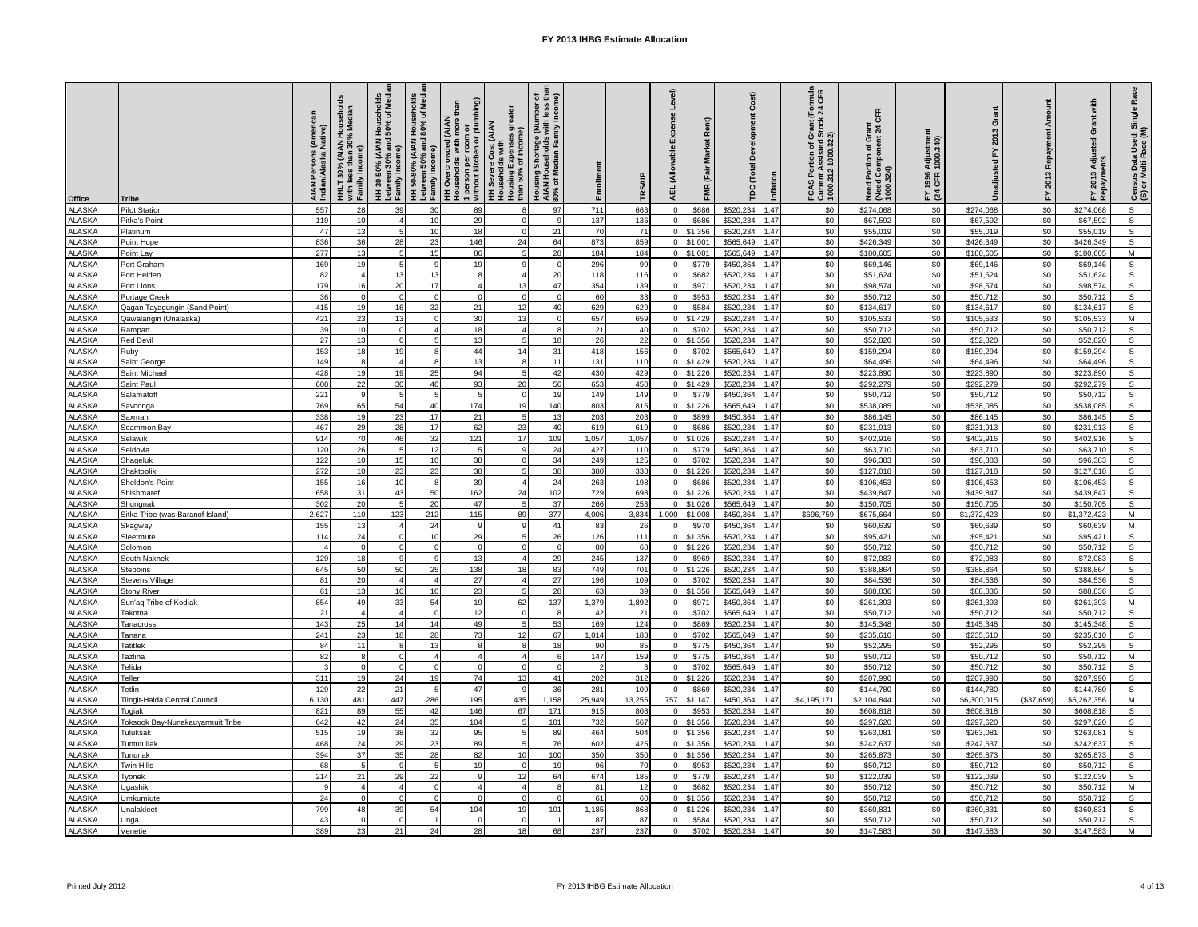| Office                | <b>Tribe</b>                            | AIAN Persons (American<br>Indian/Alaska Native) | HHLT 30% (AIAN Households<br>with less than 30% Median<br>Family Income) | HH 30-50% (AIAN Households<br>between 30% and 50% of Medi<br>Family Income) | HH 50-80% (AIAN Households<br>between 50% and 80% of Medi<br>Family Income) | 1 person per room or<br>without kitchen or plumbing)<br>than<br><b>HH Overcrowded (AIAN</b><br>Households with more | Housing Expenses greater<br>than 50% of Income)<br><b>HH Severe Cost (AIAN</b><br>Households with | Housing Shortage (Number of<br>AIAN Households with less than<br>80% of Median Family Income) | Enrollment | TRSAIP     | Evro<br>AEL (Allowable | Rent)<br>FMR (Fair Market | Cost)<br>පි<br>TDC (Total | Inflation    | FCAS Portion of Grant (Formula<br>Current Assisted Stock 24 CFR<br>1000.312-1000.322) | Need Portion of Grant<br>(Need Component 24 CFR<br>1000.324) | Adjustmer<br>1000.340)<br>FY 1996<br>(24 CFR 1 | Grant<br>2013<br>걊<br>Unadius | FY 2013 Repayment | Grant with<br>Adjusted<br>FY 2013 | Race<br>Census Data Used: Single<br>(S) or Multi-Race (M) |
|-----------------------|-----------------------------------------|-------------------------------------------------|--------------------------------------------------------------------------|-----------------------------------------------------------------------------|-----------------------------------------------------------------------------|---------------------------------------------------------------------------------------------------------------------|---------------------------------------------------------------------------------------------------|-----------------------------------------------------------------------------------------------|------------|------------|------------------------|---------------------------|---------------------------|--------------|---------------------------------------------------------------------------------------|--------------------------------------------------------------|------------------------------------------------|-------------------------------|-------------------|-----------------------------------|-----------------------------------------------------------|
| LASKA                 | <b>Pilot Station</b>                    | 557                                             | 28                                                                       | 39                                                                          | 30                                                                          | 89                                                                                                                  | 8                                                                                                 | 97                                                                                            | 711        | 663        |                        | \$686                     | \$520,234                 | 1.47         | \$0                                                                                   | \$274,068                                                    | \$0                                            | \$274,068                     | \$0               | \$274,068                         | s                                                         |
| LASKA                 | Pitka's Point                           | 119                                             | 10                                                                       |                                                                             | 10                                                                          | 29                                                                                                                  | $\Omega$                                                                                          | 9                                                                                             | 137        | 136        |                        | \$686                     | \$520,234                 | 1.47         | \$0                                                                                   | \$67,592                                                     | \$0                                            | \$67,592                      | \$0               | \$67,592                          | s                                                         |
| LASKA                 | Platinum                                | 47                                              | 13                                                                       |                                                                             | 10                                                                          | 18                                                                                                                  | $\Omega$                                                                                          | 21                                                                                            | 70         | 71         |                        | \$1,356                   | \$520,234                 | 1.47         | \$0                                                                                   | \$55,019                                                     | \$0                                            | \$55,019                      | \$0               | \$55,019                          | s                                                         |
| LASKA                 | Point Hope                              | 836                                             | 36                                                                       | 28                                                                          | 23                                                                          | 146                                                                                                                 | 24                                                                                                | 64                                                                                            | 873        | 859        |                        | \$1,001                   | \$565,649                 | 1.47         | \$0                                                                                   | \$426,349                                                    | \$0                                            | \$426,349                     | \$0               | \$426,349                         | s                                                         |
| LASKA                 | Point Lay                               | 277                                             | 13                                                                       |                                                                             | 15<br>$\circ$                                                               | 86                                                                                                                  | $5\phantom{.0}$<br>$\mathsf{Q}$                                                                   | 28                                                                                            | 184        | 184        |                        | \$1,001                   | \$565,649                 | 1.47         | \$0                                                                                   | \$180,605                                                    | \$0                                            | \$180,605                     | \$0               | \$180,605                         | $\overline{M}$                                            |
| LASKA<br>LASKA        | Port Graham                             | 169<br>82                                       | 19<br>$\Delta$                                                           |                                                                             | 13                                                                          | 19<br>8                                                                                                             | $\mathbf{A}$                                                                                      |                                                                                               | 296        | 99         |                        | \$779<br>\$682            | \$450,364<br>\$520,234    | 1.47<br>1.47 | \$0<br>\$0                                                                            | \$69,146                                                     | \$0<br>\$0                                     | \$69,146<br>\$51,624          | \$0               | \$69,146<br>\$51,624              | s<br>$\mathbb S$                                          |
| LASKA                 | Port Heiden<br>Port Lions               | 179                                             | 16                                                                       | 13<br>20                                                                    | 17                                                                          | $\overline{4}$                                                                                                      | 13                                                                                                | 20<br>47                                                                                      | 118<br>354 | 116<br>139 |                        | \$971                     | \$520,23                  | 1.47         | \$0                                                                                   | \$51,624<br>\$98,574                                         | \$0                                            | \$98,574                      | \$0<br>\$0        | \$98,574                          | S                                                         |
| LASKA                 | Portage Creek                           | 36                                              | $\Omega$                                                                 | $\Omega$                                                                    | $\Omega$                                                                    | $\Omega$                                                                                                            | $\circ$                                                                                           | $\Omega$                                                                                      | 60         | 33         |                        | \$953                     | \$520,23                  | 1.47         | \$0                                                                                   | \$50,712                                                     | \$0                                            | \$50,712                      | \$0               | \$50,712                          | s                                                         |
| LASKA                 | Qagan Tayagungin (Sand Point)           | 415                                             | 19                                                                       | 16                                                                          | 32                                                                          | 21                                                                                                                  | 12                                                                                                | 40                                                                                            | 629        | 629        |                        | \$584                     | \$520,234                 | 1.47         | \$0                                                                                   | \$134,617                                                    | \$0                                            | \$134,61                      | $\$0$             | \$134,617                         | $\mathbb S$                                               |
| ALASKA                | Qawalangin (Unalaska)                   | 421                                             | 23                                                                       | 13                                                                          | $\Omega$                                                                    | 30                                                                                                                  | 13                                                                                                |                                                                                               | 657        | 659        |                        | \$1,429                   | \$520,23                  | 1.47         | \$0                                                                                   | \$105,533                                                    | \$0                                            | \$105,533                     | \$0               | \$105,533                         | M                                                         |
| ALASKA                | Rampart                                 | 39                                              | 10                                                                       | $\Omega$                                                                    | $\overline{a}$                                                              | 18                                                                                                                  | $\overline{4}$                                                                                    |                                                                                               | 21         | 40         |                        | \$702                     | \$520,23                  | 1.47         | \$0                                                                                   | \$50,712                                                     | \$0                                            | \$50,712                      | \$0               | \$50,712                          | s                                                         |
| LASKA                 | Red Devil                               | 27                                              | 13                                                                       | $\Omega$                                                                    | 5                                                                           | 13                                                                                                                  | 5                                                                                                 | 18                                                                                            | 26         | 22         |                        | \$1,356                   | \$520,234                 | 1.47         | \$0                                                                                   | \$52,820                                                     | \$0                                            | \$52,820                      | \$0               | \$52,820                          | S                                                         |
| LASKA                 | Ruby                                    | 153                                             | 18                                                                       | 19                                                                          | 8                                                                           | 44                                                                                                                  | 14                                                                                                | 31                                                                                            | 418        | 156        |                        | \$702                     | \$565,649                 | 1.47         | \$0                                                                                   | \$159,294                                                    | \$0                                            | \$159,294                     | \$0               | \$159,294                         | s                                                         |
| <b>LASKA</b>          | Saint George                            | 149                                             | 8                                                                        |                                                                             | 8                                                                           | 13                                                                                                                  | 8                                                                                                 | 11                                                                                            | 131        | 110        |                        | \$1,429                   | \$520,234                 | 1.47         | \$0                                                                                   | \$64,496                                                     | \$0                                            | \$64,496                      | \$0               | \$64,496                          | s                                                         |
| LASKA<br>LASKA        | Saint Michael<br>Saint Pau              | 428<br>608                                      | 19<br>22                                                                 | 19<br>30                                                                    | 25<br>46                                                                    | 94<br>93                                                                                                            | 5<br>20                                                                                           | 42<br>56                                                                                      | 430<br>653 | 429<br>450 |                        | \$1,226<br>\$1,429        | \$520,234<br>\$520,23     | 1.47<br>1.47 | \$0<br>\$0                                                                            | \$223,890<br>\$292,279                                       | \$0<br>\$0                                     | \$223,890<br>\$292,279        | \$0<br>\$0        | \$223,890<br>\$292,279            | s<br>s                                                    |
| LASKA                 | Salamatoff                              | 221                                             | 9                                                                        |                                                                             |                                                                             | 5                                                                                                                   | $\Omega$                                                                                          | 19                                                                                            | 149        | 149        |                        | \$779                     | \$450,36                  | 1.47         | \$0                                                                                   | \$50,712                                                     | \$0                                            | \$50,712                      | \$0               | \$50,712                          | s                                                         |
| LASKA                 | Savoonga                                | 769                                             | 65                                                                       | 54                                                                          | 40                                                                          | 174                                                                                                                 | 19                                                                                                | 140                                                                                           | 803        | 815        |                        | \$1,226                   | \$565,649                 | 1.47         | \$0                                                                                   | \$538,085                                                    | \$0                                            | \$538,085                     | \$0               | \$538,085                         | $\mathbb S$                                               |
| LASKA                 | Saxman                                  | 338                                             | 19                                                                       | 23                                                                          | 17                                                                          | 21                                                                                                                  | 5                                                                                                 | 13                                                                                            | 203        | 203        |                        | \$899                     | \$450,364                 | 1.47         | \$0                                                                                   | \$86,145                                                     | \$0                                            | \$86,145                      | \$0               | \$86,145                          | $\overline{s}$                                            |
| LASKA                 | Scammon Bay                             | 467                                             | 29                                                                       | 28                                                                          | 17                                                                          | 62                                                                                                                  | 23                                                                                                | 40                                                                                            | 619        | 619        |                        | \$686                     | \$520,23                  | 1.47         | \$0                                                                                   | \$231,913                                                    | \$0                                            | \$231,913                     | \$0               | \$231,913                         | $\overline{s}$                                            |
| LASKA                 | Selawik                                 | 914                                             | 70                                                                       | 46                                                                          | 32                                                                          | 121                                                                                                                 | 17                                                                                                | 109                                                                                           | 1,057      | 1,057      |                        | \$1,026                   | \$520,23                  | 1.47         | \$0                                                                                   | \$402,916                                                    | \$0                                            | \$402,916                     | \$0               | \$402,916                         | S                                                         |
| LASKA                 | Seldovia                                | 120                                             | 26                                                                       |                                                                             | 12                                                                          | 5                                                                                                                   | $\mathbf{Q}$                                                                                      | 24                                                                                            | 427        | 110        |                        | \$779                     | \$450,364                 | 1.47         | \$0                                                                                   | \$63,710                                                     | \$0                                            | \$63,710                      | \$0               | \$63,710                          | $\mathbb S$                                               |
| ALASKA                | Shageluk                                | 122                                             | 10                                                                       | 15                                                                          | 10                                                                          | 38                                                                                                                  | $\Omega$                                                                                          | 34                                                                                            | 249        | 125        |                        | \$702                     | \$520,234                 | 1.47         | \$0                                                                                   | \$96,383                                                     | \$0                                            | \$96,383                      | \$0               | \$96,383                          | S                                                         |
| <b>LASKA</b>          | Shaktoolik                              | 272                                             | 10                                                                       | 23                                                                          | 23<br>8                                                                     | 38                                                                                                                  | $\overline{5}$<br>$\overline{4}$                                                                  | 38                                                                                            | 380        | 338        |                        | \$1,226                   | \$520.234                 | 1.47         | \$0                                                                                   | \$127,018                                                    | \$0                                            | \$127,018                     | \$0               | \$127,018                         | s                                                         |
| LASKA<br>LASKA        | Sheldon's Point<br>Shishmaret           | 155<br>658                                      | 16<br>31                                                                 | 10<br>43                                                                    | 50                                                                          | 39<br>162                                                                                                           | 24                                                                                                | 24<br>102                                                                                     | 263<br>729 | 198<br>698 |                        | \$686<br>\$1,226          | \$520,234<br>\$520,234    | 1.47<br>1.47 | \$0<br>\$0                                                                            | \$106,453<br>\$439,847                                       | \$0<br>\$0                                     | \$106,453<br>\$439,847        | \$0<br>\$0        | \$106,453<br>\$439,847            | s<br>S                                                    |
| LASKA                 | Shungnak                                | 302                                             | 20                                                                       | 5                                                                           | 20                                                                          | 47                                                                                                                  | 5 <sub>l</sub>                                                                                    | 37                                                                                            | 266        | 253        |                        | \$1,026                   | \$565,649                 | 1.47         | \$0                                                                                   | \$150,705                                                    | \$0                                            | \$150,705                     | \$0               | \$150,705                         | s                                                         |
| LASKA                 | Sitka Tribe (was Baranof Island)        | 2,627                                           | 110                                                                      | 123                                                                         | 212                                                                         | 115                                                                                                                 | 89                                                                                                | 377                                                                                           | 4,006      | 3,834      | 1,000                  | \$1,008                   | \$450,364                 | 1.47         | \$696,759                                                                             | \$675,664                                                    | \$0                                            | \$1,372,423                   | \$0               | \$1,372,423                       | M                                                         |
| LASKA                 | Skagway                                 | 155                                             | 13                                                                       |                                                                             | 24                                                                          | $\mathbf{q}$                                                                                                        | 9                                                                                                 | 41                                                                                            | 83         | 26         |                        | \$970                     | \$450,36                  | 1.47         | \$0                                                                                   | \$60,639                                                     | \$0                                            | \$60,639                      | \$0               | \$60,639                          | M                                                         |
| LASKA                 | Sleetmute                               | 114                                             | 24                                                                       |                                                                             | 10                                                                          | 29                                                                                                                  | $\overline{5}$                                                                                    | 26                                                                                            | 126        | 111        |                        | \$1,356                   | \$520,23                  | 1.47         | \$0                                                                                   | \$95,421                                                     | \$0                                            | \$95,421                      | \$0               | \$95,421                          | s                                                         |
| LASKA                 | Solomon                                 |                                                 | $\Omega$                                                                 |                                                                             | $\Omega$                                                                    | $\Omega$                                                                                                            | $\Omega$                                                                                          |                                                                                               | 80         | 68         |                        | \$1,226                   | \$520,23                  | 1.47         | \$0                                                                                   | \$50,712                                                     | \$0                                            | \$50,712                      | \$0               | \$50,712                          | S                                                         |
| LASKA                 | South Naknek                            | 129                                             | 18                                                                       | 9                                                                           | 9                                                                           | 13                                                                                                                  | $\overline{4}$                                                                                    | 29                                                                                            | 245        | 137        |                        | \$969                     | \$520,234                 | 1.47         | \$0                                                                                   | \$72,083                                                     | \$0                                            | \$72,083                      | \$0               | \$72,083                          | $\mathsf{s}$                                              |
| <b>LASKA</b>          | <b>Stebbins</b>                         | 645                                             | 50                                                                       | 50                                                                          | 25                                                                          | 138                                                                                                                 | 18                                                                                                | 83                                                                                            | 749        | 701        |                        | \$1,226                   | \$520,234                 | 1.47         | \$0                                                                                   | \$388,864                                                    | \$0                                            | \$388,864                     | \$0               | \$388,864                         | s                                                         |
| LASKA<br>LASKA        | Stevens Village<br>Stony River          | 81<br>61                                        | 20<br>13                                                                 | 10                                                                          | $\overline{a}$<br>10                                                        | 27<br>23                                                                                                            | $\mathbf{A}$                                                                                      | 27<br>28                                                                                      | 196<br>63  | 109<br>39  |                        | \$702<br>\$1,356          | \$520,234<br>\$565,64     | 1.47<br>1.47 | \$0<br>\$0                                                                            | \$84,536<br>\$88,836                                         | \$0<br>\$0                                     | \$84,536<br>\$88,836          | \$0<br>\$0        | \$84,536<br>\$88,836              | S<br>S                                                    |
| <b>LASKA</b>          | Sun'ag Tribe of Kodiak                  | 854                                             | 49                                                                       | 33                                                                          | 54                                                                          | 19                                                                                                                  | 62                                                                                                | 137                                                                                           | 1,379      | 1,892      |                        | \$971                     | \$450,364                 | 1.47         | \$0                                                                                   | \$261,393                                                    | \$0                                            | \$261,393                     | \$0               | \$261,393                         | M                                                         |
| LASKA                 | Takotna                                 | 21                                              | $\overline{4}$                                                           | $\overline{4}$                                                              | $\Omega$                                                                    | 12                                                                                                                  | $\mathbf{0}$                                                                                      | R                                                                                             | 42         | 21         |                        | \$702                     | \$565,649                 | 1.47         | \$0                                                                                   | \$50,712                                                     | \$0                                            | \$50,712                      | \$0               | \$50,712                          | s                                                         |
| LASKA                 | Tanacross                               | 143                                             | 25                                                                       | 14                                                                          | 14                                                                          | 49                                                                                                                  | $5\phantom{.0}$                                                                                   | 53                                                                                            | 169        | 124        |                        | \$869                     | \$520,234                 | 1.47         | \$0                                                                                   | \$145,348                                                    | \$0                                            | \$145,348                     | \$0               | \$145,348                         | s                                                         |
| LASKA                 | Tanana                                  | 241                                             | 23                                                                       | 18                                                                          | 28                                                                          | 73                                                                                                                  | 12                                                                                                | 67                                                                                            | 1,014      | 183        |                        | \$702                     | \$565,649                 | 1.47         | \$0                                                                                   | \$235,610                                                    | \$0                                            | \$235,610                     | \$0               | \$235,610                         | s                                                         |
| LASKA                 | Tatitlek                                | 84                                              | 11                                                                       |                                                                             | 13                                                                          | $\mathbf{R}$                                                                                                        | $\mathbf{a}$                                                                                      | 18                                                                                            | 90         | 85         |                        | \$775                     | \$450,364                 | 1.47         | \$0                                                                                   | \$52,295                                                     | \$0                                            | \$52,295                      | \$0               | \$52,295                          | S                                                         |
| LASKA                 | Fazlina                                 | 82                                              | $\mathbf{R}$                                                             |                                                                             | $\boldsymbol{\Lambda}$                                                      | $\overline{4}$                                                                                                      | $\boldsymbol{\Lambda}$                                                                            | <b>R</b>                                                                                      | 147        | 159        |                        | \$775                     | \$450,364                 | 1.47         | \$0                                                                                   | \$50,712                                                     | \$0                                            | \$50,71                       | \$0               | \$50,712                          | M                                                         |
| LASKA<br>LASKA        | Telida<br>Teller                        | 311                                             | $\Omega$<br>19                                                           | 24                                                                          | $\Omega$<br>19                                                              | $\Omega$<br>74                                                                                                      | $\Omega$<br>13                                                                                    | 41                                                                                            | 202        | 312        |                        | \$702<br>\$1,226          | \$565,64<br>\$520,23      | 1.47<br>1.47 | \$0<br>\$0                                                                            | \$50,712<br>\$207,990                                        | \$0<br>\$0                                     | \$50,712<br>\$207,990         | \$0<br>\$0        | \$50,712<br>\$207,990             | $\mathbb S$<br>s                                          |
| LASKA                 | <b>Tetlin</b>                           | 129                                             | 22                                                                       | 21                                                                          | 5                                                                           | 47                                                                                                                  | 9                                                                                                 | 36                                                                                            | 281        | 109        |                        | \$869                     | \$520,23                  | 1.47         | \$0                                                                                   | \$144,780                                                    | \$0                                            | \$144,780                     | \$0               | \$144,780                         | S                                                         |
| LASKA                 | Tlingit-Haida Central Council           | 6.130                                           | 481                                                                      | 447                                                                         | 286                                                                         | 195                                                                                                                 | 435                                                                                               | 1,158                                                                                         | 25,949     | 13,255     | 757                    | \$1,147                   | \$450,364                 | 1.47         | \$4,195,171                                                                           | \$2,104,844                                                  | \$0                                            | \$6,300,015                   | (\$37,659)        | \$6,262,356                       | M                                                         |
| LASKA                 | <b>Togiak</b>                           | 821                                             | 89                                                                       | 55                                                                          | 42                                                                          | 146                                                                                                                 | 67                                                                                                | 171                                                                                           | 915        | 808        |                        | \$953                     | \$520.234                 | 1.47         | \$0                                                                                   | \$608,818                                                    | \$0                                            | \$608,818                     | \$0               | \$608,818                         | s                                                         |
| LASKA                 | <b>Foksook Bay-Nunakauyarmuit Tribe</b> | 642                                             | 42                                                                       | 24                                                                          | 35                                                                          | 104                                                                                                                 | 5                                                                                                 | 101                                                                                           | 732        | 567        |                        | \$1,356                   | \$520,234                 | 1.47         | \$0                                                                                   | \$297,620                                                    | \$0                                            | \$297,620                     | \$0               | \$297,620                         | s                                                         |
| <b>LASKA</b>          | Tuluksak                                | 515                                             | 19                                                                       | 38                                                                          | 32                                                                          | 95                                                                                                                  | 5                                                                                                 | 89                                                                                            | 464        | 504        |                        | \$1,356                   | \$520,234                 | 1.47         | \$0                                                                                   | \$263,081                                                    | \$0                                            | \$263,081                     | \$0               | \$263,081                         | $\overline{s}$                                            |
| LASKA                 | Tuntutuliak                             | 468                                             | 24                                                                       | 29                                                                          | 23                                                                          | 89                                                                                                                  | $\overline{5}$                                                                                    | 76                                                                                            | 602        | 425        |                        | \$1,356                   | \$520,23                  | 1.47         | \$0                                                                                   | \$242,637                                                    | \$0                                            | \$242,637                     | \$0               | \$242,637                         | s                                                         |
| LASKA                 | Tununak                                 | 394                                             | 37                                                                       | 35                                                                          | 28                                                                          | 82                                                                                                                  | 10                                                                                                | 100                                                                                           | 350        | 350        |                        | \$1,356                   | \$520,234                 | 1.47         | \$0                                                                                   | \$265,873                                                    | \$0                                            | \$265,873                     | \$0               | \$265,873                         | S                                                         |
| LASKA<br><b>LASKA</b> | Twin Hills                              | 68<br>214                                       | 5<br>21                                                                  | 9<br>29                                                                     | 5<br>22                                                                     | 19<br>9                                                                                                             | $\mathbf 0$<br>12                                                                                 | 19<br>64                                                                                      | 96<br>674  | 70<br>185  |                        | \$953<br>\$779            | \$520,234<br>\$520,234    | 1.47<br>1.47 | \$0<br>\$0                                                                            | \$50,712<br>\$122,039                                        | \$0<br>\$0                                     | \$50,712<br>\$122,039         | \$0<br>\$0        | \$50,712<br>\$122,039             | s<br>s                                                    |
| LASKA                 | Tyonek<br>Jgashik                       |                                                 | $\overline{\mathbf{4}}$                                                  |                                                                             | $\Omega$                                                                    | $\overline{4}$                                                                                                      | $\overline{4}$                                                                                    |                                                                                               | 81         | 12         |                        | \$682                     | \$520,23                  | 1.47         | \$0                                                                                   | \$50,712                                                     | \$0                                            | \$50,71                       | \$0               | \$50,712                          | М                                                         |
| LASKA                 | Jmkumiute                               | 24                                              | $\Omega$                                                                 |                                                                             | $\Omega$                                                                    | $\Omega$                                                                                                            | $\Omega$                                                                                          |                                                                                               | 61         | 60         |                        | \$1,356                   | \$520,23                  | 1.47         | \$0                                                                                   | \$50,712                                                     | \$0                                            | \$50,712                      | \$0               | \$50,712                          | s                                                         |
| LASKA                 | <b>Jnalakleet</b>                       | 799                                             | 48                                                                       | 39                                                                          | 54                                                                          | 104                                                                                                                 | 19                                                                                                | 101                                                                                           | 1,185      | 868        |                        | \$1,226                   | \$520,23                  | 1.47         | \$0                                                                                   | \$360,831                                                    | \$0                                            | \$360,831                     | \$0               | \$360,831                         | $\mathbb S$                                               |
| LASKA                 | Unga                                    | 43                                              | $\Omega$                                                                 | $\mathbf 0$                                                                 | -1                                                                          | $\Omega$                                                                                                            | $\mathbf 0$                                                                                       |                                                                                               | 87         | 87         |                        | \$584                     | \$520,234                 | 1.47         | \$0                                                                                   | \$50,712                                                     | \$0                                            | \$50,712                      | \$0               | \$50,712                          | s                                                         |
| <b>ALASKA</b>         | Venetie                                 | 389                                             | 23                                                                       | 21                                                                          | 24                                                                          | 28                                                                                                                  | 18                                                                                                | 68                                                                                            | 237        | 237        |                        | \$702                     | \$520,234                 | 1.47         | \$0                                                                                   | \$147,583                                                    | \$0                                            | \$147,583                     | \$0               | \$147,583                         | $\overline{M}$                                            |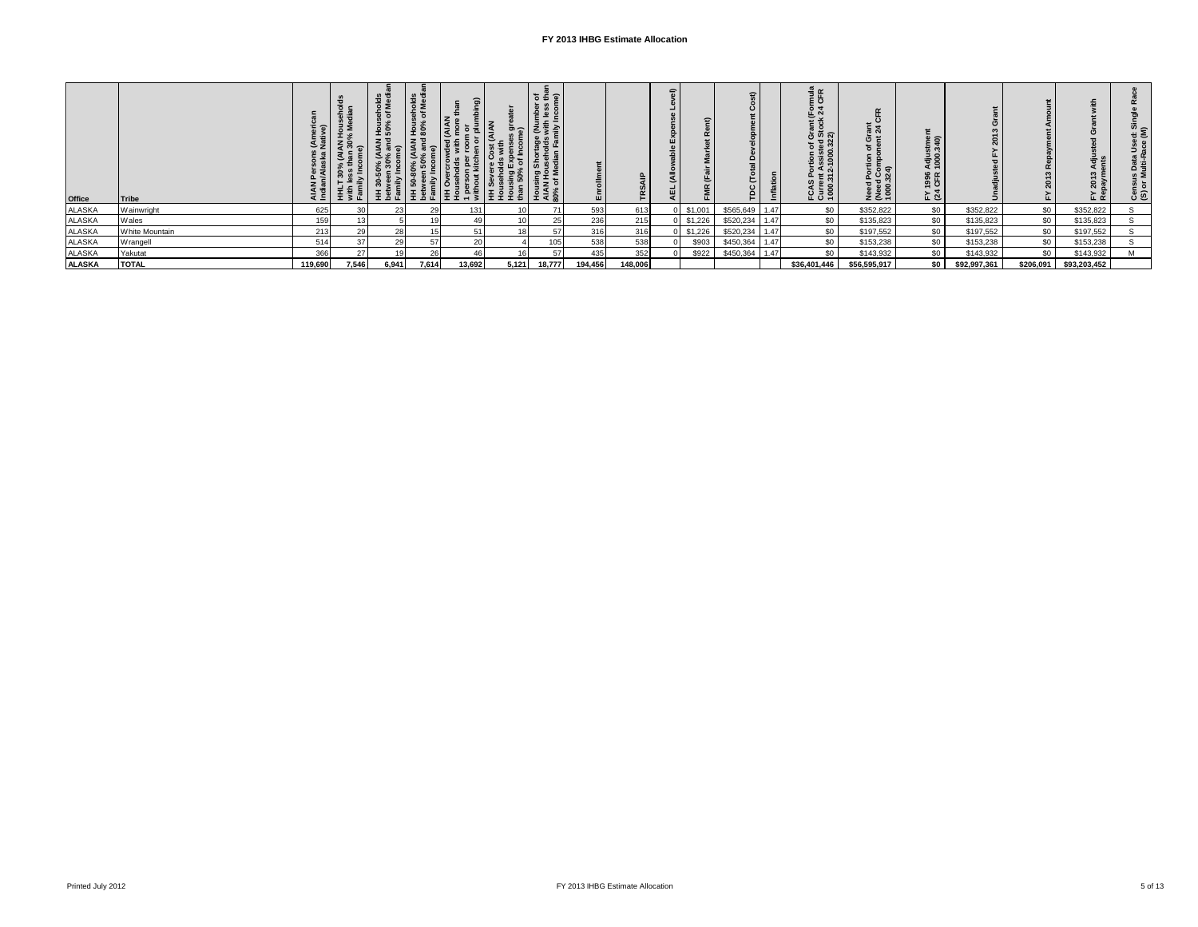| Office        | <b>Tribe</b>     |         | 主家區   | 호율준   | olds<br>Medi<br>오 없<br>' 도 る 뜨 | $\widehat{\mathbf{a}}$<br><b>AIA</b><br> 높호흔호 | ١इ<br>$\overline{a}$<br> 토 호 호 효 | $\overline{\sigma}$ $\overline{\Xi}$ $\overline{\sigma}$<br>nes<br>Tes<br>こま<br>rage<br>Noids<br>N <sup>Ear</sup><br>Shon<br>uset<br>edia<br>흘로튼<br>Housi<br>AIAN<br>80% of | ш       | <b>SO</b><br>E | $\epsilon$ | ≂       | c<br>$\circ$<br>₽. | $\overline{a}$<br>툅 | <sub>를</sub> 또<br>운 경<br>~ ∡<br>FCAS Portion of Grant<br>Current Assisted Stock<br>1000.312-1000.322) | $\sigma$ $\approx$<br>Need Porti<br>(Need Com<br>1000.324) | : ຣ<br>$\circ$<br>र् है<br>1996<br>CFR<br>≿ ฐ |              |           | ຕ<br>$\sim$<br>Ĺιœ | ∾ ≏<br>ਯੂ ≷ੁ<br>Census Data<br>(S) or Multi-Ra |
|---------------|------------------|---------|-------|-------|--------------------------------|-----------------------------------------------|----------------------------------|-----------------------------------------------------------------------------------------------------------------------------------------------------------------------------|---------|----------------|------------|---------|--------------------|---------------------|-------------------------------------------------------------------------------------------------------|------------------------------------------------------------|-----------------------------------------------|--------------|-----------|--------------------|------------------------------------------------|
| <b>ALASKA</b> | Wainwright       | 625     |       | 23    |                                | 131                                           |                                  |                                                                                                                                                                             | 593     | 613            |            | \$1,001 | \$565,649          | 1.47                | \$0                                                                                                   | \$352,822                                                  | \$0                                           | \$352,822    | \$0       | \$352,822          |                                                |
| <b>ALASKA</b> | Wales            | 159     |       |       |                                | 49                                            |                                  | 25                                                                                                                                                                          | 236     | 215            |            | \$1,226 | \$520,234          | 1.47                | \$0                                                                                                   | \$135,823                                                  | \$0                                           | \$135,823    | \$0       | \$135,823          |                                                |
| <b>ALASKA</b> | White Mountain   | 213     | 29    | 28    |                                |                                               |                                  | 57                                                                                                                                                                          | 316     | 316            |            | \$1,226 | \$520,234          | 1.47                | \$0                                                                                                   | \$197,552                                                  | \$0                                           | \$197,552    | \$0       | \$197,552          |                                                |
| <b>ALASKA</b> | <b>W</b> rangell | 514     | 37    | 29    |                                | 20                                            |                                  | $\overline{ }$                                                                                                                                                              | 538     | 538            |            | \$903   | \$450,364          | 1.47                | \$0                                                                                                   | \$153,238                                                  | \$0                                           | \$153,238    | \$0       | \$153,238          |                                                |
| ALASKA        | Yakutat          | 366     | 27    |       | 26                             | 46                                            |                                  |                                                                                                                                                                             | 435     | 352            |            | \$922   | \$450,364          | 1.47                | \$0                                                                                                   | \$143,932                                                  | \$0                                           | \$143,932    | \$0       | \$143,932          |                                                |
| <b>ALASKA</b> | <b>TOTAL</b>     | 119,690 | 7.546 | 6.941 | 7.614                          | 13,692                                        | 5.121                            | 18.777                                                                                                                                                                      | 194,456 | 148,006        |            |         |                    |                     | \$36,401,446                                                                                          | \$56,595,917                                               | so l                                          | \$92,997,361 | \$206,091 | \$93,203,452       |                                                |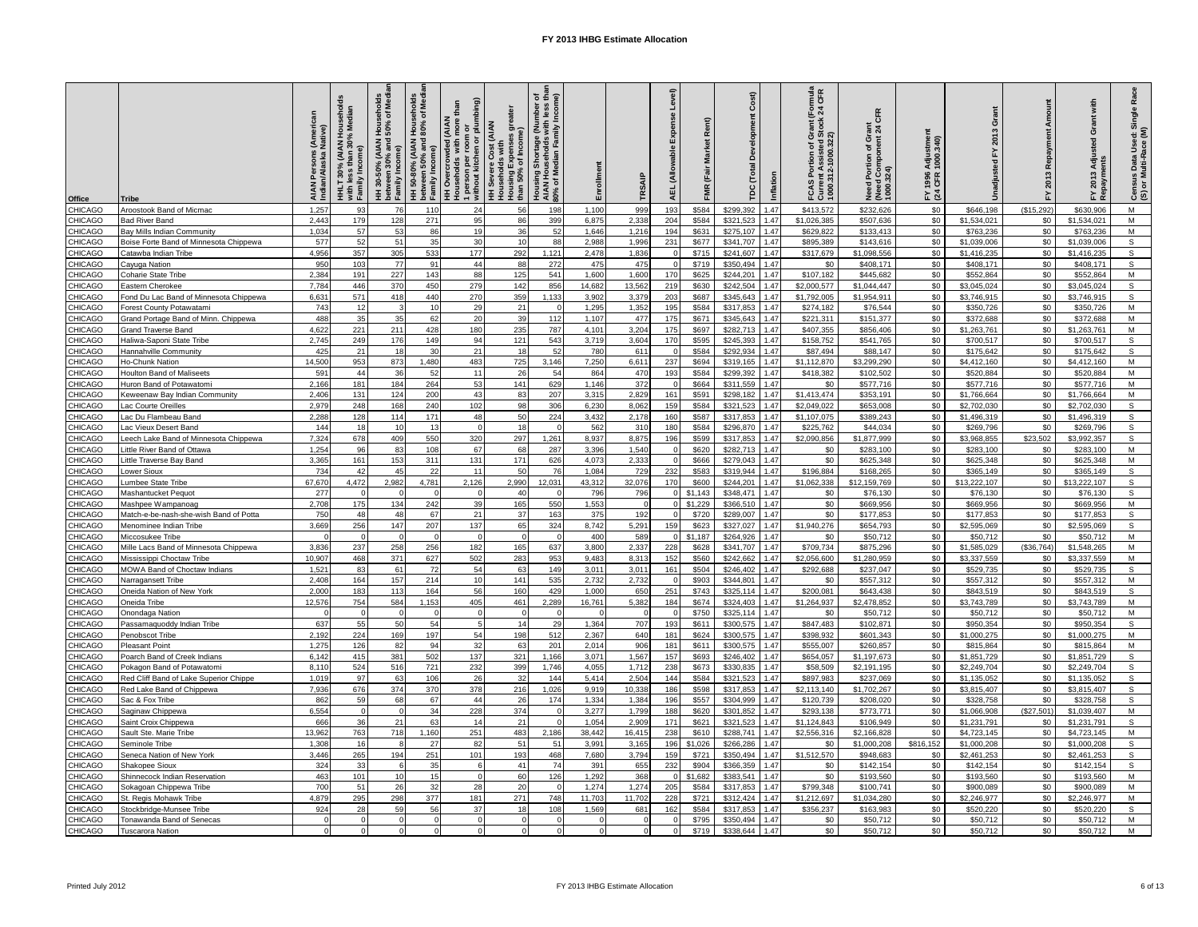| CHICAGO<br>1,257<br>1,100<br>\$232,626<br>\$0<br>(\$15,292)<br>M<br>Aroostook Band of Micmac<br>93<br>76<br>110<br>24<br>56<br>198<br>999<br>193<br>\$584<br>\$299,392<br>1.47<br>\$413,572<br>\$646,198<br>\$630,906<br>179<br>271<br>399<br>6,875<br>2,338<br>\$0<br>\$1,534,021<br>M<br>CHICAGO<br><b>Bad River Band</b><br>2,443<br>128<br>95<br>86<br>204<br>\$584<br>\$321.523<br>1.47<br>\$1,026,385<br>\$507,636<br>\$0<br>\$1,534,021<br>CHICAGO<br>1.034<br>57<br>53<br>86<br>19<br>36<br>52<br>1.646<br>1.216<br>194<br>\$631<br>\$275.107<br>1.47<br>\$629,822<br>\$133.413<br>\$0<br>\$763,236<br>\$0<br>\$763,236<br>M<br>Bay Mills Indian Community<br>$\mathbb S$<br>577<br>52<br>35<br>231<br>CHICAGO<br>51<br>30<br>10<br>88<br>2,988<br>1,996<br>\$341,707<br>1.47<br>\$895,389<br>\$143,616<br>\$0<br>\$1,039,006<br>\$0<br>Boise Forte Band of Minnesota Chippewa<br>\$677<br>\$1,039,006<br>s<br>CHICAGO<br>4,956<br>357<br>305<br>533<br>177<br>292<br>1,121<br>2,478<br>1,836<br>\$715<br>\$241,607<br>1.47<br>\$317,679<br>\$1,098,556<br>\$0<br>\$1,416,235<br>\$0<br>\$1,416,235<br>Catawba Indian Tribe<br>CHICAGO<br>950<br>103<br>77<br>91<br>44<br>88<br>475<br>475<br>\$719<br>\$0<br>\$0<br>S<br>272<br>\$350,494<br>147<br>\$408,171<br>\$0<br>\$408,171<br>\$408,171<br>Cayuga Nation<br>M<br>CHICAGO<br>2,384<br>191<br>227<br>143<br>88<br>125<br>1,600<br>1,600<br>\$107,182<br>\$0<br>Coharie State Tribe<br>541<br>170<br>\$625<br>\$244,201<br>1.47<br>\$445,682<br>\$0<br>\$552,864<br>\$552,864<br>446<br>S<br>CHICAGO<br>7,784<br>370<br>450<br>279<br>142<br>856<br>14,682<br>13,562<br>219<br>\$630<br>\$242,504<br>1.47<br>\$2,000,577<br>\$1,044,447<br>\$0<br>\$0<br>\$3,045,024<br>Eastern Cherokee<br>\$3,045,024<br>CHICAGO<br>571<br>270<br>359<br>\$0<br>s<br>Fond Du Lac Band of Minnesota Chippewa<br>6.631<br>418<br>440<br>1.133<br>3.902<br>3.379<br>203<br>\$687<br>\$345.643<br>1.47<br>\$1,792,005<br>\$1,954.911<br>\$0<br>\$3.746.915<br>\$3.746.915<br>M<br>CHICAGO<br>743<br>12<br>10<br>29<br>21<br>1,295<br>1,352<br>195<br>\$584<br>\$317,853<br>1.47<br>\$274,182<br>\$76,544<br>\$0<br>\$0<br>\$350,726<br>\$350,726<br>Forest County Potawatam<br>35<br>\$0<br>M<br>CHICAGO<br>488<br>35<br>62<br>20<br>39<br>112<br>1,107<br>477<br>175<br>\$671<br>\$345,643<br>1.47<br>\$221,311<br>\$151,377<br>\$0<br><b>Grand Portage Band of Minn. Chippewa</b><br>\$372,688<br>\$372,688<br>221<br>\$0<br>M<br>CHICAGO<br>4.622<br>211<br>428<br>180<br>235<br>787<br>4,101<br>3,204<br>175<br>\$697<br>\$282.713<br>1.47<br>\$407.355<br>\$856,406<br>\$0<br>\$1,263,761<br>\$1,263,761<br>Grand Traverse Band<br>CHICAGO<br>2,745<br>249<br>176<br>94<br>121<br>543<br>170<br>\$595<br>\$245,393<br>1.47<br>\$541,765<br>\$0<br>\$0<br>S<br>149<br>3,719<br>3,604<br>\$158,752<br>\$700,517<br>\$700,517<br>Haliwa-Saponi State Tribe<br>CHICAGO<br>425<br>21<br>30<br>21<br>780<br>\$584<br>\$292,934<br>1.47<br>\$0<br>\$0<br>s<br>Hannahville Community<br>18<br>18<br>52<br>611<br>\$87,494<br>\$88,147<br>\$175,642<br>\$175,642<br>CHICAGO<br>14,500<br>953<br>1,480<br>483<br>725<br>7,250<br>6,611<br>\$694<br>1.47<br>\$1,112,870<br>\$3,299,290<br>\$0<br>M<br>Ho-Chunk Nation<br>873<br>3,146<br>237<br>\$319,165<br>\$0<br>\$4,412,160<br>\$4,412,160<br><b>HICAGO</b><br>59'<br>44<br>36<br>52<br>11<br>26<br>54<br>470<br>\$584<br>\$299,392<br>1.47<br>\$418,382<br>\$102,502<br>\$0<br>M<br>864<br>193<br>\$0<br>\$520,884<br>\$520,884<br>Houlton Band of Maliseets<br>264<br>53<br>\$0<br>M<br>CHICAGO<br>2,16<br>181<br>141<br>629<br>372<br>\$664<br>\$311,559<br>1.47<br>\$0<br>\$577,716<br>\$0<br>184<br>1,146<br>\$577,716<br>\$577,716<br>Iuron Band of Potawatomi<br>CHICAGO<br>131<br>200<br>43<br>207<br>3,315<br>2,829<br>161<br>\$1,413,474<br>\$0<br>\$0<br>M<br>Keweenaw Bay Indian Community<br>2,406<br>124<br>83<br>\$591<br>\$298,182<br>1.47<br>\$353,191<br>\$1,766,664<br>\$1,766,664<br>CHICAGO<br>2.979<br>248<br>168<br>240<br>102<br>98<br>306<br>6.230<br>8.062<br>159<br>\$584<br>\$321.523<br>\$2,049.022<br>\$653,008<br>\$0<br>\$0<br>s<br>1.47<br>\$2,702,030<br>\$2,702,030<br>Lac Courte Oreilles<br>CHICAGO<br>2,288<br>128<br>114<br>171<br>48<br>224<br>3,432<br>160<br>\$587<br>1.47<br>\$1,107,075<br>\$0<br>\$0<br>s<br>Lac Du Flambeau Band<br>50<br>2,178<br>\$317,853<br>\$389,243<br>\$1,496,319<br>\$1,496,319<br>CHICAGO<br>18<br>180<br>\$584<br>\$0<br>s<br>Lac Vieux Desert Band<br>144<br>10<br>13<br>$\Omega$<br>18<br>562<br>31C<br>\$296,870<br>1.47<br>\$225,762<br>\$44,034<br>\$0<br>\$269,796<br>\$269,796<br>CHICAGO<br>7.324<br>678<br>409<br>550<br>320<br>297<br>1.261<br>8.937<br>8.875<br>196<br>\$599<br>\$317.853<br>1.47<br>\$2.090.856<br>\$1,877,999<br>\$0<br>\$3.968.855<br>\$23,502<br>\$3.992.357<br>s<br>eech Lake Band of Minnesota Chippewa<br>M<br>CHICAGO<br>1,254<br>96<br>83<br>108<br>67<br>68<br>287<br>3,396<br>1,540<br>\$620<br>\$282,713<br>1.47<br>\$0<br>\$283,100<br>\$0<br>\$0<br>\$283,100<br>Little River Band of Ottawa<br>\$283,100<br>\$0<br>M<br>CHICAGO<br>3,36<br>161<br>153<br>311<br>131<br>171<br>626<br>4,073<br>2,333<br>\$666<br>\$279,043<br>1.47<br>\$0<br>\$625,348<br>\$0<br>Little Traverse Bay Band<br>\$625,348<br>\$625,348<br>s<br>CHICAGO<br>734<br>42<br>45<br>22<br>11<br>50<br>76<br>1.084<br>729<br>232<br>\$583<br>\$319.944<br>1.47<br>\$196,884<br>\$168,265<br>\$0<br>\$365.149<br>\$0<br>\$365.149<br>ower Sioux<br>CHICAGO<br>4,472<br>4,781<br>2,126<br>\$0<br>67,670<br>2,982<br>2,990<br>12,031<br>43,312<br>32,076<br>170<br>\$600<br>\$244,201<br>1.47<br>\$1,062,338<br>\$12,159,769<br>\$0<br>\$13,222,107<br>\$13,222,107<br>s<br>Lumbee State Tribe<br>CHICAGO<br>277<br>796<br>\$1,143<br>\$348,471<br>1.47<br>\$0<br>\$0<br>s<br>Mashantucket Pequot<br>$\Omega$<br>$\Omega$<br>40<br>796<br>\$0<br>\$76,130<br>\$76,130<br>\$76,130<br>CHICAGO<br>2.708<br>175<br>134<br>242<br>39<br>165<br>550<br>1,553<br>\$1,229<br>\$366,510<br>1.47<br>\$0<br>\$669.956<br>\$0<br>\$669,956<br>\$0<br>\$669.956<br>M<br>Mashpee Wampanoac<br>750<br>48<br>21<br>37<br>163<br>\$0<br>s<br>CHICAGO<br>48<br>67<br>375<br>192<br>\$720<br>\$289,007<br>1.47<br>\$0<br>\$177,853<br>\$0<br>\$177,853<br>\$177,853<br>Match-e-be-nash-she-wish Band of Potta<br>256<br>207<br>137<br>\$0<br>s<br>CHICAGO<br>3,66<br>147<br>65<br>324<br>8,742<br>5,29<br>159<br>\$623<br>\$327,02<br>1.47<br>\$1,940,276<br>\$654,793<br>\$0<br>\$2,595,069<br>\$2,595,069<br>Menominee Indian Tribe<br>\$0<br>M<br>CHICAGO<br>$\Omega$<br>$\Omega$<br>400<br>589<br>\$1.187<br>\$264.926<br>1.47<br>\$0<br>\$50,712<br>\$0<br>\$50,712<br>\$50,712<br>Miccosukee Tribe<br>$\Omega$<br>CHICAGO<br>3,836<br>237<br>258<br>256<br>182<br>165<br>3,800<br>2,337<br>\$709,734<br>\$875,296<br>(\$36,764)<br>M<br>637<br>228<br>\$628<br>\$341,707<br>1.47<br>\$0<br>\$1,585,029<br>\$1,548,265<br>Mille Lacs Band of Minnesota Chippewa<br>CHICAGO<br>468<br>627<br>502<br>M<br>Mississippi Choctaw Tribe<br>10,907<br>371<br>283<br>953<br>9,483<br>8,313<br>152<br>\$560<br>\$242,662<br>1.47<br>\$2,056,600<br>\$1,280,959<br>\$0<br>\$3,337,559<br>\$0<br>\$3,337,559<br>CHICAGO<br>1,52'<br>83<br>72<br>54<br>149<br>3,011<br>3,01'<br>161<br>\$504<br>\$246,402<br>1.47<br>\$292,688<br>\$0<br>\$0<br>s<br>MOWA Band of Choctaw Indians<br>61<br>63<br>\$237,047<br>\$529,735<br>\$529,735<br>\$557,312<br>M<br>CHICAGO<br>2,40<br>164<br>157<br>214<br>10<br>141<br>535<br>2,732<br>2,732<br>\$903<br>\$344,80<br>1.47<br>\$0<br>\$557,312<br>\$0<br>\$557,312<br>\$0<br><b>Varragansett Tribe</b><br>56<br>\$0<br>$\mathsf{s}$<br>CHICAGO<br>2,00<br>183<br>164<br>25 <sup>1</sup><br>\$200,081<br>\$0<br>Oneida Nation of New York<br>113<br>160<br>429<br>1,000<br>650<br>\$743<br>\$325,114<br>1.47<br>\$643,438<br>\$843,519<br>\$843,519<br>12,576<br>754<br>1,153<br>405<br>461<br>5,382<br>\$0<br>M<br>CHICAGO<br>584<br>2,289<br>16,761<br>184<br>\$674<br>\$324,403<br>1.47<br>\$1,264,937<br>\$2,478,852<br>\$0<br>\$3,743,789<br>\$3,743,789<br>Oneida Tribe<br>CHICAGO<br>\$750<br>\$325,114<br>1.47<br>\$50,712<br>\$0<br>\$0<br>M<br>$\Omega$<br>$\Omega$<br>$\Omega$<br>\$0<br>\$50,712<br>\$50,712<br>Onondaga Nation<br>$\Omega$<br>CHICAGO<br>1.47<br>\$0<br>s<br>637<br>55<br>50<br>54<br>$5\overline{5}$<br>14<br>29<br>1,364<br>707<br>193<br>\$611<br>\$300,575<br>\$847,483<br>\$102,871<br>\$0<br>\$950,354<br>\$950,354<br>Passamaquoddy Indian Tribe<br>CHICAGO<br>198<br>\$0<br>M<br>2,192<br>224<br>169<br>197<br>54<br>512<br>2,367<br>640<br>181<br>\$624<br>\$300,575<br>1.47<br>\$398,932<br>\$601,343<br>\$0<br>\$1,000,275<br>\$1,000,275<br>Penobscot Tribe<br>CHICAGO<br>1,27<br>126<br>82<br>94<br>32<br>63<br>2,014<br>906<br>181<br>\$300,575<br>1.47<br>\$555,007<br>\$260,857<br>\$0<br>\$0<br>\$815,864<br>M<br>201<br>\$611<br>\$815,864<br><b>Pleasant Point</b><br>$\mathsf{s}$<br>502<br>1,567<br>157<br>\$654,057<br>\$0<br><b>HICAGO</b><br>6,142<br>415<br>381<br>137<br>321<br>3,071<br>\$693<br>\$246,402<br>1.47<br>\$1,197,673<br>\$0<br>\$1,851,729<br>\$1,851,729<br>1,16<br>oarch Band of Creek Indians^<br>524<br>232<br>S<br>CHICAGO<br>8.11<br>516<br>721<br>399<br>1,746<br>4.055<br>1,712<br>238<br>\$673<br>\$330,835<br>1.47<br>\$58,509<br>\$2.191.195<br>\$0<br>\$0<br>\$2,249,704<br>Pokagon Band of Potawatomi<br>\$2,249,704<br>CHICAGO<br>Red Cliff Band of Lake Superior Chippe<br>1.019<br>97<br>63<br>106<br>26<br>32<br>144<br>5.414<br>2.504<br>144<br>\$584<br>\$321.523<br>1.47<br>\$897.983<br>\$237.069<br>\$0<br>\$1,135,052<br>\$0<br>\$1,135,052<br>s<br>676<br>s<br>CHICAGO<br>7,936<br>374<br>370<br>378<br>9,919<br>10,338<br>\$2,113,140<br>\$0<br>\$0<br>Red Lake Band of Chippewa<br>216<br>1,026<br>186<br>\$598<br>\$317,853<br>1.47<br>\$1,702,267<br>\$3,815,407<br>\$3,815,407<br>s<br>CHICAGO<br>862<br>59<br>68<br>67<br>44<br>26<br>174<br>1,334<br>1,384<br>196<br>\$557<br>\$304.999<br>1.47<br>\$120,739<br>\$0<br>\$328,758<br>\$0<br>\$328,758<br>Sac & Fox Tribe<br>\$208,020<br>228<br>M<br>CHICAGO<br>6.554<br>$\Omega$<br>34<br>374<br>3.277<br>1.799<br>188<br>\$620<br>\$301.852<br>1.47<br>\$293.138<br>\$773,771<br>\$0<br>\$1,066,908<br>(\$27.501)<br>\$1,039,407<br>$\Omega$<br>Saginaw Chippewa<br>36<br>171<br>s<br>CHICAGO<br>666<br>21<br>63<br>14<br>21<br>1,054<br>2,90<br>\$321,523<br>1.47<br>\$1,124,843<br>\$106,949<br>\$0<br>\$621<br>\$0<br>\$1,231,791<br>\$1,231,791<br>Saint Croix Chippewa<br>M<br>763<br>251<br>238<br>\$2,556,316<br>\$0<br>CHICAGO<br>Sault Ste. Marie Tribe<br>13,962<br>718<br>1,160<br>483<br>2,186<br>38,442<br>16,415<br>\$610<br>\$288,741<br>1.47<br>\$2,166,828<br>\$0<br>\$4,723,145<br>\$4,723,145<br>s<br>CHICAGO<br>1.30<br>16<br>27<br>82<br>51<br>51<br>3,991<br>3,165<br>196<br>\$1,026<br>\$266,286<br>1.47<br>\$1,000,208<br>\$816,152<br>\$1,000,208<br>\$0<br>\$0<br>\$1,000,208<br>Seminole Tribe<br>CHICAGO<br>265<br>251<br>193<br>3,794<br>\$721<br>\$350,494<br>\$1,512,570<br>s<br>3,446<br>194<br>101<br>468<br>7,680<br>159<br>1.47<br>\$948,683<br>\$0<br>\$2,461,253<br>\$0<br>\$2,461,253<br>Seneca Nation of New York<br>CHICAGO<br>33<br>s<br>324<br>35<br>6<br>41<br>74<br>391<br>655<br>232<br>\$904<br>\$366,359<br>1.47<br>\$0<br>\$142,154<br>\$0<br>\$142,154<br>\$0<br>\$142,154<br>Shakopee Sioux<br>CHICAGO<br>101<br>M<br>Shinnecock Indian Reservation<br>463<br>10<br>15<br>$\Omega$<br>60<br>126<br>1,292<br>368<br>\$1,682<br>\$383,541<br>1.47<br>\$0<br>\$193,560<br>\$0<br>\$193,560<br>\$0<br>\$193,560<br>CHICAGO<br>700<br>32<br>1.47<br>\$799,348<br>\$0<br>M<br>51<br>26<br>28<br>20<br>1,274<br>1,274<br>205<br>\$584<br>\$317,853<br>\$100,741<br>\$0<br>\$900,089<br>\$900,089<br>Sokagoan Chippewa Tribe<br>295<br>377<br>4,87<br>181<br>271<br>11,703<br>11,702<br>\$0<br>M<br>CHICAGO<br>298<br>748<br>228<br>\$721<br>\$312,424<br>1.47<br>\$1,212,697<br>\$1,034,280<br>\$0<br>\$2,246,977<br>\$2,246,977<br>St. Regis Mohawk Tribe<br>28<br>56<br>37<br>\$584<br>\$0<br>s<br>CHICAGO<br>Stockbridge-Munsee Tribe<br>924<br>59<br>18<br>108<br>1,569<br>681<br>162<br>\$317,853<br>1.47<br>\$356,237<br>\$163,983<br>\$0<br>\$520,220<br>\$520,220<br>CHICAGO<br>\$795<br>\$0<br>\$0<br>M<br>Tonawanda Band of Senecas<br>$\Omega$<br>$\Omega$<br>\$350,494<br>1.47<br>\$0<br>\$50,712<br>\$50,712<br>\$50,712<br>$\Omega$<br>$\Omega$<br>$\Omega$<br>\$719<br>M<br>CHICAGO<br>\$338,644<br>1.47<br>\$0<br>\$0<br>$\Omega$<br>\$0<br>\$50,712<br>\$50,712<br>\$50,712<br><b>Tuscarora Nation</b><br>$\Omega$<br>$\Omega$<br>$\Omega$<br>$\Omega$ | Office | <b>Tribe</b> | AIAN Persons (American<br>Indian/Alaska Native) | HHLT 30% (AIAN Household<br>with less than 30% Median<br>Family Income) | I Households<br>150% of Media<br>HH 30-50% (AIAN<br>between 30% and<br>tween<br>mily In<br>និច្ច | HH 50-80% (AIAN Households<br>between 50% and 80% of Med<br>Family Income) | 1 person per room or<br>without kitchen or plumbing)<br>than<br><b>AAN</b><br>H Overcrowded (AIAN<br>ouseholds with more | great<br>(AIAN<br>Income<br>Cost (<br>н Severe Co<br>О элэлэр Н<br>50% of<br>lousing<br>than<br>Ξ | ច ឆ្នាំ<br>ច<br>Housing Shortage (Number<br>AIAN Households with less<br>90% of Median Family Incom | Enrollment | TRSAIF | Level)<br><b>ISe</b><br>Expe<br>wahle<br>Š<br>AEL | ě<br>Market<br>(Fair<br><b>FMR</b> | Cost<br>ð<br>(Total<br>Inflation<br>ě | rmula<br>CFR<br>ant (For<br>tock 24<br><b>Current Assisted St<br/>1000.312-1000.322)</b><br>ō<br>of g<br>FCAS | CFR<br>Need Portion of Grant<br>(Need Component 24 C<br>1000.324) | Adjustmer<br>1000.340)<br>1996<br>CFR<br>$\geq \frac{3}{4}$ | ing.<br>Ō<br>2013<br>Jnadjus | Repayment<br>2013<br>놊 | with<br>Grant<br>ិ៍ទី<br>Adju<br>2013<br>ᇫ | Race<br>Census Data Used: Single<br>(S) or Multi-Race (M) |
|------------------------------------------------------------------------------------------------------------------------------------------------------------------------------------------------------------------------------------------------------------------------------------------------------------------------------------------------------------------------------------------------------------------------------------------------------------------------------------------------------------------------------------------------------------------------------------------------------------------------------------------------------------------------------------------------------------------------------------------------------------------------------------------------------------------------------------------------------------------------------------------------------------------------------------------------------------------------------------------------------------------------------------------------------------------------------------------------------------------------------------------------------------------------------------------------------------------------------------------------------------------------------------------------------------------------------------------------------------------------------------------------------------------------------------------------------------------------------------------------------------------------------------------------------------------------------------------------------------------------------------------------------------------------------------------------------------------------------------------------------------------------------------------------------------------------------------------------------------------------------------------------------------------------------------------------------------------------------------------------------------------------------------------------------------------------------------------------------------------------------------------------------------------------------------------------------------------------------------------------------------------------------------------------------------------------------------------------------------------------------------------------------------------------------------------------------------------------------------------------------------------------------------------------------------------------------------------------------------------------------------------------------------------------------------------------------------------------------------------------------------------------------------------------------------------------------------------------------------------------------------------------------------------------------------------------------------------------------------------------------------------------------------------------------------------------------------------------------------------------------------------------------------------------------------------------------------------------------------------------------------------------------------------------------------------------------------------------------------------------------------------------------------------------------------------------------------------------------------------------------------------------------------------------------------------------------------------------------------------------------------------------------------------------------------------------------------------------------------------------------------------------------------------------------------------------------------------------------------------------------------------------------------------------------------------------------------------------------------------------------------------------------------------------------------------------------------------------------------------------------------------------------------------------------------------------------------------------------------------------------------------------------------------------------------------------------------------------------------------------------------------------------------------------------------------------------------------------------------------------------------------------------------------------------------------------------------------------------------------------------------------------------------------------------------------------------------------------------------------------------------------------------------------------------------------------------------------------------------------------------------------------------------------------------------------------------------------------------------------------------------------------------------------------------------------------------------------------------------------------------------------------------------------------------------------------------------------------------------------------------------------------------------------------------------------------------------------------------------------------------------------------------------------------------------------------------------------------------------------------------------------------------------------------------------------------------------------------------------------------------------------------------------------------------------------------------------------------------------------------------------------------------------------------------------------------------------------------------------------------------------------------------------------------------------------------------------------------------------------------------------------------------------------------------------------------------------------------------------------------------------------------------------------------------------------------------------------------------------------------------------------------------------------------------------------------------------------------------------------------------------------------------------------------------------------------------------------------------------------------------------------------------------------------------------------------------------------------------------------------------------------------------------------------------------------------------------------------------------------------------------------------------------------------------------------------------------------------------------------------------------------------------------------------------------------------------------------------------------------------------------------------------------------------------------------------------------------------------------------------------------------------------------------------------------------------------------------------------------------------------------------------------------------------------------------------------------------------------------------------------------------------------------------------------------------------------------------------------------------------------------------------------------------------------------------------------------------------------------------------------------------------------------------------------------------------------------------------------------------------------------------------------------------------------------------------------------------------------------------------------------------------------------------------------------------------------------------------------------------------------------------------------------------------------------------------------------------------------------------------------------------------------------------------------------------------------------------------------------------------------------------------------------------------------------------------------------------------------------------------------------------------------------------------------------------------------------------------------------------------------------------------------------------------------------------------------------------------------------------------------------------------------------------------------------------------------------------------------------------------------------------------------------------------------------------------------------------------------------------------------------------------------------------------------------------------------------------------------------------------------------------------------------------------------------------------------------------------------------------------------------------------------------------------------------------------------------------------------------------------------------------------------------------------------------------------------------------------------------------------------------------------------------------------------------------------------------------------------------------------------------------------------------------------------------------------------------------------------------------------------------------------------------------------------------------------------------------------------------------------------------------------------------------------------------------------------------------------------------------------------------------------------------------------------------------------------------------------------------------------------------------------------------------------------------------------------------------------------------------------------------------------------------------------------------------------------------------------------------------------------------------------------------------------------------------------------------------------------------------------------------------------------------------------------------------------------------------------------------------------------------------------------------------------------------------------------------------------------------------------------------------------------------------------------------------------------------------------------------------------------------------------------------------------------------------------------------------------------------------------------------------------------------------------------------------------------------------------------------------------------------------------------------------------------------------------------------------------------------------------------------------------------------------------------------------------------------------------------------------------------------------------------------------------------------------------------------------------------------------------------------------------------------------------------------------------------------------------------------------------------------------------------------------------------------------------------------------------------------------------------------------------------------------------------------------------------------------------------------------------------------------------------------------------------------------------------------------------------------------------------------------------------------------------------------------------------------------------------------------------------------------------------------------------------------------------------------------------------------------------------------------------------------------------------------------------------------------------------------------------------------------------------------------------------------------------------------------------------------------------------------------------------------------------------------------------------------------------------------------------------------------------------------------------------------------------------------------------------------------------------------------------------------------------------------------------------------------------------------------------------------------|--------|--------------|-------------------------------------------------|-------------------------------------------------------------------------|--------------------------------------------------------------------------------------------------|----------------------------------------------------------------------------|--------------------------------------------------------------------------------------------------------------------------|---------------------------------------------------------------------------------------------------|-----------------------------------------------------------------------------------------------------|------------|--------|---------------------------------------------------|------------------------------------|---------------------------------------|---------------------------------------------------------------------------------------------------------------|-------------------------------------------------------------------|-------------------------------------------------------------|------------------------------|------------------------|--------------------------------------------|-----------------------------------------------------------|
|                                                                                                                                                                                                                                                                                                                                                                                                                                                                                                                                                                                                                                                                                                                                                                                                                                                                                                                                                                                                                                                                                                                                                                                                                                                                                                                                                                                                                                                                                                                                                                                                                                                                                                                                                                                                                                                                                                                                                                                                                                                                                                                                                                                                                                                                                                                                                                                                                                                                                                                                                                                                                                                                                                                                                                                                                                                                                                                                                                                                                                                                                                                                                                                                                                                                                                                                                                                                                                                                                                                                                                                                                                                                                                                                                                                                                                                                                                                                                                                                                                                                                                                                                                                                                                                                                                                                                                                                                                                                                                                                                                                                                                                                                                                                                                                                                                                                                                                                                                                                                                                                                                                                                                                                                                                                                                                                                                                                                                                                                                                                                                                                                                                                                                                                                                                                                                                                                                                                                                                                                                                                                                                                                                                                                                                                                                                                                                                                                                                                                                                                                                                                                                                                                                                                                                                                                                                                                                                                                                                                                                                                                                                                                                                                                                                                                                                                                                                                                                                                                                                                                                                                                                                                                                                                                                                                                                                                                                                                                                                                                                                                                                                                                                                                                                                                                                                                                                                                                                                                                                                                                                                                                                                                                                                                                                                                                                                                                                                                                                                                                                                                                                                                                                                                                                                                                                                                                                                                                                                                                                                                                                                                                                                                                                                                                                                                                                                                                                                                                                                                                                                                                                                                                                                                                                                                                                                                                                                                                                                                                                                                                                                                                                                                                                                                                                                                                                                                                                                                                                                                                                                                                                                                                                                                                                                                                                                                                                                                                                                                                                                                                                                                                                                                                                                                                                                                                                                                                                                                                                                                                                                                                                                                                                                                                                                                                                                                                                                                                                                                                                                                                                                                                                                                                                                                                                  |        |              |                                                 |                                                                         |                                                                                                  |                                                                            |                                                                                                                          |                                                                                                   |                                                                                                     |            |        |                                                   |                                    |                                       |                                                                                                               |                                                                   |                                                             |                              |                        |                                            |                                                           |
|                                                                                                                                                                                                                                                                                                                                                                                                                                                                                                                                                                                                                                                                                                                                                                                                                                                                                                                                                                                                                                                                                                                                                                                                                                                                                                                                                                                                                                                                                                                                                                                                                                                                                                                                                                                                                                                                                                                                                                                                                                                                                                                                                                                                                                                                                                                                                                                                                                                                                                                                                                                                                                                                                                                                                                                                                                                                                                                                                                                                                                                                                                                                                                                                                                                                                                                                                                                                                                                                                                                                                                                                                                                                                                                                                                                                                                                                                                                                                                                                                                                                                                                                                                                                                                                                                                                                                                                                                                                                                                                                                                                                                                                                                                                                                                                                                                                                                                                                                                                                                                                                                                                                                                                                                                                                                                                                                                                                                                                                                                                                                                                                                                                                                                                                                                                                                                                                                                                                                                                                                                                                                                                                                                                                                                                                                                                                                                                                                                                                                                                                                                                                                                                                                                                                                                                                                                                                                                                                                                                                                                                                                                                                                                                                                                                                                                                                                                                                                                                                                                                                                                                                                                                                                                                                                                                                                                                                                                                                                                                                                                                                                                                                                                                                                                                                                                                                                                                                                                                                                                                                                                                                                                                                                                                                                                                                                                                                                                                                                                                                                                                                                                                                                                                                                                                                                                                                                                                                                                                                                                                                                                                                                                                                                                                                                                                                                                                                                                                                                                                                                                                                                                                                                                                                                                                                                                                                                                                                                                                                                                                                                                                                                                                                                                                                                                                                                                                                                                                                                                                                                                                                                                                                                                                                                                                                                                                                                                                                                                                                                                                                                                                                                                                                                                                                                                                                                                                                                                                                                                                                                                                                                                                                                                                                                                                                                                                                                                                                                                                                                                                                                                                                                                                                                                                                                                  |        |              |                                                 |                                                                         |                                                                                                  |                                                                            |                                                                                                                          |                                                                                                   |                                                                                                     |            |        |                                                   |                                    |                                       |                                                                                                               |                                                                   |                                                             |                              |                        |                                            |                                                           |
|                                                                                                                                                                                                                                                                                                                                                                                                                                                                                                                                                                                                                                                                                                                                                                                                                                                                                                                                                                                                                                                                                                                                                                                                                                                                                                                                                                                                                                                                                                                                                                                                                                                                                                                                                                                                                                                                                                                                                                                                                                                                                                                                                                                                                                                                                                                                                                                                                                                                                                                                                                                                                                                                                                                                                                                                                                                                                                                                                                                                                                                                                                                                                                                                                                                                                                                                                                                                                                                                                                                                                                                                                                                                                                                                                                                                                                                                                                                                                                                                                                                                                                                                                                                                                                                                                                                                                                                                                                                                                                                                                                                                                                                                                                                                                                                                                                                                                                                                                                                                                                                                                                                                                                                                                                                                                                                                                                                                                                                                                                                                                                                                                                                                                                                                                                                                                                                                                                                                                                                                                                                                                                                                                                                                                                                                                                                                                                                                                                                                                                                                                                                                                                                                                                                                                                                                                                                                                                                                                                                                                                                                                                                                                                                                                                                                                                                                                                                                                                                                                                                                                                                                                                                                                                                                                                                                                                                                                                                                                                                                                                                                                                                                                                                                                                                                                                                                                                                                                                                                                                                                                                                                                                                                                                                                                                                                                                                                                                                                                                                                                                                                                                                                                                                                                                                                                                                                                                                                                                                                                                                                                                                                                                                                                                                                                                                                                                                                                                                                                                                                                                                                                                                                                                                                                                                                                                                                                                                                                                                                                                                                                                                                                                                                                                                                                                                                                                                                                                                                                                                                                                                                                                                                                                                                                                                                                                                                                                                                                                                                                                                                                                                                                                                                                                                                                                                                                                                                                                                                                                                                                                                                                                                                                                                                                                                                                                                                                                                                                                                                                                                                                                                                                                                                                                                                                                  |        |              |                                                 |                                                                         |                                                                                                  |                                                                            |                                                                                                                          |                                                                                                   |                                                                                                     |            |        |                                                   |                                    |                                       |                                                                                                               |                                                                   |                                                             |                              |                        |                                            |                                                           |
|                                                                                                                                                                                                                                                                                                                                                                                                                                                                                                                                                                                                                                                                                                                                                                                                                                                                                                                                                                                                                                                                                                                                                                                                                                                                                                                                                                                                                                                                                                                                                                                                                                                                                                                                                                                                                                                                                                                                                                                                                                                                                                                                                                                                                                                                                                                                                                                                                                                                                                                                                                                                                                                                                                                                                                                                                                                                                                                                                                                                                                                                                                                                                                                                                                                                                                                                                                                                                                                                                                                                                                                                                                                                                                                                                                                                                                                                                                                                                                                                                                                                                                                                                                                                                                                                                                                                                                                                                                                                                                                                                                                                                                                                                                                                                                                                                                                                                                                                                                                                                                                                                                                                                                                                                                                                                                                                                                                                                                                                                                                                                                                                                                                                                                                                                                                                                                                                                                                                                                                                                                                                                                                                                                                                                                                                                                                                                                                                                                                                                                                                                                                                                                                                                                                                                                                                                                                                                                                                                                                                                                                                                                                                                                                                                                                                                                                                                                                                                                                                                                                                                                                                                                                                                                                                                                                                                                                                                                                                                                                                                                                                                                                                                                                                                                                                                                                                                                                                                                                                                                                                                                                                                                                                                                                                                                                                                                                                                                                                                                                                                                                                                                                                                                                                                                                                                                                                                                                                                                                                                                                                                                                                                                                                                                                                                                                                                                                                                                                                                                                                                                                                                                                                                                                                                                                                                                                                                                                                                                                                                                                                                                                                                                                                                                                                                                                                                                                                                                                                                                                                                                                                                                                                                                                                                                                                                                                                                                                                                                                                                                                                                                                                                                                                                                                                                                                                                                                                                                                                                                                                                                                                                                                                                                                                                                                                                                                                                                                                                                                                                                                                                                                                                                                                                                                                                                  |        |              |                                                 |                                                                         |                                                                                                  |                                                                            |                                                                                                                          |                                                                                                   |                                                                                                     |            |        |                                                   |                                    |                                       |                                                                                                               |                                                                   |                                                             |                              |                        |                                            |                                                           |
|                                                                                                                                                                                                                                                                                                                                                                                                                                                                                                                                                                                                                                                                                                                                                                                                                                                                                                                                                                                                                                                                                                                                                                                                                                                                                                                                                                                                                                                                                                                                                                                                                                                                                                                                                                                                                                                                                                                                                                                                                                                                                                                                                                                                                                                                                                                                                                                                                                                                                                                                                                                                                                                                                                                                                                                                                                                                                                                                                                                                                                                                                                                                                                                                                                                                                                                                                                                                                                                                                                                                                                                                                                                                                                                                                                                                                                                                                                                                                                                                                                                                                                                                                                                                                                                                                                                                                                                                                                                                                                                                                                                                                                                                                                                                                                                                                                                                                                                                                                                                                                                                                                                                                                                                                                                                                                                                                                                                                                                                                                                                                                                                                                                                                                                                                                                                                                                                                                                                                                                                                                                                                                                                                                                                                                                                                                                                                                                                                                                                                                                                                                                                                                                                                                                                                                                                                                                                                                                                                                                                                                                                                                                                                                                                                                                                                                                                                                                                                                                                                                                                                                                                                                                                                                                                                                                                                                                                                                                                                                                                                                                                                                                                                                                                                                                                                                                                                                                                                                                                                                                                                                                                                                                                                                                                                                                                                                                                                                                                                                                                                                                                                                                                                                                                                                                                                                                                                                                                                                                                                                                                                                                                                                                                                                                                                                                                                                                                                                                                                                                                                                                                                                                                                                                                                                                                                                                                                                                                                                                                                                                                                                                                                                                                                                                                                                                                                                                                                                                                                                                                                                                                                                                                                                                                                                                                                                                                                                                                                                                                                                                                                                                                                                                                                                                                                                                                                                                                                                                                                                                                                                                                                                                                                                                                                                                                                                                                                                                                                                                                                                                                                                                                                                                                                                                                                                  |        |              |                                                 |                                                                         |                                                                                                  |                                                                            |                                                                                                                          |                                                                                                   |                                                                                                     |            |        |                                                   |                                    |                                       |                                                                                                               |                                                                   |                                                             |                              |                        |                                            |                                                           |
|                                                                                                                                                                                                                                                                                                                                                                                                                                                                                                                                                                                                                                                                                                                                                                                                                                                                                                                                                                                                                                                                                                                                                                                                                                                                                                                                                                                                                                                                                                                                                                                                                                                                                                                                                                                                                                                                                                                                                                                                                                                                                                                                                                                                                                                                                                                                                                                                                                                                                                                                                                                                                                                                                                                                                                                                                                                                                                                                                                                                                                                                                                                                                                                                                                                                                                                                                                                                                                                                                                                                                                                                                                                                                                                                                                                                                                                                                                                                                                                                                                                                                                                                                                                                                                                                                                                                                                                                                                                                                                                                                                                                                                                                                                                                                                                                                                                                                                                                                                                                                                                                                                                                                                                                                                                                                                                                                                                                                                                                                                                                                                                                                                                                                                                                                                                                                                                                                                                                                                                                                                                                                                                                                                                                                                                                                                                                                                                                                                                                                                                                                                                                                                                                                                                                                                                                                                                                                                                                                                                                                                                                                                                                                                                                                                                                                                                                                                                                                                                                                                                                                                                                                                                                                                                                                                                                                                                                                                                                                                                                                                                                                                                                                                                                                                                                                                                                                                                                                                                                                                                                                                                                                                                                                                                                                                                                                                                                                                                                                                                                                                                                                                                                                                                                                                                                                                                                                                                                                                                                                                                                                                                                                                                                                                                                                                                                                                                                                                                                                                                                                                                                                                                                                                                                                                                                                                                                                                                                                                                                                                                                                                                                                                                                                                                                                                                                                                                                                                                                                                                                                                                                                                                                                                                                                                                                                                                                                                                                                                                                                                                                                                                                                                                                                                                                                                                                                                                                                                                                                                                                                                                                                                                                                                                                                                                                                                                                                                                                                                                                                                                                                                                                                                                                                                                                                                  |        |              |                                                 |                                                                         |                                                                                                  |                                                                            |                                                                                                                          |                                                                                                   |                                                                                                     |            |        |                                                   |                                    |                                       |                                                                                                               |                                                                   |                                                             |                              |                        |                                            |                                                           |
|                                                                                                                                                                                                                                                                                                                                                                                                                                                                                                                                                                                                                                                                                                                                                                                                                                                                                                                                                                                                                                                                                                                                                                                                                                                                                                                                                                                                                                                                                                                                                                                                                                                                                                                                                                                                                                                                                                                                                                                                                                                                                                                                                                                                                                                                                                                                                                                                                                                                                                                                                                                                                                                                                                                                                                                                                                                                                                                                                                                                                                                                                                                                                                                                                                                                                                                                                                                                                                                                                                                                                                                                                                                                                                                                                                                                                                                                                                                                                                                                                                                                                                                                                                                                                                                                                                                                                                                                                                                                                                                                                                                                                                                                                                                                                                                                                                                                                                                                                                                                                                                                                                                                                                                                                                                                                                                                                                                                                                                                                                                                                                                                                                                                                                                                                                                                                                                                                                                                                                                                                                                                                                                                                                                                                                                                                                                                                                                                                                                                                                                                                                                                                                                                                                                                                                                                                                                                                                                                                                                                                                                                                                                                                                                                                                                                                                                                                                                                                                                                                                                                                                                                                                                                                                                                                                                                                                                                                                                                                                                                                                                                                                                                                                                                                                                                                                                                                                                                                                                                                                                                                                                                                                                                                                                                                                                                                                                                                                                                                                                                                                                                                                                                                                                                                                                                                                                                                                                                                                                                                                                                                                                                                                                                                                                                                                                                                                                                                                                                                                                                                                                                                                                                                                                                                                                                                                                                                                                                                                                                                                                                                                                                                                                                                                                                                                                                                                                                                                                                                                                                                                                                                                                                                                                                                                                                                                                                                                                                                                                                                                                                                                                                                                                                                                                                                                                                                                                                                                                                                                                                                                                                                                                                                                                                                                                                                                                                                                                                                                                                                                                                                                                                                                                                                                                                                                  |        |              |                                                 |                                                                         |                                                                                                  |                                                                            |                                                                                                                          |                                                                                                   |                                                                                                     |            |        |                                                   |                                    |                                       |                                                                                                               |                                                                   |                                                             |                              |                        |                                            |                                                           |
|                                                                                                                                                                                                                                                                                                                                                                                                                                                                                                                                                                                                                                                                                                                                                                                                                                                                                                                                                                                                                                                                                                                                                                                                                                                                                                                                                                                                                                                                                                                                                                                                                                                                                                                                                                                                                                                                                                                                                                                                                                                                                                                                                                                                                                                                                                                                                                                                                                                                                                                                                                                                                                                                                                                                                                                                                                                                                                                                                                                                                                                                                                                                                                                                                                                                                                                                                                                                                                                                                                                                                                                                                                                                                                                                                                                                                                                                                                                                                                                                                                                                                                                                                                                                                                                                                                                                                                                                                                                                                                                                                                                                                                                                                                                                                                                                                                                                                                                                                                                                                                                                                                                                                                                                                                                                                                                                                                                                                                                                                                                                                                                                                                                                                                                                                                                                                                                                                                                                                                                                                                                                                                                                                                                                                                                                                                                                                                                                                                                                                                                                                                                                                                                                                                                                                                                                                                                                                                                                                                                                                                                                                                                                                                                                                                                                                                                                                                                                                                                                                                                                                                                                                                                                                                                                                                                                                                                                                                                                                                                                                                                                                                                                                                                                                                                                                                                                                                                                                                                                                                                                                                                                                                                                                                                                                                                                                                                                                                                                                                                                                                                                                                                                                                                                                                                                                                                                                                                                                                                                                                                                                                                                                                                                                                                                                                                                                                                                                                                                                                                                                                                                                                                                                                                                                                                                                                                                                                                                                                                                                                                                                                                                                                                                                                                                                                                                                                                                                                                                                                                                                                                                                                                                                                                                                                                                                                                                                                                                                                                                                                                                                                                                                                                                                                                                                                                                                                                                                                                                                                                                                                                                                                                                                                                                                                                                                                                                                                                                                                                                                                                                                                                                                                                                                                                                                                  |        |              |                                                 |                                                                         |                                                                                                  |                                                                            |                                                                                                                          |                                                                                                   |                                                                                                     |            |        |                                                   |                                    |                                       |                                                                                                               |                                                                   |                                                             |                              |                        |                                            |                                                           |
|                                                                                                                                                                                                                                                                                                                                                                                                                                                                                                                                                                                                                                                                                                                                                                                                                                                                                                                                                                                                                                                                                                                                                                                                                                                                                                                                                                                                                                                                                                                                                                                                                                                                                                                                                                                                                                                                                                                                                                                                                                                                                                                                                                                                                                                                                                                                                                                                                                                                                                                                                                                                                                                                                                                                                                                                                                                                                                                                                                                                                                                                                                                                                                                                                                                                                                                                                                                                                                                                                                                                                                                                                                                                                                                                                                                                                                                                                                                                                                                                                                                                                                                                                                                                                                                                                                                                                                                                                                                                                                                                                                                                                                                                                                                                                                                                                                                                                                                                                                                                                                                                                                                                                                                                                                                                                                                                                                                                                                                                                                                                                                                                                                                                                                                                                                                                                                                                                                                                                                                                                                                                                                                                                                                                                                                                                                                                                                                                                                                                                                                                                                                                                                                                                                                                                                                                                                                                                                                                                                                                                                                                                                                                                                                                                                                                                                                                                                                                                                                                                                                                                                                                                                                                                                                                                                                                                                                                                                                                                                                                                                                                                                                                                                                                                                                                                                                                                                                                                                                                                                                                                                                                                                                                                                                                                                                                                                                                                                                                                                                                                                                                                                                                                                                                                                                                                                                                                                                                                                                                                                                                                                                                                                                                                                                                                                                                                                                                                                                                                                                                                                                                                                                                                                                                                                                                                                                                                                                                                                                                                                                                                                                                                                                                                                                                                                                                                                                                                                                                                                                                                                                                                                                                                                                                                                                                                                                                                                                                                                                                                                                                                                                                                                                                                                                                                                                                                                                                                                                                                                                                                                                                                                                                                                                                                                                                                                                                                                                                                                                                                                                                                                                                                                                                                                                                                                  |        |              |                                                 |                                                                         |                                                                                                  |                                                                            |                                                                                                                          |                                                                                                   |                                                                                                     |            |        |                                                   |                                    |                                       |                                                                                                               |                                                                   |                                                             |                              |                        |                                            |                                                           |
|                                                                                                                                                                                                                                                                                                                                                                                                                                                                                                                                                                                                                                                                                                                                                                                                                                                                                                                                                                                                                                                                                                                                                                                                                                                                                                                                                                                                                                                                                                                                                                                                                                                                                                                                                                                                                                                                                                                                                                                                                                                                                                                                                                                                                                                                                                                                                                                                                                                                                                                                                                                                                                                                                                                                                                                                                                                                                                                                                                                                                                                                                                                                                                                                                                                                                                                                                                                                                                                                                                                                                                                                                                                                                                                                                                                                                                                                                                                                                                                                                                                                                                                                                                                                                                                                                                                                                                                                                                                                                                                                                                                                                                                                                                                                                                                                                                                                                                                                                                                                                                                                                                                                                                                                                                                                                                                                                                                                                                                                                                                                                                                                                                                                                                                                                                                                                                                                                                                                                                                                                                                                                                                                                                                                                                                                                                                                                                                                                                                                                                                                                                                                                                                                                                                                                                                                                                                                                                                                                                                                                                                                                                                                                                                                                                                                                                                                                                                                                                                                                                                                                                                                                                                                                                                                                                                                                                                                                                                                                                                                                                                                                                                                                                                                                                                                                                                                                                                                                                                                                                                                                                                                                                                                                                                                                                                                                                                                                                                                                                                                                                                                                                                                                                                                                                                                                                                                                                                                                                                                                                                                                                                                                                                                                                                                                                                                                                                                                                                                                                                                                                                                                                                                                                                                                                                                                                                                                                                                                                                                                                                                                                                                                                                                                                                                                                                                                                                                                                                                                                                                                                                                                                                                                                                                                                                                                                                                                                                                                                                                                                                                                                                                                                                                                                                                                                                                                                                                                                                                                                                                                                                                                                                                                                                                                                                                                                                                                                                                                                                                                                                                                                                                                                                                                                                                                                  |        |              |                                                 |                                                                         |                                                                                                  |                                                                            |                                                                                                                          |                                                                                                   |                                                                                                     |            |        |                                                   |                                    |                                       |                                                                                                               |                                                                   |                                                             |                              |                        |                                            |                                                           |
|                                                                                                                                                                                                                                                                                                                                                                                                                                                                                                                                                                                                                                                                                                                                                                                                                                                                                                                                                                                                                                                                                                                                                                                                                                                                                                                                                                                                                                                                                                                                                                                                                                                                                                                                                                                                                                                                                                                                                                                                                                                                                                                                                                                                                                                                                                                                                                                                                                                                                                                                                                                                                                                                                                                                                                                                                                                                                                                                                                                                                                                                                                                                                                                                                                                                                                                                                                                                                                                                                                                                                                                                                                                                                                                                                                                                                                                                                                                                                                                                                                                                                                                                                                                                                                                                                                                                                                                                                                                                                                                                                                                                                                                                                                                                                                                                                                                                                                                                                                                                                                                                                                                                                                                                                                                                                                                                                                                                                                                                                                                                                                                                                                                                                                                                                                                                                                                                                                                                                                                                                                                                                                                                                                                                                                                                                                                                                                                                                                                                                                                                                                                                                                                                                                                                                                                                                                                                                                                                                                                                                                                                                                                                                                                                                                                                                                                                                                                                                                                                                                                                                                                                                                                                                                                                                                                                                                                                                                                                                                                                                                                                                                                                                                                                                                                                                                                                                                                                                                                                                                                                                                                                                                                                                                                                                                                                                                                                                                                                                                                                                                                                                                                                                                                                                                                                                                                                                                                                                                                                                                                                                                                                                                                                                                                                                                                                                                                                                                                                                                                                                                                                                                                                                                                                                                                                                                                                                                                                                                                                                                                                                                                                                                                                                                                                                                                                                                                                                                                                                                                                                                                                                                                                                                                                                                                                                                                                                                                                                                                                                                                                                                                                                                                                                                                                                                                                                                                                                                                                                                                                                                                                                                                                                                                                                                                                                                                                                                                                                                                                                                                                                                                                                                                                                                                                                                  |        |              |                                                 |                                                                         |                                                                                                  |                                                                            |                                                                                                                          |                                                                                                   |                                                                                                     |            |        |                                                   |                                    |                                       |                                                                                                               |                                                                   |                                                             |                              |                        |                                            |                                                           |
|                                                                                                                                                                                                                                                                                                                                                                                                                                                                                                                                                                                                                                                                                                                                                                                                                                                                                                                                                                                                                                                                                                                                                                                                                                                                                                                                                                                                                                                                                                                                                                                                                                                                                                                                                                                                                                                                                                                                                                                                                                                                                                                                                                                                                                                                                                                                                                                                                                                                                                                                                                                                                                                                                                                                                                                                                                                                                                                                                                                                                                                                                                                                                                                                                                                                                                                                                                                                                                                                                                                                                                                                                                                                                                                                                                                                                                                                                                                                                                                                                                                                                                                                                                                                                                                                                                                                                                                                                                                                                                                                                                                                                                                                                                                                                                                                                                                                                                                                                                                                                                                                                                                                                                                                                                                                                                                                                                                                                                                                                                                                                                                                                                                                                                                                                                                                                                                                                                                                                                                                                                                                                                                                                                                                                                                                                                                                                                                                                                                                                                                                                                                                                                                                                                                                                                                                                                                                                                                                                                                                                                                                                                                                                                                                                                                                                                                                                                                                                                                                                                                                                                                                                                                                                                                                                                                                                                                                                                                                                                                                                                                                                                                                                                                                                                                                                                                                                                                                                                                                                                                                                                                                                                                                                                                                                                                                                                                                                                                                                                                                                                                                                                                                                                                                                                                                                                                                                                                                                                                                                                                                                                                                                                                                                                                                                                                                                                                                                                                                                                                                                                                                                                                                                                                                                                                                                                                                                                                                                                                                                                                                                                                                                                                                                                                                                                                                                                                                                                                                                                                                                                                                                                                                                                                                                                                                                                                                                                                                                                                                                                                                                                                                                                                                                                                                                                                                                                                                                                                                                                                                                                                                                                                                                                                                                                                                                                                                                                                                                                                                                                                                                                                                                                                                                                                                                                  |        |              |                                                 |                                                                         |                                                                                                  |                                                                            |                                                                                                                          |                                                                                                   |                                                                                                     |            |        |                                                   |                                    |                                       |                                                                                                               |                                                                   |                                                             |                              |                        |                                            |                                                           |
|                                                                                                                                                                                                                                                                                                                                                                                                                                                                                                                                                                                                                                                                                                                                                                                                                                                                                                                                                                                                                                                                                                                                                                                                                                                                                                                                                                                                                                                                                                                                                                                                                                                                                                                                                                                                                                                                                                                                                                                                                                                                                                                                                                                                                                                                                                                                                                                                                                                                                                                                                                                                                                                                                                                                                                                                                                                                                                                                                                                                                                                                                                                                                                                                                                                                                                                                                                                                                                                                                                                                                                                                                                                                                                                                                                                                                                                                                                                                                                                                                                                                                                                                                                                                                                                                                                                                                                                                                                                                                                                                                                                                                                                                                                                                                                                                                                                                                                                                                                                                                                                                                                                                                                                                                                                                                                                                                                                                                                                                                                                                                                                                                                                                                                                                                                                                                                                                                                                                                                                                                                                                                                                                                                                                                                                                                                                                                                                                                                                                                                                                                                                                                                                                                                                                                                                                                                                                                                                                                                                                                                                                                                                                                                                                                                                                                                                                                                                                                                                                                                                                                                                                                                                                                                                                                                                                                                                                                                                                                                                                                                                                                                                                                                                                                                                                                                                                                                                                                                                                                                                                                                                                                                                                                                                                                                                                                                                                                                                                                                                                                                                                                                                                                                                                                                                                                                                                                                                                                                                                                                                                                                                                                                                                                                                                                                                                                                                                                                                                                                                                                                                                                                                                                                                                                                                                                                                                                                                                                                                                                                                                                                                                                                                                                                                                                                                                                                                                                                                                                                                                                                                                                                                                                                                                                                                                                                                                                                                                                                                                                                                                                                                                                                                                                                                                                                                                                                                                                                                                                                                                                                                                                                                                                                                                                                                                                                                                                                                                                                                                                                                                                                                                                                                                                                                                                                  |        |              |                                                 |                                                                         |                                                                                                  |                                                                            |                                                                                                                          |                                                                                                   |                                                                                                     |            |        |                                                   |                                    |                                       |                                                                                                               |                                                                   |                                                             |                              |                        |                                            |                                                           |
|                                                                                                                                                                                                                                                                                                                                                                                                                                                                                                                                                                                                                                                                                                                                                                                                                                                                                                                                                                                                                                                                                                                                                                                                                                                                                                                                                                                                                                                                                                                                                                                                                                                                                                                                                                                                                                                                                                                                                                                                                                                                                                                                                                                                                                                                                                                                                                                                                                                                                                                                                                                                                                                                                                                                                                                                                                                                                                                                                                                                                                                                                                                                                                                                                                                                                                                                                                                                                                                                                                                                                                                                                                                                                                                                                                                                                                                                                                                                                                                                                                                                                                                                                                                                                                                                                                                                                                                                                                                                                                                                                                                                                                                                                                                                                                                                                                                                                                                                                                                                                                                                                                                                                                                                                                                                                                                                                                                                                                                                                                                                                                                                                                                                                                                                                                                                                                                                                                                                                                                                                                                                                                                                                                                                                                                                                                                                                                                                                                                                                                                                                                                                                                                                                                                                                                                                                                                                                                                                                                                                                                                                                                                                                                                                                                                                                                                                                                                                                                                                                                                                                                                                                                                                                                                                                                                                                                                                                                                                                                                                                                                                                                                                                                                                                                                                                                                                                                                                                                                                                                                                                                                                                                                                                                                                                                                                                                                                                                                                                                                                                                                                                                                                                                                                                                                                                                                                                                                                                                                                                                                                                                                                                                                                                                                                                                                                                                                                                                                                                                                                                                                                                                                                                                                                                                                                                                                                                                                                                                                                                                                                                                                                                                                                                                                                                                                                                                                                                                                                                                                                                                                                                                                                                                                                                                                                                                                                                                                                                                                                                                                                                                                                                                                                                                                                                                                                                                                                                                                                                                                                                                                                                                                                                                                                                                                                                                                                                                                                                                                                                                                                                                                                                                                                                                                                                                  |        |              |                                                 |                                                                         |                                                                                                  |                                                                            |                                                                                                                          |                                                                                                   |                                                                                                     |            |        |                                                   |                                    |                                       |                                                                                                               |                                                                   |                                                             |                              |                        |                                            |                                                           |
|                                                                                                                                                                                                                                                                                                                                                                                                                                                                                                                                                                                                                                                                                                                                                                                                                                                                                                                                                                                                                                                                                                                                                                                                                                                                                                                                                                                                                                                                                                                                                                                                                                                                                                                                                                                                                                                                                                                                                                                                                                                                                                                                                                                                                                                                                                                                                                                                                                                                                                                                                                                                                                                                                                                                                                                                                                                                                                                                                                                                                                                                                                                                                                                                                                                                                                                                                                                                                                                                                                                                                                                                                                                                                                                                                                                                                                                                                                                                                                                                                                                                                                                                                                                                                                                                                                                                                                                                                                                                                                                                                                                                                                                                                                                                                                                                                                                                                                                                                                                                                                                                                                                                                                                                                                                                                                                                                                                                                                                                                                                                                                                                                                                                                                                                                                                                                                                                                                                                                                                                                                                                                                                                                                                                                                                                                                                                                                                                                                                                                                                                                                                                                                                                                                                                                                                                                                                                                                                                                                                                                                                                                                                                                                                                                                                                                                                                                                                                                                                                                                                                                                                                                                                                                                                                                                                                                                                                                                                                                                                                                                                                                                                                                                                                                                                                                                                                                                                                                                                                                                                                                                                                                                                                                                                                                                                                                                                                                                                                                                                                                                                                                                                                                                                                                                                                                                                                                                                                                                                                                                                                                                                                                                                                                                                                                                                                                                                                                                                                                                                                                                                                                                                                                                                                                                                                                                                                                                                                                                                                                                                                                                                                                                                                                                                                                                                                                                                                                                                                                                                                                                                                                                                                                                                                                                                                                                                                                                                                                                                                                                                                                                                                                                                                                                                                                                                                                                                                                                                                                                                                                                                                                                                                                                                                                                                                                                                                                                                                                                                                                                                                                                                                                                                                                                                                                                  |        |              |                                                 |                                                                         |                                                                                                  |                                                                            |                                                                                                                          |                                                                                                   |                                                                                                     |            |        |                                                   |                                    |                                       |                                                                                                               |                                                                   |                                                             |                              |                        |                                            |                                                           |
|                                                                                                                                                                                                                                                                                                                                                                                                                                                                                                                                                                                                                                                                                                                                                                                                                                                                                                                                                                                                                                                                                                                                                                                                                                                                                                                                                                                                                                                                                                                                                                                                                                                                                                                                                                                                                                                                                                                                                                                                                                                                                                                                                                                                                                                                                                                                                                                                                                                                                                                                                                                                                                                                                                                                                                                                                                                                                                                                                                                                                                                                                                                                                                                                                                                                                                                                                                                                                                                                                                                                                                                                                                                                                                                                                                                                                                                                                                                                                                                                                                                                                                                                                                                                                                                                                                                                                                                                                                                                                                                                                                                                                                                                                                                                                                                                                                                                                                                                                                                                                                                                                                                                                                                                                                                                                                                                                                                                                                                                                                                                                                                                                                                                                                                                                                                                                                                                                                                                                                                                                                                                                                                                                                                                                                                                                                                                                                                                                                                                                                                                                                                                                                                                                                                                                                                                                                                                                                                                                                                                                                                                                                                                                                                                                                                                                                                                                                                                                                                                                                                                                                                                                                                                                                                                                                                                                                                                                                                                                                                                                                                                                                                                                                                                                                                                                                                                                                                                                                                                                                                                                                                                                                                                                                                                                                                                                                                                                                                                                                                                                                                                                                                                                                                                                                                                                                                                                                                                                                                                                                                                                                                                                                                                                                                                                                                                                                                                                                                                                                                                                                                                                                                                                                                                                                                                                                                                                                                                                                                                                                                                                                                                                                                                                                                                                                                                                                                                                                                                                                                                                                                                                                                                                                                                                                                                                                                                                                                                                                                                                                                                                                                                                                                                                                                                                                                                                                                                                                                                                                                                                                                                                                                                                                                                                                                                                                                                                                                                                                                                                                                                                                                                                                                                                                                                                                  |        |              |                                                 |                                                                         |                                                                                                  |                                                                            |                                                                                                                          |                                                                                                   |                                                                                                     |            |        |                                                   |                                    |                                       |                                                                                                               |                                                                   |                                                             |                              |                        |                                            |                                                           |
|                                                                                                                                                                                                                                                                                                                                                                                                                                                                                                                                                                                                                                                                                                                                                                                                                                                                                                                                                                                                                                                                                                                                                                                                                                                                                                                                                                                                                                                                                                                                                                                                                                                                                                                                                                                                                                                                                                                                                                                                                                                                                                                                                                                                                                                                                                                                                                                                                                                                                                                                                                                                                                                                                                                                                                                                                                                                                                                                                                                                                                                                                                                                                                                                                                                                                                                                                                                                                                                                                                                                                                                                                                                                                                                                                                                                                                                                                                                                                                                                                                                                                                                                                                                                                                                                                                                                                                                                                                                                                                                                                                                                                                                                                                                                                                                                                                                                                                                                                                                                                                                                                                                                                                                                                                                                                                                                                                                                                                                                                                                                                                                                                                                                                                                                                                                                                                                                                                                                                                                                                                                                                                                                                                                                                                                                                                                                                                                                                                                                                                                                                                                                                                                                                                                                                                                                                                                                                                                                                                                                                                                                                                                                                                                                                                                                                                                                                                                                                                                                                                                                                                                                                                                                                                                                                                                                                                                                                                                                                                                                                                                                                                                                                                                                                                                                                                                                                                                                                                                                                                                                                                                                                                                                                                                                                                                                                                                                                                                                                                                                                                                                                                                                                                                                                                                                                                                                                                                                                                                                                                                                                                                                                                                                                                                                                                                                                                                                                                                                                                                                                                                                                                                                                                                                                                                                                                                                                                                                                                                                                                                                                                                                                                                                                                                                                                                                                                                                                                                                                                                                                                                                                                                                                                                                                                                                                                                                                                                                                                                                                                                                                                                                                                                                                                                                                                                                                                                                                                                                                                                                                                                                                                                                                                                                                                                                                                                                                                                                                                                                                                                                                                                                                                                                                                                                                                  |        |              |                                                 |                                                                         |                                                                                                  |                                                                            |                                                                                                                          |                                                                                                   |                                                                                                     |            |        |                                                   |                                    |                                       |                                                                                                               |                                                                   |                                                             |                              |                        |                                            |                                                           |
|                                                                                                                                                                                                                                                                                                                                                                                                                                                                                                                                                                                                                                                                                                                                                                                                                                                                                                                                                                                                                                                                                                                                                                                                                                                                                                                                                                                                                                                                                                                                                                                                                                                                                                                                                                                                                                                                                                                                                                                                                                                                                                                                                                                                                                                                                                                                                                                                                                                                                                                                                                                                                                                                                                                                                                                                                                                                                                                                                                                                                                                                                                                                                                                                                                                                                                                                                                                                                                                                                                                                                                                                                                                                                                                                                                                                                                                                                                                                                                                                                                                                                                                                                                                                                                                                                                                                                                                                                                                                                                                                                                                                                                                                                                                                                                                                                                                                                                                                                                                                                                                                                                                                                                                                                                                                                                                                                                                                                                                                                                                                                                                                                                                                                                                                                                                                                                                                                                                                                                                                                                                                                                                                                                                                                                                                                                                                                                                                                                                                                                                                                                                                                                                                                                                                                                                                                                                                                                                                                                                                                                                                                                                                                                                                                                                                                                                                                                                                                                                                                                                                                                                                                                                                                                                                                                                                                                                                                                                                                                                                                                                                                                                                                                                                                                                                                                                                                                                                                                                                                                                                                                                                                                                                                                                                                                                                                                                                                                                                                                                                                                                                                                                                                                                                                                                                                                                                                                                                                                                                                                                                                                                                                                                                                                                                                                                                                                                                                                                                                                                                                                                                                                                                                                                                                                                                                                                                                                                                                                                                                                                                                                                                                                                                                                                                                                                                                                                                                                                                                                                                                                                                                                                                                                                                                                                                                                                                                                                                                                                                                                                                                                                                                                                                                                                                                                                                                                                                                                                                                                                                                                                                                                                                                                                                                                                                                                                                                                                                                                                                                                                                                                                                                                                                                                                                                                  |        |              |                                                 |                                                                         |                                                                                                  |                                                                            |                                                                                                                          |                                                                                                   |                                                                                                     |            |        |                                                   |                                    |                                       |                                                                                                               |                                                                   |                                                             |                              |                        |                                            |                                                           |
|                                                                                                                                                                                                                                                                                                                                                                                                                                                                                                                                                                                                                                                                                                                                                                                                                                                                                                                                                                                                                                                                                                                                                                                                                                                                                                                                                                                                                                                                                                                                                                                                                                                                                                                                                                                                                                                                                                                                                                                                                                                                                                                                                                                                                                                                                                                                                                                                                                                                                                                                                                                                                                                                                                                                                                                                                                                                                                                                                                                                                                                                                                                                                                                                                                                                                                                                                                                                                                                                                                                                                                                                                                                                                                                                                                                                                                                                                                                                                                                                                                                                                                                                                                                                                                                                                                                                                                                                                                                                                                                                                                                                                                                                                                                                                                                                                                                                                                                                                                                                                                                                                                                                                                                                                                                                                                                                                                                                                                                                                                                                                                                                                                                                                                                                                                                                                                                                                                                                                                                                                                                                                                                                                                                                                                                                                                                                                                                                                                                                                                                                                                                                                                                                                                                                                                                                                                                                                                                                                                                                                                                                                                                                                                                                                                                                                                                                                                                                                                                                                                                                                                                                                                                                                                                                                                                                                                                                                                                                                                                                                                                                                                                                                                                                                                                                                                                                                                                                                                                                                                                                                                                                                                                                                                                                                                                                                                                                                                                                                                                                                                                                                                                                                                                                                                                                                                                                                                                                                                                                                                                                                                                                                                                                                                                                                                                                                                                                                                                                                                                                                                                                                                                                                                                                                                                                                                                                                                                                                                                                                                                                                                                                                                                                                                                                                                                                                                                                                                                                                                                                                                                                                                                                                                                                                                                                                                                                                                                                                                                                                                                                                                                                                                                                                                                                                                                                                                                                                                                                                                                                                                                                                                                                                                                                                                                                                                                                                                                                                                                                                                                                                                                                                                                                                                                                                                  |        |              |                                                 |                                                                         |                                                                                                  |                                                                            |                                                                                                                          |                                                                                                   |                                                                                                     |            |        |                                                   |                                    |                                       |                                                                                                               |                                                                   |                                                             |                              |                        |                                            |                                                           |
|                                                                                                                                                                                                                                                                                                                                                                                                                                                                                                                                                                                                                                                                                                                                                                                                                                                                                                                                                                                                                                                                                                                                                                                                                                                                                                                                                                                                                                                                                                                                                                                                                                                                                                                                                                                                                                                                                                                                                                                                                                                                                                                                                                                                                                                                                                                                                                                                                                                                                                                                                                                                                                                                                                                                                                                                                                                                                                                                                                                                                                                                                                                                                                                                                                                                                                                                                                                                                                                                                                                                                                                                                                                                                                                                                                                                                                                                                                                                                                                                                                                                                                                                                                                                                                                                                                                                                                                                                                                                                                                                                                                                                                                                                                                                                                                                                                                                                                                                                                                                                                                                                                                                                                                                                                                                                                                                                                                                                                                                                                                                                                                                                                                                                                                                                                                                                                                                                                                                                                                                                                                                                                                                                                                                                                                                                                                                                                                                                                                                                                                                                                                                                                                                                                                                                                                                                                                                                                                                                                                                                                                                                                                                                                                                                                                                                                                                                                                                                                                                                                                                                                                                                                                                                                                                                                                                                                                                                                                                                                                                                                                                                                                                                                                                                                                                                                                                                                                                                                                                                                                                                                                                                                                                                                                                                                                                                                                                                                                                                                                                                                                                                                                                                                                                                                                                                                                                                                                                                                                                                                                                                                                                                                                                                                                                                                                                                                                                                                                                                                                                                                                                                                                                                                                                                                                                                                                                                                                                                                                                                                                                                                                                                                                                                                                                                                                                                                                                                                                                                                                                                                                                                                                                                                                                                                                                                                                                                                                                                                                                                                                                                                                                                                                                                                                                                                                                                                                                                                                                                                                                                                                                                                                                                                                                                                                                                                                                                                                                                                                                                                                                                                                                                                                                                                                                                                  |        |              |                                                 |                                                                         |                                                                                                  |                                                                            |                                                                                                                          |                                                                                                   |                                                                                                     |            |        |                                                   |                                    |                                       |                                                                                                               |                                                                   |                                                             |                              |                        |                                            |                                                           |
|                                                                                                                                                                                                                                                                                                                                                                                                                                                                                                                                                                                                                                                                                                                                                                                                                                                                                                                                                                                                                                                                                                                                                                                                                                                                                                                                                                                                                                                                                                                                                                                                                                                                                                                                                                                                                                                                                                                                                                                                                                                                                                                                                                                                                                                                                                                                                                                                                                                                                                                                                                                                                                                                                                                                                                                                                                                                                                                                                                                                                                                                                                                                                                                                                                                                                                                                                                                                                                                                                                                                                                                                                                                                                                                                                                                                                                                                                                                                                                                                                                                                                                                                                                                                                                                                                                                                                                                                                                                                                                                                                                                                                                                                                                                                                                                                                                                                                                                                                                                                                                                                                                                                                                                                                                                                                                                                                                                                                                                                                                                                                                                                                                                                                                                                                                                                                                                                                                                                                                                                                                                                                                                                                                                                                                                                                                                                                                                                                                                                                                                                                                                                                                                                                                                                                                                                                                                                                                                                                                                                                                                                                                                                                                                                                                                                                                                                                                                                                                                                                                                                                                                                                                                                                                                                                                                                                                                                                                                                                                                                                                                                                                                                                                                                                                                                                                                                                                                                                                                                                                                                                                                                                                                                                                                                                                                                                                                                                                                                                                                                                                                                                                                                                                                                                                                                                                                                                                                                                                                                                                                                                                                                                                                                                                                                                                                                                                                                                                                                                                                                                                                                                                                                                                                                                                                                                                                                                                                                                                                                                                                                                                                                                                                                                                                                                                                                                                                                                                                                                                                                                                                                                                                                                                                                                                                                                                                                                                                                                                                                                                                                                                                                                                                                                                                                                                                                                                                                                                                                                                                                                                                                                                                                                                                                                                                                                                                                                                                                                                                                                                                                                                                                                                                                                                                                                                  |        |              |                                                 |                                                                         |                                                                                                  |                                                                            |                                                                                                                          |                                                                                                   |                                                                                                     |            |        |                                                   |                                    |                                       |                                                                                                               |                                                                   |                                                             |                              |                        |                                            |                                                           |
|                                                                                                                                                                                                                                                                                                                                                                                                                                                                                                                                                                                                                                                                                                                                                                                                                                                                                                                                                                                                                                                                                                                                                                                                                                                                                                                                                                                                                                                                                                                                                                                                                                                                                                                                                                                                                                                                                                                                                                                                                                                                                                                                                                                                                                                                                                                                                                                                                                                                                                                                                                                                                                                                                                                                                                                                                                                                                                                                                                                                                                                                                                                                                                                                                                                                                                                                                                                                                                                                                                                                                                                                                                                                                                                                                                                                                                                                                                                                                                                                                                                                                                                                                                                                                                                                                                                                                                                                                                                                                                                                                                                                                                                                                                                                                                                                                                                                                                                                                                                                                                                                                                                                                                                                                                                                                                                                                                                                                                                                                                                                                                                                                                                                                                                                                                                                                                                                                                                                                                                                                                                                                                                                                                                                                                                                                                                                                                                                                                                                                                                                                                                                                                                                                                                                                                                                                                                                                                                                                                                                                                                                                                                                                                                                                                                                                                                                                                                                                                                                                                                                                                                                                                                                                                                                                                                                                                                                                                                                                                                                                                                                                                                                                                                                                                                                                                                                                                                                                                                                                                                                                                                                                                                                                                                                                                                                                                                                                                                                                                                                                                                                                                                                                                                                                                                                                                                                                                                                                                                                                                                                                                                                                                                                                                                                                                                                                                                                                                                                                                                                                                                                                                                                                                                                                                                                                                                                                                                                                                                                                                                                                                                                                                                                                                                                                                                                                                                                                                                                                                                                                                                                                                                                                                                                                                                                                                                                                                                                                                                                                                                                                                                                                                                                                                                                                                                                                                                                                                                                                                                                                                                                                                                                                                                                                                                                                                                                                                                                                                                                                                                                                                                                                                                                                                                                                                  |        |              |                                                 |                                                                         |                                                                                                  |                                                                            |                                                                                                                          |                                                                                                   |                                                                                                     |            |        |                                                   |                                    |                                       |                                                                                                               |                                                                   |                                                             |                              |                        |                                            |                                                           |
|                                                                                                                                                                                                                                                                                                                                                                                                                                                                                                                                                                                                                                                                                                                                                                                                                                                                                                                                                                                                                                                                                                                                                                                                                                                                                                                                                                                                                                                                                                                                                                                                                                                                                                                                                                                                                                                                                                                                                                                                                                                                                                                                                                                                                                                                                                                                                                                                                                                                                                                                                                                                                                                                                                                                                                                                                                                                                                                                                                                                                                                                                                                                                                                                                                                                                                                                                                                                                                                                                                                                                                                                                                                                                                                                                                                                                                                                                                                                                                                                                                                                                                                                                                                                                                                                                                                                                                                                                                                                                                                                                                                                                                                                                                                                                                                                                                                                                                                                                                                                                                                                                                                                                                                                                                                                                                                                                                                                                                                                                                                                                                                                                                                                                                                                                                                                                                                                                                                                                                                                                                                                                                                                                                                                                                                                                                                                                                                                                                                                                                                                                                                                                                                                                                                                                                                                                                                                                                                                                                                                                                                                                                                                                                                                                                                                                                                                                                                                                                                                                                                                                                                                                                                                                                                                                                                                                                                                                                                                                                                                                                                                                                                                                                                                                                                                                                                                                                                                                                                                                                                                                                                                                                                                                                                                                                                                                                                                                                                                                                                                                                                                                                                                                                                                                                                                                                                                                                                                                                                                                                                                                                                                                                                                                                                                                                                                                                                                                                                                                                                                                                                                                                                                                                                                                                                                                                                                                                                                                                                                                                                                                                                                                                                                                                                                                                                                                                                                                                                                                                                                                                                                                                                                                                                                                                                                                                                                                                                                                                                                                                                                                                                                                                                                                                                                                                                                                                                                                                                                                                                                                                                                                                                                                                                                                                                                                                                                                                                                                                                                                                                                                                                                                                                                                                                                                                  |        |              |                                                 |                                                                         |                                                                                                  |                                                                            |                                                                                                                          |                                                                                                   |                                                                                                     |            |        |                                                   |                                    |                                       |                                                                                                               |                                                                   |                                                             |                              |                        |                                            |                                                           |
|                                                                                                                                                                                                                                                                                                                                                                                                                                                                                                                                                                                                                                                                                                                                                                                                                                                                                                                                                                                                                                                                                                                                                                                                                                                                                                                                                                                                                                                                                                                                                                                                                                                                                                                                                                                                                                                                                                                                                                                                                                                                                                                                                                                                                                                                                                                                                                                                                                                                                                                                                                                                                                                                                                                                                                                                                                                                                                                                                                                                                                                                                                                                                                                                                                                                                                                                                                                                                                                                                                                                                                                                                                                                                                                                                                                                                                                                                                                                                                                                                                                                                                                                                                                                                                                                                                                                                                                                                                                                                                                                                                                                                                                                                                                                                                                                                                                                                                                                                                                                                                                                                                                                                                                                                                                                                                                                                                                                                                                                                                                                                                                                                                                                                                                                                                                                                                                                                                                                                                                                                                                                                                                                                                                                                                                                                                                                                                                                                                                                                                                                                                                                                                                                                                                                                                                                                                                                                                                                                                                                                                                                                                                                                                                                                                                                                                                                                                                                                                                                                                                                                                                                                                                                                                                                                                                                                                                                                                                                                                                                                                                                                                                                                                                                                                                                                                                                                                                                                                                                                                                                                                                                                                                                                                                                                                                                                                                                                                                                                                                                                                                                                                                                                                                                                                                                                                                                                                                                                                                                                                                                                                                                                                                                                                                                                                                                                                                                                                                                                                                                                                                                                                                                                                                                                                                                                                                                                                                                                                                                                                                                                                                                                                                                                                                                                                                                                                                                                                                                                                                                                                                                                                                                                                                                                                                                                                                                                                                                                                                                                                                                                                                                                                                                                                                                                                                                                                                                                                                                                                                                                                                                                                                                                                                                                                                                                                                                                                                                                                                                                                                                                                                                                                                                                                                                                                  |        |              |                                                 |                                                                         |                                                                                                  |                                                                            |                                                                                                                          |                                                                                                   |                                                                                                     |            |        |                                                   |                                    |                                       |                                                                                                               |                                                                   |                                                             |                              |                        |                                            |                                                           |
|                                                                                                                                                                                                                                                                                                                                                                                                                                                                                                                                                                                                                                                                                                                                                                                                                                                                                                                                                                                                                                                                                                                                                                                                                                                                                                                                                                                                                                                                                                                                                                                                                                                                                                                                                                                                                                                                                                                                                                                                                                                                                                                                                                                                                                                                                                                                                                                                                                                                                                                                                                                                                                                                                                                                                                                                                                                                                                                                                                                                                                                                                                                                                                                                                                                                                                                                                                                                                                                                                                                                                                                                                                                                                                                                                                                                                                                                                                                                                                                                                                                                                                                                                                                                                                                                                                                                                                                                                                                                                                                                                                                                                                                                                                                                                                                                                                                                                                                                                                                                                                                                                                                                                                                                                                                                                                                                                                                                                                                                                                                                                                                                                                                                                                                                                                                                                                                                                                                                                                                                                                                                                                                                                                                                                                                                                                                                                                                                                                                                                                                                                                                                                                                                                                                                                                                                                                                                                                                                                                                                                                                                                                                                                                                                                                                                                                                                                                                                                                                                                                                                                                                                                                                                                                                                                                                                                                                                                                                                                                                                                                                                                                                                                                                                                                                                                                                                                                                                                                                                                                                                                                                                                                                                                                                                                                                                                                                                                                                                                                                                                                                                                                                                                                                                                                                                                                                                                                                                                                                                                                                                                                                                                                                                                                                                                                                                                                                                                                                                                                                                                                                                                                                                                                                                                                                                                                                                                                                                                                                                                                                                                                                                                                                                                                                                                                                                                                                                                                                                                                                                                                                                                                                                                                                                                                                                                                                                                                                                                                                                                                                                                                                                                                                                                                                                                                                                                                                                                                                                                                                                                                                                                                                                                                                                                                                                                                                                                                                                                                                                                                                                                                                                                                                                                                                                                                  |        |              |                                                 |                                                                         |                                                                                                  |                                                                            |                                                                                                                          |                                                                                                   |                                                                                                     |            |        |                                                   |                                    |                                       |                                                                                                               |                                                                   |                                                             |                              |                        |                                            |                                                           |
|                                                                                                                                                                                                                                                                                                                                                                                                                                                                                                                                                                                                                                                                                                                                                                                                                                                                                                                                                                                                                                                                                                                                                                                                                                                                                                                                                                                                                                                                                                                                                                                                                                                                                                                                                                                                                                                                                                                                                                                                                                                                                                                                                                                                                                                                                                                                                                                                                                                                                                                                                                                                                                                                                                                                                                                                                                                                                                                                                                                                                                                                                                                                                                                                                                                                                                                                                                                                                                                                                                                                                                                                                                                                                                                                                                                                                                                                                                                                                                                                                                                                                                                                                                                                                                                                                                                                                                                                                                                                                                                                                                                                                                                                                                                                                                                                                                                                                                                                                                                                                                                                                                                                                                                                                                                                                                                                                                                                                                                                                                                                                                                                                                                                                                                                                                                                                                                                                                                                                                                                                                                                                                                                                                                                                                                                                                                                                                                                                                                                                                                                                                                                                                                                                                                                                                                                                                                                                                                                                                                                                                                                                                                                                                                                                                                                                                                                                                                                                                                                                                                                                                                                                                                                                                                                                                                                                                                                                                                                                                                                                                                                                                                                                                                                                                                                                                                                                                                                                                                                                                                                                                                                                                                                                                                                                                                                                                                                                                                                                                                                                                                                                                                                                                                                                                                                                                                                                                                                                                                                                                                                                                                                                                                                                                                                                                                                                                                                                                                                                                                                                                                                                                                                                                                                                                                                                                                                                                                                                                                                                                                                                                                                                                                                                                                                                                                                                                                                                                                                                                                                                                                                                                                                                                                                                                                                                                                                                                                                                                                                                                                                                                                                                                                                                                                                                                                                                                                                                                                                                                                                                                                                                                                                                                                                                                                                                                                                                                                                                                                                                                                                                                                                                                                                                                                                                                  |        |              |                                                 |                                                                         |                                                                                                  |                                                                            |                                                                                                                          |                                                                                                   |                                                                                                     |            |        |                                                   |                                    |                                       |                                                                                                               |                                                                   |                                                             |                              |                        |                                            |                                                           |
|                                                                                                                                                                                                                                                                                                                                                                                                                                                                                                                                                                                                                                                                                                                                                                                                                                                                                                                                                                                                                                                                                                                                                                                                                                                                                                                                                                                                                                                                                                                                                                                                                                                                                                                                                                                                                                                                                                                                                                                                                                                                                                                                                                                                                                                                                                                                                                                                                                                                                                                                                                                                                                                                                                                                                                                                                                                                                                                                                                                                                                                                                                                                                                                                                                                                                                                                                                                                                                                                                                                                                                                                                                                                                                                                                                                                                                                                                                                                                                                                                                                                                                                                                                                                                                                                                                                                                                                                                                                                                                                                                                                                                                                                                                                                                                                                                                                                                                                                                                                                                                                                                                                                                                                                                                                                                                                                                                                                                                                                                                                                                                                                                                                                                                                                                                                                                                                                                                                                                                                                                                                                                                                                                                                                                                                                                                                                                                                                                                                                                                                                                                                                                                                                                                                                                                                                                                                                                                                                                                                                                                                                                                                                                                                                                                                                                                                                                                                                                                                                                                                                                                                                                                                                                                                                                                                                                                                                                                                                                                                                                                                                                                                                                                                                                                                                                                                                                                                                                                                                                                                                                                                                                                                                                                                                                                                                                                                                                                                                                                                                                                                                                                                                                                                                                                                                                                                                                                                                                                                                                                                                                                                                                                                                                                                                                                                                                                                                                                                                                                                                                                                                                                                                                                                                                                                                                                                                                                                                                                                                                                                                                                                                                                                                                                                                                                                                                                                                                                                                                                                                                                                                                                                                                                                                                                                                                                                                                                                                                                                                                                                                                                                                                                                                                                                                                                                                                                                                                                                                                                                                                                                                                                                                                                                                                                                                                                                                                                                                                                                                                                                                                                                                                                                                                                                                                                  |        |              |                                                 |                                                                         |                                                                                                  |                                                                            |                                                                                                                          |                                                                                                   |                                                                                                     |            |        |                                                   |                                    |                                       |                                                                                                               |                                                                   |                                                             |                              |                        |                                            |                                                           |
|                                                                                                                                                                                                                                                                                                                                                                                                                                                                                                                                                                                                                                                                                                                                                                                                                                                                                                                                                                                                                                                                                                                                                                                                                                                                                                                                                                                                                                                                                                                                                                                                                                                                                                                                                                                                                                                                                                                                                                                                                                                                                                                                                                                                                                                                                                                                                                                                                                                                                                                                                                                                                                                                                                                                                                                                                                                                                                                                                                                                                                                                                                                                                                                                                                                                                                                                                                                                                                                                                                                                                                                                                                                                                                                                                                                                                                                                                                                                                                                                                                                                                                                                                                                                                                                                                                                                                                                                                                                                                                                                                                                                                                                                                                                                                                                                                                                                                                                                                                                                                                                                                                                                                                                                                                                                                                                                                                                                                                                                                                                                                                                                                                                                                                                                                                                                                                                                                                                                                                                                                                                                                                                                                                                                                                                                                                                                                                                                                                                                                                                                                                                                                                                                                                                                                                                                                                                                                                                                                                                                                                                                                                                                                                                                                                                                                                                                                                                                                                                                                                                                                                                                                                                                                                                                                                                                                                                                                                                                                                                                                                                                                                                                                                                                                                                                                                                                                                                                                                                                                                                                                                                                                                                                                                                                                                                                                                                                                                                                                                                                                                                                                                                                                                                                                                                                                                                                                                                                                                                                                                                                                                                                                                                                                                                                                                                                                                                                                                                                                                                                                                                                                                                                                                                                                                                                                                                                                                                                                                                                                                                                                                                                                                                                                                                                                                                                                                                                                                                                                                                                                                                                                                                                                                                                                                                                                                                                                                                                                                                                                                                                                                                                                                                                                                                                                                                                                                                                                                                                                                                                                                                                                                                                                                                                                                                                                                                                                                                                                                                                                                                                                                                                                                                                                                                                                                  |        |              |                                                 |                                                                         |                                                                                                  |                                                                            |                                                                                                                          |                                                                                                   |                                                                                                     |            |        |                                                   |                                    |                                       |                                                                                                               |                                                                   |                                                             |                              |                        |                                            |                                                           |
|                                                                                                                                                                                                                                                                                                                                                                                                                                                                                                                                                                                                                                                                                                                                                                                                                                                                                                                                                                                                                                                                                                                                                                                                                                                                                                                                                                                                                                                                                                                                                                                                                                                                                                                                                                                                                                                                                                                                                                                                                                                                                                                                                                                                                                                                                                                                                                                                                                                                                                                                                                                                                                                                                                                                                                                                                                                                                                                                                                                                                                                                                                                                                                                                                                                                                                                                                                                                                                                                                                                                                                                                                                                                                                                                                                                                                                                                                                                                                                                                                                                                                                                                                                                                                                                                                                                                                                                                                                                                                                                                                                                                                                                                                                                                                                                                                                                                                                                                                                                                                                                                                                                                                                                                                                                                                                                                                                                                                                                                                                                                                                                                                                                                                                                                                                                                                                                                                                                                                                                                                                                                                                                                                                                                                                                                                                                                                                                                                                                                                                                                                                                                                                                                                                                                                                                                                                                                                                                                                                                                                                                                                                                                                                                                                                                                                                                                                                                                                                                                                                                                                                                                                                                                                                                                                                                                                                                                                                                                                                                                                                                                                                                                                                                                                                                                                                                                                                                                                                                                                                                                                                                                                                                                                                                                                                                                                                                                                                                                                                                                                                                                                                                                                                                                                                                                                                                                                                                                                                                                                                                                                                                                                                                                                                                                                                                                                                                                                                                                                                                                                                                                                                                                                                                                                                                                                                                                                                                                                                                                                                                                                                                                                                                                                                                                                                                                                                                                                                                                                                                                                                                                                                                                                                                                                                                                                                                                                                                                                                                                                                                                                                                                                                                                                                                                                                                                                                                                                                                                                                                                                                                                                                                                                                                                                                                                                                                                                                                                                                                                                                                                                                                                                                                                                                                                                                  |        |              |                                                 |                                                                         |                                                                                                  |                                                                            |                                                                                                                          |                                                                                                   |                                                                                                     |            |        |                                                   |                                    |                                       |                                                                                                               |                                                                   |                                                             |                              |                        |                                            |                                                           |
|                                                                                                                                                                                                                                                                                                                                                                                                                                                                                                                                                                                                                                                                                                                                                                                                                                                                                                                                                                                                                                                                                                                                                                                                                                                                                                                                                                                                                                                                                                                                                                                                                                                                                                                                                                                                                                                                                                                                                                                                                                                                                                                                                                                                                                                                                                                                                                                                                                                                                                                                                                                                                                                                                                                                                                                                                                                                                                                                                                                                                                                                                                                                                                                                                                                                                                                                                                                                                                                                                                                                                                                                                                                                                                                                                                                                                                                                                                                                                                                                                                                                                                                                                                                                                                                                                                                                                                                                                                                                                                                                                                                                                                                                                                                                                                                                                                                                                                                                                                                                                                                                                                                                                                                                                                                                                                                                                                                                                                                                                                                                                                                                                                                                                                                                                                                                                                                                                                                                                                                                                                                                                                                                                                                                                                                                                                                                                                                                                                                                                                                                                                                                                                                                                                                                                                                                                                                                                                                                                                                                                                                                                                                                                                                                                                                                                                                                                                                                                                                                                                                                                                                                                                                                                                                                                                                                                                                                                                                                                                                                                                                                                                                                                                                                                                                                                                                                                                                                                                                                                                                                                                                                                                                                                                                                                                                                                                                                                                                                                                                                                                                                                                                                                                                                                                                                                                                                                                                                                                                                                                                                                                                                                                                                                                                                                                                                                                                                                                                                                                                                                                                                                                                                                                                                                                                                                                                                                                                                                                                                                                                                                                                                                                                                                                                                                                                                                                                                                                                                                                                                                                                                                                                                                                                                                                                                                                                                                                                                                                                                                                                                                                                                                                                                                                                                                                                                                                                                                                                                                                                                                                                                                                                                                                                                                                                                                                                                                                                                                                                                                                                                                                                                                                                                                                                                                                  |        |              |                                                 |                                                                         |                                                                                                  |                                                                            |                                                                                                                          |                                                                                                   |                                                                                                     |            |        |                                                   |                                    |                                       |                                                                                                               |                                                                   |                                                             |                              |                        |                                            |                                                           |
|                                                                                                                                                                                                                                                                                                                                                                                                                                                                                                                                                                                                                                                                                                                                                                                                                                                                                                                                                                                                                                                                                                                                                                                                                                                                                                                                                                                                                                                                                                                                                                                                                                                                                                                                                                                                                                                                                                                                                                                                                                                                                                                                                                                                                                                                                                                                                                                                                                                                                                                                                                                                                                                                                                                                                                                                                                                                                                                                                                                                                                                                                                                                                                                                                                                                                                                                                                                                                                                                                                                                                                                                                                                                                                                                                                                                                                                                                                                                                                                                                                                                                                                                                                                                                                                                                                                                                                                                                                                                                                                                                                                                                                                                                                                                                                                                                                                                                                                                                                                                                                                                                                                                                                                                                                                                                                                                                                                                                                                                                                                                                                                                                                                                                                                                                                                                                                                                                                                                                                                                                                                                                                                                                                                                                                                                                                                                                                                                                                                                                                                                                                                                                                                                                                                                                                                                                                                                                                                                                                                                                                                                                                                                                                                                                                                                                                                                                                                                                                                                                                                                                                                                                                                                                                                                                                                                                                                                                                                                                                                                                                                                                                                                                                                                                                                                                                                                                                                                                                                                                                                                                                                                                                                                                                                                                                                                                                                                                                                                                                                                                                                                                                                                                                                                                                                                                                                                                                                                                                                                                                                                                                                                                                                                                                                                                                                                                                                                                                                                                                                                                                                                                                                                                                                                                                                                                                                                                                                                                                                                                                                                                                                                                                                                                                                                                                                                                                                                                                                                                                                                                                                                                                                                                                                                                                                                                                                                                                                                                                                                                                                                                                                                                                                                                                                                                                                                                                                                                                                                                                                                                                                                                                                                                                                                                                                                                                                                                                                                                                                                                                                                                                                                                                                                                                                                                                  |        |              |                                                 |                                                                         |                                                                                                  |                                                                            |                                                                                                                          |                                                                                                   |                                                                                                     |            |        |                                                   |                                    |                                       |                                                                                                               |                                                                   |                                                             |                              |                        |                                            |                                                           |
|                                                                                                                                                                                                                                                                                                                                                                                                                                                                                                                                                                                                                                                                                                                                                                                                                                                                                                                                                                                                                                                                                                                                                                                                                                                                                                                                                                                                                                                                                                                                                                                                                                                                                                                                                                                                                                                                                                                                                                                                                                                                                                                                                                                                                                                                                                                                                                                                                                                                                                                                                                                                                                                                                                                                                                                                                                                                                                                                                                                                                                                                                                                                                                                                                                                                                                                                                                                                                                                                                                                                                                                                                                                                                                                                                                                                                                                                                                                                                                                                                                                                                                                                                                                                                                                                                                                                                                                                                                                                                                                                                                                                                                                                                                                                                                                                                                                                                                                                                                                                                                                                                                                                                                                                                                                                                                                                                                                                                                                                                                                                                                                                                                                                                                                                                                                                                                                                                                                                                                                                                                                                                                                                                                                                                                                                                                                                                                                                                                                                                                                                                                                                                                                                                                                                                                                                                                                                                                                                                                                                                                                                                                                                                                                                                                                                                                                                                                                                                                                                                                                                                                                                                                                                                                                                                                                                                                                                                                                                                                                                                                                                                                                                                                                                                                                                                                                                                                                                                                                                                                                                                                                                                                                                                                                                                                                                                                                                                                                                                                                                                                                                                                                                                                                                                                                                                                                                                                                                                                                                                                                                                                                                                                                                                                                                                                                                                                                                                                                                                                                                                                                                                                                                                                                                                                                                                                                                                                                                                                                                                                                                                                                                                                                                                                                                                                                                                                                                                                                                                                                                                                                                                                                                                                                                                                                                                                                                                                                                                                                                                                                                                                                                                                                                                                                                                                                                                                                                                                                                                                                                                                                                                                                                                                                                                                                                                                                                                                                                                                                                                                                                                                                                                                                                                                                                                                  |        |              |                                                 |                                                                         |                                                                                                  |                                                                            |                                                                                                                          |                                                                                                   |                                                                                                     |            |        |                                                   |                                    |                                       |                                                                                                               |                                                                   |                                                             |                              |                        |                                            |                                                           |
|                                                                                                                                                                                                                                                                                                                                                                                                                                                                                                                                                                                                                                                                                                                                                                                                                                                                                                                                                                                                                                                                                                                                                                                                                                                                                                                                                                                                                                                                                                                                                                                                                                                                                                                                                                                                                                                                                                                                                                                                                                                                                                                                                                                                                                                                                                                                                                                                                                                                                                                                                                                                                                                                                                                                                                                                                                                                                                                                                                                                                                                                                                                                                                                                                                                                                                                                                                                                                                                                                                                                                                                                                                                                                                                                                                                                                                                                                                                                                                                                                                                                                                                                                                                                                                                                                                                                                                                                                                                                                                                                                                                                                                                                                                                                                                                                                                                                                                                                                                                                                                                                                                                                                                                                                                                                                                                                                                                                                                                                                                                                                                                                                                                                                                                                                                                                                                                                                                                                                                                                                                                                                                                                                                                                                                                                                                                                                                                                                                                                                                                                                                                                                                                                                                                                                                                                                                                                                                                                                                                                                                                                                                                                                                                                                                                                                                                                                                                                                                                                                                                                                                                                                                                                                                                                                                                                                                                                                                                                                                                                                                                                                                                                                                                                                                                                                                                                                                                                                                                                                                                                                                                                                                                                                                                                                                                                                                                                                                                                                                                                                                                                                                                                                                                                                                                                                                                                                                                                                                                                                                                                                                                                                                                                                                                                                                                                                                                                                                                                                                                                                                                                                                                                                                                                                                                                                                                                                                                                                                                                                                                                                                                                                                                                                                                                                                                                                                                                                                                                                                                                                                                                                                                                                                                                                                                                                                                                                                                                                                                                                                                                                                                                                                                                                                                                                                                                                                                                                                                                                                                                                                                                                                                                                                                                                                                                                                                                                                                                                                                                                                                                                                                                                                                                                                                                                                  |        |              |                                                 |                                                                         |                                                                                                  |                                                                            |                                                                                                                          |                                                                                                   |                                                                                                     |            |        |                                                   |                                    |                                       |                                                                                                               |                                                                   |                                                             |                              |                        |                                            |                                                           |
|                                                                                                                                                                                                                                                                                                                                                                                                                                                                                                                                                                                                                                                                                                                                                                                                                                                                                                                                                                                                                                                                                                                                                                                                                                                                                                                                                                                                                                                                                                                                                                                                                                                                                                                                                                                                                                                                                                                                                                                                                                                                                                                                                                                                                                                                                                                                                                                                                                                                                                                                                                                                                                                                                                                                                                                                                                                                                                                                                                                                                                                                                                                                                                                                                                                                                                                                                                                                                                                                                                                                                                                                                                                                                                                                                                                                                                                                                                                                                                                                                                                                                                                                                                                                                                                                                                                                                                                                                                                                                                                                                                                                                                                                                                                                                                                                                                                                                                                                                                                                                                                                                                                                                                                                                                                                                                                                                                                                                                                                                                                                                                                                                                                                                                                                                                                                                                                                                                                                                                                                                                                                                                                                                                                                                                                                                                                                                                                                                                                                                                                                                                                                                                                                                                                                                                                                                                                                                                                                                                                                                                                                                                                                                                                                                                                                                                                                                                                                                                                                                                                                                                                                                                                                                                                                                                                                                                                                                                                                                                                                                                                                                                                                                                                                                                                                                                                                                                                                                                                                                                                                                                                                                                                                                                                                                                                                                                                                                                                                                                                                                                                                                                                                                                                                                                                                                                                                                                                                                                                                                                                                                                                                                                                                                                                                                                                                                                                                                                                                                                                                                                                                                                                                                                                                                                                                                                                                                                                                                                                                                                                                                                                                                                                                                                                                                                                                                                                                                                                                                                                                                                                                                                                                                                                                                                                                                                                                                                                                                                                                                                                                                                                                                                                                                                                                                                                                                                                                                                                                                                                                                                                                                                                                                                                                                                                                                                                                                                                                                                                                                                                                                                                                                                                                                                                                                                  |        |              |                                                 |                                                                         |                                                                                                  |                                                                            |                                                                                                                          |                                                                                                   |                                                                                                     |            |        |                                                   |                                    |                                       |                                                                                                               |                                                                   |                                                             |                              |                        |                                            |                                                           |
|                                                                                                                                                                                                                                                                                                                                                                                                                                                                                                                                                                                                                                                                                                                                                                                                                                                                                                                                                                                                                                                                                                                                                                                                                                                                                                                                                                                                                                                                                                                                                                                                                                                                                                                                                                                                                                                                                                                                                                                                                                                                                                                                                                                                                                                                                                                                                                                                                                                                                                                                                                                                                                                                                                                                                                                                                                                                                                                                                                                                                                                                                                                                                                                                                                                                                                                                                                                                                                                                                                                                                                                                                                                                                                                                                                                                                                                                                                                                                                                                                                                                                                                                                                                                                                                                                                                                                                                                                                                                                                                                                                                                                                                                                                                                                                                                                                                                                                                                                                                                                                                                                                                                                                                                                                                                                                                                                                                                                                                                                                                                                                                                                                                                                                                                                                                                                                                                                                                                                                                                                                                                                                                                                                                                                                                                                                                                                                                                                                                                                                                                                                                                                                                                                                                                                                                                                                                                                                                                                                                                                                                                                                                                                                                                                                                                                                                                                                                                                                                                                                                                                                                                                                                                                                                                                                                                                                                                                                                                                                                                                                                                                                                                                                                                                                                                                                                                                                                                                                                                                                                                                                                                                                                                                                                                                                                                                                                                                                                                                                                                                                                                                                                                                                                                                                                                                                                                                                                                                                                                                                                                                                                                                                                                                                                                                                                                                                                                                                                                                                                                                                                                                                                                                                                                                                                                                                                                                                                                                                                                                                                                                                                                                                                                                                                                                                                                                                                                                                                                                                                                                                                                                                                                                                                                                                                                                                                                                                                                                                                                                                                                                                                                                                                                                                                                                                                                                                                                                                                                                                                                                                                                                                                                                                                                                                                                                                                                                                                                                                                                                                                                                                                                                                                                                                                                                                  |        |              |                                                 |                                                                         |                                                                                                  |                                                                            |                                                                                                                          |                                                                                                   |                                                                                                     |            |        |                                                   |                                    |                                       |                                                                                                               |                                                                   |                                                             |                              |                        |                                            |                                                           |
|                                                                                                                                                                                                                                                                                                                                                                                                                                                                                                                                                                                                                                                                                                                                                                                                                                                                                                                                                                                                                                                                                                                                                                                                                                                                                                                                                                                                                                                                                                                                                                                                                                                                                                                                                                                                                                                                                                                                                                                                                                                                                                                                                                                                                                                                                                                                                                                                                                                                                                                                                                                                                                                                                                                                                                                                                                                                                                                                                                                                                                                                                                                                                                                                                                                                                                                                                                                                                                                                                                                                                                                                                                                                                                                                                                                                                                                                                                                                                                                                                                                                                                                                                                                                                                                                                                                                                                                                                                                                                                                                                                                                                                                                                                                                                                                                                                                                                                                                                                                                                                                                                                                                                                                                                                                                                                                                                                                                                                                                                                                                                                                                                                                                                                                                                                                                                                                                                                                                                                                                                                                                                                                                                                                                                                                                                                                                                                                                                                                                                                                                                                                                                                                                                                                                                                                                                                                                                                                                                                                                                                                                                                                                                                                                                                                                                                                                                                                                                                                                                                                                                                                                                                                                                                                                                                                                                                                                                                                                                                                                                                                                                                                                                                                                                                                                                                                                                                                                                                                                                                                                                                                                                                                                                                                                                                                                                                                                                                                                                                                                                                                                                                                                                                                                                                                                                                                                                                                                                                                                                                                                                                                                                                                                                                                                                                                                                                                                                                                                                                                                                                                                                                                                                                                                                                                                                                                                                                                                                                                                                                                                                                                                                                                                                                                                                                                                                                                                                                                                                                                                                                                                                                                                                                                                                                                                                                                                                                                                                                                                                                                                                                                                                                                                                                                                                                                                                                                                                                                                                                                                                                                                                                                                                                                                                                                                                                                                                                                                                                                                                                                                                                                                                                                                                                                                                                  |        |              |                                                 |                                                                         |                                                                                                  |                                                                            |                                                                                                                          |                                                                                                   |                                                                                                     |            |        |                                                   |                                    |                                       |                                                                                                               |                                                                   |                                                             |                              |                        |                                            |                                                           |
|                                                                                                                                                                                                                                                                                                                                                                                                                                                                                                                                                                                                                                                                                                                                                                                                                                                                                                                                                                                                                                                                                                                                                                                                                                                                                                                                                                                                                                                                                                                                                                                                                                                                                                                                                                                                                                                                                                                                                                                                                                                                                                                                                                                                                                                                                                                                                                                                                                                                                                                                                                                                                                                                                                                                                                                                                                                                                                                                                                                                                                                                                                                                                                                                                                                                                                                                                                                                                                                                                                                                                                                                                                                                                                                                                                                                                                                                                                                                                                                                                                                                                                                                                                                                                                                                                                                                                                                                                                                                                                                                                                                                                                                                                                                                                                                                                                                                                                                                                                                                                                                                                                                                                                                                                                                                                                                                                                                                                                                                                                                                                                                                                                                                                                                                                                                                                                                                                                                                                                                                                                                                                                                                                                                                                                                                                                                                                                                                                                                                                                                                                                                                                                                                                                                                                                                                                                                                                                                                                                                                                                                                                                                                                                                                                                                                                                                                                                                                                                                                                                                                                                                                                                                                                                                                                                                                                                                                                                                                                                                                                                                                                                                                                                                                                                                                                                                                                                                                                                                                                                                                                                                                                                                                                                                                                                                                                                                                                                                                                                                                                                                                                                                                                                                                                                                                                                                                                                                                                                                                                                                                                                                                                                                                                                                                                                                                                                                                                                                                                                                                                                                                                                                                                                                                                                                                                                                                                                                                                                                                                                                                                                                                                                                                                                                                                                                                                                                                                                                                                                                                                                                                                                                                                                                                                                                                                                                                                                                                                                                                                                                                                                                                                                                                                                                                                                                                                                                                                                                                                                                                                                                                                                                                                                                                                                                                                                                                                                                                                                                                                                                                                                                                                                                                                                                                                                  |        |              |                                                 |                                                                         |                                                                                                  |                                                                            |                                                                                                                          |                                                                                                   |                                                                                                     |            |        |                                                   |                                    |                                       |                                                                                                               |                                                                   |                                                             |                              |                        |                                            |                                                           |
|                                                                                                                                                                                                                                                                                                                                                                                                                                                                                                                                                                                                                                                                                                                                                                                                                                                                                                                                                                                                                                                                                                                                                                                                                                                                                                                                                                                                                                                                                                                                                                                                                                                                                                                                                                                                                                                                                                                                                                                                                                                                                                                                                                                                                                                                                                                                                                                                                                                                                                                                                                                                                                                                                                                                                                                                                                                                                                                                                                                                                                                                                                                                                                                                                                                                                                                                                                                                                                                                                                                                                                                                                                                                                                                                                                                                                                                                                                                                                                                                                                                                                                                                                                                                                                                                                                                                                                                                                                                                                                                                                                                                                                                                                                                                                                                                                                                                                                                                                                                                                                                                                                                                                                                                                                                                                                                                                                                                                                                                                                                                                                                                                                                                                                                                                                                                                                                                                                                                                                                                                                                                                                                                                                                                                                                                                                                                                                                                                                                                                                                                                                                                                                                                                                                                                                                                                                                                                                                                                                                                                                                                                                                                                                                                                                                                                                                                                                                                                                                                                                                                                                                                                                                                                                                                                                                                                                                                                                                                                                                                                                                                                                                                                                                                                                                                                                                                                                                                                                                                                                                                                                                                                                                                                                                                                                                                                                                                                                                                                                                                                                                                                                                                                                                                                                                                                                                                                                                                                                                                                                                                                                                                                                                                                                                                                                                                                                                                                                                                                                                                                                                                                                                                                                                                                                                                                                                                                                                                                                                                                                                                                                                                                                                                                                                                                                                                                                                                                                                                                                                                                                                                                                                                                                                                                                                                                                                                                                                                                                                                                                                                                                                                                                                                                                                                                                                                                                                                                                                                                                                                                                                                                                                                                                                                                                                                                                                                                                                                                                                                                                                                                                                                                                                                                                                                                                  |        |              |                                                 |                                                                         |                                                                                                  |                                                                            |                                                                                                                          |                                                                                                   |                                                                                                     |            |        |                                                   |                                    |                                       |                                                                                                               |                                                                   |                                                             |                              |                        |                                            |                                                           |
|                                                                                                                                                                                                                                                                                                                                                                                                                                                                                                                                                                                                                                                                                                                                                                                                                                                                                                                                                                                                                                                                                                                                                                                                                                                                                                                                                                                                                                                                                                                                                                                                                                                                                                                                                                                                                                                                                                                                                                                                                                                                                                                                                                                                                                                                                                                                                                                                                                                                                                                                                                                                                                                                                                                                                                                                                                                                                                                                                                                                                                                                                                                                                                                                                                                                                                                                                                                                                                                                                                                                                                                                                                                                                                                                                                                                                                                                                                                                                                                                                                                                                                                                                                                                                                                                                                                                                                                                                                                                                                                                                                                                                                                                                                                                                                                                                                                                                                                                                                                                                                                                                                                                                                                                                                                                                                                                                                                                                                                                                                                                                                                                                                                                                                                                                                                                                                                                                                                                                                                                                                                                                                                                                                                                                                                                                                                                                                                                                                                                                                                                                                                                                                                                                                                                                                                                                                                                                                                                                                                                                                                                                                                                                                                                                                                                                                                                                                                                                                                                                                                                                                                                                                                                                                                                                                                                                                                                                                                                                                                                                                                                                                                                                                                                                                                                                                                                                                                                                                                                                                                                                                                                                                                                                                                                                                                                                                                                                                                                                                                                                                                                                                                                                                                                                                                                                                                                                                                                                                                                                                                                                                                                                                                                                                                                                                                                                                                                                                                                                                                                                                                                                                                                                                                                                                                                                                                                                                                                                                                                                                                                                                                                                                                                                                                                                                                                                                                                                                                                                                                                                                                                                                                                                                                                                                                                                                                                                                                                                                                                                                                                                                                                                                                                                                                                                                                                                                                                                                                                                                                                                                                                                                                                                                                                                                                                                                                                                                                                                                                                                                                                                                                                                                                                                                                                                                  |        |              |                                                 |                                                                         |                                                                                                  |                                                                            |                                                                                                                          |                                                                                                   |                                                                                                     |            |        |                                                   |                                    |                                       |                                                                                                               |                                                                   |                                                             |                              |                        |                                            |                                                           |
|                                                                                                                                                                                                                                                                                                                                                                                                                                                                                                                                                                                                                                                                                                                                                                                                                                                                                                                                                                                                                                                                                                                                                                                                                                                                                                                                                                                                                                                                                                                                                                                                                                                                                                                                                                                                                                                                                                                                                                                                                                                                                                                                                                                                                                                                                                                                                                                                                                                                                                                                                                                                                                                                                                                                                                                                                                                                                                                                                                                                                                                                                                                                                                                                                                                                                                                                                                                                                                                                                                                                                                                                                                                                                                                                                                                                                                                                                                                                                                                                                                                                                                                                                                                                                                                                                                                                                                                                                                                                                                                                                                                                                                                                                                                                                                                                                                                                                                                                                                                                                                                                                                                                                                                                                                                                                                                                                                                                                                                                                                                                                                                                                                                                                                                                                                                                                                                                                                                                                                                                                                                                                                                                                                                                                                                                                                                                                                                                                                                                                                                                                                                                                                                                                                                                                                                                                                                                                                                                                                                                                                                                                                                                                                                                                                                                                                                                                                                                                                                                                                                                                                                                                                                                                                                                                                                                                                                                                                                                                                                                                                                                                                                                                                                                                                                                                                                                                                                                                                                                                                                                                                                                                                                                                                                                                                                                                                                                                                                                                                                                                                                                                                                                                                                                                                                                                                                                                                                                                                                                                                                                                                                                                                                                                                                                                                                                                                                                                                                                                                                                                                                                                                                                                                                                                                                                                                                                                                                                                                                                                                                                                                                                                                                                                                                                                                                                                                                                                                                                                                                                                                                                                                                                                                                                                                                                                                                                                                                                                                                                                                                                                                                                                                                                                                                                                                                                                                                                                                                                                                                                                                                                                                                                                                                                                                                                                                                                                                                                                                                                                                                                                                                                                                                                                                                                                                  |        |              |                                                 |                                                                         |                                                                                                  |                                                                            |                                                                                                                          |                                                                                                   |                                                                                                     |            |        |                                                   |                                    |                                       |                                                                                                               |                                                                   |                                                             |                              |                        |                                            |                                                           |
|                                                                                                                                                                                                                                                                                                                                                                                                                                                                                                                                                                                                                                                                                                                                                                                                                                                                                                                                                                                                                                                                                                                                                                                                                                                                                                                                                                                                                                                                                                                                                                                                                                                                                                                                                                                                                                                                                                                                                                                                                                                                                                                                                                                                                                                                                                                                                                                                                                                                                                                                                                                                                                                                                                                                                                                                                                                                                                                                                                                                                                                                                                                                                                                                                                                                                                                                                                                                                                                                                                                                                                                                                                                                                                                                                                                                                                                                                                                                                                                                                                                                                                                                                                                                                                                                                                                                                                                                                                                                                                                                                                                                                                                                                                                                                                                                                                                                                                                                                                                                                                                                                                                                                                                                                                                                                                                                                                                                                                                                                                                                                                                                                                                                                                                                                                                                                                                                                                                                                                                                                                                                                                                                                                                                                                                                                                                                                                                                                                                                                                                                                                                                                                                                                                                                                                                                                                                                                                                                                                                                                                                                                                                                                                                                                                                                                                                                                                                                                                                                                                                                                                                                                                                                                                                                                                                                                                                                                                                                                                                                                                                                                                                                                                                                                                                                                                                                                                                                                                                                                                                                                                                                                                                                                                                                                                                                                                                                                                                                                                                                                                                                                                                                                                                                                                                                                                                                                                                                                                                                                                                                                                                                                                                                                                                                                                                                                                                                                                                                                                                                                                                                                                                                                                                                                                                                                                                                                                                                                                                                                                                                                                                                                                                                                                                                                                                                                                                                                                                                                                                                                                                                                                                                                                                                                                                                                                                                                                                                                                                                                                                                                                                                                                                                                                                                                                                                                                                                                                                                                                                                                                                                                                                                                                                                                                                                                                                                                                                                                                                                                                                                                                                                                                                                                                                                                                  |        |              |                                                 |                                                                         |                                                                                                  |                                                                            |                                                                                                                          |                                                                                                   |                                                                                                     |            |        |                                                   |                                    |                                       |                                                                                                               |                                                                   |                                                             |                              |                        |                                            |                                                           |
|                                                                                                                                                                                                                                                                                                                                                                                                                                                                                                                                                                                                                                                                                                                                                                                                                                                                                                                                                                                                                                                                                                                                                                                                                                                                                                                                                                                                                                                                                                                                                                                                                                                                                                                                                                                                                                                                                                                                                                                                                                                                                                                                                                                                                                                                                                                                                                                                                                                                                                                                                                                                                                                                                                                                                                                                                                                                                                                                                                                                                                                                                                                                                                                                                                                                                                                                                                                                                                                                                                                                                                                                                                                                                                                                                                                                                                                                                                                                                                                                                                                                                                                                                                                                                                                                                                                                                                                                                                                                                                                                                                                                                                                                                                                                                                                                                                                                                                                                                                                                                                                                                                                                                                                                                                                                                                                                                                                                                                                                                                                                                                                                                                                                                                                                                                                                                                                                                                                                                                                                                                                                                                                                                                                                                                                                                                                                                                                                                                                                                                                                                                                                                                                                                                                                                                                                                                                                                                                                                                                                                                                                                                                                                                                                                                                                                                                                                                                                                                                                                                                                                                                                                                                                                                                                                                                                                                                                                                                                                                                                                                                                                                                                                                                                                                                                                                                                                                                                                                                                                                                                                                                                                                                                                                                                                                                                                                                                                                                                                                                                                                                                                                                                                                                                                                                                                                                                                                                                                                                                                                                                                                                                                                                                                                                                                                                                                                                                                                                                                                                                                                                                                                                                                                                                                                                                                                                                                                                                                                                                                                                                                                                                                                                                                                                                                                                                                                                                                                                                                                                                                                                                                                                                                                                                                                                                                                                                                                                                                                                                                                                                                                                                                                                                                                                                                                                                                                                                                                                                                                                                                                                                                                                                                                                                                                                                                                                                                                                                                                                                                                                                                                                                                                                                                                                                                                  |        |              |                                                 |                                                                         |                                                                                                  |                                                                            |                                                                                                                          |                                                                                                   |                                                                                                     |            |        |                                                   |                                    |                                       |                                                                                                               |                                                                   |                                                             |                              |                        |                                            |                                                           |
|                                                                                                                                                                                                                                                                                                                                                                                                                                                                                                                                                                                                                                                                                                                                                                                                                                                                                                                                                                                                                                                                                                                                                                                                                                                                                                                                                                                                                                                                                                                                                                                                                                                                                                                                                                                                                                                                                                                                                                                                                                                                                                                                                                                                                                                                                                                                                                                                                                                                                                                                                                                                                                                                                                                                                                                                                                                                                                                                                                                                                                                                                                                                                                                                                                                                                                                                                                                                                                                                                                                                                                                                                                                                                                                                                                                                                                                                                                                                                                                                                                                                                                                                                                                                                                                                                                                                                                                                                                                                                                                                                                                                                                                                                                                                                                                                                                                                                                                                                                                                                                                                                                                                                                                                                                                                                                                                                                                                                                                                                                                                                                                                                                                                                                                                                                                                                                                                                                                                                                                                                                                                                                                                                                                                                                                                                                                                                                                                                                                                                                                                                                                                                                                                                                                                                                                                                                                                                                                                                                                                                                                                                                                                                                                                                                                                                                                                                                                                                                                                                                                                                                                                                                                                                                                                                                                                                                                                                                                                                                                                                                                                                                                                                                                                                                                                                                                                                                                                                                                                                                                                                                                                                                                                                                                                                                                                                                                                                                                                                                                                                                                                                                                                                                                                                                                                                                                                                                                                                                                                                                                                                                                                                                                                                                                                                                                                                                                                                                                                                                                                                                                                                                                                                                                                                                                                                                                                                                                                                                                                                                                                                                                                                                                                                                                                                                                                                                                                                                                                                                                                                                                                                                                                                                                                                                                                                                                                                                                                                                                                                                                                                                                                                                                                                                                                                                                                                                                                                                                                                                                                                                                                                                                                                                                                                                                                                                                                                                                                                                                                                                                                                                                                                                                                                                                                                                  |        |              |                                                 |                                                                         |                                                                                                  |                                                                            |                                                                                                                          |                                                                                                   |                                                                                                     |            |        |                                                   |                                    |                                       |                                                                                                               |                                                                   |                                                             |                              |                        |                                            |                                                           |
|                                                                                                                                                                                                                                                                                                                                                                                                                                                                                                                                                                                                                                                                                                                                                                                                                                                                                                                                                                                                                                                                                                                                                                                                                                                                                                                                                                                                                                                                                                                                                                                                                                                                                                                                                                                                                                                                                                                                                                                                                                                                                                                                                                                                                                                                                                                                                                                                                                                                                                                                                                                                                                                                                                                                                                                                                                                                                                                                                                                                                                                                                                                                                                                                                                                                                                                                                                                                                                                                                                                                                                                                                                                                                                                                                                                                                                                                                                                                                                                                                                                                                                                                                                                                                                                                                                                                                                                                                                                                                                                                                                                                                                                                                                                                                                                                                                                                                                                                                                                                                                                                                                                                                                                                                                                                                                                                                                                                                                                                                                                                                                                                                                                                                                                                                                                                                                                                                                                                                                                                                                                                                                                                                                                                                                                                                                                                                                                                                                                                                                                                                                                                                                                                                                                                                                                                                                                                                                                                                                                                                                                                                                                                                                                                                                                                                                                                                                                                                                                                                                                                                                                                                                                                                                                                                                                                                                                                                                                                                                                                                                                                                                                                                                                                                                                                                                                                                                                                                                                                                                                                                                                                                                                                                                                                                                                                                                                                                                                                                                                                                                                                                                                                                                                                                                                                                                                                                                                                                                                                                                                                                                                                                                                                                                                                                                                                                                                                                                                                                                                                                                                                                                                                                                                                                                                                                                                                                                                                                                                                                                                                                                                                                                                                                                                                                                                                                                                                                                                                                                                                                                                                                                                                                                                                                                                                                                                                                                                                                                                                                                                                                                                                                                                                                                                                                                                                                                                                                                                                                                                                                                                                                                                                                                                                                                                                                                                                                                                                                                                                                                                                                                                                                                                                                                                                                                  |        |              |                                                 |                                                                         |                                                                                                  |                                                                            |                                                                                                                          |                                                                                                   |                                                                                                     |            |        |                                                   |                                    |                                       |                                                                                                               |                                                                   |                                                             |                              |                        |                                            |                                                           |
|                                                                                                                                                                                                                                                                                                                                                                                                                                                                                                                                                                                                                                                                                                                                                                                                                                                                                                                                                                                                                                                                                                                                                                                                                                                                                                                                                                                                                                                                                                                                                                                                                                                                                                                                                                                                                                                                                                                                                                                                                                                                                                                                                                                                                                                                                                                                                                                                                                                                                                                                                                                                                                                                                                                                                                                                                                                                                                                                                                                                                                                                                                                                                                                                                                                                                                                                                                                                                                                                                                                                                                                                                                                                                                                                                                                                                                                                                                                                                                                                                                                                                                                                                                                                                                                                                                                                                                                                                                                                                                                                                                                                                                                                                                                                                                                                                                                                                                                                                                                                                                                                                                                                                                                                                                                                                                                                                                                                                                                                                                                                                                                                                                                                                                                                                                                                                                                                                                                                                                                                                                                                                                                                                                                                                                                                                                                                                                                                                                                                                                                                                                                                                                                                                                                                                                                                                                                                                                                                                                                                                                                                                                                                                                                                                                                                                                                                                                                                                                                                                                                                                                                                                                                                                                                                                                                                                                                                                                                                                                                                                                                                                                                                                                                                                                                                                                                                                                                                                                                                                                                                                                                                                                                                                                                                                                                                                                                                                                                                                                                                                                                                                                                                                                                                                                                                                                                                                                                                                                                                                                                                                                                                                                                                                                                                                                                                                                                                                                                                                                                                                                                                                                                                                                                                                                                                                                                                                                                                                                                                                                                                                                                                                                                                                                                                                                                                                                                                                                                                                                                                                                                                                                                                                                                                                                                                                                                                                                                                                                                                                                                                                                                                                                                                                                                                                                                                                                                                                                                                                                                                                                                                                                                                                                                                                                                                                                                                                                                                                                                                                                                                                                                                                                                                                                                                                                  |        |              |                                                 |                                                                         |                                                                                                  |                                                                            |                                                                                                                          |                                                                                                   |                                                                                                     |            |        |                                                   |                                    |                                       |                                                                                                               |                                                                   |                                                             |                              |                        |                                            |                                                           |
|                                                                                                                                                                                                                                                                                                                                                                                                                                                                                                                                                                                                                                                                                                                                                                                                                                                                                                                                                                                                                                                                                                                                                                                                                                                                                                                                                                                                                                                                                                                                                                                                                                                                                                                                                                                                                                                                                                                                                                                                                                                                                                                                                                                                                                                                                                                                                                                                                                                                                                                                                                                                                                                                                                                                                                                                                                                                                                                                                                                                                                                                                                                                                                                                                                                                                                                                                                                                                                                                                                                                                                                                                                                                                                                                                                                                                                                                                                                                                                                                                                                                                                                                                                                                                                                                                                                                                                                                                                                                                                                                                                                                                                                                                                                                                                                                                                                                                                                                                                                                                                                                                                                                                                                                                                                                                                                                                                                                                                                                                                                                                                                                                                                                                                                                                                                                                                                                                                                                                                                                                                                                                                                                                                                                                                                                                                                                                                                                                                                                                                                                                                                                                                                                                                                                                                                                                                                                                                                                                                                                                                                                                                                                                                                                                                                                                                                                                                                                                                                                                                                                                                                                                                                                                                                                                                                                                                                                                                                                                                                                                                                                                                                                                                                                                                                                                                                                                                                                                                                                                                                                                                                                                                                                                                                                                                                                                                                                                                                                                                                                                                                                                                                                                                                                                                                                                                                                                                                                                                                                                                                                                                                                                                                                                                                                                                                                                                                                                                                                                                                                                                                                                                                                                                                                                                                                                                                                                                                                                                                                                                                                                                                                                                                                                                                                                                                                                                                                                                                                                                                                                                                                                                                                                                                                                                                                                                                                                                                                                                                                                                                                                                                                                                                                                                                                                                                                                                                                                                                                                                                                                                                                                                                                                                                                                                                                                                                                                                                                                                                                                                                                                                                                                                                                                                                                                                  |        |              |                                                 |                                                                         |                                                                                                  |                                                                            |                                                                                                                          |                                                                                                   |                                                                                                     |            |        |                                                   |                                    |                                       |                                                                                                               |                                                                   |                                                             |                              |                        |                                            |                                                           |
|                                                                                                                                                                                                                                                                                                                                                                                                                                                                                                                                                                                                                                                                                                                                                                                                                                                                                                                                                                                                                                                                                                                                                                                                                                                                                                                                                                                                                                                                                                                                                                                                                                                                                                                                                                                                                                                                                                                                                                                                                                                                                                                                                                                                                                                                                                                                                                                                                                                                                                                                                                                                                                                                                                                                                                                                                                                                                                                                                                                                                                                                                                                                                                                                                                                                                                                                                                                                                                                                                                                                                                                                                                                                                                                                                                                                                                                                                                                                                                                                                                                                                                                                                                                                                                                                                                                                                                                                                                                                                                                                                                                                                                                                                                                                                                                                                                                                                                                                                                                                                                                                                                                                                                                                                                                                                                                                                                                                                                                                                                                                                                                                                                                                                                                                                                                                                                                                                                                                                                                                                                                                                                                                                                                                                                                                                                                                                                                                                                                                                                                                                                                                                                                                                                                                                                                                                                                                                                                                                                                                                                                                                                                                                                                                                                                                                                                                                                                                                                                                                                                                                                                                                                                                                                                                                                                                                                                                                                                                                                                                                                                                                                                                                                                                                                                                                                                                                                                                                                                                                                                                                                                                                                                                                                                                                                                                                                                                                                                                                                                                                                                                                                                                                                                                                                                                                                                                                                                                                                                                                                                                                                                                                                                                                                                                                                                                                                                                                                                                                                                                                                                                                                                                                                                                                                                                                                                                                                                                                                                                                                                                                                                                                                                                                                                                                                                                                                                                                                                                                                                                                                                                                                                                                                                                                                                                                                                                                                                                                                                                                                                                                                                                                                                                                                                                                                                                                                                                                                                                                                                                                                                                                                                                                                                                                                                                                                                                                                                                                                                                                                                                                                                                                                                                                                                                                                  |        |              |                                                 |                                                                         |                                                                                                  |                                                                            |                                                                                                                          |                                                                                                   |                                                                                                     |            |        |                                                   |                                    |                                       |                                                                                                               |                                                                   |                                                             |                              |                        |                                            |                                                           |
|                                                                                                                                                                                                                                                                                                                                                                                                                                                                                                                                                                                                                                                                                                                                                                                                                                                                                                                                                                                                                                                                                                                                                                                                                                                                                                                                                                                                                                                                                                                                                                                                                                                                                                                                                                                                                                                                                                                                                                                                                                                                                                                                                                                                                                                                                                                                                                                                                                                                                                                                                                                                                                                                                                                                                                                                                                                                                                                                                                                                                                                                                                                                                                                                                                                                                                                                                                                                                                                                                                                                                                                                                                                                                                                                                                                                                                                                                                                                                                                                                                                                                                                                                                                                                                                                                                                                                                                                                                                                                                                                                                                                                                                                                                                                                                                                                                                                                                                                                                                                                                                                                                                                                                                                                                                                                                                                                                                                                                                                                                                                                                                                                                                                                                                                                                                                                                                                                                                                                                                                                                                                                                                                                                                                                                                                                                                                                                                                                                                                                                                                                                                                                                                                                                                                                                                                                                                                                                                                                                                                                                                                                                                                                                                                                                                                                                                                                                                                                                                                                                                                                                                                                                                                                                                                                                                                                                                                                                                                                                                                                                                                                                                                                                                                                                                                                                                                                                                                                                                                                                                                                                                                                                                                                                                                                                                                                                                                                                                                                                                                                                                                                                                                                                                                                                                                                                                                                                                                                                                                                                                                                                                                                                                                                                                                                                                                                                                                                                                                                                                                                                                                                                                                                                                                                                                                                                                                                                                                                                                                                                                                                                                                                                                                                                                                                                                                                                                                                                                                                                                                                                                                                                                                                                                                                                                                                                                                                                                                                                                                                                                                                                                                                                                                                                                                                                                                                                                                                                                                                                                                                                                                                                                                                                                                                                                                                                                                                                                                                                                                                                                                                                                                                                                                                                                                                                  |        |              |                                                 |                                                                         |                                                                                                  |                                                                            |                                                                                                                          |                                                                                                   |                                                                                                     |            |        |                                                   |                                    |                                       |                                                                                                               |                                                                   |                                                             |                              |                        |                                            |                                                           |
|                                                                                                                                                                                                                                                                                                                                                                                                                                                                                                                                                                                                                                                                                                                                                                                                                                                                                                                                                                                                                                                                                                                                                                                                                                                                                                                                                                                                                                                                                                                                                                                                                                                                                                                                                                                                                                                                                                                                                                                                                                                                                                                                                                                                                                                                                                                                                                                                                                                                                                                                                                                                                                                                                                                                                                                                                                                                                                                                                                                                                                                                                                                                                                                                                                                                                                                                                                                                                                                                                                                                                                                                                                                                                                                                                                                                                                                                                                                                                                                                                                                                                                                                                                                                                                                                                                                                                                                                                                                                                                                                                                                                                                                                                                                                                                                                                                                                                                                                                                                                                                                                                                                                                                                                                                                                                                                                                                                                                                                                                                                                                                                                                                                                                                                                                                                                                                                                                                                                                                                                                                                                                                                                                                                                                                                                                                                                                                                                                                                                                                                                                                                                                                                                                                                                                                                                                                                                                                                                                                                                                                                                                                                                                                                                                                                                                                                                                                                                                                                                                                                                                                                                                                                                                                                                                                                                                                                                                                                                                                                                                                                                                                                                                                                                                                                                                                                                                                                                                                                                                                                                                                                                                                                                                                                                                                                                                                                                                                                                                                                                                                                                                                                                                                                                                                                                                                                                                                                                                                                                                                                                                                                                                                                                                                                                                                                                                                                                                                                                                                                                                                                                                                                                                                                                                                                                                                                                                                                                                                                                                                                                                                                                                                                                                                                                                                                                                                                                                                                                                                                                                                                                                                                                                                                                                                                                                                                                                                                                                                                                                                                                                                                                                                                                                                                                                                                                                                                                                                                                                                                                                                                                                                                                                                                                                                                                                                                                                                                                                                                                                                                                                                                                                                                                                                                                                                  |        |              |                                                 |                                                                         |                                                                                                  |                                                                            |                                                                                                                          |                                                                                                   |                                                                                                     |            |        |                                                   |                                    |                                       |                                                                                                               |                                                                   |                                                             |                              |                        |                                            |                                                           |
|                                                                                                                                                                                                                                                                                                                                                                                                                                                                                                                                                                                                                                                                                                                                                                                                                                                                                                                                                                                                                                                                                                                                                                                                                                                                                                                                                                                                                                                                                                                                                                                                                                                                                                                                                                                                                                                                                                                                                                                                                                                                                                                                                                                                                                                                                                                                                                                                                                                                                                                                                                                                                                                                                                                                                                                                                                                                                                                                                                                                                                                                                                                                                                                                                                                                                                                                                                                                                                                                                                                                                                                                                                                                                                                                                                                                                                                                                                                                                                                                                                                                                                                                                                                                                                                                                                                                                                                                                                                                                                                                                                                                                                                                                                                                                                                                                                                                                                                                                                                                                                                                                                                                                                                                                                                                                                                                                                                                                                                                                                                                                                                                                                                                                                                                                                                                                                                                                                                                                                                                                                                                                                                                                                                                                                                                                                                                                                                                                                                                                                                                                                                                                                                                                                                                                                                                                                                                                                                                                                                                                                                                                                                                                                                                                                                                                                                                                                                                                                                                                                                                                                                                                                                                                                                                                                                                                                                                                                                                                                                                                                                                                                                                                                                                                                                                                                                                                                                                                                                                                                                                                                                                                                                                                                                                                                                                                                                                                                                                                                                                                                                                                                                                                                                                                                                                                                                                                                                                                                                                                                                                                                                                                                                                                                                                                                                                                                                                                                                                                                                                                                                                                                                                                                                                                                                                                                                                                                                                                                                                                                                                                                                                                                                                                                                                                                                                                                                                                                                                                                                                                                                                                                                                                                                                                                                                                                                                                                                                                                                                                                                                                                                                                                                                                                                                                                                                                                                                                                                                                                                                                                                                                                                                                                                                                                                                                                                                                                                                                                                                                                                                                                                                                                                                                                                                                                  |        |              |                                                 |                                                                         |                                                                                                  |                                                                            |                                                                                                                          |                                                                                                   |                                                                                                     |            |        |                                                   |                                    |                                       |                                                                                                               |                                                                   |                                                             |                              |                        |                                            |                                                           |
|                                                                                                                                                                                                                                                                                                                                                                                                                                                                                                                                                                                                                                                                                                                                                                                                                                                                                                                                                                                                                                                                                                                                                                                                                                                                                                                                                                                                                                                                                                                                                                                                                                                                                                                                                                                                                                                                                                                                                                                                                                                                                                                                                                                                                                                                                                                                                                                                                                                                                                                                                                                                                                                                                                                                                                                                                                                                                                                                                                                                                                                                                                                                                                                                                                                                                                                                                                                                                                                                                                                                                                                                                                                                                                                                                                                                                                                                                                                                                                                                                                                                                                                                                                                                                                                                                                                                                                                                                                                                                                                                                                                                                                                                                                                                                                                                                                                                                                                                                                                                                                                                                                                                                                                                                                                                                                                                                                                                                                                                                                                                                                                                                                                                                                                                                                                                                                                                                                                                                                                                                                                                                                                                                                                                                                                                                                                                                                                                                                                                                                                                                                                                                                                                                                                                                                                                                                                                                                                                                                                                                                                                                                                                                                                                                                                                                                                                                                                                                                                                                                                                                                                                                                                                                                                                                                                                                                                                                                                                                                                                                                                                                                                                                                                                                                                                                                                                                                                                                                                                                                                                                                                                                                                                                                                                                                                                                                                                                                                                                                                                                                                                                                                                                                                                                                                                                                                                                                                                                                                                                                                                                                                                                                                                                                                                                                                                                                                                                                                                                                                                                                                                                                                                                                                                                                                                                                                                                                                                                                                                                                                                                                                                                                                                                                                                                                                                                                                                                                                                                                                                                                                                                                                                                                                                                                                                                                                                                                                                                                                                                                                                                                                                                                                                                                                                                                                                                                                                                                                                                                                                                                                                                                                                                                                                                                                                                                                                                                                                                                                                                                                                                                                                                                                                                                                                                                  |        |              |                                                 |                                                                         |                                                                                                  |                                                                            |                                                                                                                          |                                                                                                   |                                                                                                     |            |        |                                                   |                                    |                                       |                                                                                                               |                                                                   |                                                             |                              |                        |                                            |                                                           |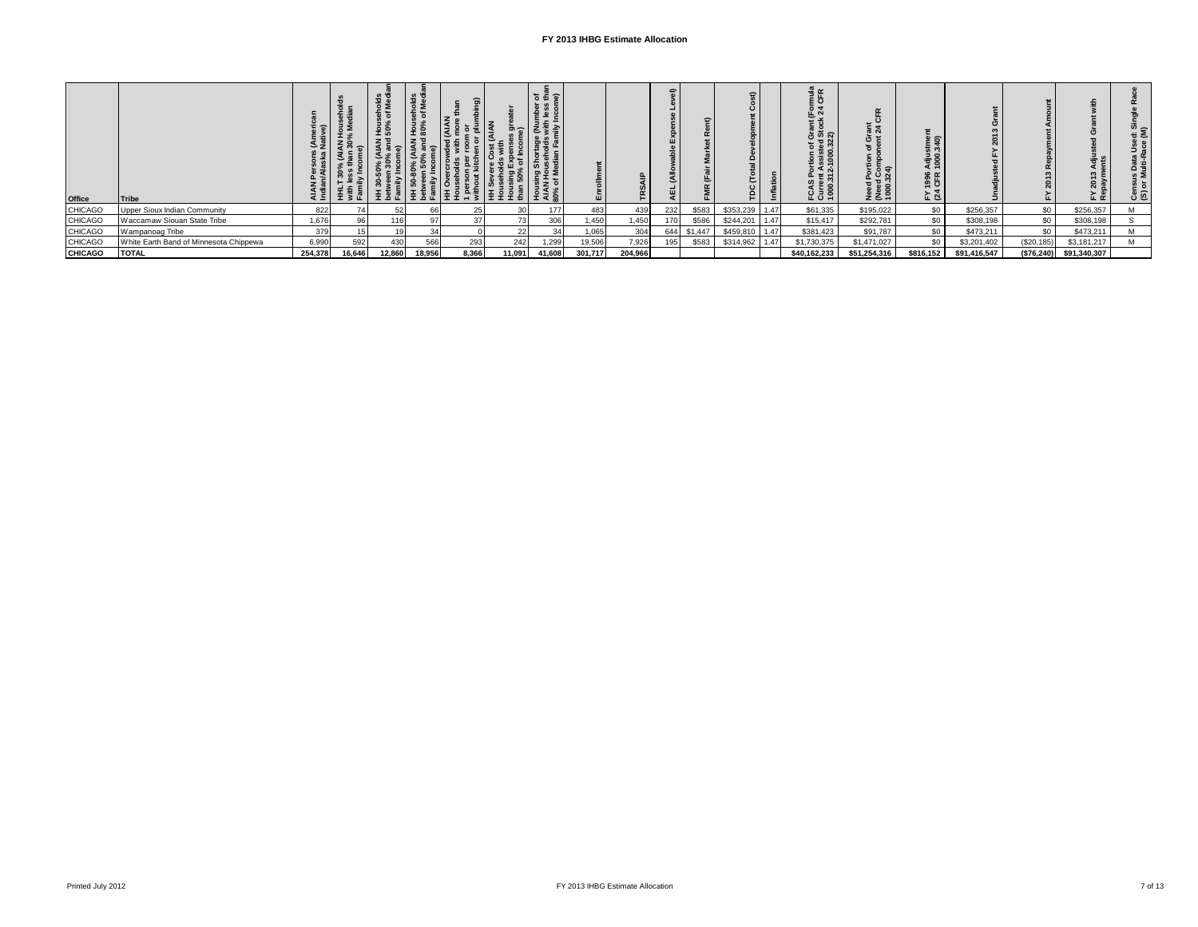| <b>Office</b>  | Tribe                                  |         | $T \times T$ | $\circ$ 2<br>മെ<br>로 효 준 | $rac{6}{5}$<br>ಕ ತೆ<br>운 없<br>∥ 토 홀 뿐 | ದ<br>토회<br>– ≅ | 토 로 로 훈 | ិទី⊕ិ<br>نة ≏<br>€<br>문운<br>$rac{3}{2}$ | ш       | U.<br>۴ | $\Rightarrow$ | Ë       | $\epsilon$<br>₽. |      | nula<br>CFR<br>正义<br>ី នី<br>ភូ<br>ះ ទី<br>증 토 አ<br>ဖော<br>FCAS<br>Curre<br>1000. | ទី ង<br>$\Rightarrow$<br>: ઙ૿૾ శ్ల<br>Need<br>(Need<br>1000. | : ຣ<br>1996<br>CFR<br><u>⊾ প্র</u> |              |             | í⊾ œ         | ; ≥<br>Data<br>ulti-R<br>९≅्<br>Cens<br>(S) or |
|----------------|----------------------------------------|---------|--------------|--------------------------|---------------------------------------|----------------|---------|-----------------------------------------|---------|---------|---------------|---------|------------------|------|-----------------------------------------------------------------------------------|--------------------------------------------------------------|------------------------------------|--------------|-------------|--------------|------------------------------------------------|
| <b>CHICAGO</b> | Upper Sioux Indian Community           | 822     |              | 52                       | 66                                    | 25             | 30 l    | 177                                     | 483     | 439     | 232           | \$583   | \$353,239        | 1.47 | \$61,335                                                                          | \$195,022                                                    | \$0                                | \$256,357    | \$0         | \$256,357    |                                                |
| <b>CHICAGO</b> | Waccamaw Siouan State Tribe            | 1,676   | 96           | 116                      |                                       | 37             | 73      | 306                                     | 1,450   | 1,450   |               | \$586   | \$244,201        | 1.47 | \$15,417                                                                          | \$292,781                                                    | SO <sub>1</sub>                    | \$308,198    | \$0         | \$308,198    |                                                |
| <b>CHICAGO</b> | Wampanoag Tribe                        | 379     |              |                          | 34                                    |                | 22      |                                         | 1,065   | 304     | 644           | \$1,447 | \$459,810        | 1.47 | \$381,423                                                                         | \$91,787                                                     | \$0                                | \$473,211    | \$0         | \$473,211    |                                                |
| <b>CHICAGO</b> | White Earth Band of Minnesota Chippewa | 6,990   | 592          | 430                      | 566                                   | 293            | 242     | 1,299                                   | 19,506  | 7,926   | 195           | \$583   | \$314,962        | 1.47 | \$1,730,375                                                                       | \$1,471,027                                                  | \$0                                | \$3,201,402  | (\$20, 185) | \$3,181,217  |                                                |
| <b>CHICAGO</b> | <b>TOTAL</b>                           | 254,378 | 16,646       | 12,860                   | 18,956                                | 8.366          | 11.091  | 41,608                                  | 301.717 | 204,966 |               |         |                  |      | \$40.162.233                                                                      | \$51.254.316                                                 | \$816.152                          | \$91.416.547 | (\$76,240)  | \$91,340,307 |                                                |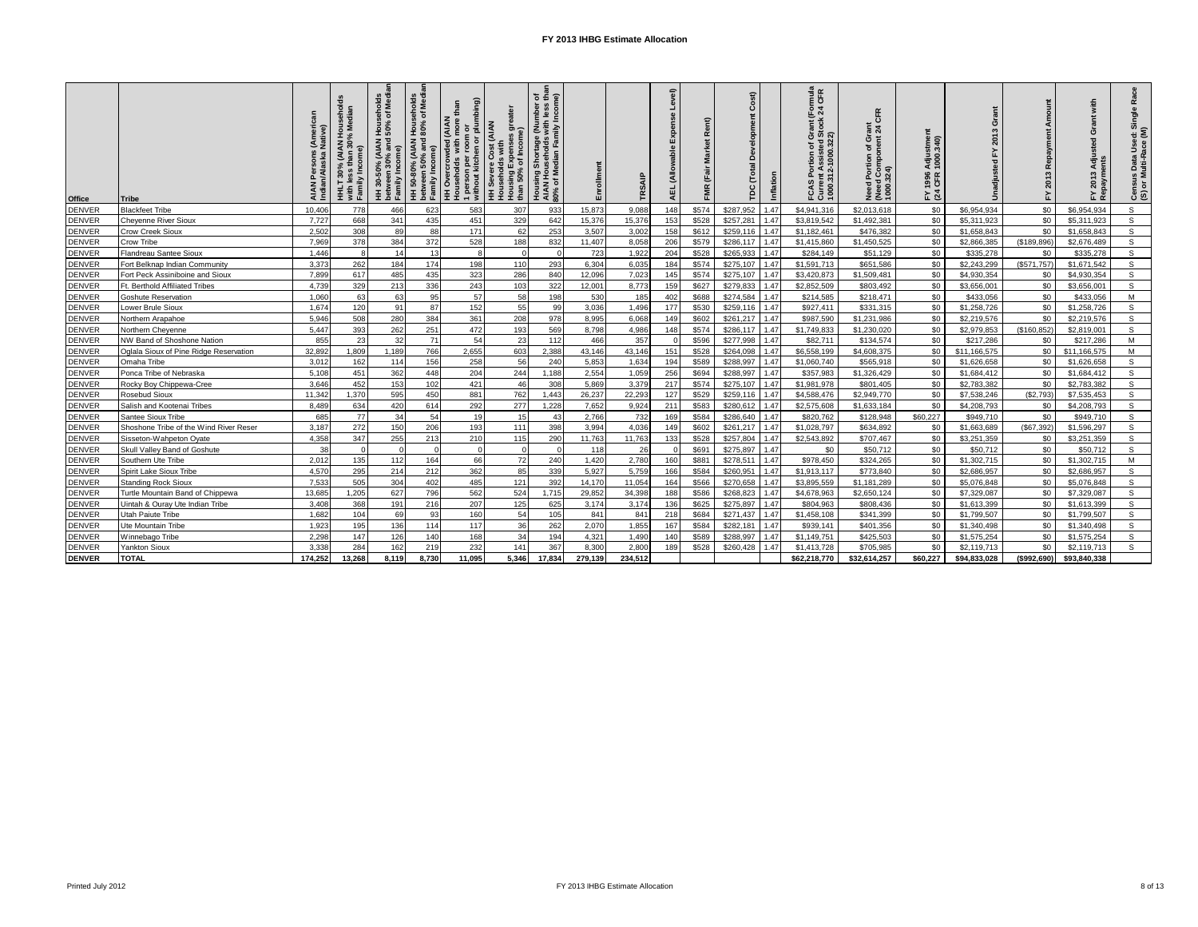| <b>Office</b> | <b>Tribe</b>                           |         | hold<br><b>AIAN</b><br>30%<br>Wiu.<br>Family Inc<br>HHLT. | seholds<br>of Media<br>Hous<br>150%<br>HH 30-50% (AIAN H<br>between 30% and 5<br>Family Income) | seholds<br>of Media<br>HH 50-80% (AIAN House<br>between 50% and 80% o<br>Family Income) | HH Overcrowded (AIAN<br>Households with more than<br>1 person per room or<br>without kitchen or plumbing) | great<br><b>HH Severe Cost (AIAN</b><br>Households with<br>Housing Expenses<br>than 50% of Income)<br>than 50% of Income) | <b>៦ អ៊ី</b> ១<br>Housing Shortage (Number<br>AIAN Households with less<br>80% of Median Family Incom | <u>allio</u><br>高 | TRSAIP  | yel)<br>ČÅ<br>긊 | Rent)<br>冨<br>Marke<br><b>FMR</b> (Fair | $\overline{\mathbf{s}}$<br>8<br>(Total<br>ě | Inflation | (Formula<br>: 24 CFR<br>Grant (I<br>I Stock:<br>Current Assisted S<br>1000.312-1000.322)<br>ъ<br>o.<br>S<br>FCA: | CFR<br>೯ ಸ<br>Need Portion of Gra<br>(Need Component 2<br>1000.324) | Adjustmer<br>1000.340)<br>1996<br>CFR<br>눈호 | O<br>ត្ត     | Repayment<br>2013<br>노 | with<br>ò<br>g<br>Adju<br>2013 | ឩ<br>Census Data Used: Single<br>(S) or Multi-Race (M) |
|---------------|----------------------------------------|---------|-----------------------------------------------------------|-------------------------------------------------------------------------------------------------|-----------------------------------------------------------------------------------------|-----------------------------------------------------------------------------------------------------------|---------------------------------------------------------------------------------------------------------------------------|-------------------------------------------------------------------------------------------------------|-------------------|---------|-----------------|-----------------------------------------|---------------------------------------------|-----------|------------------------------------------------------------------------------------------------------------------|---------------------------------------------------------------------|---------------------------------------------|--------------|------------------------|--------------------------------|--------------------------------------------------------|
| DENVER        | <b>Blackfeet Tribe</b>                 | 10,406  | 778                                                       | 466                                                                                             | 623                                                                                     | 583                                                                                                       | 307                                                                                                                       | 933                                                                                                   | 15,873            | 9,088   | 148             | \$574                                   | \$287,952                                   | 1.47      | \$4,941,316                                                                                                      | \$2,013,618                                                         | \$0                                         | \$6,954,934  | \$0                    | \$6,954,934                    | s.                                                     |
| <b>DENVER</b> | Chevenne River Sioux                   | 7.727   | 668                                                       | 341                                                                                             | 435                                                                                     | 451                                                                                                       | 329                                                                                                                       | 642                                                                                                   | 15,376            | 15,376  | 153             | \$528                                   | \$257.281                                   | 1.47      | \$3.819.542                                                                                                      | \$1,492,381                                                         | \$0                                         | \$5,311,923  | \$0                    | \$5,311,923                    | s.                                                     |
| DENVER        | Crow Creek Sioux                       | 2.502   | 308                                                       | 89                                                                                              | 88                                                                                      | 171                                                                                                       | 62                                                                                                                        | 253                                                                                                   | 3,507             | 3,002   | 155             | \$612                                   | \$259,116                                   | 1.47      | \$1,182,461                                                                                                      | \$476,382                                                           | \$0                                         | \$1,658,843  | \$0                    | \$1,658,843                    | $\mathsf{s}$                                           |
| <b>DENVER</b> | Crow Tribe                             | 7.969   | 378                                                       | 384                                                                                             | 372                                                                                     | 528                                                                                                       | 188                                                                                                                       | 832                                                                                                   | 11.407            | 8.058   | 206             | \$579                                   | \$286,117                                   | 1.47      | \$1,415,860                                                                                                      | \$1,450,525                                                         | \$0                                         | \$2,866,385  | (\$189,896)            | \$2,676,489                    | s.                                                     |
| <b>DENVER</b> | Flandreau Santee Sioux                 | 1.446   | £                                                         | 14                                                                                              | 13                                                                                      | 8                                                                                                         | $\Omega$                                                                                                                  |                                                                                                       | 723               | 1,922   | 204             | \$528                                   | \$265,933                                   | 1.47      | \$284,149                                                                                                        | \$51,129                                                            | \$0                                         | \$335,278    | \$0                    | \$335,278                      | s                                                      |
| <b>DENVER</b> | Fort Belknap Indian Community          | 3,373   | 262                                                       | 184                                                                                             | 174                                                                                     | 198                                                                                                       | 110                                                                                                                       | 293                                                                                                   | 6,304             | 6,035   | 184             | \$574                                   | \$275,107                                   | 1.47      | \$1,591,713                                                                                                      | \$651,586                                                           | \$0                                         | \$2,243,299  | (\$571,757)            | \$1,671,542                    | $\mathsf{s}$                                           |
| <b>DENVER</b> | Fort Peck Assiniboine and Sioux        | 7.899   | 617                                                       | 485                                                                                             | 435                                                                                     | 323                                                                                                       | 286                                                                                                                       | 840                                                                                                   | 12,096            | 7,023   | 145             | \$574                                   | \$275,107                                   | 1.47      | \$3,420,873                                                                                                      | \$1,509,481                                                         | \$0                                         | \$4,930,354  | \$0                    | \$4,930,354                    | s.                                                     |
| <b>DENVER</b> | Ft. Berthold Affiliated Tribes         | 4.739   | 329                                                       | 213                                                                                             | 336                                                                                     | 243                                                                                                       | 103                                                                                                                       | 322                                                                                                   | 12,001            | 8.773   | 159             | \$627                                   | \$279,833                                   | 1.47      | \$2.852.509                                                                                                      | \$803.492                                                           | \$0                                         | \$3.656.00   | \$0                    | \$3,656,001                    | s                                                      |
| <b>DENVER</b> | Goshute Reservation                    | 1,060   | 63                                                        | 63                                                                                              | 95                                                                                      | 57                                                                                                        | 58                                                                                                                        | 198                                                                                                   | 530               | 185     | 402             | \$688                                   | \$274,584                                   | 1.47      | \$214,585                                                                                                        | \$218,471                                                           | \$0                                         | \$433,056    | \$0                    | \$433,056                      | M                                                      |
| <b>DENVER</b> | Lower Brule Sioux                      | 1.674   | 120                                                       | 91                                                                                              | 87                                                                                      | 152                                                                                                       | 55                                                                                                                        | 99                                                                                                    | 3,036             | 1,496   | 177             | \$530                                   | \$259,116                                   | 1.47      | \$927,411                                                                                                        | \$331,315                                                           | \$0                                         | \$1,258,726  | \$0                    | \$1,258,726                    | s                                                      |
| DENVER        | Northern Arapahoe                      | 5.946   | 508                                                       | 280                                                                                             | 384                                                                                     | 361                                                                                                       | 208                                                                                                                       | 978                                                                                                   | 8,995             | 6,068   | 14 <sub>s</sub> | \$602                                   | \$261,217                                   | 1.47      | \$987,590                                                                                                        | \$1,231,986                                                         | \$0                                         | \$2,219,576  | \$0                    | \$2,219,576                    | s.                                                     |
| <b>DENVER</b> | Northern Cheyenne                      | 5.447   | 393                                                       | 262                                                                                             | 251                                                                                     | 472                                                                                                       | 193                                                                                                                       | 569                                                                                                   | 8,798             | 4,986   | 148             | \$574                                   | \$286,117                                   | 1.47      | \$1,749,833                                                                                                      | \$1,230,020                                                         | \$0                                         | \$2,979,853  | (\$160, 852)           | \$2,819,001                    | s.                                                     |
| <b>DENVER</b> | NW Band of Shoshone Nation             | 855     | 23                                                        | 32                                                                                              | 71                                                                                      | 54                                                                                                        | 23                                                                                                                        | 112                                                                                                   | 466               | 357     |                 | \$596                                   | \$277.998                                   | 1.47      | \$82,711                                                                                                         | \$134,574                                                           | \$0                                         | \$217,286    | \$0                    | \$217,286                      | M                                                      |
| DENVER        | Oglala Sioux of Pine Ridge Reservation | 32,892  | 1,809                                                     | 1,189                                                                                           | 766                                                                                     | 2,655                                                                                                     | 603                                                                                                                       | 2,388                                                                                                 | 43,146            | 43,146  | 151             | \$528                                   | \$264,098                                   | 1.47      | \$6,558,199                                                                                                      | \$4,608,375                                                         | \$0                                         | \$11,166,575 | \$0                    | \$11,166,575                   | M                                                      |
| <b>DENVER</b> | Omaha Tribe                            | 3.012   | 162                                                       | 114                                                                                             | 156                                                                                     | 258                                                                                                       | 56                                                                                                                        | 240                                                                                                   | 5,853             | 1,634   | 194             | \$589                                   | \$288,997                                   | 1.47      | \$1,060,740                                                                                                      | \$565,918                                                           | \$0                                         | \$1,626,658  | \$0                    | \$1,626,658                    | S.                                                     |
| DENVER        | Ponca Tribe of Nebraska                | 5.108   | 451                                                       | 362                                                                                             | 448                                                                                     | 204                                                                                                       | 244                                                                                                                       | 1.188                                                                                                 | 2,554             | 1,059   | 256             | \$694                                   | \$288,997                                   | 1.47      | \$357.983                                                                                                        | \$1,326,429                                                         | \$0                                         | \$1,684.412  | \$0                    | \$1,684,412                    | $\mathsf{s}$                                           |
| <b>DENVER</b> | Rocky Boy Chippewa-Cree                | 3.646   | 452                                                       | 153                                                                                             | 102                                                                                     | 421                                                                                                       | 46                                                                                                                        | 308                                                                                                   | 5.869             | 3.379   | 217             | \$574                                   | \$275.107                                   | 1.47      | \$1,981,978                                                                                                      | \$801.405                                                           | \$0                                         | \$2,783,382  | \$0                    | \$2,783,382                    | s.                                                     |
| <b>DENVER</b> | <b>Rosebud Sioux</b>                   | 11.342  | 1.370                                                     | 595                                                                                             | 450                                                                                     | 881                                                                                                       | 762                                                                                                                       | 1.443                                                                                                 | 26.237            | 22.293  | 127             | \$529                                   | \$259,116                                   | 1.47      | \$4,588,476                                                                                                      | \$2,949,770                                                         | \$0                                         | \$7,538,246  | (S2.793)               | \$7,535,453                    | s.                                                     |
| <b>DENVER</b> | Salish and Kootenai Tribes             | 8.489   | 634                                                       | 420                                                                                             | 614                                                                                     | 292                                                                                                       | 277                                                                                                                       | 1.228                                                                                                 | 7,652             | 9,924   | 211             | \$583                                   | \$280,612                                   | 1.47      | \$2,575,608                                                                                                      | \$1,633,184                                                         | \$0                                         | \$4,208,793  | \$0                    | \$4,208,793                    | s.                                                     |
| <b>DENVER</b> | Santee Sioux Tribe                     | 685     | 77                                                        | 34                                                                                              | 54                                                                                      | 19                                                                                                        | 15                                                                                                                        | 43                                                                                                    | 2,766             | 732     | 169             | \$584                                   | \$286,640                                   | 1.47      | \$820,762                                                                                                        | \$128,948                                                           | \$60.227                                    | \$949,710    | \$0                    | \$949,710                      | s.                                                     |
| DENVER        | Shoshone Tribe of the Wind River Reser | 3.187   | 272                                                       | 150                                                                                             | 206                                                                                     | 193                                                                                                       | 111                                                                                                                       | 398                                                                                                   | 3.994             | 4.036   | 149             | \$602                                   | \$261.217                                   | 1.47      | \$1.028.797                                                                                                      | \$634.892                                                           | \$0                                         | \$1,663,689  | \$67,392               | \$1,596,297                    | $\mathsf{s}$                                           |
| DENVER        | Sisseton-Wahpeton Oyate                | 4.358   | 347                                                       | 255                                                                                             | 213                                                                                     | 210                                                                                                       | 115                                                                                                                       | 290                                                                                                   | 11.763            | 11,763  | 133             | \$528                                   | \$257.804                                   | 1.47      | \$2.543.892                                                                                                      | \$707.467                                                           | \$0                                         | \$3.251.359  | \$0                    | \$3,251,359                    | s.                                                     |
| DENVER        | Skull Valley Band of Goshute           | 38      | $\Omega$                                                  |                                                                                                 | $\Omega$                                                                                | $\Omega$                                                                                                  | $\Omega$                                                                                                                  |                                                                                                       | 118               | 26      |                 | \$69                                    | \$275,897                                   | 1.47      | \$0                                                                                                              | \$50,712                                                            | \$0                                         | \$50,712     | \$0                    | \$50,712                       | $\mathsf{s}$                                           |
| <b>DENVER</b> | Southern Ute Tribe                     | 2.012   | 135                                                       | 112                                                                                             | 164                                                                                     | 66                                                                                                        | 72                                                                                                                        | 240                                                                                                   | 1,420             | 2,780   | 160             | \$88                                    | \$278,51                                    | 1.47      | \$978,450                                                                                                        | \$324,265                                                           | \$0                                         | \$1,302,715  | \$0                    | \$1,302,715                    | M                                                      |
| <b>DENVER</b> | Spirit Lake Sioux Tribe                | 4,570   | 295                                                       | 214                                                                                             | 212                                                                                     | 362                                                                                                       | 85                                                                                                                        | 339                                                                                                   | 5,927             | 5,759   | 166             | \$584                                   | \$260,951                                   | 1.47      | \$1,913,117                                                                                                      | \$773,840                                                           | \$0                                         | \$2,686,957  | \$0                    | \$2,686,957                    | s.                                                     |
| <b>DENVER</b> | <b>Standing Rock Sioux</b>             | 7.533   | 505                                                       | 304                                                                                             | 402                                                                                     | 485                                                                                                       | 121                                                                                                                       | 392                                                                                                   | 14.170            | 11.054  | 164             | \$566                                   | \$270.658                                   | 1.47      | \$3,895,559                                                                                                      | \$1,181,289                                                         | \$0                                         | \$5.076.848  | \$0                    | \$5,076,848                    | s.                                                     |
| DENVER        | Turtle Mountain Band of Chippewa       | 13.685  | 1,205                                                     | 627                                                                                             | 796                                                                                     | 562                                                                                                       | 524                                                                                                                       | 1.715                                                                                                 | 29.852            | 34.398  | 188             | \$586                                   | \$268.823                                   | 1.47      | \$4,678,963                                                                                                      | \$2.650.124                                                         | \$0                                         | \$7.329.087  | \$0                    | \$7,329,087                    | s.                                                     |
| <b>DENVER</b> | Uintah & Ouray Ute Indian Tribe        | 3,408   | 368                                                       | 191                                                                                             | 216                                                                                     | 207                                                                                                       | 125                                                                                                                       | 625                                                                                                   | 3,174             | 3,174   | 136             | \$625                                   | \$275,897                                   | 1.47      | \$804,963                                                                                                        | \$808,436                                                           | \$0                                         | \$1,613,399  | \$0                    | \$1,613,399                    | $\mathsf{s}$                                           |
| DENVER        | Utah Paiute Tribe                      | 1,682   | 104                                                       | 69                                                                                              | 93                                                                                      | 160                                                                                                       | 54                                                                                                                        | 105                                                                                                   | 841               | 841     | 218             | \$684                                   | \$271,437                                   | 1.47      | \$1,458,108                                                                                                      | \$341,399                                                           | \$0                                         | \$1,799,50   | \$0                    | \$1,799,507                    | s                                                      |
| DENVER        | Ute Mountain Tribe                     | 1,923   | 195                                                       | 136                                                                                             | 114                                                                                     | 117                                                                                                       | 36                                                                                                                        | 262                                                                                                   | 2,070             | 1,855   | 167             | \$584                                   | \$282,181                                   | 1.47      | \$939.141                                                                                                        | \$401,356                                                           | \$0                                         | \$1,340,498  | \$0                    | \$1,340,498                    | s.                                                     |
| <b>DENVER</b> | Winnebago Tribe                        | 2.298   | 147                                                       | 126                                                                                             | 140                                                                                     | 168                                                                                                       | 34                                                                                                                        | 194                                                                                                   | 4,321             | 1.490   | 140             | \$589                                   | \$288,997                                   | 1.47      | \$1,149,751                                                                                                      | \$425,503                                                           | \$0                                         | \$1,575,254  | \$0                    | \$1,575,254                    | s.                                                     |
| <b>DENVER</b> | Yankton Sioux                          | 3.33    | 284                                                       | 162                                                                                             | 219                                                                                     | 232                                                                                                       | 141                                                                                                                       | 367                                                                                                   | 8.300             | 2.800   | 18 <sub>1</sub> | \$528                                   | \$260.428                                   | 1.47      | \$1,413,728                                                                                                      | \$705.985                                                           | \$0                                         | \$2,119,713  | \$0                    | \$2.119.713                    | s                                                      |
| <b>DENVER</b> | <b>TOTAL</b>                           | 174,252 | 13,268                                                    | 8,119                                                                                           | 8,730                                                                                   | 11,095                                                                                                    | 5.346                                                                                                                     | 17,834                                                                                                | 279,139           | 234.512 |                 |                                         |                                             |           | \$62,218,770                                                                                                     | \$32,614,257                                                        | \$60.227                                    | \$94,833,028 | (\$992,690)            | \$93,840,338                   |                                                        |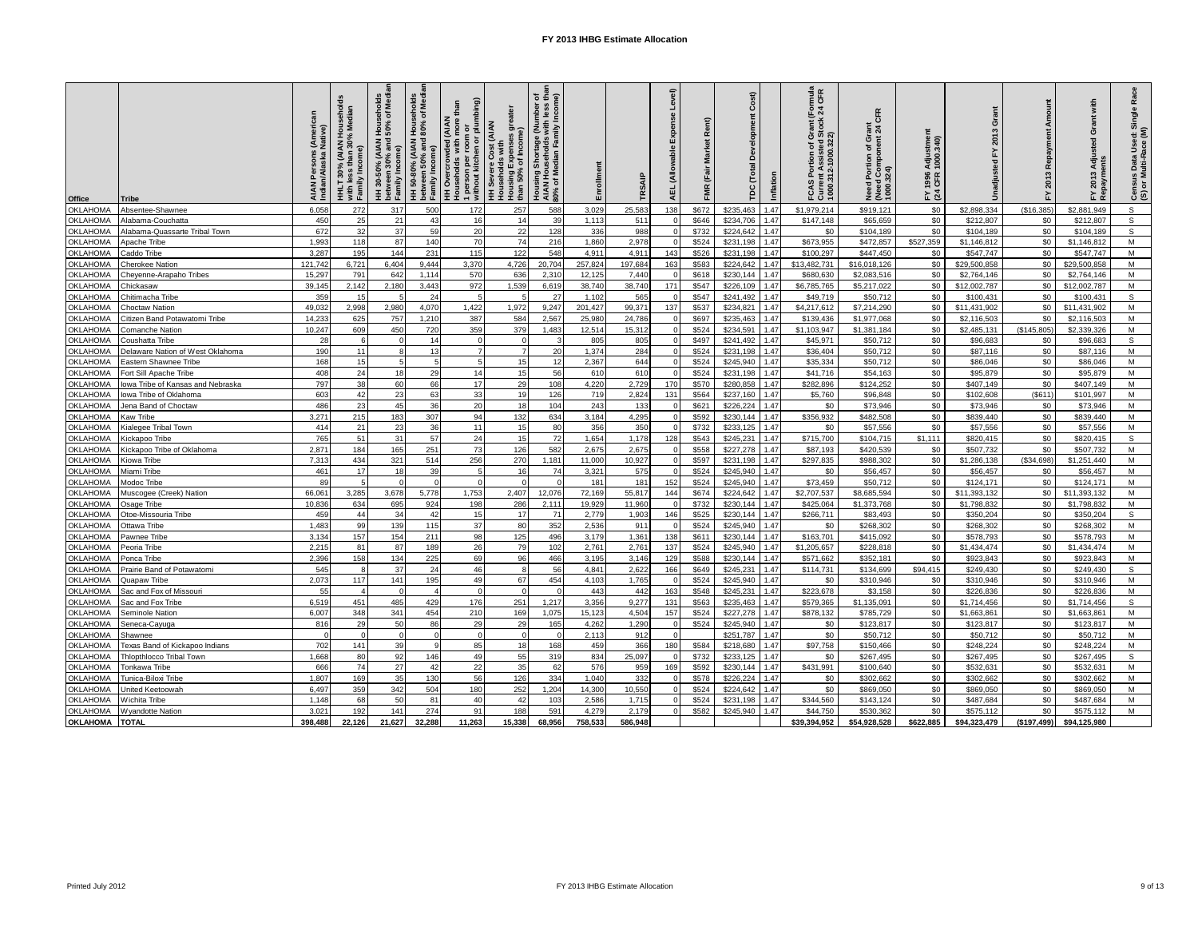| Office          | <b>Tribe</b>                     | AIAN Persons<br>Indian/Alaska N | HHLT 30% (AIAN Households<br>with less than 30% Median<br>with <sub>les</sub><br>Family | HH 30-50% (AIAN Households<br>between 30% and 50% of Medi<br>(me<br>between :<br>Family In | HH 50-80% (AIAN Households<br>between 50% and 80% of Medi<br>between 50%<br>Family Income | 1 person per room or<br>without kitchen or plumbing)<br>than<br>crowded (AIAN<br>ă<br>with<br>HH Overcrow<br>HH Overcrow | Housing Expenses greater<br>than 50% of Income)<br>HH Severe Cost (AIAN<br>Households with | Housing Shortage (Number of<br>AIAN Households with less than<br>80% of Median Family Income) | Enrollment | TRSAIF  | Level<br>Δĭ<br><b>Sid</b><br>(Allo<br>AEL | œ<br>黃<br>Σ<br>Fair<br><b>FMR</b> | Cost)<br>å<br>DC (Total<br>Inflation | Formula<br>: 24 CFR<br>tock<br>_შ<br>ფ<br><b>Current Assisted St<br/>1000.312-1000.322)</b><br>of G<br>tion<br>0.<br>FCAS | CFR<br>rant<br>Need Portion of Gra<br>(Need Component 2<br>1000.324) | Adjustmer<br>1000.340)<br>1996<br>CFR<br>≿ শ্ৰ | $\boldsymbol{\sigma}$ | Repayment<br>2013<br>모 | with<br>Grant<br>F<br>₫<br>2013 | Race<br>Census Data Used: Single<br>(S) or Multi-Race (M) |
|-----------------|----------------------------------|---------------------------------|-----------------------------------------------------------------------------------------|--------------------------------------------------------------------------------------------|-------------------------------------------------------------------------------------------|--------------------------------------------------------------------------------------------------------------------------|--------------------------------------------------------------------------------------------|-----------------------------------------------------------------------------------------------|------------|---------|-------------------------------------------|-----------------------------------|--------------------------------------|---------------------------------------------------------------------------------------------------------------------------|----------------------------------------------------------------------|------------------------------------------------|-----------------------|------------------------|---------------------------------|-----------------------------------------------------------|
| <b>OKLAHOMA</b> | Absentee-Shawnee                 | 6.058                           | 272                                                                                     | 317                                                                                        | 500                                                                                       | 172                                                                                                                      | 257                                                                                        | 588                                                                                           | 3,029      | 25,583  | 138                                       | \$672                             | \$235.463<br>1.47                    | \$1,979.214                                                                                                               | \$919.121                                                            | \$0                                            | \$2.898.334           | (\$16,385)             | \$2,881,949                     | $\mathsf{s}$                                              |
| <b>KLAHOMA</b>  | Alabama-Couchatta                | 450                             | 25                                                                                      | 21                                                                                         | 43                                                                                        | 16                                                                                                                       | 14                                                                                         | 39                                                                                            | 1.113      | 511     |                                           | \$646                             | \$234,706<br>1.47                    | \$147,148                                                                                                                 | \$65,659                                                             | \$0                                            | \$212,807             | \$0                    | \$212,807                       | $\mathsf{s}$                                              |
| <b>XLAHOMA</b>  | Alabama-Quassarte Tribal Town    | 672                             | 32                                                                                      | 37                                                                                         | 59                                                                                        | 20                                                                                                                       | 22                                                                                         | 128                                                                                           | 336        | 988     |                                           | \$732                             | \$224,642<br>1.47                    | \$0                                                                                                                       | \$104,189                                                            | \$0                                            | \$104,189             | \$0                    | \$104,189                       | s                                                         |
| <b>OKLAHOMA</b> | Apache Tribe                     | 1.993                           | 118                                                                                     | 87                                                                                         | 140                                                                                       | 70                                                                                                                       | 74                                                                                         | 216                                                                                           | 1,860      | 2,978   |                                           | \$524                             | \$231.198<br>1.47                    | \$673,955                                                                                                                 | \$472,857                                                            | \$527,359                                      | \$1,146,812           | \$0                    | \$1,146,812                     | M                                                         |
| <b>KLAHOMA</b>  | Caddo Tribe                      | 3,287                           | 195                                                                                     | 144                                                                                        | 231                                                                                       | 115                                                                                                                      | 122                                                                                        | 548                                                                                           | 4,911      | 4,91    | 143                                       | \$526                             | \$231,198<br>1.47                    | \$100,297                                                                                                                 | \$447,450                                                            | \$0                                            | \$547,747             | \$0                    | \$547,747                       | M                                                         |
| <b>KLAHOMA</b>  | Cherokee Nation                  | 121.742                         | 6.721                                                                                   | 6.404                                                                                      | 9.444                                                                                     | 3,370                                                                                                                    | 4.726                                                                                      | 20.704                                                                                        | 257,824    | 197.684 | 163                                       | \$583                             | \$224.642<br>1.47                    | \$13,482,731                                                                                                              | \$16.018.126                                                         | \$0                                            | \$29,500.858          | \$0                    | \$29,500,858                    | M                                                         |
| <b>KLAHOMA</b>  | Cheyenne-Arapaho Tribes          | 15,297                          | 791                                                                                     | 642                                                                                        | 1.114                                                                                     | 570                                                                                                                      | 636                                                                                        | 2,31                                                                                          | 12,125     | 7.440   |                                           | \$618                             | \$230.144<br>1.47                    | \$680,630                                                                                                                 | \$2.083.516                                                          | \$0                                            | \$2,764,146           | \$0                    | \$2,764,146                     | M                                                         |
| <b>KLAHOMA</b>  | Chickasaw                        | 39,145                          | 2,142                                                                                   | 2.180                                                                                      | 3.443                                                                                     | 972                                                                                                                      | 1,539                                                                                      | 6,619                                                                                         | 38,740     | 38.740  | 171                                       | \$547                             | \$226,109<br>1.47                    | \$6,785,765                                                                                                               | \$5,217,022                                                          | \$0                                            | \$12,002.787          | \$0                    | \$12,002,787                    | M                                                         |
| <b>KLAHOMA</b>  | Chitimacha Tribe                 | 359                             | 15                                                                                      |                                                                                            | 24                                                                                        | 5                                                                                                                        |                                                                                            | 27                                                                                            | 1,102      | 565     |                                           | \$547                             | 1.47<br>\$241,492                    | \$49,719                                                                                                                  | \$50,712                                                             | \$0                                            | \$100,431             | \$0                    | \$100,431                       | s                                                         |
| <b>KLAHOMA</b>  | Choctaw Nation                   | 49.032                          | 2,998                                                                                   | 2.980                                                                                      | 4,070                                                                                     | 1,422                                                                                                                    | 1,972                                                                                      | 9,247                                                                                         | 201,427    | 99.371  | 137                                       | \$537                             | \$234.821<br>1.47                    | \$4,217,612                                                                                                               | \$7,214,290                                                          | \$0                                            | \$11,431,902          | \$0                    | \$11,431,902                    | M                                                         |
| <b>OKLAHOMA</b> | Citizen Band Potawatomi Tribe    | 14.233                          | 625                                                                                     | 757                                                                                        | 1.210                                                                                     | 387                                                                                                                      | 584                                                                                        | 2.567                                                                                         | 25,980     | 24.786  |                                           | \$697                             | \$235.463<br>1.47                    | \$139.436                                                                                                                 | \$1,977,068                                                          | \$0                                            | \$2,116,503           | \$0                    | \$2,116,503                     | м                                                         |
| <b>OKLAHOMA</b> | Comanche Nation                  | 10.247                          | 609                                                                                     | 450                                                                                        | 720                                                                                       | 359                                                                                                                      | 379                                                                                        | 1.483                                                                                         | 12,514     | 15.312  |                                           | \$524                             | \$234.591<br>1.47                    | \$1,103,947                                                                                                               | \$1,381,184                                                          | \$0                                            | \$2.485.131           | (S145.805)             | \$2,339,326                     | м                                                         |
| <b>KLAHOMA</b>  | Coushatta Tribe                  | 28                              |                                                                                         |                                                                                            | 14                                                                                        | $\Omega$                                                                                                                 | $\Omega$                                                                                   |                                                                                               | 805        | 805     |                                           | \$497                             | \$241.492<br>1.47                    | \$45,971                                                                                                                  | \$50,712                                                             | \$0                                            | \$96,683              | \$0                    | \$96,683                        | S                                                         |
| <b>XLAHOMA</b>  | Delaware Nation of West Oklahoma | 190                             | 11                                                                                      | 8                                                                                          | 13                                                                                        | $\overline{7}$                                                                                                           | $\overline{7}$                                                                             | 20                                                                                            | 1.374      | 284     |                                           | \$524                             | 1.47<br>\$231.198                    | \$36,404                                                                                                                  | \$50.712                                                             | \$0                                            | \$87,116              | \$0                    | \$87,116                        | M                                                         |
| <b>OKLAHOMA</b> | Eastern Shawnee Tribe            | 168                             | 15                                                                                      |                                                                                            |                                                                                           | 5                                                                                                                        | 15                                                                                         | 12                                                                                            | 2.367      | 644     |                                           | \$524                             | \$245.940<br>1.47                    | \$35.334                                                                                                                  | \$50.712                                                             | \$0                                            | \$86,046              | \$0                    | \$86,046                        | M                                                         |
| <b>KLAHOMA</b>  | Fort Sill Apache Tribe           | 408                             | 24                                                                                      | 18                                                                                         | 29                                                                                        | 14                                                                                                                       | 15                                                                                         | 56                                                                                            | 610        | 610     |                                           | \$524                             | 1.47<br>\$231,198                    | \$41,716                                                                                                                  | \$54.163                                                             | \$0                                            | \$95,879              | \$0                    | \$95,879                        | M                                                         |
| KLAHOMA         | owa Tribe of Kansas and Nebraska | 797                             | 38                                                                                      | 60                                                                                         | 66                                                                                        | 17                                                                                                                       | 29                                                                                         | 108                                                                                           | 4,220      | 2,729   | 170                                       | \$570                             | \$280,858<br>1.47                    | \$282,896                                                                                                                 | \$124,252                                                            | \$0                                            | \$407,149             | \$0                    | \$407,149                       | M                                                         |
| <b>KLAHOMA</b>  | owa Tribe of Oklahoma            | 603                             | 42                                                                                      | 23                                                                                         | 63                                                                                        | 33                                                                                                                       | 19                                                                                         | 126                                                                                           | 719        | 2,824   | 131                                       | \$564                             | \$237,160<br>1.47                    | \$5,760                                                                                                                   | \$96,848                                                             | \$0                                            | \$102,608             | (S611)                 | \$101,997                       | M                                                         |
| <b>XLAHOMA</b>  | Jena Band of Choctaw             | 486                             | 23                                                                                      | 45                                                                                         | 36                                                                                        | 20                                                                                                                       | 18                                                                                         | 104                                                                                           | 243        | 133     |                                           | \$621                             | \$226,224<br>1.47                    | \$0                                                                                                                       | \$73.946                                                             | \$0                                            | \$73,946              | \$0                    | \$73,946                        | M                                                         |
| <b>XLAHOMA</b>  | Kaw Tribe                        | 3,271                           | 215                                                                                     | 183                                                                                        | 307                                                                                       | 94                                                                                                                       | 132                                                                                        | 634                                                                                           | 3,184      | 4,295   |                                           | \$592                             | \$230,144<br>1.47                    | \$356,932                                                                                                                 | \$482,508                                                            | \$0                                            | \$839,440             | \$0                    | \$839,440                       | M                                                         |
| <b>KLAHOMA</b>  | Kialegee Tribal Town             | 414                             | 21                                                                                      | 23                                                                                         | 36                                                                                        | 11                                                                                                                       | 15                                                                                         | 80                                                                                            | 356        | 350     |                                           | \$732                             | 1.47<br>\$233,125                    | \$0                                                                                                                       | \$57,556                                                             | \$0                                            | \$57,556              | \$0                    | \$57,556                        | M                                                         |
| <b>KLAHOMA</b>  | Kickapoo Tribe                   | 765                             | 51                                                                                      | 31                                                                                         | 57                                                                                        | 24                                                                                                                       | 15                                                                                         | 72                                                                                            | 1,654      | 1,178   | 128                                       | \$543                             | \$245,231<br>1.47                    | \$715,700                                                                                                                 | \$104,715                                                            | \$1,111                                        | \$820,415             | \$0                    | \$820,415                       | s                                                         |
| <b>KLAHOMA</b>  | Kickapoo Tribe of Oklahoma       | 2.871                           | 184                                                                                     | 165                                                                                        | 251                                                                                       | 73                                                                                                                       | 126                                                                                        | 582                                                                                           | 2,675      | 2,675   |                                           | \$558                             | \$227,278<br>1.47                    | \$87.193                                                                                                                  | \$420,539                                                            | \$0                                            | \$507,732             | \$0                    | \$507,732                       | M                                                         |
| <b>KLAHOMA</b>  | Kiowa Tribe                      | 7,313                           | 434                                                                                     | 321                                                                                        | 514                                                                                       | 256                                                                                                                      | 270                                                                                        | 1,18'                                                                                         | 11,000     | 10,927  |                                           | \$597                             | 1.47<br>\$231,198                    | \$297,835                                                                                                                 | \$988,302                                                            | \$0                                            | \$1,286,138           | (\$34,698)             | \$1,251,440                     | M                                                         |
| <b>KLAHOMA</b>  | Miami Tribe                      | 461                             | 17                                                                                      | 18                                                                                         | 39                                                                                        | 5                                                                                                                        | 16                                                                                         | 74                                                                                            | 3,321      | 575     |                                           | \$524                             | \$245,940<br>1.47                    | \$0                                                                                                                       | \$56,457                                                             | \$0                                            | \$56,457              | \$0                    | \$56,457                        | M                                                         |
| <b>KLAHOMA</b>  | Modoc Tribe                      | 89                              |                                                                                         |                                                                                            |                                                                                           | $\Omega$                                                                                                                 | $\Omega$                                                                                   |                                                                                               | 181        | 181     | 152                                       | \$524                             | 1.47<br>\$245,940                    | \$73,459                                                                                                                  | \$50,712                                                             | \$0                                            | \$124,171             | \$0                    | \$124,171                       | M                                                         |
| <b>KLAHOMA</b>  | Muscogee (Creek) Nation          | 66,061                          | 3,285                                                                                   | 3,678                                                                                      | 5,778                                                                                     | 1,753                                                                                                                    | 2,407                                                                                      | 12,076                                                                                        | 72,169     | 55,817  | 144                                       | \$674                             | 1.47<br>\$224,642                    | \$2.707.537                                                                                                               | \$8,685,594                                                          | \$0                                            | \$11,393,132          | \$0                    | \$11,393,132                    | M                                                         |
| <b>KLAHOMA</b>  | Osage Tribe                      | 10.836                          | 634                                                                                     | 695                                                                                        | 924                                                                                       | 198                                                                                                                      | 286                                                                                        | 2,111                                                                                         | 19.929     | 11,960  |                                           | \$732                             | 1.47<br>\$230.144                    | \$425,064                                                                                                                 | \$1,373,768                                                          | \$0                                            | \$1,798,832           | \$0                    | \$1,798,832                     | M                                                         |
| <b>KLAHOMA</b>  | Otoe-Missouria Tribe             | 459                             | 44                                                                                      | 34                                                                                         | 42                                                                                        | 15                                                                                                                       | 17                                                                                         | 71                                                                                            | 2,779      | 1,903   | 146                                       | \$525                             | \$230,144<br>1.47                    | \$266,711                                                                                                                 | \$83,493                                                             | \$0                                            | \$350,204             | \$0                    | \$350,204                       | s                                                         |
| <b>KLAHOMA</b>  | Ottawa Tribe                     | 1.483                           | 99                                                                                      | 139                                                                                        | 115                                                                                       | 37                                                                                                                       | 80                                                                                         | 352                                                                                           | 2,536      | 911     |                                           | \$524                             | \$245.940<br>1.47                    | \$0                                                                                                                       | \$268,302                                                            | \$0                                            | \$268,302             | \$0                    | \$268,302                       | M                                                         |
| <b>OKLAHOMA</b> | Pawnee Tribe                     | 3.134                           | 157                                                                                     | 154                                                                                        | 211                                                                                       | 98                                                                                                                       | 125                                                                                        | 496                                                                                           | 3,179      | 1.361   | 135                                       | \$611                             | \$230.144<br>1.47                    | \$163,701                                                                                                                 | \$415.092                                                            | \$0                                            | \$578,793             | \$0                    | \$578,793                       | M                                                         |
| <b>KLAHOMA</b>  | Peoria Tribe                     | 2.215                           | 81                                                                                      | 87                                                                                         | 189                                                                                       | 26                                                                                                                       | 79                                                                                         | 102                                                                                           | 2.761      | 2.761   | 137                                       | \$524                             | \$245.940<br>1.47                    | \$1,205,657                                                                                                               | \$228,818                                                            | \$0                                            | \$1.434.474           | \$0                    | \$1,434,474                     | M                                                         |
| <b>XLAHOMA</b>  | Ponca Tribe                      | 2.396                           | 158                                                                                     | 134                                                                                        | 225                                                                                       | 69                                                                                                                       | 96                                                                                         | 466                                                                                           | 3,195      | 3,146   | 129                                       | \$588                             | \$230,144<br>1.47                    | \$571,662                                                                                                                 | \$352,181                                                            | \$0                                            | \$923,843             | \$0                    | \$923,843                       | M                                                         |
| <b>XLAHOMA</b>  | Prairie Band of Potawatomi       | 545                             |                                                                                         | 37                                                                                         | 24                                                                                        | 46                                                                                                                       | 8                                                                                          | 56                                                                                            | 4,841      | 2,622   | 166                                       | \$649                             | \$245,231<br>1.47                    | \$114,731                                                                                                                 | \$134,699                                                            | \$94,415                                       | \$249,430             | \$0                    | \$249,430                       | s                                                         |
| <b>KLAHOMA</b>  | Quapaw Tribe                     | 2,073                           | 117                                                                                     | 141                                                                                        | 195                                                                                       | 49                                                                                                                       | 67                                                                                         | 454                                                                                           | 4,103      | 1,765   |                                           | \$524                             | 1.47<br>\$245.940                    | \$0                                                                                                                       | \$310,946                                                            | \$0                                            | \$310,946             | \$0                    | \$310,946                       | M                                                         |
| <b>KLAHOMA</b>  | Sac and Fox of Missouri          | 55                              |                                                                                         |                                                                                            | $\Delta$                                                                                  | $\Omega$                                                                                                                 | $\Omega$                                                                                   |                                                                                               | 443        | 442     | 163                                       | \$548                             | \$245.231<br>1.47                    | \$223,678                                                                                                                 | \$3.158                                                              | \$0                                            | \$226,836             | \$0                    | \$226,836                       | M                                                         |
| <b>KLAHOMA</b>  | Sac and Fox Tribe                | 6.519                           | 451                                                                                     | 485                                                                                        | 429                                                                                       | 176                                                                                                                      | 251                                                                                        | 1.217                                                                                         | 3,356      | 9,277   | 131                                       | \$563                             | \$235.463<br>1.47                    | \$579,365                                                                                                                 | \$1,135,091                                                          | \$0                                            | \$1,714,456           | \$0                    | \$1,714,456                     | S                                                         |
| OKLAHOMA        | Seminole Nation                  | 6.007                           | 348                                                                                     | 341                                                                                        | 454                                                                                       | 210                                                                                                                      | 169                                                                                        | 1,075                                                                                         | 15,123     | 4,504   | 157                                       | \$524                             | \$227,278<br>1.47                    | \$878,132                                                                                                                 | \$785,729                                                            | \$0                                            | \$1,663,86            | \$0                    | \$1,663,861                     | M                                                         |
| <b>OKLAHOMA</b> | Seneca-Cayuga                    | 816                             | 29                                                                                      | 50                                                                                         | 86                                                                                        | 29                                                                                                                       | 29                                                                                         | 165                                                                                           | 4,262      | 1,290   |                                           | \$524                             | \$245,940<br>1.47                    | \$0                                                                                                                       | \$123,817                                                            | \$0                                            | \$123,817             | \$0                    | \$123,817                       | M                                                         |
| <b>KLAHOMA</b>  | Shawnee                          |                                 |                                                                                         |                                                                                            | $\Omega$                                                                                  | $\Omega$                                                                                                                 | $\Omega$                                                                                   |                                                                                               | 2,113      | 912     |                                           |                                   | 1.47<br>\$251,787                    | \$0                                                                                                                       | \$50,712                                                             | \$0                                            | \$50,712              | \$0                    | \$50,712                        | M                                                         |
| <b>KLAHOMA</b>  | Texas Band of Kickapoo Indians   | 702                             | 141                                                                                     | 39                                                                                         | 9                                                                                         | 85                                                                                                                       | 18                                                                                         | 168                                                                                           | 459        | 366     | 180                                       | \$584                             | 1.47<br>\$218,680                    | \$97,758                                                                                                                  | \$150,466                                                            | \$0                                            | \$248,224             | \$0                    | \$248,224                       | M                                                         |
| <b>XLAHOMA</b>  | Thlopthlocco Tribal Town         | 1,668                           | 80                                                                                      | 92                                                                                         | 146                                                                                       | 49                                                                                                                       | 55                                                                                         | 319                                                                                           | 834        | 25,097  |                                           | \$732                             | \$233,125<br>1.47                    | \$0                                                                                                                       | \$267,495                                                            | \$0                                            | \$267,495             | \$0                    | \$267,495                       | S                                                         |
| <b>KLAHOMA</b>  | Tonkawa Tribe                    | 666                             | 74                                                                                      | 27                                                                                         | 42                                                                                        | 22                                                                                                                       | 35                                                                                         | 62                                                                                            | 576        | 959     | 169                                       | \$592                             | 1.47<br>\$230,144                    | \$431,991                                                                                                                 | \$100,640                                                            | \$0                                            | \$532,631             | \$0                    | \$532,631                       | M                                                         |
| <b>KLAHOMA</b>  | Tunica-Biloxi Tribe              | 1,807                           | 169                                                                                     | 35                                                                                         | 130                                                                                       | 56                                                                                                                       | 126                                                                                        | 334                                                                                           | 1,040      | 332     |                                           | \$578                             | \$226,224<br>1.47                    | \$0                                                                                                                       | \$302,662                                                            | \$0                                            | \$302,662             | \$0                    | \$302,662                       | M                                                         |
| <b>KLAHOMA</b>  | <b>Jnited Keetoowah</b>          | 6.497                           | 359                                                                                     | 342                                                                                        | 504                                                                                       | 180                                                                                                                      | 252                                                                                        | 1,204                                                                                         | 14,300     | 10,550  |                                           | \$524                             | \$224.64<br>1.47                     | \$0                                                                                                                       | \$869,050                                                            | \$0                                            | \$869,050             | \$0                    | \$869,050                       | M                                                         |
| <b>KLAHOMA</b>  | Wichita Tribe                    | 1,148                           | 68                                                                                      | 50                                                                                         | 81                                                                                        | 40                                                                                                                       | 42                                                                                         | 103                                                                                           | 2,586      | 1.715   |                                           | \$524                             | \$231,198<br>1.47                    | \$344,560                                                                                                                 | \$143,124                                                            | \$0                                            | \$487,684             | \$0                    | \$487,684                       | M                                                         |
| <b>KLAHOMA</b>  | Wyandotte Nation                 | 3,021                           | 192                                                                                     | 141                                                                                        | 274                                                                                       | 91                                                                                                                       | 188                                                                                        | 591                                                                                           | 4,279      | 2.179   |                                           | \$582                             | 1.47<br>\$245.940                    | \$44,750                                                                                                                  | \$530.362                                                            | \$0                                            | \$575,112             | \$0                    | \$575.112                       | M                                                         |
| <b>OKLAHOMA</b> | <b>TOTAL</b>                     | 398.488                         | 22.126                                                                                  | 21.627                                                                                     | 32,288                                                                                    | 11,263                                                                                                                   | 15,338                                                                                     | 68.956                                                                                        | 758.533    | 586,948 |                                           |                                   |                                      | \$39,394,952                                                                                                              | \$54,928,528                                                         | \$622,885                                      | \$94,323,479          | (\$197,499)            | \$94,125,980                    |                                                           |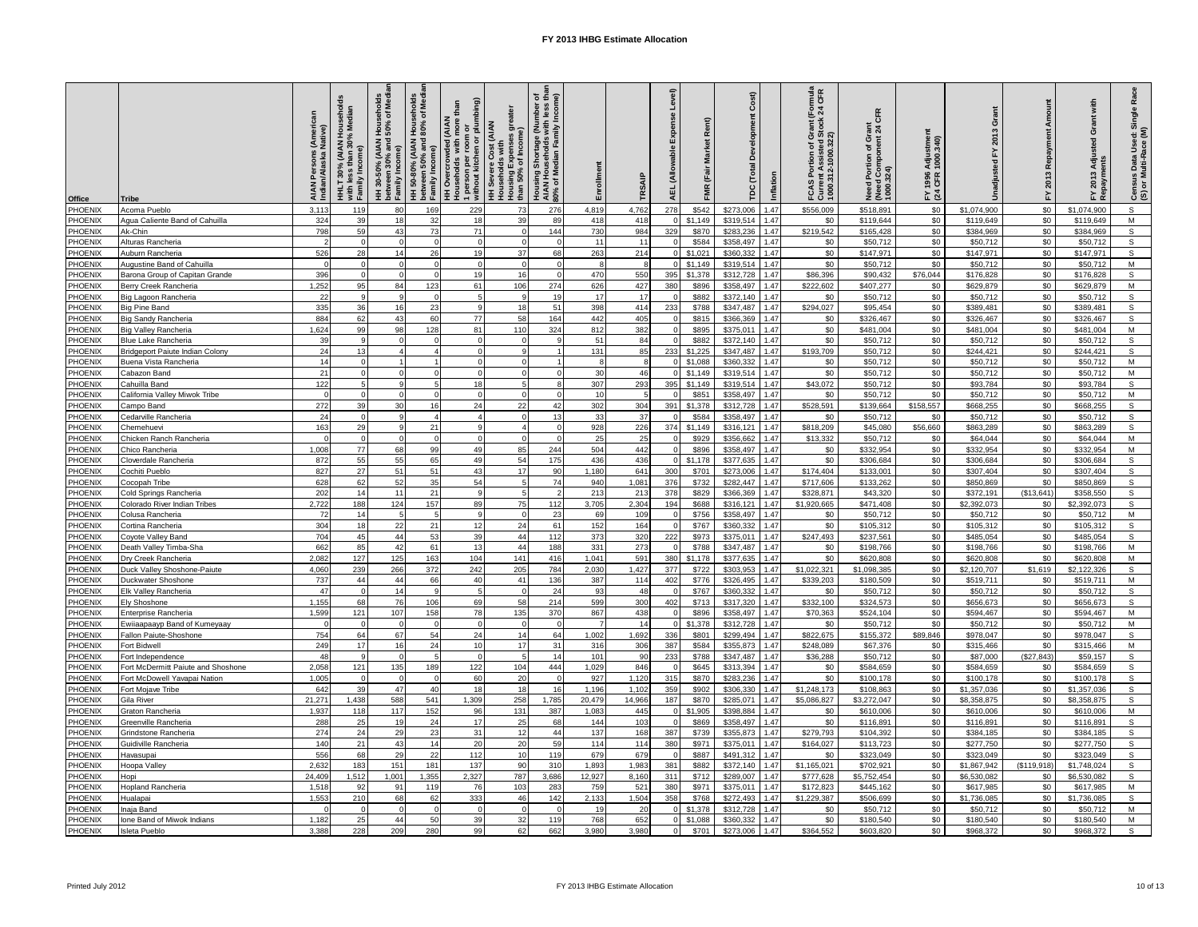| Office             | Tribe                                        | AIAN Persons (American<br>Indian/Alaska Native) | Median<br>HHLT 30% (AIAN Hou<br>with less than 30% M<br>Wiun nooc<br>Family In | l Households<br>150% of Media<br>HH 30-50% (AIAN<br>between 30% and<br>between 3<br>Family Inc | HH 50-80% (AIAN Households<br>between 50% and 80% of Medi<br>Family Income) | 1 person per room or<br>without kitchen or plumbing)<br>than<br><b>AIA</b><br><b>IH Overcrowded (AIA</b><br>Iouseholds with mor | greater<br>(AIAN<br>Housing Expenses<br>than 50% of Income<br>Cost (<br>s with<br>န္တ | ច<br>: <b>គឺ</b><br>ខេ)<br>Housing Shortage (Number<br>AIAN Households with less<br>90% of Median Family Incom | Enrollment     | TRSAIF       | evel)<br>ň<br>ahie<br>(Allo<br>필 | Rent)<br><b>Market</b><br>(Fair<br><b>FMR</b> | Cost)<br>ă<br>(Total<br>ĕ | Inflation    | rant (Formula<br>itock 24 CFR<br>ចំ ទី<br>Current Assisted<br>1000.312-1000.322)<br>of g<br>Portion<br>FCASI | Need Portion of Grant<br>(Need Component 24 CFR<br>1000.324) | Adjustmer<br>1000.340)<br>1996<br>CFR<br>≿ ই | ō<br>ă                   | Amount<br>Repayment<br>2013<br>노 | with<br>Grant<br>ಇ<br>Adju<br>2013<br>nyir | Race<br>Census Data Used: Single<br>(S) or Multi-Race (M) |
|--------------------|----------------------------------------------|-------------------------------------------------|--------------------------------------------------------------------------------|------------------------------------------------------------------------------------------------|-----------------------------------------------------------------------------|---------------------------------------------------------------------------------------------------------------------------------|---------------------------------------------------------------------------------------|----------------------------------------------------------------------------------------------------------------|----------------|--------------|----------------------------------|-----------------------------------------------|---------------------------|--------------|--------------------------------------------------------------------------------------------------------------|--------------------------------------------------------------|----------------------------------------------|--------------------------|----------------------------------|--------------------------------------------|-----------------------------------------------------------|
| PHOENIX            | Acoma Pueblo                                 | 3,113                                           | 119                                                                            | 80                                                                                             | 169                                                                         | 229                                                                                                                             | 73                                                                                    | 276                                                                                                            | 4,819          | 4,762        | 278                              | \$542                                         | \$273,006                 | 1.47         | \$556,009                                                                                                    | \$518,891                                                    | \$0                                          | \$1,074,900              | \$0                              | \$1,074,900                                | $\mathsf{s}$                                              |
| PHOENIX            | Agua Caliente Band of Cahuilla               | 324                                             | 39                                                                             | 18                                                                                             | 32                                                                          | 18                                                                                                                              | 39                                                                                    | RQ                                                                                                             | 418            | 418          |                                  | \$1,149                                       | \$319,514                 | 1.47         | \$0                                                                                                          | \$119,644                                                    | \$0                                          | \$119,649                | \$0                              | \$119,649                                  | M                                                         |
| PHOENIX            | Ak-Chin                                      | 798                                             | 59                                                                             | 43                                                                                             | 73                                                                          | 71                                                                                                                              | $\Omega$                                                                              | 144                                                                                                            | 730            | 984          | 329                              | \$870                                         | \$283.236                 | 1.47         | \$219.542                                                                                                    | \$165.428                                                    | \$0                                          | \$384.969                | \$0                              | \$384.969                                  | s                                                         |
| PHOENIX            | Alturas Rancheria                            |                                                 | $\Omega$                                                                       |                                                                                                | $\Omega$                                                                    | $\Omega$                                                                                                                        | $\Omega$                                                                              |                                                                                                                | 11             | 11           |                                  | \$584                                         | \$358,497                 | 1.47         | \$0                                                                                                          | \$50,712                                                     | \$0                                          | \$50,712                 | \$0                              | \$50,712                                   | $\mathsf{s}$                                              |
| PHOENIX            | Auburn Rancheria                             | 526                                             | 28                                                                             | 14                                                                                             | 26                                                                          | 19                                                                                                                              | 37                                                                                    | 68                                                                                                             | 263            | 214          |                                  | \$1,021                                       | \$360,332                 | 1.47         | \$0                                                                                                          | \$147,971                                                    | \$0                                          | \$147,97                 | \$0                              | \$147,971                                  | $\mathsf{s}$                                              |
| PHOENIX            | Augustine Band of Cahuilla                   |                                                 | $\Omega$                                                                       |                                                                                                | $\Omega$                                                                    | $\Omega$                                                                                                                        | $\Omega$                                                                              |                                                                                                                |                |              |                                  | \$1,149                                       | \$319,514                 | 1.47         | \$0                                                                                                          | \$50,712                                                     | \$0                                          | \$50,712                 | \$0                              | \$50,712                                   | M                                                         |
| PHOENIX            | Barona Group of Capitan Grande               | 396                                             | $\Omega$                                                                       |                                                                                                | $\Omega$                                                                    | 19                                                                                                                              | 16                                                                                    | $\Omega$                                                                                                       | 470            | 550          | 395                              | \$1,378                                       | \$312,728                 | 1.47         | \$86,396                                                                                                     | \$90,432                                                     | \$76,044                                     | \$176,828                | \$0                              | \$176,828                                  | $\mathsf{s}$                                              |
| PHOENIX<br>PHOENIX | Berry Creek Rancheria                        | 1,252<br>22                                     | 95<br>$\mathbf{q}$                                                             | 84<br>$\mathsf{Q}$                                                                             | 123<br>$\Omega$                                                             | 61<br>$\overline{5}$                                                                                                            | 106<br>9                                                                              | 274<br>19                                                                                                      | 626<br>17      | 427<br>17    | 380                              | \$896<br>\$882                                | \$358,497<br>\$372,140    | 1.47<br>1.47 | \$222,602                                                                                                    | \$407,277<br>\$50,712                                        | \$0<br>\$0                                   | \$629,879<br>\$50,712    | \$0<br>\$0                       | \$629,879<br>\$50,712                      | M<br>$\mathsf{s}$                                         |
| PHOENIX            | Big Lagoon Rancheria<br>Big Pine Band        | 335                                             | 36                                                                             | 16                                                                                             | 23                                                                          | $\mathbf{9}$                                                                                                                    | 18                                                                                    | 51                                                                                                             | 398            | 414          | 233                              | \$788                                         | \$347,487                 | 1.47         | \$0<br>\$294,027                                                                                             | \$95,454                                                     | \$0                                          | \$389,48                 | \$0                              | \$389,481                                  | $\overline{s}$                                            |
| PHOENIX            | Big Sandy Rancheria                          | 884                                             | 62                                                                             | 43                                                                                             | 60                                                                          | 77                                                                                                                              | 58                                                                                    | 164                                                                                                            | 442            | 405          |                                  | \$815                                         | \$366,369                 | 1.47         | \$0                                                                                                          | \$326,467                                                    | \$0                                          | \$326,467                | \$0                              | \$326,467                                  | $\mathsf{s}$                                              |
| PHOENIX            | Big Valley Rancheria                         | 1,624                                           | 99                                                                             | 98                                                                                             | 128                                                                         | 81                                                                                                                              | 110                                                                                   | 324                                                                                                            | 812            | 382          |                                  | \$895                                         | \$375,011                 | 1.47         | \$0                                                                                                          | \$481,004                                                    | \$0                                          | \$481,004                | \$0                              | \$481,004                                  | M                                                         |
| PHOENIX            | Blue Lake Rancheria                          | 39                                              | $\alpha$                                                                       |                                                                                                | $\Omega$                                                                    | $\Omega$                                                                                                                        | $\Omega$                                                                              |                                                                                                                | 51             | 84           |                                  | \$882                                         | \$372,140                 | 1.47         | \$0                                                                                                          | \$50,712                                                     | \$0                                          | \$50,712                 | \$0                              | \$50,712                                   | $\mathbb S$                                               |
| PHOENIX            | Bridgeport Paiute Indian Colony              | 24                                              | 13                                                                             |                                                                                                | $\Delta$                                                                    | $\Omega$                                                                                                                        | 9                                                                                     |                                                                                                                | 131            | 85           | 233                              | \$1,225                                       | \$347.487                 | 1.47         | \$193,709                                                                                                    | \$50,712                                                     | \$0                                          | \$244,421                | \$0                              | \$244,421                                  | s                                                         |
| PHOENIX            | Buena Vista Rancheria                        | 14                                              | $\Omega$                                                                       |                                                                                                |                                                                             | $\Omega$                                                                                                                        | $\Omega$                                                                              |                                                                                                                |                |              |                                  | \$1,088                                       | \$360.332                 | 1.47         | \$0                                                                                                          | \$50,712                                                     | \$0                                          | \$50.712                 | \$0                              | \$50,712                                   | M                                                         |
| PHOENIX            | abazon Banc                                  | 21                                              | $\Omega$                                                                       |                                                                                                |                                                                             | $\Omega$                                                                                                                        | $\Omega$                                                                              |                                                                                                                | 3 <sup>c</sup> | 46           |                                  | \$1,149                                       | \$319,514                 | 1.47         | \$0                                                                                                          | \$50,712                                                     | \$0                                          | \$50,712                 | \$0                              | \$50,712                                   | M                                                         |
| PHOENIX            | Cahuilla Band                                | 122                                             |                                                                                |                                                                                                |                                                                             | 18                                                                                                                              | $\overline{a}$                                                                        |                                                                                                                | 307            | 293          | 395                              | \$1,149                                       | \$319,514                 | 1.47         | \$43,072                                                                                                     | \$50,712                                                     | \$0                                          | \$93,784                 | \$0                              | \$93,784                                   | s                                                         |
| PHOENIX            | California Valley Miwok Tribe                |                                                 |                                                                                |                                                                                                | $\Omega$                                                                    | $\Omega$                                                                                                                        | $\Omega$                                                                              |                                                                                                                | 10             |              |                                  | \$851                                         | \$358.497                 | 1.47         | \$0                                                                                                          | \$50,712                                                     | \$0                                          | \$50.712                 | \$0                              | \$50,712                                   | M                                                         |
| PHOENIX<br>PHOENIX | Campo Band<br>Cedarville Rancheria           | 272<br>24                                       | 39<br>$\Omega$                                                                 | 30<br>9                                                                                        | 16<br>$\overline{4}$                                                        | 24<br>$\overline{4}$                                                                                                            | 22<br>$\mathbf 0$                                                                     | 42<br>13                                                                                                       | 302<br>33      | 304<br>37    | 391                              | \$1,378<br>\$584                              | \$312,728<br>\$358,497    | 1.47<br>1.47 | \$528,591<br>\$0                                                                                             | \$139,664<br>\$50,712                                        | \$158,557<br>\$0                             | \$668,255<br>\$50,712    | \$0<br>\$0                       | \$668,255<br>\$50,712                      | s<br>s                                                    |
| PHOENIX            | hemehuev.                                    | 163                                             | 29                                                                             |                                                                                                | 21                                                                          | $\mathsf{Q}$                                                                                                                    | $\overline{a}$                                                                        | $\Omega$                                                                                                       | 928            | 226          | 374                              | \$1,149                                       | \$316.121                 | 1.47         | \$818,209                                                                                                    | \$45,080                                                     | \$56,660                                     | \$863.289                | \$0                              | \$863.289                                  | s                                                         |
| PHOENIX            | hicken Ranch Rancheria                       |                                                 | $\Omega$                                                                       |                                                                                                | $\Omega$                                                                    | $\Omega$                                                                                                                        | $\Omega$                                                                              |                                                                                                                | 2!             | 25           |                                  | \$929                                         | \$356,662                 | 1.47         | \$13,332                                                                                                     | \$50,712                                                     | \$0                                          | \$64,044                 | \$0                              | \$64,044                                   | M                                                         |
| PHOENIX            | hico Rancheria                               | 1,008                                           | $77$                                                                           | 68                                                                                             | 99                                                                          | 49                                                                                                                              | 85                                                                                    | 244                                                                                                            | 504            | 442          |                                  | \$896                                         | \$358,497                 | 1.47         | \$0                                                                                                          | \$332,954                                                    | \$0                                          | \$332,954                | \$0                              | \$332,954                                  | M                                                         |
| PHOENIX            | Cloverdale Rancheria                         | 872                                             | 55                                                                             | 55                                                                                             | 65                                                                          | 49                                                                                                                              | 54                                                                                    | 175                                                                                                            | 436            | 436          |                                  | \$1,178                                       | \$377,635                 | 1.47         | \$0                                                                                                          | \$306,684                                                    | \$0                                          | \$306,684                | \$0                              | \$306,684                                  | $\mathsf{s}$                                              |
| PHOENIX            | Cochiti Pueblo                               | 827                                             | 27                                                                             | $51\,$                                                                                         | 51                                                                          | 43                                                                                                                              | 17                                                                                    | 90                                                                                                             | 1,180          | 641          | 300                              | \$701                                         | \$273,006                 | 1.47         | \$174,404                                                                                                    | \$133,001                                                    | \$0                                          | \$307,404                | \$0                              | \$307,404                                  | $\mathbb S$                                               |
| PHOENIX            | Cocopah Tribe                                | 628                                             | 62                                                                             | 52                                                                                             | 35                                                                          | 54                                                                                                                              | 5                                                                                     | 74                                                                                                             | 940            | 1,081        | 376                              | \$732                                         | \$282,447                 | 1.47         | \$717,606                                                                                                    | \$133,262                                                    | \$0                                          | \$850,869                | \$0                              | \$850,869                                  | s                                                         |
| PHOENIX            | Cold Springs Rancheria                       | 202                                             | 14                                                                             | 11                                                                                             | 21                                                                          | 9                                                                                                                               | $5\overline{5}$                                                                       |                                                                                                                | 213            | 213          | 378                              | \$829                                         | \$366,369                 | 1.47         | \$328.871                                                                                                    | \$43,320                                                     | \$0                                          | \$372.191                | (\$13.641]                       | \$358,550                                  | S                                                         |
| PHOENIX            | Colorado River Indian Tribes                 | 2,722                                           | 188                                                                            | 124                                                                                            | 157                                                                         | 89                                                                                                                              | 75                                                                                    | 112                                                                                                            | 3,705          | 2,304        | 194                              | \$688                                         | \$316,121                 | 1.47         | \$1,920,665                                                                                                  | \$471,408                                                    | \$0                                          | \$2,392,073              | \$0                              | \$2,392,073                                | $\mathsf{s}$                                              |
| PHOENIX            | Colusa Rancheria                             | 72                                              | 14                                                                             |                                                                                                | 5                                                                           | 9                                                                                                                               | $\Omega$                                                                              | 23                                                                                                             | 69             | 109          |                                  | \$756                                         | \$358,497                 | 1.47         | \$0                                                                                                          | \$50,712                                                     | \$0                                          | \$50,712                 | \$0                              | \$50,712                                   | M                                                         |
| PHOENIX<br>PHOENIX | Cortina Rancheria                            | 304<br>704                                      | 18<br>45                                                                       | 22<br>44                                                                                       | 21                                                                          | 12<br>39                                                                                                                        | 24<br>44                                                                              | 61                                                                                                             | 152            | 164          |                                  | \$767<br>\$973                                | \$360.332<br>\$375,011    | 1.47<br>1.47 | \$0<br>\$247,493                                                                                             | \$105.312<br>\$237,561                                       | \$0<br>\$0                                   | \$105,312<br>\$485,054   | \$0<br>\$0                       | \$105,312                                  | s<br>s                                                    |
| PHOENIX            | Coyote Valley Band<br>Death Valley Timba-Sha | 662                                             | 85                                                                             | 42                                                                                             | 53<br>61                                                                    | 13                                                                                                                              | 44                                                                                    | 112<br>188                                                                                                     | 373<br>331     | 320<br>273   | 222                              | \$788                                         | \$347,487                 | 1.47         | \$0                                                                                                          | \$198,766                                                    | \$0                                          | \$198,766                | \$0                              | \$485,054<br>\$198,766                     | M                                                         |
| PHOENIX            | Dry Creek Rancheria                          | 2,082                                           | 127                                                                            | 125                                                                                            | 163                                                                         | 104                                                                                                                             | 141                                                                                   | 416                                                                                                            | 1,041          | 591          | 380                              | \$1,178                                       | \$377,635                 | 1.47         | \$0                                                                                                          | \$620,808                                                    | \$0                                          | \$620,808                | \$0                              | \$620,808                                  | M                                                         |
| PHOENIX            | Duck Valley Shoshone-Paiute                  | 4,060                                           | 239                                                                            | 266                                                                                            | 372                                                                         | 242                                                                                                                             | 205                                                                                   | 784                                                                                                            | 2,030          | 1,427        | 377                              | \$722                                         | \$303,953                 | 1.47         | \$1,022,321                                                                                                  | \$1,098,385                                                  | \$0                                          | \$2,120,707              | \$1,619                          | \$2,122,326                                | s                                                         |
| PHOENIX            | Duckwater Shoshone                           | 737                                             | 44                                                                             | 44                                                                                             | 66                                                                          | 40                                                                                                                              | 41                                                                                    | 136                                                                                                            | 387            | 114          | 402                              | \$776                                         | \$326,495                 | 1.47         | \$339,203                                                                                                    | \$180,509                                                    | \$0                                          | \$519,711                | \$0                              | \$519,711                                  | M                                                         |
| PHOENIX            | Elk Valley Rancheria                         | 47                                              | $\Omega$                                                                       | 14                                                                                             | $\circ$                                                                     | 5                                                                                                                               | $\Omega$                                                                              | 24                                                                                                             | 93             | 48           |                                  | \$767                                         | \$360,332                 | 1.47         | \$0                                                                                                          | \$50,712                                                     | \$0                                          | \$50,712                 | \$0                              | \$50,712                                   | $\mathsf{s}$                                              |
| PHOENIX            | Elv Shoshone                                 | 1,155                                           | 68                                                                             | 76                                                                                             | 106                                                                         | 69                                                                                                                              | 58                                                                                    | 214                                                                                                            | 599            | 300          | 402                              | \$713                                         | \$317,320                 | 1.47         | \$332,100                                                                                                    | \$324,573                                                    | \$0                                          | \$656,673                | \$0                              | \$656,673                                  | $\mathsf{s}$                                              |
| PHOENIX            | Enterprise Rancheria                         | 1,599                                           | 121                                                                            | 107                                                                                            | 158                                                                         | 78                                                                                                                              | 135                                                                                   | 370                                                                                                            | 867            | 438          |                                  | \$896                                         | \$358,497                 | 1.47         | \$70,363                                                                                                     | \$524,104                                                    | \$0                                          | \$594,467                | \$0                              | \$594,467                                  | M                                                         |
| PHOENIX            | Ewiiaapaayp Band of Kumeyaay                 |                                                 | $\Omega$                                                                       |                                                                                                | $\Omega$                                                                    | $\Omega$                                                                                                                        | $\Omega$                                                                              |                                                                                                                |                | 14           |                                  | \$1,378                                       | \$312,728                 | 1.47         | \$0                                                                                                          | \$50,712                                                     | \$0                                          | \$50,712                 | \$0                              | \$50,712                                   | M                                                         |
| PHOENIX<br>PHOENIX | Fallon Paiute-Shoshone<br>ort Bidwell        | 754<br>249                                      | 64<br>17                                                                       | 67<br>16                                                                                       | 54<br>24                                                                    | 24<br>10                                                                                                                        | 14<br>17                                                                              | 64<br>31                                                                                                       | 1.002<br>316   | 1,692<br>306 | 336<br>387                       | \$801<br>\$584                                | \$299.494<br>\$355,87     | 1.47<br>1.47 | \$822,675<br>\$248,089                                                                                       | \$155,372<br>\$67,376                                        | \$89,846<br>\$0                              | \$978.047<br>\$315,466   | \$0<br>\$0                       | \$978.047<br>\$315,466                     | s<br>M                                                    |
| PHOENIX            | Fort Independence                            | 48                                              |                                                                                |                                                                                                |                                                                             | $\Omega$                                                                                                                        |                                                                                       | 14                                                                                                             | 101            | 90           | 233                              | \$788                                         | \$347,487                 | 1.47         | \$36,288                                                                                                     | \$50,712                                                     | \$0                                          | \$87,000                 | (\$27,843)                       | \$59,157                                   | $\mathsf{s}$                                              |
| PHOENIX            | Fort McDermitt Paiute and Shoshone           | 2.058                                           | 121                                                                            | 135                                                                                            | 189                                                                         | 122                                                                                                                             | 104                                                                                   | 444                                                                                                            | 1,029          | 846          |                                  | \$645                                         | \$313.394                 | 1.47         | \$0                                                                                                          | \$584.659                                                    | \$0                                          | \$584.659                | \$0                              | \$584,659                                  | $\mathsf{s}$                                              |
| PHOENIX            | Fort McDowell Yavapai Nation                 | 1,005                                           | $\Omega$                                                                       | $\Omega$                                                                                       | $\Omega$                                                                    | 60                                                                                                                              | 20                                                                                    | $\Omega$                                                                                                       | 927            | 1,120        | 315                              | \$870                                         | \$283,236                 | 1.47         | \$0                                                                                                          | \$100,178                                                    | \$0                                          | \$100,178                | \$0                              | \$100,178                                  | s                                                         |
| PHOENIX            | Fort Mojave Tribe                            | 642                                             | 39                                                                             | 47                                                                                             | 40                                                                          | 18                                                                                                                              | 18                                                                                    | 16                                                                                                             | 1,196          | 1,102        | 359                              | \$902                                         | \$306,330                 | 1.47         | \$1,248,173                                                                                                  | \$108,863                                                    | \$0                                          | \$1,357,036              | \$0                              | \$1,357,036                                | $\mathsf{s}$                                              |
| PHOENIX            | Gila Rive                                    | 21.271                                          | 1.438                                                                          | 588                                                                                            | 541                                                                         | 1,309                                                                                                                           | 258                                                                                   | 1.785                                                                                                          | 20,479         | 14,966       | 187                              | \$870                                         | \$285,071                 | 1.47         | \$5,086,827                                                                                                  | \$3,272,047                                                  | \$0                                          | \$8,358,875              | \$0                              | \$8,358,875                                | S                                                         |
| PHOENIX            | raton Rancheria                              | 1,937                                           | 118                                                                            | 117                                                                                            | 152                                                                         | 96                                                                                                                              | 131                                                                                   | 387                                                                                                            | 1,083          | 445          |                                  | \$1,905                                       | \$398,884                 | 1.47         | \$0                                                                                                          | \$610,006                                                    | \$0                                          | \$610,006                | \$0                              | \$610,006                                  | M                                                         |
| PHOENIX            | 3reenville Rancheria                         | 288                                             | 25                                                                             | 19                                                                                             | 24                                                                          | 17                                                                                                                              | 25                                                                                    | 68                                                                                                             | 144            | 103          |                                  | \$869                                         | \$358,497                 | 1.47         | \$0                                                                                                          | \$116,891                                                    | \$0                                          | \$116,891                | \$0                              | \$116,891                                  | $\mathsf{s}$                                              |
| PHOENIX            | Grindstone Rancheria                         | 274                                             | 24                                                                             | 29                                                                                             | 23                                                                          | 31                                                                                                                              | 12                                                                                    | 44                                                                                                             | 137            | 168          | 387                              | \$739                                         | \$355,873                 | 1.47         | \$279,793                                                                                                    | \$104,392                                                    | \$0                                          | \$384,185                | \$0                              | \$384,185                                  | $\mathsf{s}$                                              |
| PHOENIX<br>PHOENIX | Suidiville Rancheria                         | 140<br>556                                      | 21<br>68                                                                       | 43<br>29                                                                                       | 14<br>22                                                                    | 20                                                                                                                              | 20<br>10                                                                              | 59<br>119                                                                                                      | 114<br>679     | 114<br>679   | 380                              | \$971                                         | \$375,011<br>\$491.312    | 1.47<br>1.47 | \$164,027                                                                                                    | \$113,723                                                    | \$0                                          | \$277,750                | \$0                              | \$277,750                                  | s<br>S                                                    |
| PHOENIX            | Havasupai<br>Hoopa Valley                    | 2.632                                           | 183                                                                            | 151                                                                                            | 181                                                                         | 112<br>137                                                                                                                      | 90                                                                                    | 310                                                                                                            | 1.893          | 1.983        | 381                              | \$887<br>\$882                                | \$372.140                 | 1.47         | \$0<br>\$1,165,021                                                                                           | \$323,049<br>\$702.921                                       | \$0<br>\$0                                   | \$323,049<br>\$1.867.942 | \$0<br>(\$119,918)               | \$323,049<br>\$1,748,024                   | S                                                         |
| PHOENIX            | lopi                                         | 24,409                                          | 1,512                                                                          | 1,001                                                                                          | 1,355                                                                       | 2,327                                                                                                                           | 787                                                                                   | 3,686                                                                                                          | 12,927         | 8,160        | 311                              | \$712                                         | \$289,007                 | 1.47         | \$777,628                                                                                                    | \$5,752,454                                                  | \$0                                          | \$6,530,082              | \$0                              | \$6,530,082                                | s                                                         |
| PHOENIX            | Hopland Rancheria                            | 1,51                                            | 92                                                                             | 91                                                                                             | 119                                                                         | 76                                                                                                                              | 103                                                                                   | 283                                                                                                            | 759            | 521          | 380                              | \$971                                         | \$375,011                 | 1.47         | \$172,823                                                                                                    | \$445,162                                                    | \$0                                          | \$617,985                | \$0                              | \$617,985                                  | M                                                         |
| PHOENIX            | Hualapai                                     | 1,553                                           | 210                                                                            | 68                                                                                             | 62                                                                          | 333                                                                                                                             | 46                                                                                    | 142                                                                                                            | 2,133          | 1,504        | 358                              | \$768                                         | \$272.493                 | 1.47         | \$1,229,387                                                                                                  | \$506,699                                                    | \$0                                          | \$1,736,085              | \$0                              | \$1,736,085                                | s                                                         |
| PHOENIX            | Inaia Band                                   |                                                 | $\Omega$                                                                       |                                                                                                | $\Omega$                                                                    | $\Omega$                                                                                                                        | $\Omega$                                                                              |                                                                                                                | 1 <sup>5</sup> | 20           |                                  | \$1,378                                       | \$312,72                  | 1.47         | \$0                                                                                                          | \$50,712                                                     | \$0                                          | \$50,712                 | \$0                              | \$50,712                                   | M                                                         |
| PHOENIX            | lone Band of Miwok Indians                   | 1,182                                           | 25                                                                             | 44                                                                                             | 50                                                                          | 39                                                                                                                              | 32                                                                                    | 119                                                                                                            | 768            | 652          |                                  | \$1,088                                       | \$360,332                 | 1.47         | \$0                                                                                                          | \$180,540                                                    | \$0                                          | \$180,540                | \$0                              | \$180,540                                  | M                                                         |
| PHOENIX            | <b>Isleta Pueblo</b>                         | 3,388                                           | 228                                                                            | 209                                                                                            | 280                                                                         | 99                                                                                                                              | 62                                                                                    | 662                                                                                                            | 3,980          | 3,980        |                                  | \$701                                         | \$273,006                 | 1.47         | \$364,552                                                                                                    | \$603,820                                                    | \$0                                          | \$968,372                | \$0                              | \$968,372                                  | S                                                         |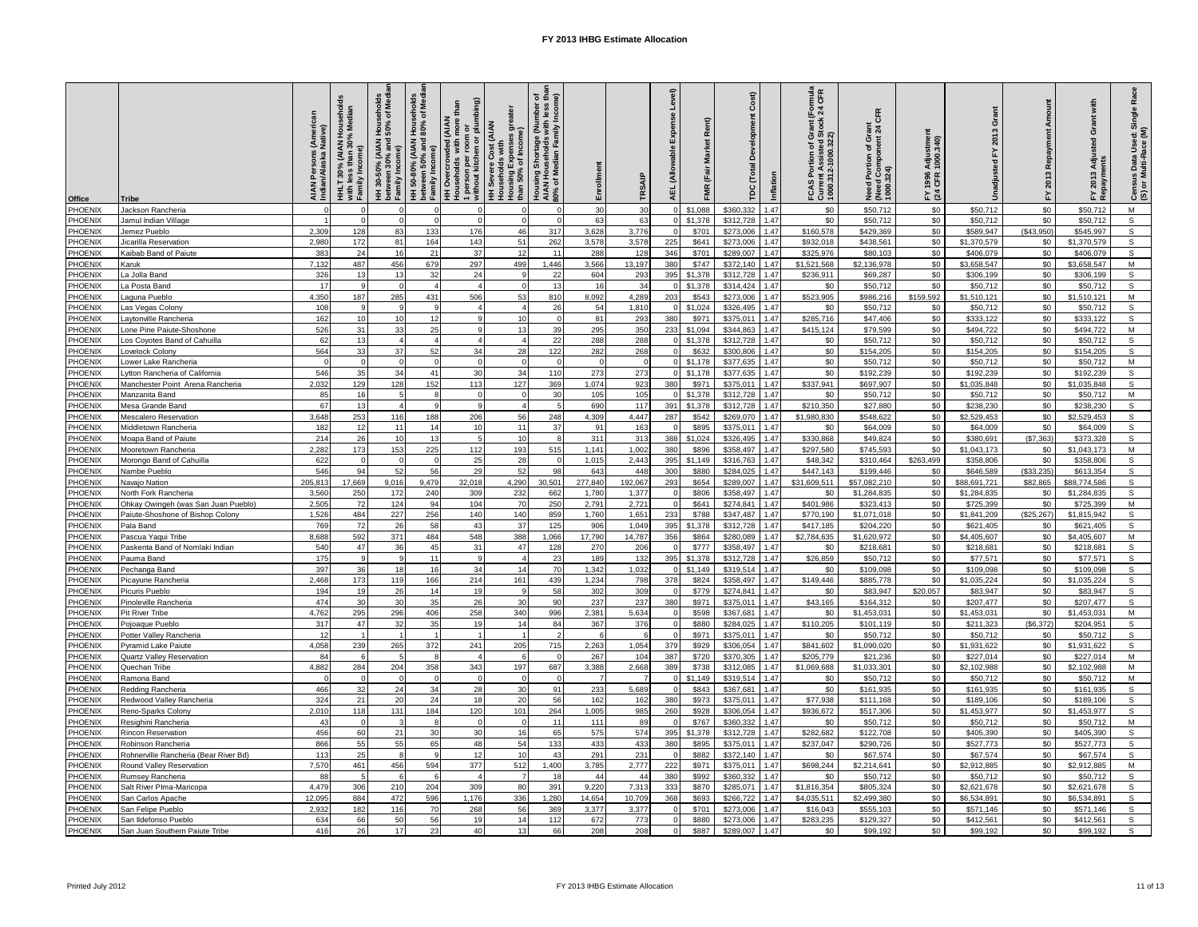| Office             | <b>Tribe</b>                                                      | AIAN Persons (American<br>Indian/Alaska Native) | Median<br>HHLT 30% (AIAN House<br>with less than 30% Medi<br>with <sub>Iso.</sub><br>Family In <sub>'</sub> | HH 30-50% (AIAN Households<br>between 30% and 50% of Medi<br>between 3<br>Family Inc | HH 50-80% (AIAN Households<br>between 50% and 80% of Med<br>Family Income) | 1 person per room or<br>without kitchen or plumbing)<br>than<br>(A A)<br>HH Overcrowded (AIA<br>Households with mor | greater<br>(AIAN<br>Housing Expenses<br>than 50% of Income<br>with<br>Cost<br><b>HH</b> Severe | ច ឆ្នាំ<br>ច<br>Housing Shortage (Number<br>AIAN Households with less<br>90% of Median Family Incom | Enrollment     | TRSAIF         | evel)<br>wable<br>ă.<br>AEL. | <b>Market</b><br>FMR (Fair | Cost)<br>č<br>(Total<br>ě | Inflation    | rant (Formula<br>stock 24 CFR<br>ნ წ<br>FCAS Portion of Gra<br>Current Assisted St<br>100.312-1000.322) | Need Portion of Grant<br>(Need Component 24 CFR<br>1000.324) | Adjustmer<br>1000.340)<br>1996<br>CFR<br><u>રે</u> જુ | ပ<br>ā                    | Amount<br>Repayment<br>2013<br>놊 | with<br>Grant<br>इ<br><b>Adju</b><br>2013<br>nyed<br>고 | Race<br>Census Data Used: Single<br>(S) or Multi-Race (M) |
|--------------------|-------------------------------------------------------------------|-------------------------------------------------|-------------------------------------------------------------------------------------------------------------|--------------------------------------------------------------------------------------|----------------------------------------------------------------------------|---------------------------------------------------------------------------------------------------------------------|------------------------------------------------------------------------------------------------|-----------------------------------------------------------------------------------------------------|----------------|----------------|------------------------------|----------------------------|---------------------------|--------------|---------------------------------------------------------------------------------------------------------|--------------------------------------------------------------|-------------------------------------------------------|---------------------------|----------------------------------|--------------------------------------------------------|-----------------------------------------------------------|
| PHOENIX            | Jackson Rancheria                                                 |                                                 | $\Omega$                                                                                                    |                                                                                      |                                                                            | $\Omega$                                                                                                            | $\Omega$                                                                                       |                                                                                                     | 30             | 30             |                              | \$1,088                    | \$360,332                 | 1.47         | \$0                                                                                                     | \$50,712                                                     | \$0                                                   | \$50,712                  | \$0                              | \$50,712                                               | M                                                         |
| PHOENIX            | Jamul Indian Village                                              |                                                 | $\Omega$                                                                                                    |                                                                                      |                                                                            | $\Omega$                                                                                                            | $\Omega$                                                                                       |                                                                                                     | 63             | 63             |                              | \$1,378                    | \$312.728                 | 1.47         | \$0                                                                                                     | \$50,712                                                     | \$0                                                   | \$50,712                  | \$0                              | \$50,712                                               | S                                                         |
| PHOENIX            | Jemez Pueblo                                                      | 2.309                                           | 128                                                                                                         | 83                                                                                   | 133                                                                        | 176                                                                                                                 | 46                                                                                             | 317                                                                                                 | 3,628          | 3.776          |                              | \$701                      | \$273,006                 | 1.47         | \$160,578                                                                                               | \$429.369                                                    | \$0                                                   | \$589,947                 | (\$43,950)                       | \$545.997                                              | S                                                         |
| PHOENIX            | licarilla Reservation                                             | 2,980                                           | 172                                                                                                         | 81                                                                                   | 164                                                                        | 143                                                                                                                 | 51                                                                                             | 262                                                                                                 | 3,578          | 3,578          | 225                          | \$641                      | \$273,006                 | 1.47         | \$932,018                                                                                               | \$438,561                                                    | \$0                                                   | \$1,370,579               | \$0                              | \$1,370,579                                            | s                                                         |
| PHOENIX            | Kaibab Band of Paiute                                             | 383                                             | 24                                                                                                          | 16                                                                                   | 21                                                                         | 37                                                                                                                  | 12                                                                                             | 11                                                                                                  | 288            | 128            | 346                          | \$701                      | \$289,007                 | 1.47         | \$325,976                                                                                               | \$80,103                                                     | \$0                                                   | \$406,079                 | \$0                              | \$406,079                                              | s                                                         |
| PHOENIX            | Karuk                                                             | 7,132                                           | 487                                                                                                         | 456                                                                                  | 679                                                                        | 297                                                                                                                 | 499                                                                                            | 1,446                                                                                               | 3,566          | 13,197         | 380                          | \$747                      | \$372.140                 | 1.47         | \$1,521,568                                                                                             | \$2,136,978                                                  | \$0                                                   | \$3,658,547               | \$0                              | \$3,658,547                                            | M                                                         |
| PHOENIX<br>PHOENIX | a Jolla Band<br>a Posta Banc                                      | 326<br>17                                       | 13                                                                                                          | 13                                                                                   | 32<br>$\overline{4}$                                                       | 24<br>$\overline{4}$                                                                                                | -9<br>$\mathbf 0$                                                                              | 22<br>13                                                                                            | 604<br>16      | 293<br>34      | 395                          | \$1,378<br>\$1,378         | \$312,728<br>\$314,424    | 1.47<br>1.47 | \$236,911<br>\$0                                                                                        | \$69,287<br>\$50,712                                         | \$0<br>\$0                                            | \$306,199<br>\$50,712     | \$0<br>\$0                       | \$306,199<br>\$50,712                                  | s<br>$\mathsf{s}$                                         |
| PHOENIX            | Laguna Pueblo                                                     | 4,350                                           | 187                                                                                                         | 285                                                                                  | 431                                                                        | 506                                                                                                                 | 53                                                                                             | 810                                                                                                 | 8,092          | 4,289          | 203                          | \$543                      | \$273,006                 | 1.47         | \$523,905                                                                                               | \$986,216                                                    | \$159,592                                             | \$1,510,121               | \$0                              | \$1,510,121                                            | M                                                         |
| PHOENIX            | Las Vegas Colony                                                  | 108                                             |                                                                                                             |                                                                                      | $\alpha$                                                                   | $\overline{a}$                                                                                                      | $\boldsymbol{\Lambda}$                                                                         | 26                                                                                                  | 54             | 1,810          |                              | \$1,024                    | \$326,495                 | 1.47         | \$0                                                                                                     | \$50,712                                                     | \$0                                                   | \$50,712                  | \$0                              | \$50,712                                               | $\mathsf{s}$                                              |
| PHOENIX            | avtonville Rancheria                                              | 162                                             | 10                                                                                                          | 10                                                                                   | 12                                                                         | q                                                                                                                   | 10                                                                                             |                                                                                                     | 81             | 293            | 380                          | \$971                      | \$375,011                 | 1.47         | \$285,716                                                                                               | \$47,406                                                     | \$0                                                   | \$333,122                 | \$0                              | \$333,122                                              | $\mathsf{s}$                                              |
| PHOENIX            | one Pine Paiute-Shoshone                                          | 526                                             | 31                                                                                                          | 33                                                                                   | 25                                                                         | $\mathbf{g}$                                                                                                        | 13                                                                                             | 39                                                                                                  | 295            | 350            | 233                          | \$1,094                    | \$344,863                 | 1.47         | \$415,124                                                                                               | \$79,599                                                     | \$0                                                   | \$494,722                 | \$0                              | \$494,722                                              | M                                                         |
| PHOENIX            | os Coyotes Band of Cahuilla                                       | 62                                              | 13                                                                                                          | $\overline{4}$                                                                       | $\Delta$                                                                   | $\overline{4}$                                                                                                      | $\overline{4}$                                                                                 | 22                                                                                                  | 288            | 288            |                              | \$1,378                    | \$312,728                 | 1.47         | \$0                                                                                                     | \$50,712                                                     | \$0                                                   | \$50,712                  | \$0                              | \$50,712                                               | S                                                         |
| PHOENIX            | Lovelock Colony                                                   | 564                                             | 33                                                                                                          | 37                                                                                   | 52                                                                         | 34                                                                                                                  | 28                                                                                             | 122                                                                                                 | 282            | 268            |                              | \$632                      | \$300,806                 | 1.47         | \$0                                                                                                     | \$154,205                                                    | \$0                                                   | \$154,205                 | \$0                              | \$154,205                                              | s                                                         |
| PHOENIX            | Lower Lake Rancheria                                              |                                                 | $\Omega$                                                                                                    |                                                                                      | $\Omega$                                                                   | $\Omega$                                                                                                            | $\Omega$                                                                                       |                                                                                                     |                |                |                              | \$1,178                    | \$377,635                 | 1.47         | \$0                                                                                                     | \$50,712                                                     | \$0                                                   | \$50,712                  | \$0                              | \$50,712                                               | M                                                         |
| PHOENIX<br>PHOENIX | ytton Rancheria of California<br>Manchester Point Arena Rancheria | 546<br>2,032                                    | 35<br>129                                                                                                   | 34<br>128                                                                            | 41<br>152                                                                  | 30<br>113                                                                                                           | 34<br>127                                                                                      | 110<br>369                                                                                          | 273<br>1,074   | 273<br>923     | 380                          | \$1,178<br>\$971           | \$377,635<br>\$375,011    | 1.47<br>1.47 | \$0<br>\$337,941                                                                                        | \$192,239<br>\$697,907                                       | \$0<br>\$0                                            | \$192,23<br>\$1,035,848   | \$0<br>\$0                       | \$192,239<br>\$1,035,848                               | $\mathbb S$<br>$\mathsf{s}$                               |
| PHOENIX            | Manzanita Band                                                    | 85                                              | 16                                                                                                          |                                                                                      | $\mathbf{a}$                                                               | $\Omega$                                                                                                            | $\Omega$                                                                                       | 30                                                                                                  | 105            | 105            |                              | \$1,378                    | \$312,72                  | 1.47         | \$0                                                                                                     | \$50,712                                                     | \$0                                                   | \$50,712                  | \$0                              | \$50,712                                               | M                                                         |
| PHOENIX            | Mesa Grande Band                                                  | 67                                              | 13                                                                                                          |                                                                                      | $\mathsf{Q}$                                                               | $\mathbf{g}$                                                                                                        | $\overline{4}$                                                                                 |                                                                                                     | 690            | 117            | 391                          | \$1,378                    | \$312,728                 | 1.47         | \$210,350                                                                                               | \$27,880                                                     | \$0                                                   | \$238,230                 | \$0                              | \$238,230                                              | s                                                         |
| PHOENIX            | Mescalero Reservation                                             | 3,648                                           | 253                                                                                                         | 116                                                                                  | 188                                                                        | 206                                                                                                                 | 56                                                                                             | 248                                                                                                 | 4,309          | 4,447          | 287                          | \$542                      | \$269,070                 | 1.47         | \$1,980,830                                                                                             | \$548,622                                                    | \$0                                                   | \$2,529,453               | \$0                              | \$2,529,453                                            | $\mathsf{s}$                                              |
| PHOENIX            | Middletown Rancheria                                              | 182                                             | 12                                                                                                          | 11                                                                                   | 14                                                                         | 10 <sup>1</sup>                                                                                                     | 11                                                                                             | 37                                                                                                  | 9 <sup>1</sup> | 163            |                              | \$895                      | \$375,011                 | 1.47         | \$0                                                                                                     | \$64,009                                                     | \$0                                                   | \$64,009                  | \$0                              | \$64,009                                               | s                                                         |
| PHOENIX            | Moapa Band of Paiute                                              | 214                                             | 26                                                                                                          | 10                                                                                   | 13                                                                         | $\overline{5}$                                                                                                      | 10                                                                                             |                                                                                                     | 311            | 313            | 388                          | \$1.024                    | \$326,495                 | 1.47         | \$330,868                                                                                               | \$49.824                                                     | \$0                                                   | \$380,69                  | (S7.363)                         | \$373.328                                              | S                                                         |
| PHOENIX            | Mooretown Rancheria                                               | 2,282                                           | 173                                                                                                         | 153                                                                                  | 225                                                                        | 112                                                                                                                 | 193                                                                                            | 515                                                                                                 | 1,141          | 1,002          | 380                          | \$896                      | \$358,497                 | 1.47         | \$297,580                                                                                               | \$745,593                                                    | \$0                                                   | \$1,043,173               | \$0                              | \$1,043,173                                            | M                                                         |
| PHOENIX            | Morongo Band of Cahuilla                                          | 622                                             | $\Omega$                                                                                                    | $^{\circ}$                                                                           | $\Omega$                                                                   | 25                                                                                                                  | 28                                                                                             |                                                                                                     | 1,015          | 2,443          | 395                          | \$1,149                    | \$316,763                 | 1.47         | \$48,342                                                                                                | \$310,464                                                    | \$263,499                                             | \$358,806                 | \$0                              | \$358,806                                              | $\mathsf{s}$                                              |
| PHOENIX<br>PHOENIX | Nambe Pueblo                                                      | 546<br>205,813                                  | 94<br>17,669                                                                                                | 52                                                                                   | 56<br>9,479                                                                | 29<br>32,018                                                                                                        | 52                                                                                             | 98                                                                                                  | 643<br>277,840 | 448<br>192,067 | 300<br>293                   | \$880<br>\$654             | \$284,025<br>\$289,007    | 1.47<br>1.47 | \$447,143<br>\$31,609,511                                                                               | \$199,446<br>\$57,082,210                                    | \$0<br>\$0                                            | \$646,589<br>\$88,691,721 | (\$33,235<br>\$82,865            | \$613,354<br>\$88,774,586                              | s<br>s                                                    |
| PHOENIX            | Navajo Nation<br>North Fork Rancheria                             | 3,560                                           | 250                                                                                                         | 9,016<br>172                                                                         | 240                                                                        | 309                                                                                                                 | 4,290<br>232                                                                                   | 30,501<br>662                                                                                       | 1,780          | 1,377          |                              | \$806                      | \$358,497                 | 1.47         | \$0                                                                                                     | \$1,284,835                                                  | \$0                                                   | \$1,284,835               | \$0                              | \$1,284,835                                            | s                                                         |
| PHOENIX            | Ohkay Owingeh (was San Juan Pueblo)                               | 2,505                                           | 72                                                                                                          | 124                                                                                  | 94                                                                         | 104                                                                                                                 | 70                                                                                             | 250                                                                                                 | 2,791          | 2,721          |                              | \$641                      | \$274,841                 | 1.47         | \$401,986                                                                                               | \$323,413                                                    | \$0                                                   | \$725,399                 | \$0                              | \$725,399                                              | M                                                         |
| PHOENIX            | Paiute-Shoshone of Bishop Colony                                  | 1,526                                           | 484                                                                                                         | 227                                                                                  | 256                                                                        | 140                                                                                                                 | 140                                                                                            | 859                                                                                                 | 1,760          | 1,651          | 233                          | \$788                      | \$347,487                 | 1.47         | \$770,190                                                                                               | \$1,071,018                                                  | \$0                                                   | \$1,841,209               | \$25,267                         | \$1,815,942                                            | $\mathsf{s}$                                              |
| PHOENIX            | Pala Banc                                                         | 769                                             | 72                                                                                                          | 26                                                                                   | 58                                                                         | 43                                                                                                                  | 37                                                                                             | 125                                                                                                 | 906            | 1,049          | 395                          | \$1,378                    | \$312,728                 | 1.47         | \$417,185                                                                                               | \$204,220                                                    | \$0                                                   | \$621,405                 | \$0                              | \$621,405                                              | $\mathsf{s}$                                              |
| PHOENIX            | Pascua Yaqui Tribe                                                | 8,688                                           | 592                                                                                                         | 371                                                                                  | 484                                                                        | 548                                                                                                                 | 388                                                                                            | 1,066                                                                                               | 17,790         | 14,787         | 356                          | \$864                      | \$280,089                 | 1.47         | \$2,784,635                                                                                             | \$1,620,972                                                  | \$0                                                   | \$4,405,607               | \$0                              | \$4,405,607                                            | M                                                         |
| PHOENIX            | Paskenta Band of Nomlaki Indian                                   | 540                                             | 47                                                                                                          | 36                                                                                   | 45                                                                         | 31                                                                                                                  | 47                                                                                             | 128                                                                                                 | 270            | 206            |                              | \$777                      | \$358,497                 | 1.47         | \$0                                                                                                     | \$218,681                                                    | \$0                                                   | \$218,681                 | \$0                              | \$218,681                                              | s                                                         |
| PHOENIX            | Pauma Band                                                        | 175                                             | <b>q</b>                                                                                                    | 9                                                                                    | 11                                                                         | 9                                                                                                                   | $\overline{4}$                                                                                 | 23                                                                                                  | 189            | 132            | 395                          | \$1,378                    | \$312,728                 | 1.47         | \$26,859                                                                                                | \$50,712                                                     | \$0                                                   | \$77,571                  | \$0                              | \$77,571                                               | s                                                         |
| PHOENIX<br>PHOENIX | Pechanga Band                                                     | 397<br>2.468                                    | 36<br>173                                                                                                   | 18<br>119                                                                            | 16<br>166                                                                  | 34<br>214                                                                                                           | 14<br>161                                                                                      | 70<br>439                                                                                           | 1,342<br>1,234 | 1,032<br>798   | 378                          | \$1,149<br>\$824           | \$319,514<br>\$358,497    | 1.47<br>1.47 | \$0<br>\$149,446                                                                                        | \$109,098<br>\$885,778                                       | \$0<br>\$0                                            | \$109,098<br>\$1,035,224  | \$0<br>\$0                       | \$109,098<br>\$1,035,224                               | $\mathbb S$<br>$\mathsf{s}$                               |
| PHOENIX            | Picayune Rancheria<br>Picuris Pueblo                              | 194                                             | 19                                                                                                          | 26                                                                                   | 14                                                                         | 19                                                                                                                  | $\alpha$                                                                                       | 58                                                                                                  | 302            | 309            |                              | \$779                      | \$274,841                 | 1.47         | \$0                                                                                                     | \$83,947                                                     | \$20,057                                              | \$83,947                  | \$0                              | \$83,947                                               | $\mathbb S$                                               |
| PHOENIX            | Pinoleville Rancheria                                             | 474                                             | 30                                                                                                          | 30                                                                                   | 35                                                                         | 26                                                                                                                  | 30                                                                                             | 90                                                                                                  | 237            | 237            | 380                          | \$971                      | \$375,011                 | 1.47         | \$43,165                                                                                                | \$164,312                                                    | \$0                                                   | \$207,477                 | \$0                              | \$207,477                                              | $\mathsf{s}$                                              |
| PHOENIX            | Pit River Tribe                                                   | 4.762                                           | 295                                                                                                         | 296                                                                                  | 406                                                                        | 258                                                                                                                 | 340                                                                                            | 996                                                                                                 | 2.381          | 5.634          |                              | \$598                      | \$367.681                 | 1.47         | \$0                                                                                                     | \$1,453,031                                                  | \$0                                                   | \$1.453.031               | \$0                              | \$1,453,031                                            | M                                                         |
| PHOENIX            | Pojoaque Pueblo                                                   | 317                                             | 47                                                                                                          | $32\,$                                                                               | 35                                                                         | 19                                                                                                                  | 14                                                                                             | 84                                                                                                  | 367            | 376            |                              | \$880                      | \$284,025                 | 1.47         | \$110,205                                                                                               | \$101,119                                                    | \$0                                                   | \$211,323                 | (\$6,372)                        | \$204,951                                              | s                                                         |
| PHOENIX            | Potter Valley Rancheria                                           | 12                                              |                                                                                                             |                                                                                      | $\overline{1}$                                                             | $\overline{1}$                                                                                                      | $\overline{1}$                                                                                 |                                                                                                     |                |                |                              | \$971                      | \$375,011                 | 1.47         | \$0                                                                                                     | \$50,712                                                     | \$0                                                   | \$50,712                  | \$0                              | \$50,712                                               | s                                                         |
| PHOENIX            | <b>Pyramid Lake Paiute</b>                                        | 4.058                                           | 239                                                                                                         | 265                                                                                  | 372                                                                        | 241                                                                                                                 | 205                                                                                            | 715                                                                                                 | 2.263          | 1.054          | 379                          | \$929                      | \$306.054                 | 1.47         | \$841,602                                                                                               | \$1,090,020                                                  | \$0                                                   | \$1.931.622               | \$0                              | \$1.931.622                                            | s                                                         |
| PHOENIX<br>PHOENIX | Quartz Valley Reservation                                         | 84<br>4,882                                     | 284                                                                                                         |                                                                                      | $\mathbf{a}$<br>358                                                        | $\overline{a}$<br>343                                                                                               | $\epsilon$<br>197                                                                              | 687                                                                                                 | 267            | 104            | 387<br>389                   | \$720<br>\$738             | \$370,305                 | 1.47<br>1.47 | \$205,779<br>\$1,069,688                                                                                | \$21,236<br>\$1,033,301                                      | \$0<br>\$0                                            | \$227,014                 | \$0<br>\$0                       | \$227,014                                              | M<br>M                                                    |
| PHOENIX            | Quechan Tribe<br>Ramona Band                                      |                                                 |                                                                                                             | 204                                                                                  | $\Omega$                                                                   | $\mathbf 0$                                                                                                         | $\Omega$                                                                                       |                                                                                                     | 3,388          | 2,668          |                              | \$1,149                    | \$312,085<br>\$319,514    | 1.47         | \$0                                                                                                     | \$50,712                                                     | \$0                                                   | \$2,102,988<br>\$50,712   | \$0                              | \$2,102,988<br>\$50,712                                | M                                                         |
| PHOENIX            | Redding Rancheria                                                 | 466                                             | 32                                                                                                          | 24                                                                                   | 34                                                                         | 28                                                                                                                  | 30                                                                                             | 91                                                                                                  | 233            | 5,689          |                              | \$843                      | \$367,68                  | 1.47         | \$0                                                                                                     | \$161,935                                                    | \$0                                                   | \$161,935                 | \$0                              | \$161,935                                              | s                                                         |
| PHOENIX            | Redwood Valley Rancheria                                          | 324                                             | 21                                                                                                          | 20                                                                                   | 24                                                                         | 18                                                                                                                  | 20                                                                                             | 56                                                                                                  | 162            | 162            | 380                          | \$973                      | \$375,011                 | 1.47         | \$77,938                                                                                                | \$111,168                                                    | \$0                                                   | \$189,106                 | \$0                              | \$189,106                                              | s                                                         |
| PHOENIX            | Reno-Sparks Colony                                                | 2,010                                           | 118                                                                                                         | 131                                                                                  | 184                                                                        | 120                                                                                                                 | 101                                                                                            | 264                                                                                                 | 1,005          | 985            | 260                          | \$928                      | \$306,054                 | 1.47         | \$936,672                                                                                               | \$517,306                                                    | \$0                                                   | \$1,453,977               | \$0                              | \$1,453,977                                            | s                                                         |
| PHOENIX            | Resighini Rancheria                                               | 43                                              | $\Omega$                                                                                                    | 3                                                                                    | $\mathbf{R}$                                                               | $\Omega$                                                                                                            | $\Omega$                                                                                       | 11                                                                                                  | 111            | 89             |                              | \$767                      | \$360,332                 | 1.47         | \$0                                                                                                     | \$50,712                                                     | \$0                                                   | \$50,712                  | \$0                              | \$50,712                                               | M                                                         |
| PHOENIX            | Rincon Reservation                                                | 456                                             | 60                                                                                                          | 21                                                                                   | 30                                                                         | 30                                                                                                                  | 16                                                                                             | 65                                                                                                  | 575            | 574            | 395                          | \$1,378                    | \$312,728                 | 1.47         | \$282,682                                                                                               | \$122,708                                                    | \$0                                                   | \$405,390                 | \$0                              | \$405,390                                              | $\overline{\mathbf{s}}$                                   |
| PHOENIX            | Robinson Rancheria                                                | 866                                             | 55                                                                                                          | 55                                                                                   | 65                                                                         | 48                                                                                                                  | 54                                                                                             | 133                                                                                                 | 433            | 433            | 380                          | \$895                      | \$375,011                 | 1.47         | \$237,047                                                                                               | \$290,726                                                    | \$0                                                   | \$527,773                 | \$0                              | \$527,773                                              | $\mathsf{s}$                                              |
| PHOENIX<br>PHOENIX | Rohnerville Rancheria (Bear River Bd)                             | 113<br>7,570                                    | 25<br>461                                                                                                   | 8<br>456                                                                             | q<br>594                                                                   | 12<br>377                                                                                                           | 10<br>512                                                                                      | 43<br>1,400                                                                                         | 291<br>3,785   | 231<br>2,777   | 222                          | \$882<br>\$971             | \$372,140<br>\$375,011    | 1.47<br>1.47 | \$0<br>\$698,244                                                                                        | \$67,574<br>\$2,214,641                                      | \$0<br>\$0                                            | \$67,574<br>\$2,912,885   | \$0<br>\$0                       | \$67,574<br>\$2,912,885                                | s<br>M                                                    |
| PHOENIX            | Round Valley Reservation<br>Rumsey Rancheria                      | -88                                             | -5                                                                                                          |                                                                                      | -6                                                                         | $\overline{4}$                                                                                                      | $\overline{7}$                                                                                 | 18                                                                                                  | 44             | 44             | 380                          | \$992                      | \$360,332                 | 1.47         | \$0                                                                                                     | \$50,712                                                     | \$0                                                   | \$50,712                  | \$0                              | \$50,712                                               | s                                                         |
| PHOENIX            | Salt River Plma-Maricopa                                          | 4,479                                           | 306                                                                                                         | 210                                                                                  | 204                                                                        | 309                                                                                                                 | 80                                                                                             | 391                                                                                                 | 9,220          | 7,313          | 333                          | \$870                      | \$285,071                 | 1.47         | \$1,816,354                                                                                             | \$805,324                                                    | \$0                                                   | \$2,621,678               | \$0                              | \$2,621,678                                            | s                                                         |
| PHOENIX            | ian Carlos Apache                                                 | 12,09                                           | 884                                                                                                         | 472                                                                                  | 596                                                                        | 1,176                                                                                                               | 336                                                                                            | 1,280                                                                                               | 14,65          | 10,709         | 368                          | \$693                      | \$266,72                  | 1.47         | \$4,035,511                                                                                             | \$2,499,380                                                  | \$0                                                   | \$6,534,89                | \$0                              | \$6,534,89                                             | $\mathbb S$                                               |
| PHOENIX            | San Felipe Pueblo                                                 | 2,93                                            | 182                                                                                                         | 116                                                                                  | 70                                                                         | 268                                                                                                                 | 56                                                                                             | 369                                                                                                 | 3,377          | 3,377          |                              | \$701                      | \$273,00                  | 1.47         | \$16,043                                                                                                | \$555,103                                                    | \$0                                                   | \$571,146                 | \$0                              | \$571,146                                              | s                                                         |
| PHOENIX            | San Ildefonso Pueblo                                              | 634                                             | 66                                                                                                          | 50                                                                                   | 56                                                                         | 19                                                                                                                  | 14                                                                                             | 112                                                                                                 | 672            | 773            |                              | \$880                      | \$273,006                 | 1.47         | \$283,235                                                                                               | \$129,327                                                    | \$0                                                   | \$412,561                 | \$0                              | \$412,561                                              | s                                                         |
| PHOENIX            | San Juan Southern Paiute Tribe                                    | 416                                             | 26                                                                                                          | 17                                                                                   | 23                                                                         | 40                                                                                                                  | 13                                                                                             | 66                                                                                                  | 208            | 208            |                              | \$887                      | \$289,007                 | 1.47         | \$0                                                                                                     | \$99,192                                                     | \$0                                                   | \$99,192                  | \$0                              | \$99,192                                               | $\mathbb S$                                               |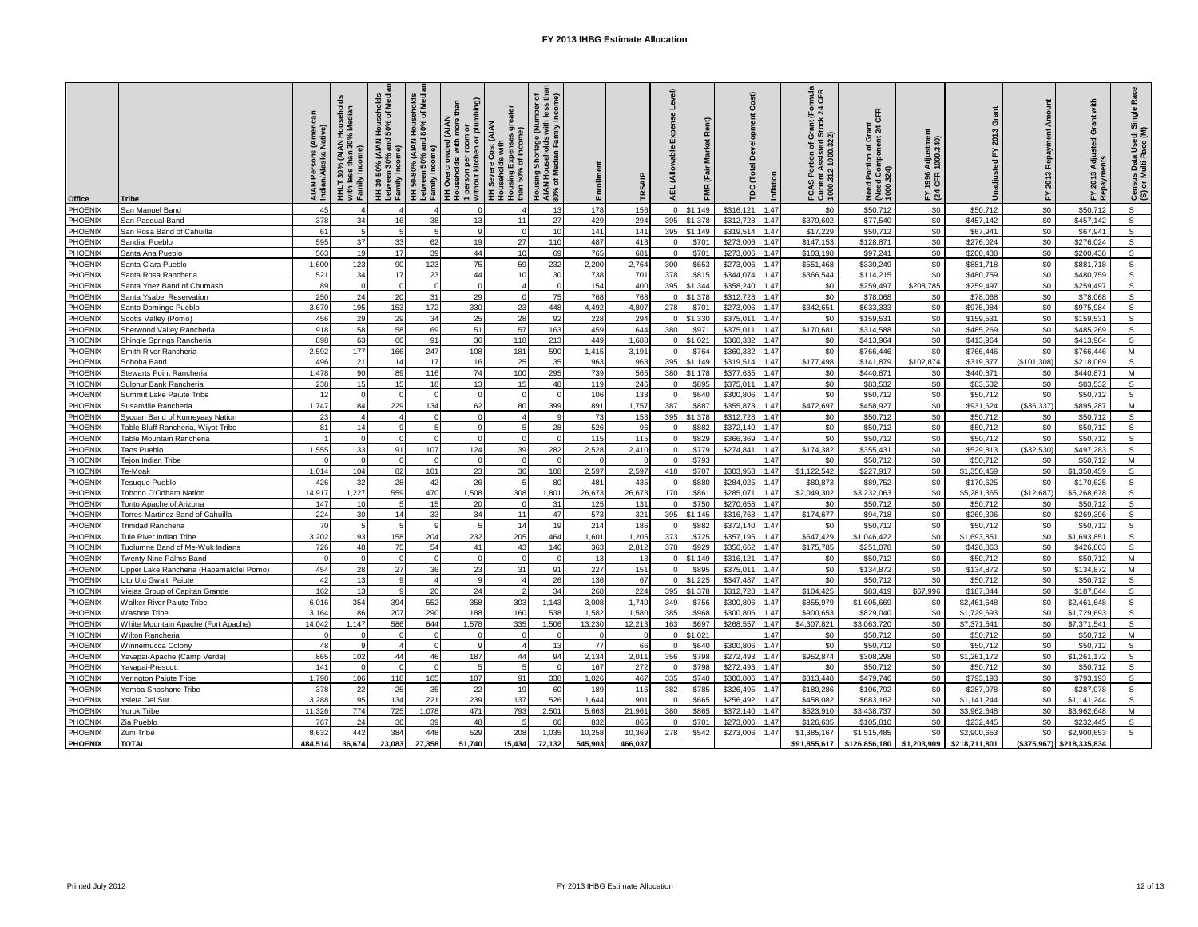| Office             | Tribe                                                   | AIAN Persons (American<br>Indian/Alaska Native) | HHLT 30% (AIAN Households<br>with less than 30% Median<br>Incom<br>with les<br>Family l | HH 30-50% (AIAN Households<br>between 30% and 50% of Medi<br>between<br>Family In | HH 50-80% (AIAN Households<br>between 50% and 80% of Medi<br>Family Income) | room or<br>en or plumbing)<br>than<br>(AIAN<br>more<br><b>HH Severe Cost (AIAN</b><br>Households with<br>HH Overcrowded (<br>Households with r<br>1 person per roo<br>without kitchen o | greate<br><b>Housing Expenses</b><br>than 50% of | of<br>end<br>end<br>end<br>Housing Shortage (Number<br>AIAN Households with less<br>80% of Median Family Incom | Enrollment | TRSAIP          | Level)<br>Ě<br>(Allo<br>보 | œ<br>Market<br>FMR | Cost)<br>č<br>(Total<br><b>TDC</b> | Inflation    | ant (Formula<br>tock 24 CFR<br>FCAS Portion of Gra<br>Current Assisted Sto<br>1000.312-1000.322) | CFR<br>Need Portion of Grant<br>(Need Component 24 C<br>1000.324) | Adjustmer<br>1000.340)<br>1996<br>CFR<br>≿ শ্ৰ | Tant<br>ō<br>2013     | Repayment<br>2013<br>모 | with<br>Grant<br>Isted<br>Adjus<br>ants<br>2013<br>ᄓ | Race<br>Census Data Used: Single<br>(S) or Multi-Race (M) |
|--------------------|---------------------------------------------------------|-------------------------------------------------|-----------------------------------------------------------------------------------------|-----------------------------------------------------------------------------------|-----------------------------------------------------------------------------|-----------------------------------------------------------------------------------------------------------------------------------------------------------------------------------------|--------------------------------------------------|----------------------------------------------------------------------------------------------------------------|------------|-----------------|---------------------------|--------------------|------------------------------------|--------------|--------------------------------------------------------------------------------------------------|-------------------------------------------------------------------|------------------------------------------------|-----------------------|------------------------|------------------------------------------------------|-----------------------------------------------------------|
| PHOENIX            | San Manuel Band                                         | 45                                              | $\boldsymbol{\Delta}$                                                                   |                                                                                   |                                                                             | $\Omega$                                                                                                                                                                                |                                                  | 13                                                                                                             | 178        | 156             |                           | \$1,149            | \$316,121                          | 1.47         | \$0                                                                                              | \$50,712                                                          | \$0                                            | \$50,712              | \$0                    | \$50,712                                             | s                                                         |
| PHOENIX            | San Pasqual Band                                        | 378                                             | 34                                                                                      | 16                                                                                | 38                                                                          | 13                                                                                                                                                                                      | 11                                               | 27                                                                                                             | 429        | 294             | 395                       | \$1,378            | \$312,728                          | 1.47         | \$379,602                                                                                        | \$77.540                                                          | \$0                                            | \$457,142             | \$0                    | \$457.142                                            | $\mathsf{s}$                                              |
| PHOENIX            | San Rosa Band of Cahuilla                               | 61                                              | 5                                                                                       |                                                                                   |                                                                             | $\mathsf{Q}$                                                                                                                                                                            | $\Omega$                                         | 10                                                                                                             | 141        | 141             | 395                       | \$1.149            | \$319.514                          | 1.47         | \$17,229                                                                                         | \$50,712                                                          | \$0                                            | \$67,941              | \$0                    | \$67,941                                             | s                                                         |
| PHOENIX            | Sandia Pueblo                                           | 595                                             | 37                                                                                      | 33                                                                                | 62                                                                          | 19                                                                                                                                                                                      | 27                                               | 110                                                                                                            | 487        | 413             |                           | \$701              | \$273,006                          | 1.47         | \$147,153                                                                                        | \$128,871                                                         | \$0                                            | \$276,024             | \$0                    | \$276,024                                            | s                                                         |
| PHOENIX            | Santa Ana Pueblo                                        | 563                                             | 19                                                                                      | 17                                                                                | 39                                                                          | 44                                                                                                                                                                                      | 10                                               | 69                                                                                                             | 765        | 681             |                           | \$701              | \$273,006                          | 1.47         | \$103.198                                                                                        | \$97,241                                                          | \$0                                            | \$200,438             | \$0                    | \$200,438                                            | s                                                         |
| PHOENIX            | anta Clara Pueblo                                       | 1,600                                           | 123                                                                                     | 90                                                                                | 123                                                                         | 75                                                                                                                                                                                      | 59                                               | 232                                                                                                            | 2,200      | 2,764           | 300                       | \$653              | \$273,006                          | 1.47         | \$551,468                                                                                        | \$330,249                                                         | \$0                                            | \$881,718             | \$0                    | \$881,718                                            | s                                                         |
| PHOENIX            | Santa Rosa Rancheria                                    | 521                                             | 34                                                                                      | 17                                                                                | 23                                                                          | 44                                                                                                                                                                                      | 10 <sup>1</sup>                                  | 30                                                                                                             | 738        | 701             | 378                       | \$815              | \$344,074                          | 1.47         | \$366,544                                                                                        | \$114,215                                                         | \$0                                            | \$480,759             | \$0                    | \$480,759                                            | s                                                         |
| PHOENIX            | Santa Ynez Band of Chumash                              | 89                                              | $\Omega$                                                                                | $\Omega$                                                                          | $\Omega$                                                                    | $\Omega$                                                                                                                                                                                | $\overline{a}$                                   |                                                                                                                | 154        | 400             | 395                       | \$1,344            | \$358,240                          | 1.47         | \$0                                                                                              | \$259,497                                                         | \$208,785                                      | \$259,497             | \$0                    | \$259,497                                            | s                                                         |
| PHOENIX            | Santa Ysabel Reservation                                | 250                                             | 24                                                                                      | 20                                                                                | 31                                                                          | 29                                                                                                                                                                                      | $\Omega$                                         | 75                                                                                                             | 768        | 768             |                           | \$1,378            | \$312,728                          | 1.47         | \$0                                                                                              | \$78,068                                                          | \$0                                            | \$78,068              | \$0                    | \$78,068                                             | S                                                         |
| PHOENIX            | Santo Domingo Pueblo                                    | 3,67                                            | 195                                                                                     | 153                                                                               | 172                                                                         | 330                                                                                                                                                                                     | 23                                               | 448                                                                                                            | 4,492      | 4,807           | 278                       | \$701              | \$273,006                          | 1.47         | \$342,651                                                                                        | \$633,333                                                         | \$0                                            | \$975,984             | \$0                    | \$975,984                                            | s                                                         |
| PHOENIX            | Scotts Valley (Pomo)                                    | 456                                             | 29                                                                                      | 29                                                                                | 34                                                                          | 25                                                                                                                                                                                      | 28                                               | 92                                                                                                             | 228        | 294             |                           | \$1,330            | \$375.011                          | 1.47         | \$0                                                                                              | \$159.531                                                         | \$0                                            | \$159,531             | \$0                    | \$159,531                                            | s                                                         |
| PHOENIX            | Sherwood Valley Rancheria                               | 918                                             | 58                                                                                      | 58                                                                                | 69                                                                          | 51                                                                                                                                                                                      | 57                                               | 163                                                                                                            | 459        | 644             | 380                       | \$971              | \$375.011                          | 1.47         | \$170.681                                                                                        | \$314,588                                                         | \$0                                            | \$485,269             | \$0                    | \$485.269                                            | s                                                         |
| PHOENIX            | Shingle Springs Rancheria                               | 898                                             | 63                                                                                      | 60                                                                                | 91                                                                          | 36                                                                                                                                                                                      | 118                                              | 213                                                                                                            | 449        | 1,688           |                           | \$1,021            | \$360,332                          | 1.47         | \$0                                                                                              | \$413,964                                                         | \$0                                            | \$413,964             | \$0                    | \$413,964                                            | s                                                         |
| PHOENIX            | Smith River Rancheria                                   | 2.592                                           | 177                                                                                     | 166                                                                               | 247                                                                         | 108                                                                                                                                                                                     | 181                                              | 590                                                                                                            | 1,415      | 3.191           |                           | \$764              | \$360.332                          | 1.47         | \$0                                                                                              | \$766,446                                                         | \$0                                            | \$766,446             | \$0                    | \$766,446                                            | M                                                         |
| PHOENIX            | Soboba Band                                             | 496                                             | 21                                                                                      | 14                                                                                | 17                                                                          | 16                                                                                                                                                                                      | 25                                               | 35                                                                                                             | 963        | 963             | 395                       | \$1,149            | \$319,514                          | 1.47         | \$177,498                                                                                        | \$141,879                                                         | \$102,874                                      | \$319,377             | (\$101,308)            | \$218,069                                            | s                                                         |
| PHOENIX            | Stewarts Point Rancheria                                | 1,478                                           | 90                                                                                      | 89                                                                                | 116                                                                         | 74                                                                                                                                                                                      | 100                                              | 295                                                                                                            | 739        | 565             | 380                       | \$1,178            | \$377,635                          | 1.47         | \$0                                                                                              | \$440,871                                                         | \$0                                            | \$440,871             | \$0                    | \$440,871                                            | M                                                         |
| PHOENIX            | Sulphur Bank Rancheria                                  | 238                                             | 15 <sub>1</sub>                                                                         | 15                                                                                | 18                                                                          | 13                                                                                                                                                                                      | 15                                               | 48                                                                                                             | 119        | 246             |                           | \$895              | \$375.011                          | 1.47         | \$0                                                                                              | \$83.532                                                          | \$0                                            | \$83,532              | \$0                    | \$83,532                                             | S.                                                        |
| PHOENIX            | Summit Lake Paiute Tribe                                |                                                 | $\Omega$                                                                                |                                                                                   | $\sqrt{ }$                                                                  | $\Omega$                                                                                                                                                                                | $\Omega$                                         |                                                                                                                | 106        | 133             |                           | \$640              | \$300,806                          | 1.47         | \$0                                                                                              | \$50,712                                                          | \$0                                            | \$50,712              | \$0                    | \$50,712                                             | S                                                         |
| PHOENIX            | Susanville Rancheria                                    | 1.747                                           | 84                                                                                      | 229                                                                               | 134                                                                         | 62                                                                                                                                                                                      | 80                                               | 399                                                                                                            | 891        | 1,757           | 387                       | \$887              | \$355,873                          | 1.47         | \$472,697                                                                                        | \$458,927                                                         | \$0                                            | \$931,624             | (\$36,337)             | \$895,287                                            | M                                                         |
| PHOENIX            | Sycuan Band of Kumeyaay Nation                          | 23                                              | $\boldsymbol{\Delta}$                                                                   |                                                                                   | $\Omega$                                                                    | $\Omega$                                                                                                                                                                                | $\boldsymbol{\Delta}$                            |                                                                                                                | 73         | 153             | 395                       | \$1,378            | \$312,728                          | 1.47         | \$0                                                                                              | \$50.712                                                          | \$0                                            | \$50.712              | \$0                    | \$50.712                                             | s                                                         |
| PHOENIX            | Table Bluff Rancheria, Wiyot Tribe                      | 81                                              | 14                                                                                      |                                                                                   | $\overline{a}$                                                              | $\mathsf{Q}$                                                                                                                                                                            | 5                                                | 28                                                                                                             | 526        | 96              |                           | \$882              | \$372.140                          | 1.47         | \$0                                                                                              | \$50,712                                                          | \$0                                            | \$50,712              | \$0                    | \$50,712                                             | $\mathbf{s}$                                              |
| PHOENIX            | Table Mountain Rancheria                                |                                                 | $\Omega$                                                                                |                                                                                   |                                                                             | $\Omega$                                                                                                                                                                                | $\Omega$                                         |                                                                                                                | 115        | 115             |                           | \$829              | \$366,369                          | 1.47         | \$0                                                                                              | \$50,712                                                          | \$0                                            | \$50,712              | \$0                    | \$50,712                                             | $\mathsf{s}$                                              |
| PHOENIX            | Taos Pueblo                                             | 1.555                                           | 133                                                                                     | 91                                                                                | 107                                                                         | 124                                                                                                                                                                                     | 39                                               | 282                                                                                                            | 2,528      | 2,410           |                           | \$779              | \$274.841                          | 1.47         | \$174.382                                                                                        | \$355.431                                                         | \$0                                            | \$529.813             | (\$32.530)             | \$497,283                                            | s                                                         |
| PHOENIX            | Fejon Indian Tribe                                      |                                                 | $\Omega$                                                                                |                                                                                   | $\sqrt{ }$                                                                  | $\Omega$                                                                                                                                                                                | $\Omega$                                         |                                                                                                                |            |                 |                           | \$793              |                                    | 1.47         | \$0                                                                                              | \$50,712                                                          | \$0                                            | \$50,712              | \$0                    | \$50,712                                             | M                                                         |
| PHOENIX            | Te-Moak                                                 | 1,014                                           | 104                                                                                     | 82                                                                                | 101                                                                         | 23                                                                                                                                                                                      | 36                                               | 108                                                                                                            | 2,597      | 2,597           | 418                       | \$707              | \$303,953                          | 1.47         | \$1,122,542                                                                                      | \$227,917                                                         | \$0                                            | \$1,350,459           | \$0                    | \$1,350,459                                          | s                                                         |
| PHOENIX            | Tesuque Pueblo                                          | 426                                             | 32                                                                                      | 28                                                                                | 42                                                                          | 26                                                                                                                                                                                      | -51                                              | 80                                                                                                             | 481        | 435             |                           | \$880              | \$284.025                          | 1.47         | \$80,873                                                                                         | \$89,752                                                          | \$0                                            | \$170,625             | \$0                    | \$170,625                                            | S                                                         |
| PHOENIX            | Tohono O'Odham Nation                                   | 14.917                                          | 1,227                                                                                   | 559                                                                               | 470                                                                         | 1,508                                                                                                                                                                                   | 308                                              | 1,801                                                                                                          | 26,673     | 26,673          | 170                       | \$861              | \$285,071                          | 1.47         | \$2,049,302                                                                                      | \$3,232,063                                                       | \$0                                            | \$5,281,365           | (\$12,687)             | \$5,268,678                                          | s                                                         |
| PHOENIX            | <b>Tonto Apache of Arizona</b>                          | 147                                             | 10                                                                                      | $5\overline{5}$                                                                   | 15                                                                          | 20                                                                                                                                                                                      | $\Omega$                                         | 31                                                                                                             | 125        | 131             |                           | \$750              | \$270,658                          | 1.47         | \$0                                                                                              | \$50,712                                                          | \$0                                            | \$50,712              | \$0                    | \$50,712                                             | S                                                         |
| PHOENIX            | Torres-Martinez Band of Cahuilla                        | 224                                             | 30                                                                                      | 14                                                                                | 33                                                                          | 34                                                                                                                                                                                      | 11                                               | 47                                                                                                             | 573        | 321             | 395                       | \$1.145            | \$316,763                          | 1.47         | \$174.677                                                                                        | \$94,718                                                          | \$0                                            | \$269,396             | \$0                    | \$269.396                                            | s                                                         |
| PHOENIX            | <b>Trinidad Rancheria</b>                               | 70                                              | $\overline{5}$                                                                          |                                                                                   | $\alpha$                                                                    | $5\overline{5}$                                                                                                                                                                         | 14                                               | 19                                                                                                             | 214        | 186             |                           | \$882              | \$372.140                          | 1.47         | \$0                                                                                              | \$50,712                                                          | \$0                                            | \$50,712              | \$0                    | \$50,712                                             | $\mathsf{s}$                                              |
| PHOENIX            | <b>Tule River Indian Tribe</b>                          | 3,202                                           | 193                                                                                     | 158                                                                               | 204                                                                         | 232                                                                                                                                                                                     | 205                                              | 464                                                                                                            | 1,601      | 1,205           | 373                       | \$725              | \$357,195                          | 1.47         | \$647,429                                                                                        | \$1,046,422                                                       | \$0                                            | \$1,693,851           | \$0                    | \$1,693,851                                          | s                                                         |
| PHOENIX<br>PHOENIX | Tuolumne Band of Me-Wuk Indians                         | 726                                             | 48<br>$\Omega$                                                                          | 75                                                                                | 54<br>$\Omega$                                                              | 41<br>$\Omega$                                                                                                                                                                          | 43<br>$\Omega$                                   | 146                                                                                                            | 363<br>13  | 2,812<br>13     | 378                       | \$929              | \$356.662                          | 1.47<br>1.47 | \$175.785                                                                                        | \$251,078                                                         | \$0                                            | \$426,863             | \$0<br>\$0             | \$426,863                                            | s<br>M                                                    |
|                    | Twenty Nine Palms Band                                  | 454                                             | 28                                                                                      | 27                                                                                | 36                                                                          | 23                                                                                                                                                                                      | 31                                               |                                                                                                                |            |                 |                           | \$1,149<br>\$895   | \$316,121                          | 1.47         | \$0                                                                                              | \$50,712<br>\$134,872                                             | \$0<br>\$0                                     | \$50,712<br>\$134,872 | \$0                    | \$50,712                                             | M                                                         |
| PHOENIX<br>PHOENIX | Upper Lake Rancheria (Habematolel Pomo)                 | 42                                              | 13                                                                                      |                                                                                   | $\overline{a}$                                                              | $\mathbf{q}$                                                                                                                                                                            | $\overline{a}$                                   | 91<br>26                                                                                                       | 227<br>136 | 151<br>67       |                           | \$1,225            | \$375,011<br>\$347,487             | 1.47         | \$0<br>\$0                                                                                       | \$50,712                                                          | \$0                                            |                       | \$0                    | \$134,872                                            | s                                                         |
| PHOENIX            | Utu Utu Gwaiti Paiute<br>Viejas Group of Capitan Grande | 162                                             | 13                                                                                      |                                                                                   | 20                                                                          | 24                                                                                                                                                                                      |                                                  | 34                                                                                                             | 268        | 224             | 395                       | \$1,378            | \$312,728                          | 1.47         | \$104,425                                                                                        | \$83,419                                                          | \$67,996                                       | \$50,712<br>\$187,844 | \$0                    | \$50,712<br>\$187,844                                | S                                                         |
| PHOENIX            | Walker River Paiute Tribe                               | 6.016                                           | 354                                                                                     | 394                                                                               | 552                                                                         | 358                                                                                                                                                                                     | 303                                              | 1.143                                                                                                          | 3.008      | 1.740           | 349                       | \$756              | \$300,806                          | 1.47         | \$855,979                                                                                        | \$1,605,669                                                       | \$0                                            | \$2,461,648           | \$0                    | \$2.461.648                                          | s                                                         |
| PHOENIX            | Washoe Tribe                                            | 3,164                                           | 186                                                                                     | 207                                                                               | 290                                                                         | 188                                                                                                                                                                                     | 160                                              | 538                                                                                                            | 1,582      | 1,580           | 385                       | \$968              | \$300,806                          | 1.47         | \$900,653                                                                                        | \$829,040                                                         | \$0                                            | \$1,729,693           | \$0                    | \$1,729,693                                          | s                                                         |
| PHOENIX            | White Mountain Apache (Fort Apache)                     | 14,042                                          | 1,147                                                                                   | 586                                                                               | 644                                                                         | 1,578                                                                                                                                                                                   | 335                                              | 1,506                                                                                                          | 13,230     | 12,213          | 163                       | \$697              | \$268,557                          | 1.47         | \$4,307,821                                                                                      | \$3,063,720                                                       | \$0                                            | \$7,371,541           | \$0                    | \$7,371,541                                          | s                                                         |
| PHOENIX            | Wilton Rancheria                                        |                                                 |                                                                                         |                                                                                   |                                                                             | $\Omega$                                                                                                                                                                                | $\Omega$                                         |                                                                                                                |            |                 |                           | \$1,021            |                                    | 1.47         | \$0                                                                                              | \$50,712                                                          | \$0                                            | \$50,712              | \$0                    | \$50,712                                             | M                                                         |
| PHOENIX            | Winnemucca Colony                                       | 48                                              | q                                                                                       |                                                                                   | $\Omega$                                                                    | $\mathsf{Q}$                                                                                                                                                                            | $\mathbf{A}$                                     | 13                                                                                                             | 77         | 66              |                           | \$640              | \$300,806                          | 1.47         | \$0                                                                                              | \$50,712                                                          | \$0                                            | \$50,712              | \$0                    | \$50,712                                             | s                                                         |
| PHOENIX            | Yavapai-Apache (Camp Verde)                             | 865                                             | 102                                                                                     | 44                                                                                | 46                                                                          | 187                                                                                                                                                                                     | 44                                               | 94                                                                                                             | 2,134      | 2,011           | 356                       | \$798              | \$272,493                          | 1.47         | \$952,874                                                                                        | \$308.298                                                         | \$0                                            | \$1,261,172           | \$0                    | \$1,261,172                                          | $\mathbf{s}$                                              |
| PHOENIX            | Yavapai-Prescott                                        | 141                                             | $\Omega$                                                                                |                                                                                   | $\Omega$                                                                    | 5                                                                                                                                                                                       | 5 <sub>l</sub>                                   |                                                                                                                | 167        | 272             |                           | \$798              | \$272,493                          | 1.47         | \$0                                                                                              | \$50,712                                                          | \$0                                            | \$50,712              | \$0                    | \$50,712                                             | s.                                                        |
| PHOENIX            | Yerington Paiute Tribe                                  | 1,798                                           | 106                                                                                     | 118                                                                               | 165                                                                         | 107                                                                                                                                                                                     | 91                                               | 338                                                                                                            | 1,026      | 467             | 335                       | \$740              | \$300,806                          | 1.47         | \$313,448                                                                                        | \$479,746                                                         | \$0                                            | \$793,193             | \$0                    | \$793,193                                            | s                                                         |
| PHOENIX            | Yomba Shoshone Tribe                                    | 378                                             | 22                                                                                      | 25                                                                                | 35                                                                          | 22                                                                                                                                                                                      | 19                                               | 60                                                                                                             | 189        | 116             | 382                       | \$785              | \$326.495                          | 1.47         | \$180,286                                                                                        | \$106.792                                                         | \$0                                            | \$287,078             | \$0                    | \$287,078                                            | S                                                         |
| PHOENIX            | Ysleta Del Sur                                          | 3.288                                           | 195                                                                                     | 134                                                                               | 221                                                                         | 239                                                                                                                                                                                     | 137                                              | 526                                                                                                            | 1.644      | 90 <sup>o</sup> |                           | \$665              | \$256.492                          | 1.47         | \$458.082                                                                                        | \$683.162                                                         | \$0                                            | \$1,141,244           | \$0                    | \$1,141,244                                          | s                                                         |
| PHOENIX            | urok Tribe                                              | 11,32                                           | 774                                                                                     | 725                                                                               | 1,078                                                                       | 471                                                                                                                                                                                     | 793                                              | 2,501                                                                                                          | 5,663      | 21,96'          | 380                       | \$865              | \$372,140                          | 1.47         | \$523,910                                                                                        | \$3,438,737                                                       | \$0                                            | \$3,962,648           | \$0                    | \$3,962,648                                          | M                                                         |
| PHOENIX            | Zia Pueblo                                              | 767                                             | 24                                                                                      | 36                                                                                | 39                                                                          | 48                                                                                                                                                                                      | $5^{\circ}$                                      | 66                                                                                                             | 832        | 865             |                           | \$701              | \$273,006                          | 1.47         | \$126,635                                                                                        | \$105,810                                                         | \$0                                            | \$232,445             | \$0                    | \$232,445                                            | s                                                         |
| PHOENIX            | Zuni Tribe                                              | 8,63                                            | 442                                                                                     | 384                                                                               | 448                                                                         | 529                                                                                                                                                                                     | 208                                              | 1,035                                                                                                          | 10,258     | 10,369          | 278                       | \$542              | \$273,006                          | 1.47         | \$1,385,167                                                                                      | \$1,515,485                                                       | \$0                                            | \$2,900,653           | \$0                    | \$2,900,653                                          | s                                                         |
| <b>PHOENIX</b>     | <b>TOTAL</b>                                            | 484,514                                         | 36,674                                                                                  | 23,083                                                                            | 27,358                                                                      | 51,740                                                                                                                                                                                  | 15,434                                           | 72,132                                                                                                         | 545,903    | 466,037         |                           |                    |                                    |              | \$91,855,617                                                                                     | \$126,856,180                                                     | \$1,203,909                                    | \$218,711,801         | (\$375,967)            | \$218,335,834                                        |                                                           |